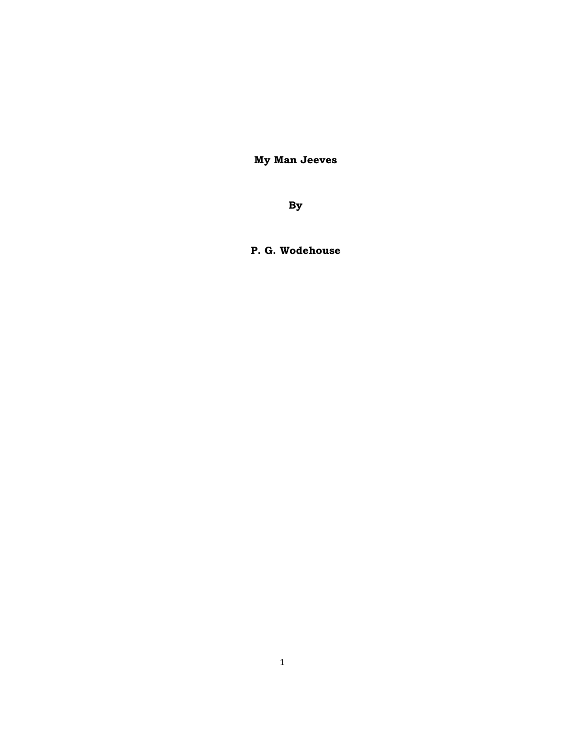**My Man Jeeves** 

**By** 

**P. G. Wodehouse**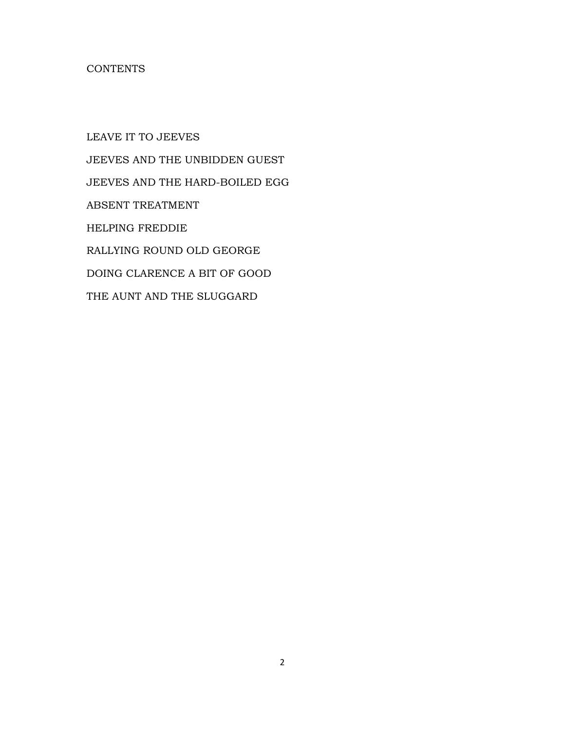# **CONTENTS**

LEAVE IT TO JEEVES JEEVES AND THE UNBIDDEN GUEST JEEVES AND THE HARD-BOILED EGG ABSENT TREATMENT HELPING FREDDIE RALLYING ROUND OLD GEORGE DOING CLARENCE A BIT OF GOOD THE AUNT AND THE SLUGGARD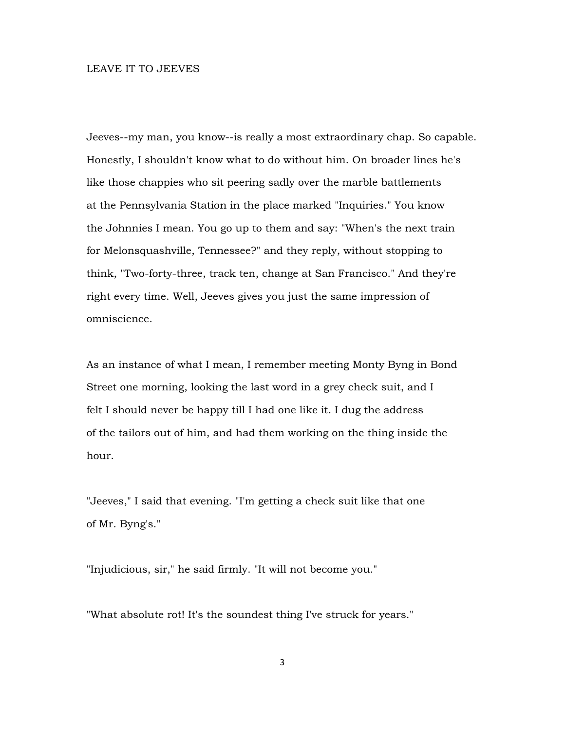### LEAVE IT TO JEEVES

Jeeves--my man, you know--is really a most extraordinary chap. So capable. Honestly, I shouldn't know what to do without him. On broader lines he's like those chappies who sit peering sadly over the marble battlements at the Pennsylvania Station in the place marked "Inquiries." You know the Johnnies I mean. You go up to them and say: "When's the next train for Melonsquashville, Tennessee?" and they reply, without stopping to think, "Two-forty-three, track ten, change at San Francisco." And they're right every time. Well, Jeeves gives you just the same impression of omniscience.

As an instance of what I mean, I remember meeting Monty Byng in Bond Street one morning, looking the last word in a grey check suit, and I felt I should never be happy till I had one like it. I dug the address of the tailors out of him, and had them working on the thing inside the hour.

"Jeeves," I said that evening. "I'm getting a check suit like that one of Mr. Byng's."

"Injudicious, sir," he said firmly. "It will not become you."

"What absolute rot! It's the soundest thing I've struck for years."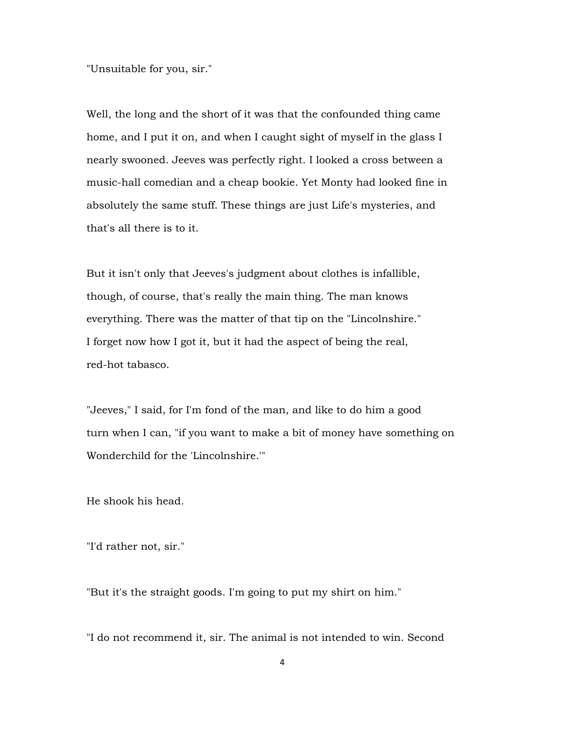"Unsuitable for you, sir."

Well, the long and the short of it was that the confounded thing came home, and I put it on, and when I caught sight of myself in the glass I nearly swooned. Jeeves was perfectly right. I looked a cross between a music-hall comedian and a cheap bookie. Yet Monty had looked fine in absolutely the same stuff. These things are just Life's mysteries, and that's all there is to it.

But it isn't only that Jeeves's judgment about clothes is infallible, though, of course, that's really the main thing. The man knows everything. There was the matter of that tip on the "Lincolnshire." I forget now how I got it, but it had the aspect of being the real, red-hot tabasco.

"Jeeves," I said, for I'm fond of the man, and like to do him a good turn when I can, "if you want to make a bit of money have something on Wonderchild for the 'Lincolnshire.'"

He shook his head.

"I'd rather not, sir."

"But it's the straight goods. I'm going to put my shirt on him."

"I do not recommend it, sir. The animal is not intended to win. Second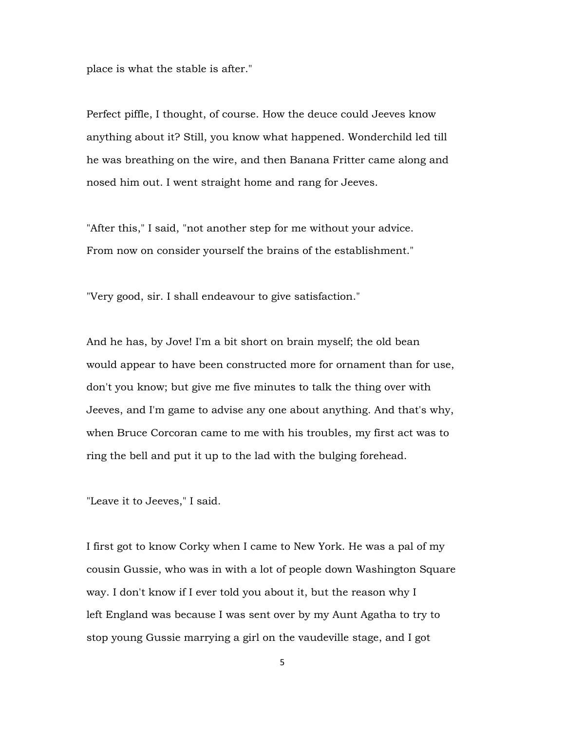place is what the stable is after."

Perfect piffle, I thought, of course. How the deuce could Jeeves know anything about it? Still, you know what happened. Wonderchild led till he was breathing on the wire, and then Banana Fritter came along and nosed him out. I went straight home and rang for Jeeves.

"After this," I said, "not another step for me without your advice. From now on consider yourself the brains of the establishment."

"Very good, sir. I shall endeavour to give satisfaction."

And he has, by Jove! I'm a bit short on brain myself; the old bean would appear to have been constructed more for ornament than for use, don't you know; but give me five minutes to talk the thing over with Jeeves, and I'm game to advise any one about anything. And that's why, when Bruce Corcoran came to me with his troubles, my first act was to ring the bell and put it up to the lad with the bulging forehead.

"Leave it to Jeeves," I said.

I first got to know Corky when I came to New York. He was a pal of my cousin Gussie, who was in with a lot of people down Washington Square way. I don't know if I ever told you about it, but the reason why I left England was because I was sent over by my Aunt Agatha to try to stop young Gussie marrying a girl on the vaudeville stage, and I got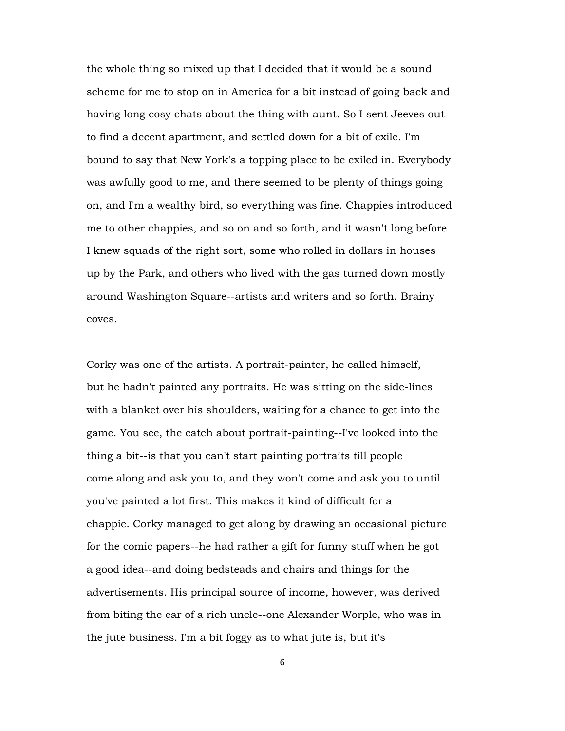the whole thing so mixed up that I decided that it would be a sound scheme for me to stop on in America for a bit instead of going back and having long cosy chats about the thing with aunt. So I sent Jeeves out to find a decent apartment, and settled down for a bit of exile. I'm bound to say that New York's a topping place to be exiled in. Everybody was awfully good to me, and there seemed to be plenty of things going on, and I'm a wealthy bird, so everything was fine. Chappies introduced me to other chappies, and so on and so forth, and it wasn't long before I knew squads of the right sort, some who rolled in dollars in houses up by the Park, and others who lived with the gas turned down mostly around Washington Square--artists and writers and so forth. Brainy coves.

Corky was one of the artists. A portrait-painter, he called himself, but he hadn't painted any portraits. He was sitting on the side-lines with a blanket over his shoulders, waiting for a chance to get into the game. You see, the catch about portrait-painting--I've looked into the thing a bit--is that you can't start painting portraits till people come along and ask you to, and they won't come and ask you to until you've painted a lot first. This makes it kind of difficult for a chappie. Corky managed to get along by drawing an occasional picture for the comic papers--he had rather a gift for funny stuff when he got a good idea--and doing bedsteads and chairs and things for the advertisements. His principal source of income, however, was derived from biting the ear of a rich uncle--one Alexander Worple, who was in the jute business. I'm a bit foggy as to what jute is, but it's

6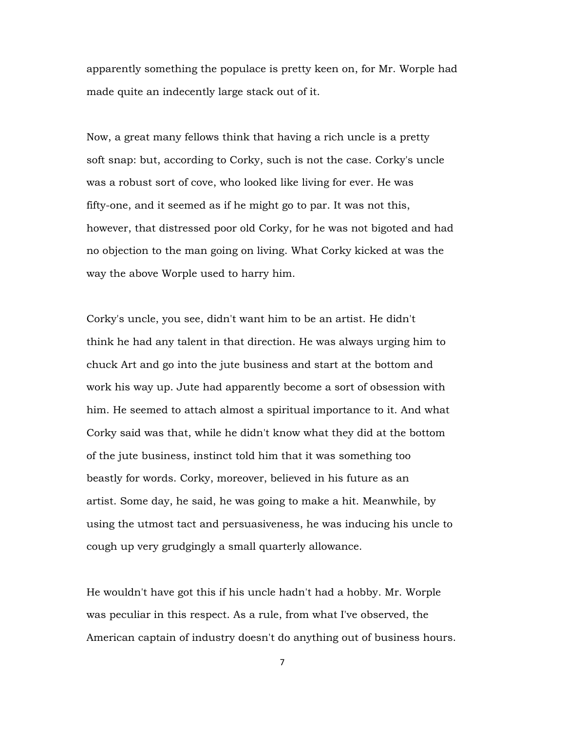apparently something the populace is pretty keen on, for Mr. Worple had made quite an indecently large stack out of it.

Now, a great many fellows think that having a rich uncle is a pretty soft snap: but, according to Corky, such is not the case. Corky's uncle was a robust sort of cove, who looked like living for ever. He was fifty-one, and it seemed as if he might go to par. It was not this, however, that distressed poor old Corky, for he was not bigoted and had no objection to the man going on living. What Corky kicked at was the way the above Worple used to harry him.

Corky's uncle, you see, didn't want him to be an artist. He didn't think he had any talent in that direction. He was always urging him to chuck Art and go into the jute business and start at the bottom and work his way up. Jute had apparently become a sort of obsession with him. He seemed to attach almost a spiritual importance to it. And what Corky said was that, while he didn't know what they did at the bottom of the jute business, instinct told him that it was something too beastly for words. Corky, moreover, believed in his future as an artist. Some day, he said, he was going to make a hit. Meanwhile, by using the utmost tact and persuasiveness, he was inducing his uncle to cough up very grudgingly a small quarterly allowance.

He wouldn't have got this if his uncle hadn't had a hobby. Mr. Worple was peculiar in this respect. As a rule, from what I've observed, the American captain of industry doesn't do anything out of business hours.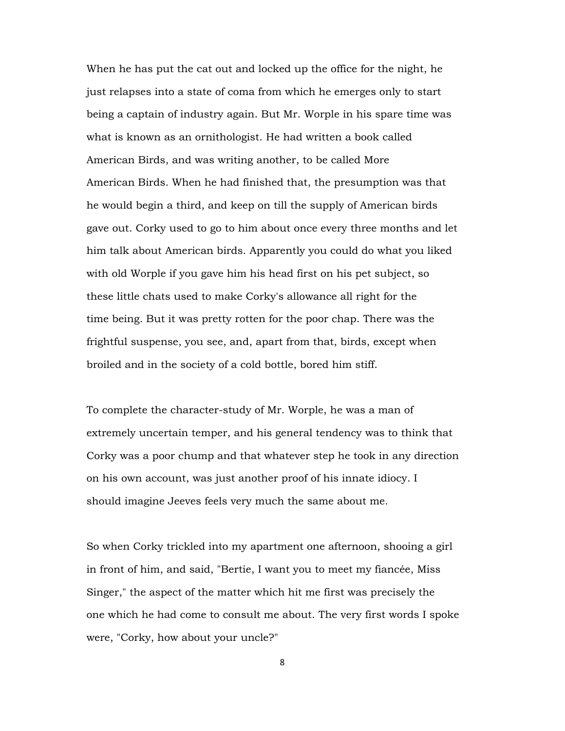When he has put the cat out and locked up the office for the night, he just relapses into a state of coma from which he emerges only to start being a captain of industry again. But Mr. Worple in his spare time was what is known as an ornithologist. He had written a book called American Birds, and was writing another, to be called More American Birds. When he had finished that, the presumption was that he would begin a third, and keep on till the supply of American birds gave out. Corky used to go to him about once every three months and let him talk about American birds. Apparently you could do what you liked with old Worple if you gave him his head first on his pet subject, so these little chats used to make Corky's allowance all right for the time being. But it was pretty rotten for the poor chap. There was the frightful suspense, you see, and, apart from that, birds, except when broiled and in the society of a cold bottle, bored him stiff.

To complete the character-study of Mr. Worple, he was a man of extremely uncertain temper, and his general tendency was to think that Corky was a poor chump and that whatever step he took in any direction on his own account, was just another proof of his innate idiocy. I should imagine Jeeves feels very much the same about me.

So when Corky trickled into my apartment one afternoon, shooing a girl in front of him, and said, "Bertie, I want you to meet my fiancée, Miss Singer," the aspect of the matter which hit me first was precisely the one which he had come to consult me about. The very first words I spoke were, "Corky, how about your uncle?"

8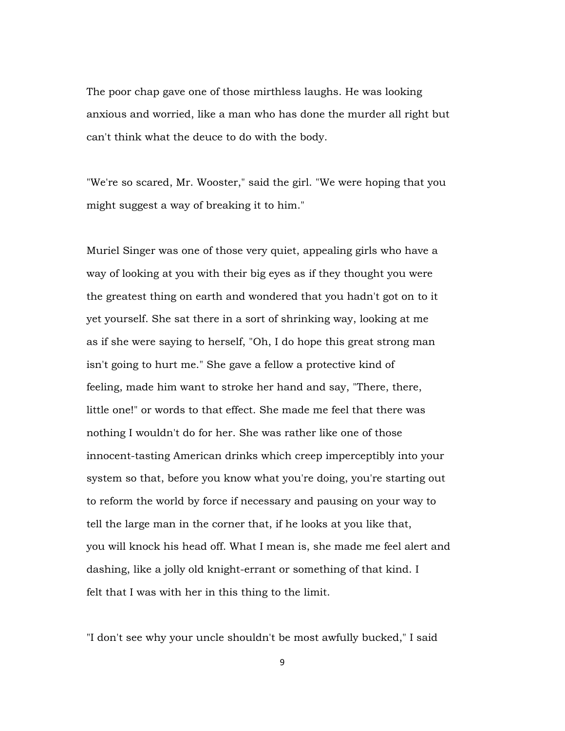The poor chap gave one of those mirthless laughs. He was looking anxious and worried, like a man who has done the murder all right but can't think what the deuce to do with the body.

"We're so scared, Mr. Wooster," said the girl. "We were hoping that you might suggest a way of breaking it to him."

Muriel Singer was one of those very quiet, appealing girls who have a way of looking at you with their big eyes as if they thought you were the greatest thing on earth and wondered that you hadn't got on to it yet yourself. She sat there in a sort of shrinking way, looking at me as if she were saying to herself, "Oh, I do hope this great strong man isn't going to hurt me." She gave a fellow a protective kind of feeling, made him want to stroke her hand and say, "There, there, little one!" or words to that effect. She made me feel that there was nothing I wouldn't do for her. She was rather like one of those innocent-tasting American drinks which creep imperceptibly into your system so that, before you know what you're doing, you're starting out to reform the world by force if necessary and pausing on your way to tell the large man in the corner that, if he looks at you like that, you will knock his head off. What I mean is, she made me feel alert and dashing, like a jolly old knight-errant or something of that kind. I felt that I was with her in this thing to the limit.

"I don't see why your uncle shouldn't be most awfully bucked," I said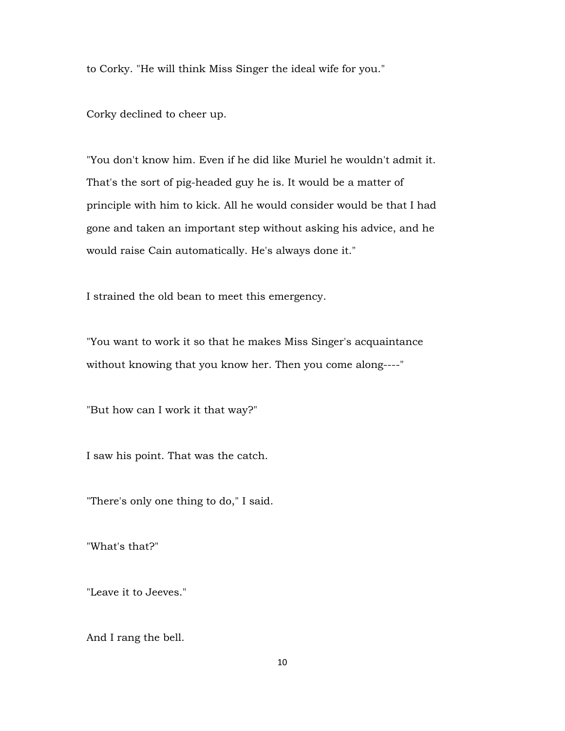to Corky. "He will think Miss Singer the ideal wife for you."

Corky declined to cheer up.

"You don't know him. Even if he did like Muriel he wouldn't admit it. That's the sort of pig-headed guy he is. It would be a matter of principle with him to kick. All he would consider would be that I had gone and taken an important step without asking his advice, and he would raise Cain automatically. He's always done it."

I strained the old bean to meet this emergency.

"You want to work it so that he makes Miss Singer's acquaintance without knowing that you know her. Then you come along----"

"But how can I work it that way?"

I saw his point. That was the catch.

"There's only one thing to do," I said.

"What's that?"

"Leave it to Jeeves."

And I rang the bell.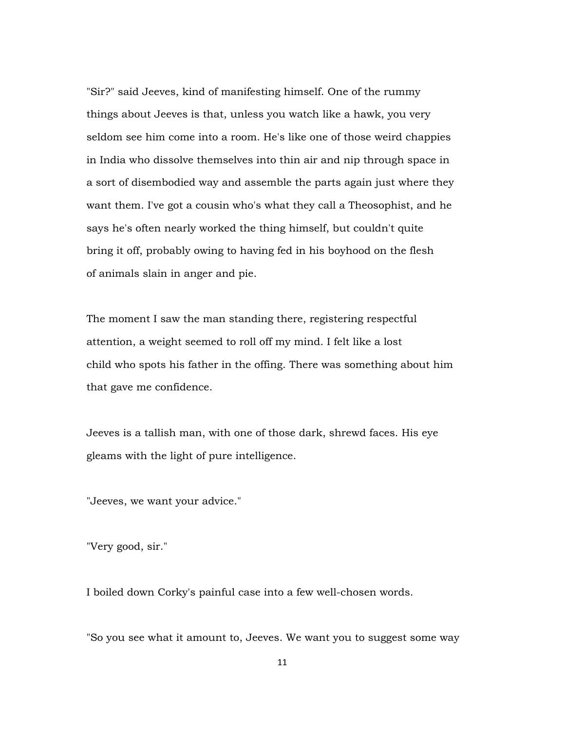"Sir?" said Jeeves, kind of manifesting himself. One of the rummy things about Jeeves is that, unless you watch like a hawk, you very seldom see him come into a room. He's like one of those weird chappies in India who dissolve themselves into thin air and nip through space in a sort of disembodied way and assemble the parts again just where they want them. I've got a cousin who's what they call a Theosophist, and he says he's often nearly worked the thing himself, but couldn't quite bring it off, probably owing to having fed in his boyhood on the flesh of animals slain in anger and pie.

The moment I saw the man standing there, registering respectful attention, a weight seemed to roll off my mind. I felt like a lost child who spots his father in the offing. There was something about him that gave me confidence.

Jeeves is a tallish man, with one of those dark, shrewd faces. His eye gleams with the light of pure intelligence.

"Jeeves, we want your advice."

"Very good, sir."

I boiled down Corky's painful case into a few well-chosen words.

"So you see what it amount to, Jeeves. We want you to suggest some way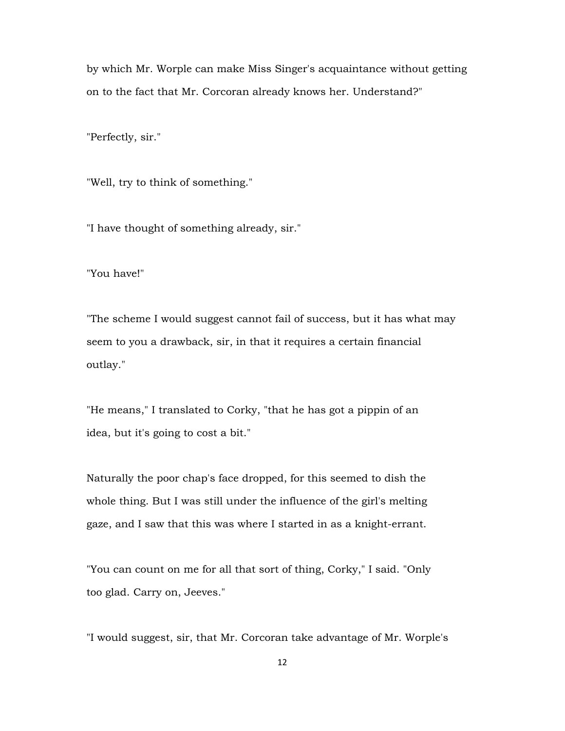by which Mr. Worple can make Miss Singer's acquaintance without getting on to the fact that Mr. Corcoran already knows her. Understand?"

"Perfectly, sir."

"Well, try to think of something."

"I have thought of something already, sir."

"You have!"

"The scheme I would suggest cannot fail of success, but it has what may seem to you a drawback, sir, in that it requires a certain financial outlay."

"He means," I translated to Corky, "that he has got a pippin of an idea, but it's going to cost a bit."

Naturally the poor chap's face dropped, for this seemed to dish the whole thing. But I was still under the influence of the girl's melting gaze, and I saw that this was where I started in as a knight-errant.

"You can count on me for all that sort of thing, Corky," I said. "Only too glad. Carry on, Jeeves."

"I would suggest, sir, that Mr. Corcoran take advantage of Mr. Worple's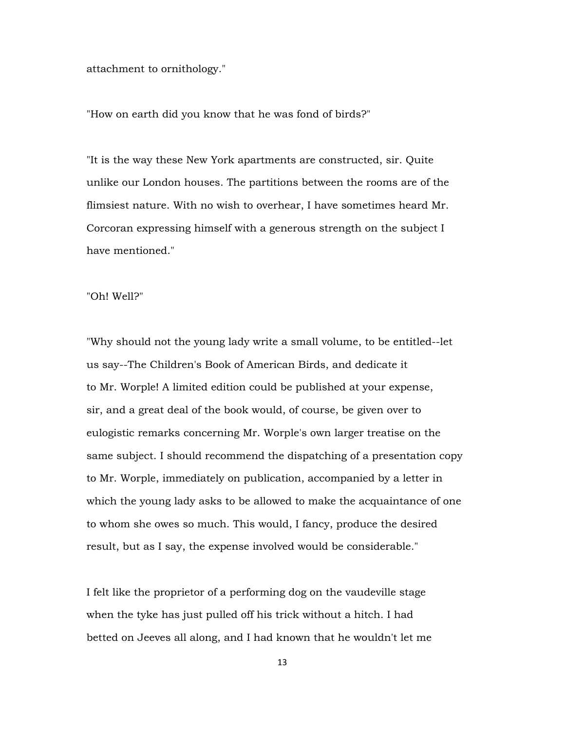attachment to ornithology."

"How on earth did you know that he was fond of birds?"

"It is the way these New York apartments are constructed, sir. Quite unlike our London houses. The partitions between the rooms are of the flimsiest nature. With no wish to overhear, I have sometimes heard Mr. Corcoran expressing himself with a generous strength on the subject I have mentioned."

# "Oh! Well?"

"Why should not the young lady write a small volume, to be entitled--let us say--The Children's Book of American Birds, and dedicate it to Mr. Worple! A limited edition could be published at your expense, sir, and a great deal of the book would, of course, be given over to eulogistic remarks concerning Mr. Worple's own larger treatise on the same subject. I should recommend the dispatching of a presentation copy to Mr. Worple, immediately on publication, accompanied by a letter in which the young lady asks to be allowed to make the acquaintance of one to whom she owes so much. This would, I fancy, produce the desired result, but as I say, the expense involved would be considerable."

I felt like the proprietor of a performing dog on the vaudeville stage when the tyke has just pulled off his trick without a hitch. I had betted on Jeeves all along, and I had known that he wouldn't let me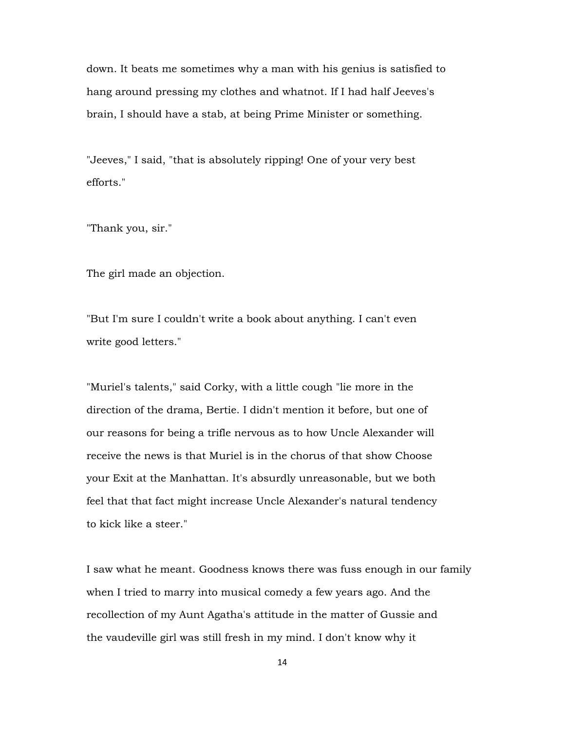down. It beats me sometimes why a man with his genius is satisfied to hang around pressing my clothes and whatnot. If I had half Jeeves's brain, I should have a stab, at being Prime Minister or something.

"Jeeves," I said, "that is absolutely ripping! One of your very best efforts."

"Thank you, sir."

The girl made an objection.

"But I'm sure I couldn't write a book about anything. I can't even write good letters."

"Muriel's talents," said Corky, with a little cough "lie more in the direction of the drama, Bertie. I didn't mention it before, but one of our reasons for being a trifle nervous as to how Uncle Alexander will receive the news is that Muriel is in the chorus of that show Choose your Exit at the Manhattan. It's absurdly unreasonable, but we both feel that that fact might increase Uncle Alexander's natural tendency to kick like a steer."

I saw what he meant. Goodness knows there was fuss enough in our family when I tried to marry into musical comedy a few years ago. And the recollection of my Aunt Agatha's attitude in the matter of Gussie and the vaudeville girl was still fresh in my mind. I don't know why it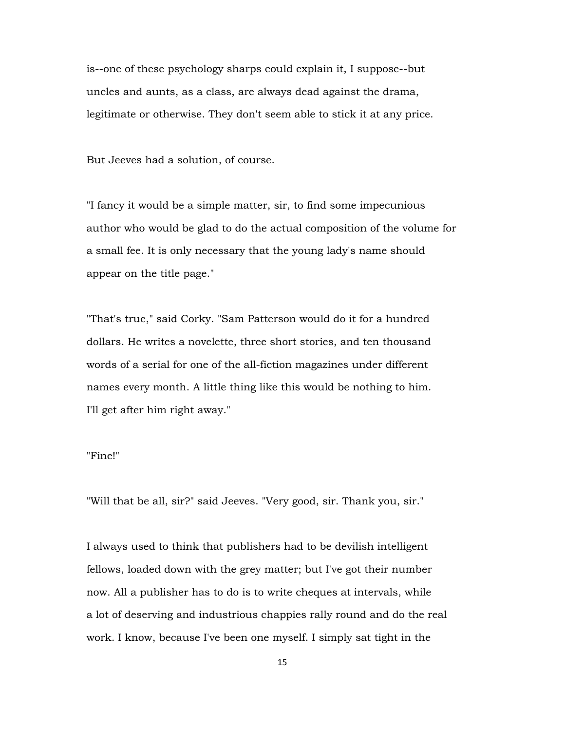is--one of these psychology sharps could explain it, I suppose--but uncles and aunts, as a class, are always dead against the drama, legitimate or otherwise. They don't seem able to stick it at any price.

But Jeeves had a solution, of course.

"I fancy it would be a simple matter, sir, to find some impecunious author who would be glad to do the actual composition of the volume for a small fee. It is only necessary that the young lady's name should appear on the title page."

"That's true," said Corky. "Sam Patterson would do it for a hundred dollars. He writes a novelette, three short stories, and ten thousand words of a serial for one of the all-fiction magazines under different names every month. A little thing like this would be nothing to him. I'll get after him right away."

### "Fine!"

"Will that be all, sir?" said Jeeves. "Very good, sir. Thank you, sir."

I always used to think that publishers had to be devilish intelligent fellows, loaded down with the grey matter; but I've got their number now. All a publisher has to do is to write cheques at intervals, while a lot of deserving and industrious chappies rally round and do the real work. I know, because I've been one myself. I simply sat tight in the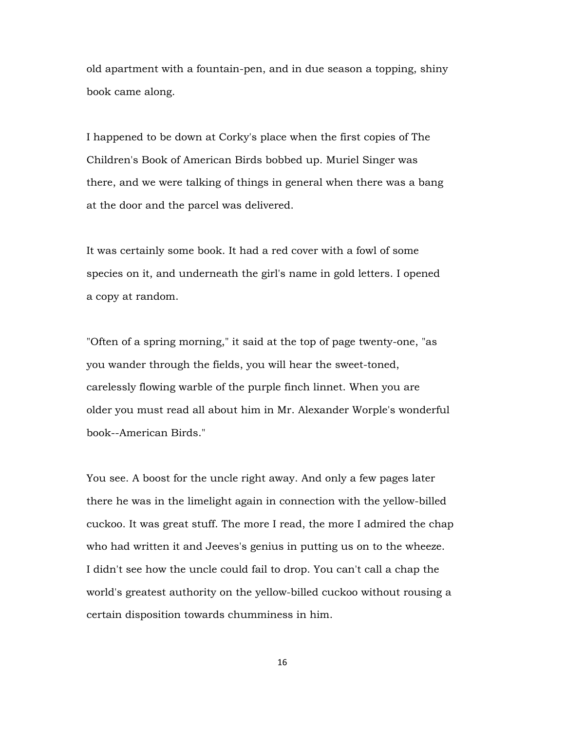old apartment with a fountain-pen, and in due season a topping, shiny book came along.

I happened to be down at Corky's place when the first copies of The Children's Book of American Birds bobbed up. Muriel Singer was there, and we were talking of things in general when there was a bang at the door and the parcel was delivered.

It was certainly some book. It had a red cover with a fowl of some species on it, and underneath the girl's name in gold letters. I opened a copy at random.

"Often of a spring morning," it said at the top of page twenty-one, "as you wander through the fields, you will hear the sweet-toned, carelessly flowing warble of the purple finch linnet. When you are older you must read all about him in Mr. Alexander Worple's wonderful book--American Birds."

You see. A boost for the uncle right away. And only a few pages later there he was in the limelight again in connection with the yellow-billed cuckoo. It was great stuff. The more I read, the more I admired the chap who had written it and Jeeves's genius in putting us on to the wheeze. I didn't see how the uncle could fail to drop. You can't call a chap the world's greatest authority on the yellow-billed cuckoo without rousing a certain disposition towards chumminess in him.

16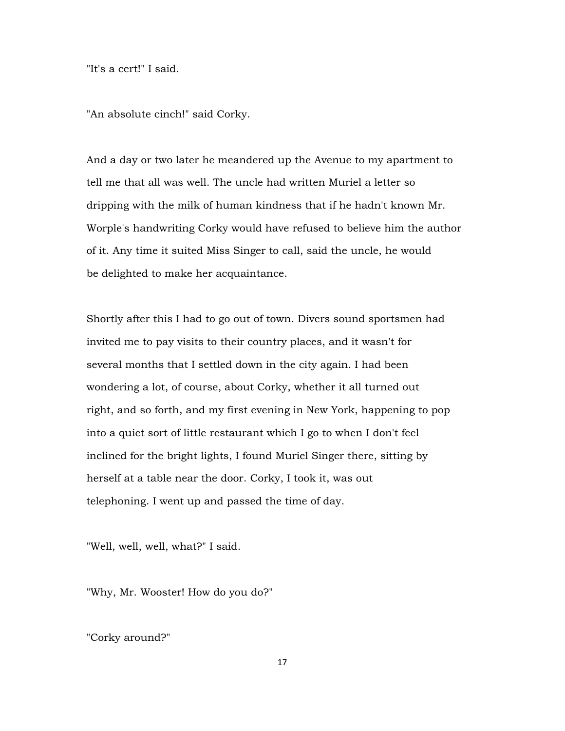"It's a cert!" I said.

"An absolute cinch!" said Corky.

And a day or two later he meandered up the Avenue to my apartment to tell me that all was well. The uncle had written Muriel a letter so dripping with the milk of human kindness that if he hadn't known Mr. Worple's handwriting Corky would have refused to believe him the author of it. Any time it suited Miss Singer to call, said the uncle, he would be delighted to make her acquaintance.

Shortly after this I had to go out of town. Divers sound sportsmen had invited me to pay visits to their country places, and it wasn't for several months that I settled down in the city again. I had been wondering a lot, of course, about Corky, whether it all turned out right, and so forth, and my first evening in New York, happening to pop into a quiet sort of little restaurant which I go to when I don't feel inclined for the bright lights, I found Muriel Singer there, sitting by herself at a table near the door. Corky, I took it, was out telephoning. I went up and passed the time of day.

"Well, well, well, what?" I said.

"Why, Mr. Wooster! How do you do?"

"Corky around?"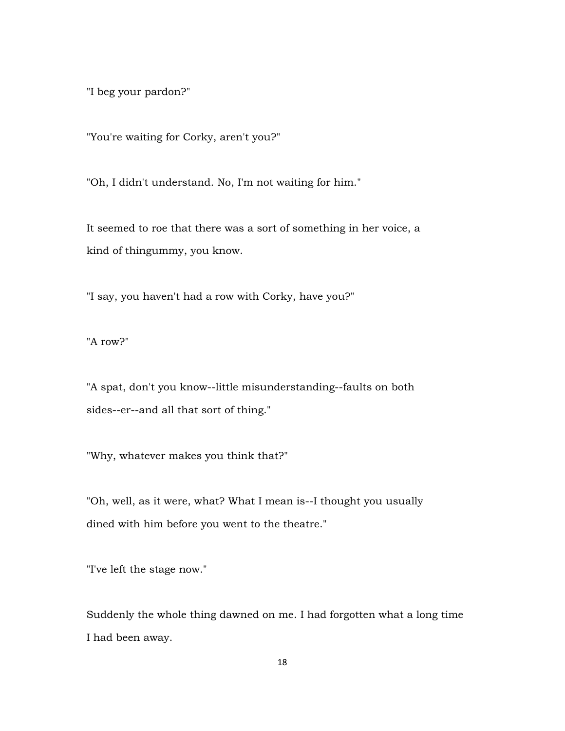"I beg your pardon?"

"You're waiting for Corky, aren't you?"

"Oh, I didn't understand. No, I'm not waiting for him."

It seemed to roe that there was a sort of something in her voice, a kind of thingummy, you know.

"I say, you haven't had a row with Corky, have you?"

"A row?"

"A spat, don't you know--little misunderstanding--faults on both sides--er--and all that sort of thing."

"Why, whatever makes you think that?"

"Oh, well, as it were, what? What I mean is--I thought you usually dined with him before you went to the theatre."

"I've left the stage now."

Suddenly the whole thing dawned on me. I had forgotten what a long time I had been away.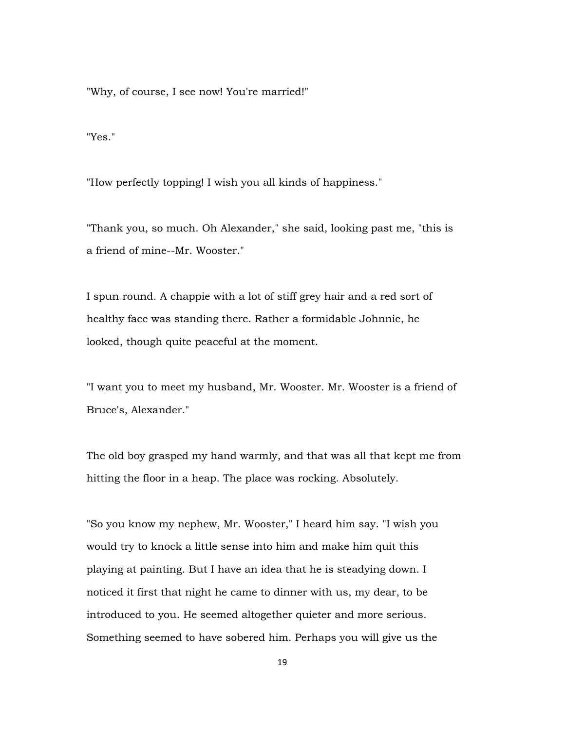"Why, of course, I see now! You're married!"

"Yes."

"How perfectly topping! I wish you all kinds of happiness."

"Thank you, so much. Oh Alexander," she said, looking past me, "this is a friend of mine--Mr. Wooster."

I spun round. A chappie with a lot of stiff grey hair and a red sort of healthy face was standing there. Rather a formidable Johnnie, he looked, though quite peaceful at the moment.

"I want you to meet my husband, Mr. Wooster. Mr. Wooster is a friend of Bruce's, Alexander."

The old boy grasped my hand warmly, and that was all that kept me from hitting the floor in a heap. The place was rocking. Absolutely.

"So you know my nephew, Mr. Wooster," I heard him say. "I wish you would try to knock a little sense into him and make him quit this playing at painting. But I have an idea that he is steadying down. I noticed it first that night he came to dinner with us, my dear, to be introduced to you. He seemed altogether quieter and more serious. Something seemed to have sobered him. Perhaps you will give us the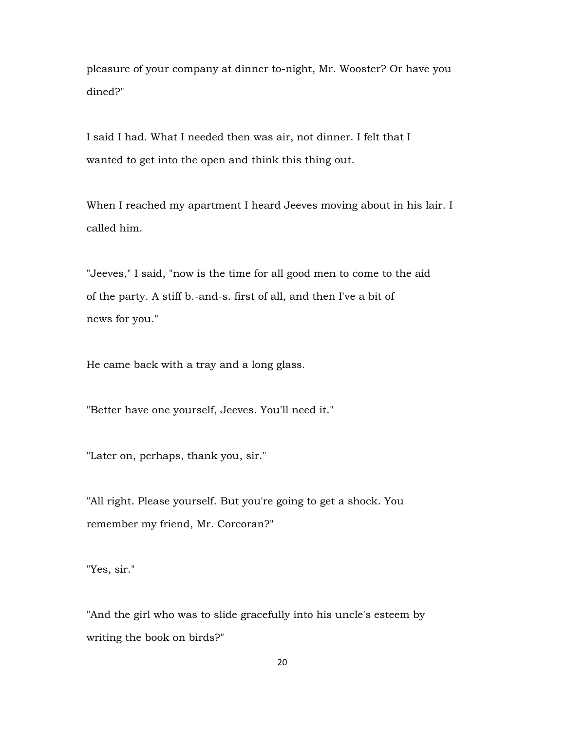pleasure of your company at dinner to-night, Mr. Wooster? Or have you dined?"

I said I had. What I needed then was air, not dinner. I felt that I wanted to get into the open and think this thing out.

When I reached my apartment I heard Jeeves moving about in his lair. I called him.

"Jeeves," I said, "now is the time for all good men to come to the aid of the party. A stiff b.-and-s. first of all, and then I've a bit of news for you."

He came back with a tray and a long glass.

"Better have one yourself, Jeeves. You'll need it."

"Later on, perhaps, thank you, sir."

"All right. Please yourself. But you're going to get a shock. You remember my friend, Mr. Corcoran?"

"Yes, sir."

"And the girl who was to slide gracefully into his uncle's esteem by writing the book on birds?"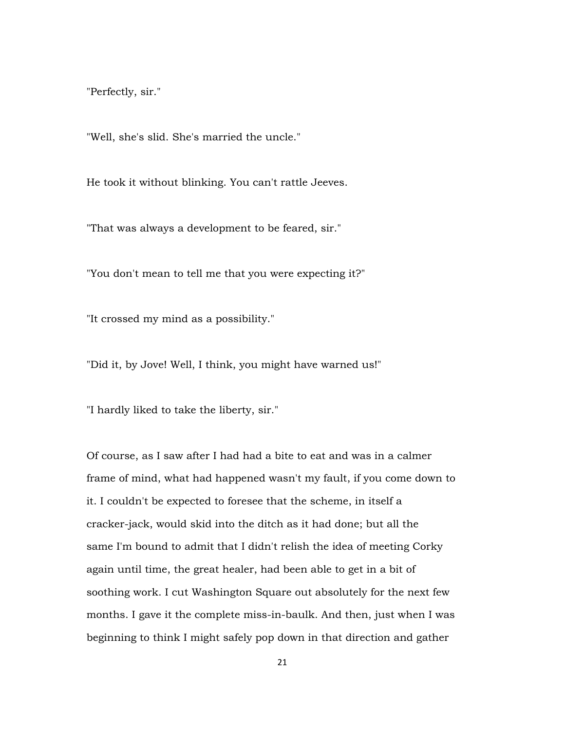"Perfectly, sir."

"Well, she's slid. She's married the uncle."

He took it without blinking. You can't rattle Jeeves.

"That was always a development to be feared, sir."

"You don't mean to tell me that you were expecting it?"

"It crossed my mind as a possibility."

"Did it, by Jove! Well, I think, you might have warned us!"

"I hardly liked to take the liberty, sir."

Of course, as I saw after I had had a bite to eat and was in a calmer frame of mind, what had happened wasn't my fault, if you come down to it. I couldn't be expected to foresee that the scheme, in itself a cracker-jack, would skid into the ditch as it had done; but all the same I'm bound to admit that I didn't relish the idea of meeting Corky again until time, the great healer, had been able to get in a bit of soothing work. I cut Washington Square out absolutely for the next few months. I gave it the complete miss-in-baulk. And then, just when I was beginning to think I might safely pop down in that direction and gather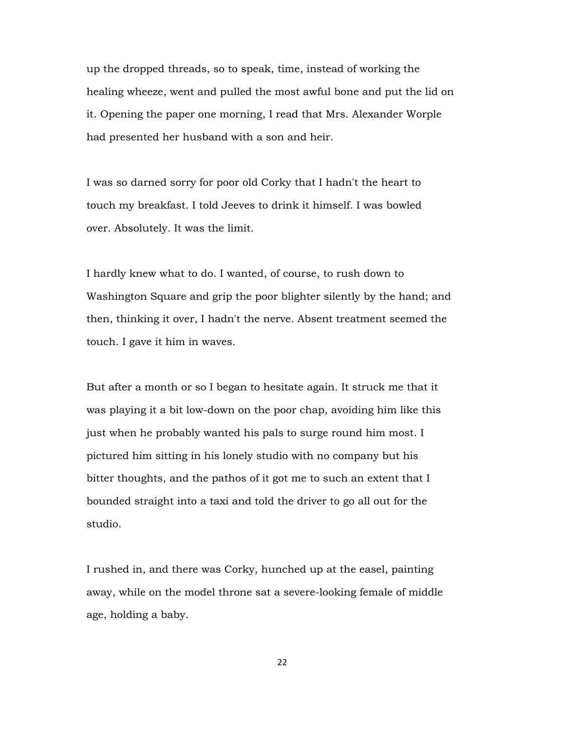up the dropped threads, so to speak, time, instead of working the healing wheeze, went and pulled the most awful bone and put the lid on it. Opening the paper one morning, I read that Mrs. Alexander Worple had presented her husband with a son and heir.

I was so darned sorry for poor old Corky that I hadn't the heart to touch my breakfast. I told Jeeves to drink it himself. I was bowled over. Absolutely. It was the limit.

I hardly knew what to do. I wanted, of course, to rush down to Washington Square and grip the poor blighter silently by the hand; and then, thinking it over, I hadn't the nerve. Absent treatment seemed the touch. I gave it him in waves.

But after a month or so I began to hesitate again. It struck me that it was playing it a bit low-down on the poor chap, avoiding him like this just when he probably wanted his pals to surge round him most. I pictured him sitting in his lonely studio with no company but his bitter thoughts, and the pathos of it got me to such an extent that I bounded straight into a taxi and told the driver to go all out for the studio.

I rushed in, and there was Corky, hunched up at the easel, painting away, while on the model throne sat a severe-looking female of middle age, holding a baby.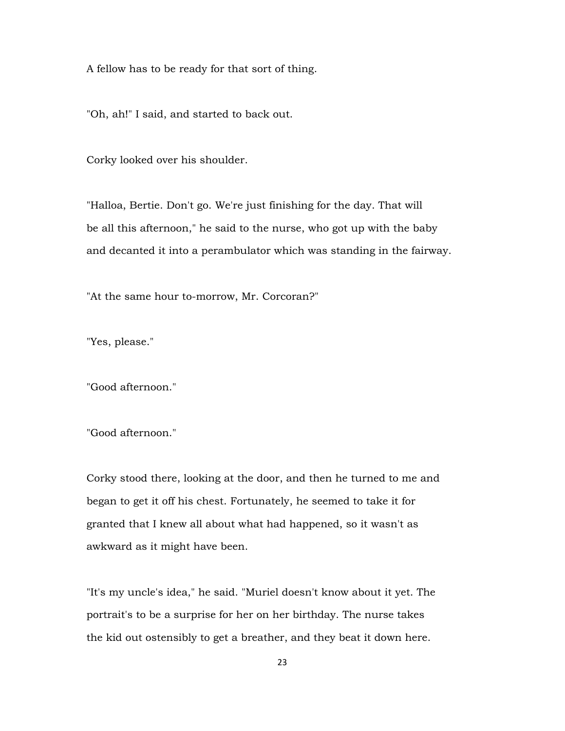A fellow has to be ready for that sort of thing.

"Oh, ah!" I said, and started to back out.

Corky looked over his shoulder.

"Halloa, Bertie. Don't go. We're just finishing for the day. That will be all this afternoon," he said to the nurse, who got up with the baby and decanted it into a perambulator which was standing in the fairway.

"At the same hour to-morrow, Mr. Corcoran?"

"Yes, please."

"Good afternoon."

"Good afternoon."

Corky stood there, looking at the door, and then he turned to me and began to get it off his chest. Fortunately, he seemed to take it for granted that I knew all about what had happened, so it wasn't as awkward as it might have been.

"It's my uncle's idea," he said. "Muriel doesn't know about it yet. The portrait's to be a surprise for her on her birthday. The nurse takes the kid out ostensibly to get a breather, and they beat it down here.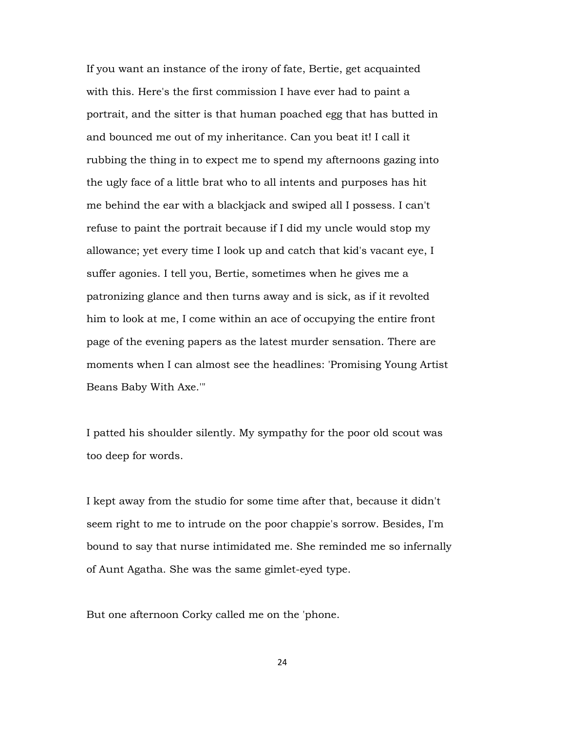If you want an instance of the irony of fate, Bertie, get acquainted with this. Here's the first commission I have ever had to paint a portrait, and the sitter is that human poached egg that has butted in and bounced me out of my inheritance. Can you beat it! I call it rubbing the thing in to expect me to spend my afternoons gazing into the ugly face of a little brat who to all intents and purposes has hit me behind the ear with a blackjack and swiped all I possess. I can't refuse to paint the portrait because if I did my uncle would stop my allowance; yet every time I look up and catch that kid's vacant eye, I suffer agonies. I tell you, Bertie, sometimes when he gives me a patronizing glance and then turns away and is sick, as if it revolted him to look at me, I come within an ace of occupying the entire front page of the evening papers as the latest murder sensation. There are moments when I can almost see the headlines: 'Promising Young Artist Beans Baby With Axe.'"

I patted his shoulder silently. My sympathy for the poor old scout was too deep for words.

I kept away from the studio for some time after that, because it didn't seem right to me to intrude on the poor chappie's sorrow. Besides, I'm bound to say that nurse intimidated me. She reminded me so infernally of Aunt Agatha. She was the same gimlet-eyed type.

But one afternoon Corky called me on the 'phone.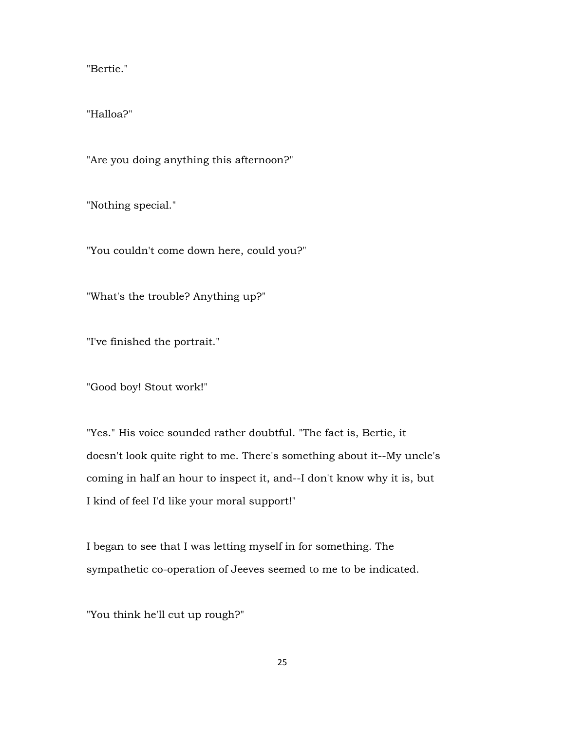"Bertie."

"Halloa?"

"Are you doing anything this afternoon?"

"Nothing special."

"You couldn't come down here, could you?"

"What's the trouble? Anything up?"

"I've finished the portrait."

"Good boy! Stout work!"

"Yes." His voice sounded rather doubtful. "The fact is, Bertie, it doesn't look quite right to me. There's something about it--My uncle's coming in half an hour to inspect it, and--I don't know why it is, but I kind of feel I'd like your moral support!"

I began to see that I was letting myself in for something. The sympathetic co-operation of Jeeves seemed to me to be indicated.

"You think he'll cut up rough?"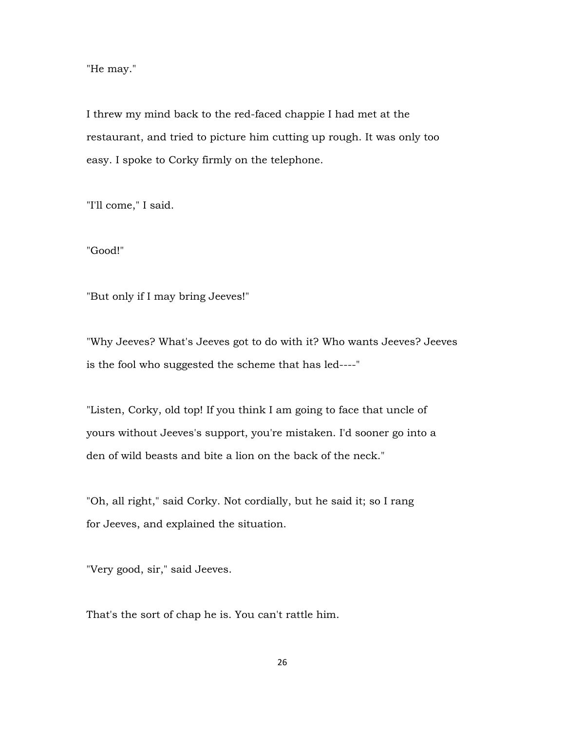"He may."

I threw my mind back to the red-faced chappie I had met at the restaurant, and tried to picture him cutting up rough. It was only too easy. I spoke to Corky firmly on the telephone.

"I'll come," I said.

"Good!"

"But only if I may bring Jeeves!"

"Why Jeeves? What's Jeeves got to do with it? Who wants Jeeves? Jeeves is the fool who suggested the scheme that has led----"

"Listen, Corky, old top! If you think I am going to face that uncle of yours without Jeeves's support, you're mistaken. I'd sooner go into a den of wild beasts and bite a lion on the back of the neck."

"Oh, all right," said Corky. Not cordially, but he said it; so I rang for Jeeves, and explained the situation.

"Very good, sir," said Jeeves.

That's the sort of chap he is. You can't rattle him.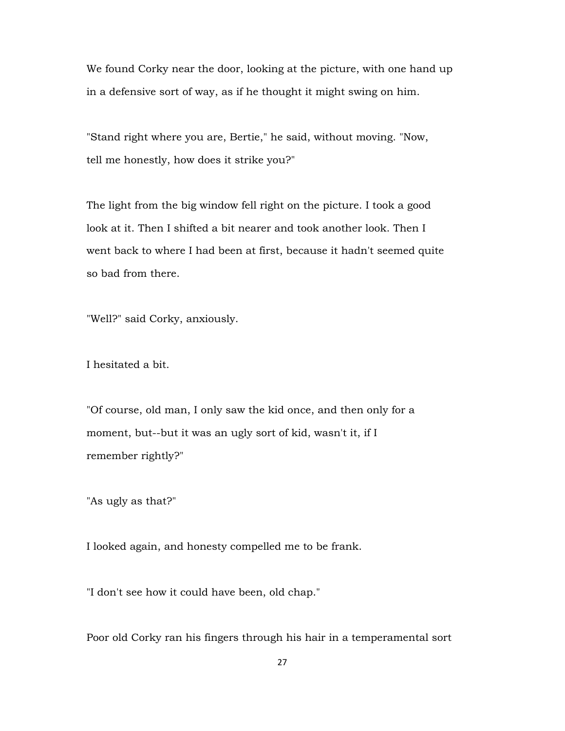We found Corky near the door, looking at the picture, with one hand up in a defensive sort of way, as if he thought it might swing on him.

"Stand right where you are, Bertie," he said, without moving. "Now, tell me honestly, how does it strike you?"

The light from the big window fell right on the picture. I took a good look at it. Then I shifted a bit nearer and took another look. Then I went back to where I had been at first, because it hadn't seemed quite so bad from there.

"Well?" said Corky, anxiously.

I hesitated a bit.

"Of course, old man, I only saw the kid once, and then only for a moment, but--but it was an ugly sort of kid, wasn't it, if I remember rightly?"

"As ugly as that?"

I looked again, and honesty compelled me to be frank.

"I don't see how it could have been, old chap."

Poor old Corky ran his fingers through his hair in a temperamental sort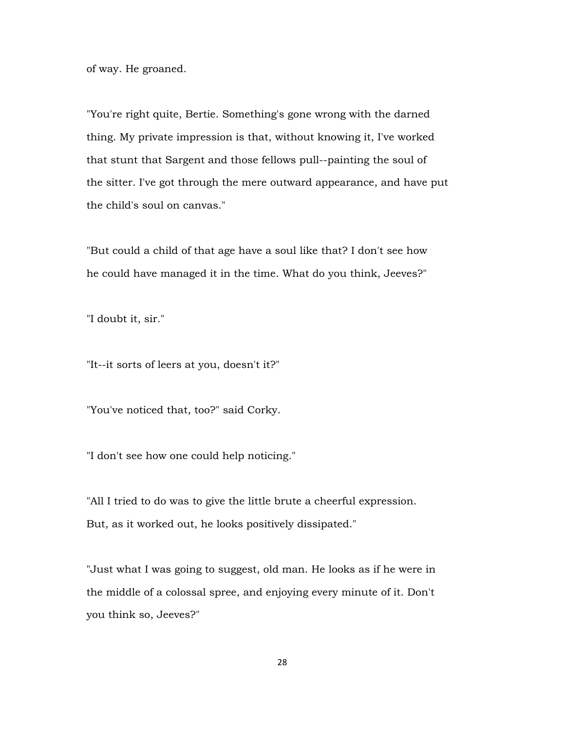of way. He groaned.

"You're right quite, Bertie. Something's gone wrong with the darned thing. My private impression is that, without knowing it, I've worked that stunt that Sargent and those fellows pull--painting the soul of the sitter. I've got through the mere outward appearance, and have put the child's soul on canvas."

"But could a child of that age have a soul like that? I don't see how he could have managed it in the time. What do you think, Jeeves?"

"I doubt it, sir."

"It--it sorts of leers at you, doesn't it?"

"You've noticed that, too?" said Corky.

"I don't see how one could help noticing."

"All I tried to do was to give the little brute a cheerful expression. But, as it worked out, he looks positively dissipated."

"Just what I was going to suggest, old man. He looks as if he were in the middle of a colossal spree, and enjoying every minute of it. Don't you think so, Jeeves?"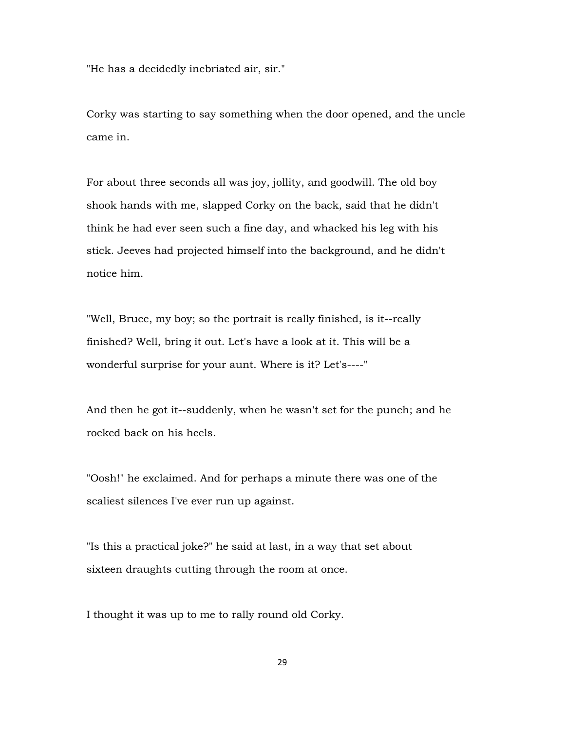"He has a decidedly inebriated air, sir."

Corky was starting to say something when the door opened, and the uncle came in.

For about three seconds all was joy, jollity, and goodwill. The old boy shook hands with me, slapped Corky on the back, said that he didn't think he had ever seen such a fine day, and whacked his leg with his stick. Jeeves had projected himself into the background, and he didn't notice him.

"Well, Bruce, my boy; so the portrait is really finished, is it--really finished? Well, bring it out. Let's have a look at it. This will be a wonderful surprise for your aunt. Where is it? Let's----"

And then he got it--suddenly, when he wasn't set for the punch; and he rocked back on his heels.

"Oosh!" he exclaimed. And for perhaps a minute there was one of the scaliest silences I've ever run up against.

"Is this a practical joke?" he said at last, in a way that set about sixteen draughts cutting through the room at once.

I thought it was up to me to rally round old Corky.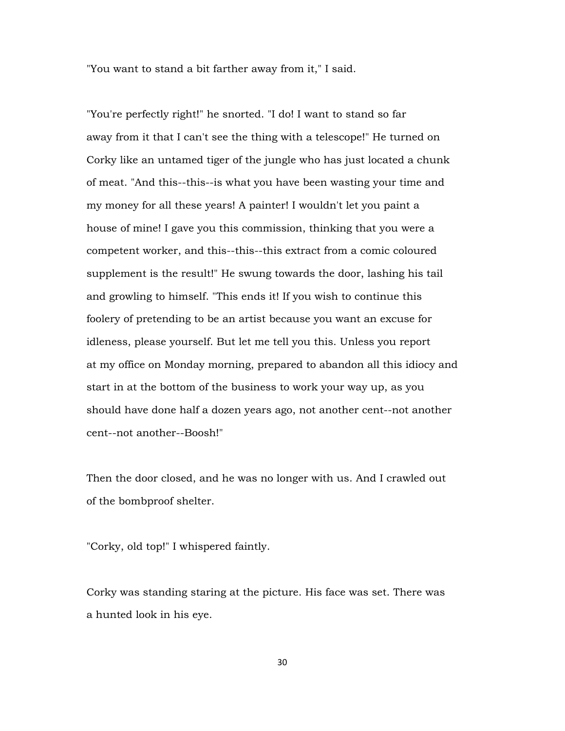"You want to stand a bit farther away from it," I said.

"You're perfectly right!" he snorted. "I do! I want to stand so far away from it that I can't see the thing with a telescope!" He turned on Corky like an untamed tiger of the jungle who has just located a chunk of meat. "And this--this--is what you have been wasting your time and my money for all these years! A painter! I wouldn't let you paint a house of mine! I gave you this commission, thinking that you were a competent worker, and this--this--this extract from a comic coloured supplement is the result!" He swung towards the door, lashing his tail and growling to himself. "This ends it! If you wish to continue this foolery of pretending to be an artist because you want an excuse for idleness, please yourself. But let me tell you this. Unless you report at my office on Monday morning, prepared to abandon all this idiocy and start in at the bottom of the business to work your way up, as you should have done half a dozen years ago, not another cent--not another cent--not another--Boosh!"

Then the door closed, and he was no longer with us. And I crawled out of the bombproof shelter.

"Corky, old top!" I whispered faintly.

Corky was standing staring at the picture. His face was set. There was a hunted look in his eye.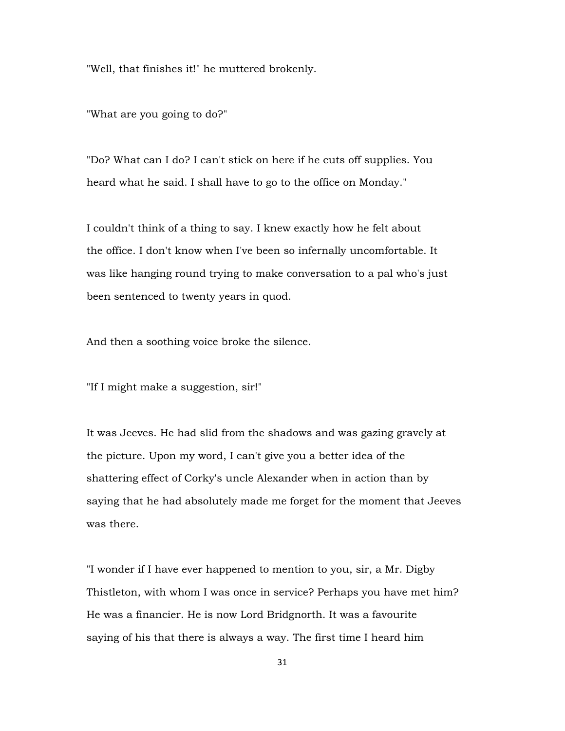"Well, that finishes it!" he muttered brokenly.

"What are you going to do?"

"Do? What can I do? I can't stick on here if he cuts off supplies. You heard what he said. I shall have to go to the office on Monday."

I couldn't think of a thing to say. I knew exactly how he felt about the office. I don't know when I've been so infernally uncomfortable. It was like hanging round trying to make conversation to a pal who's just been sentenced to twenty years in quod.

And then a soothing voice broke the silence.

"If I might make a suggestion, sir!"

It was Jeeves. He had slid from the shadows and was gazing gravely at the picture. Upon my word, I can't give you a better idea of the shattering effect of Corky's uncle Alexander when in action than by saying that he had absolutely made me forget for the moment that Jeeves was there.

"I wonder if I have ever happened to mention to you, sir, a Mr. Digby Thistleton, with whom I was once in service? Perhaps you have met him? He was a financier. He is now Lord Bridgnorth. It was a favourite saying of his that there is always a way. The first time I heard him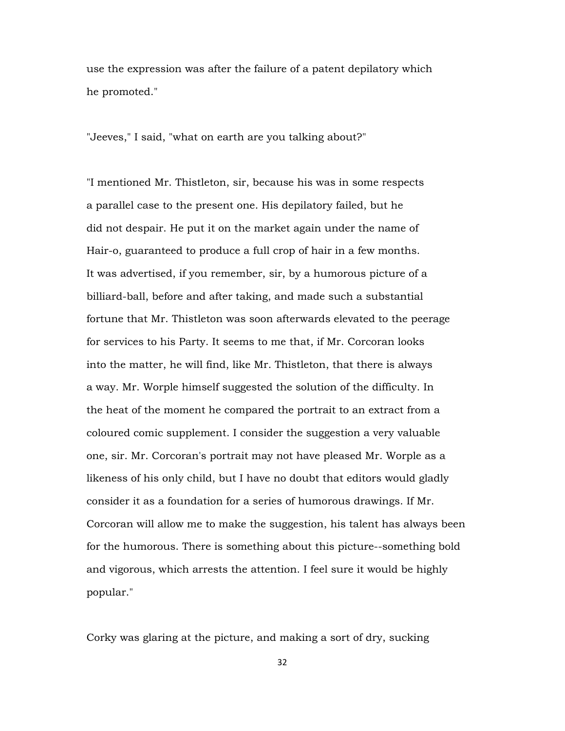use the expression was after the failure of a patent depilatory which he promoted."

"Jeeves," I said, "what on earth are you talking about?"

"I mentioned Mr. Thistleton, sir, because his was in some respects a parallel case to the present one. His depilatory failed, but he did not despair. He put it on the market again under the name of Hair-o, guaranteed to produce a full crop of hair in a few months. It was advertised, if you remember, sir, by a humorous picture of a billiard-ball, before and after taking, and made such a substantial fortune that Mr. Thistleton was soon afterwards elevated to the peerage for services to his Party. It seems to me that, if Mr. Corcoran looks into the matter, he will find, like Mr. Thistleton, that there is always a way. Mr. Worple himself suggested the solution of the difficulty. In the heat of the moment he compared the portrait to an extract from a coloured comic supplement. I consider the suggestion a very valuable one, sir. Mr. Corcoran's portrait may not have pleased Mr. Worple as a likeness of his only child, but I have no doubt that editors would gladly consider it as a foundation for a series of humorous drawings. If Mr. Corcoran will allow me to make the suggestion, his talent has always been for the humorous. There is something about this picture--something bold and vigorous, which arrests the attention. I feel sure it would be highly popular."

Corky was glaring at the picture, and making a sort of dry, sucking

32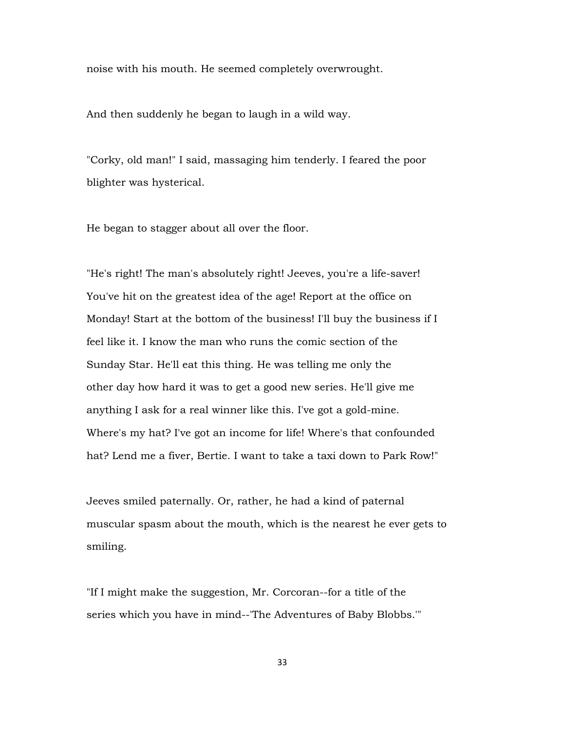noise with his mouth. He seemed completely overwrought.

And then suddenly he began to laugh in a wild way.

"Corky, old man!" I said, massaging him tenderly. I feared the poor blighter was hysterical.

He began to stagger about all over the floor.

"He's right! The man's absolutely right! Jeeves, you're a life-saver! You've hit on the greatest idea of the age! Report at the office on Monday! Start at the bottom of the business! I'll buy the business if I feel like it. I know the man who runs the comic section of the Sunday Star. He'll eat this thing. He was telling me only the other day how hard it was to get a good new series. He'll give me anything I ask for a real winner like this. I've got a gold-mine. Where's my hat? I've got an income for life! Where's that confounded hat? Lend me a fiver, Bertie. I want to take a taxi down to Park Row!"

Jeeves smiled paternally. Or, rather, he had a kind of paternal muscular spasm about the mouth, which is the nearest he ever gets to smiling.

"If I might make the suggestion, Mr. Corcoran--for a title of the series which you have in mind--'The Adventures of Baby Blobbs.'"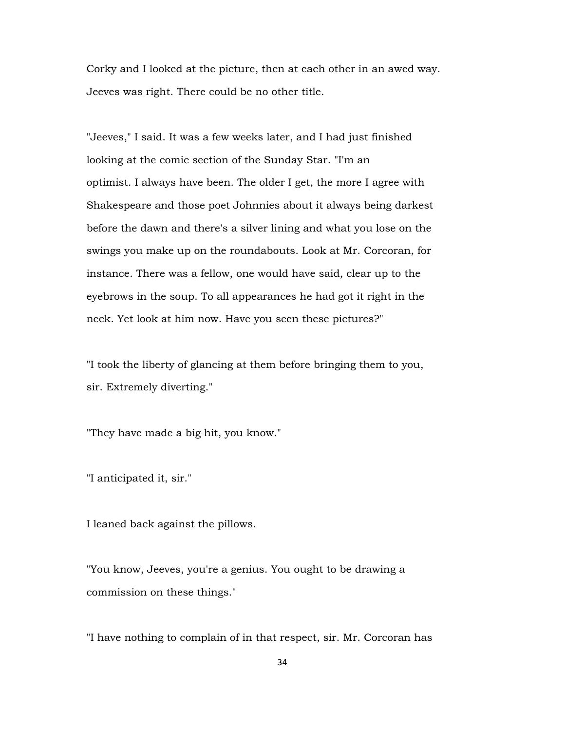Corky and I looked at the picture, then at each other in an awed way. Jeeves was right. There could be no other title.

"Jeeves," I said. It was a few weeks later, and I had just finished looking at the comic section of the Sunday Star. "I'm an optimist. I always have been. The older I get, the more I agree with Shakespeare and those poet Johnnies about it always being darkest before the dawn and there's a silver lining and what you lose on the swings you make up on the roundabouts. Look at Mr. Corcoran, for instance. There was a fellow, one would have said, clear up to the eyebrows in the soup. To all appearances he had got it right in the neck. Yet look at him now. Have you seen these pictures?"

"I took the liberty of glancing at them before bringing them to you, sir. Extremely diverting."

"They have made a big hit, you know."

"I anticipated it, sir."

I leaned back against the pillows.

"You know, Jeeves, you're a genius. You ought to be drawing a commission on these things."

"I have nothing to complain of in that respect, sir. Mr. Corcoran has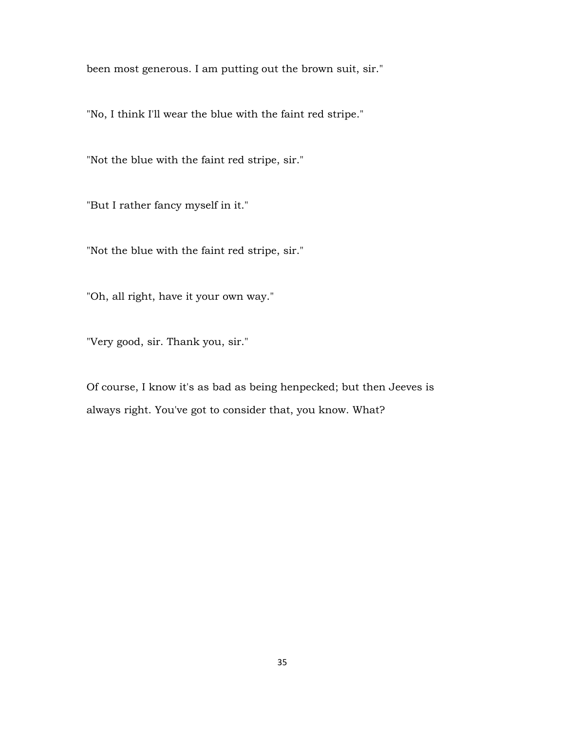been most generous. I am putting out the brown suit, sir."

"No, I think I'll wear the blue with the faint red stripe."

"Not the blue with the faint red stripe, sir."

"But I rather fancy myself in it."

"Not the blue with the faint red stripe, sir."

"Oh, all right, have it your own way."

"Very good, sir. Thank you, sir."

Of course, I know it's as bad as being henpecked; but then Jeeves is always right. You've got to consider that, you know. What?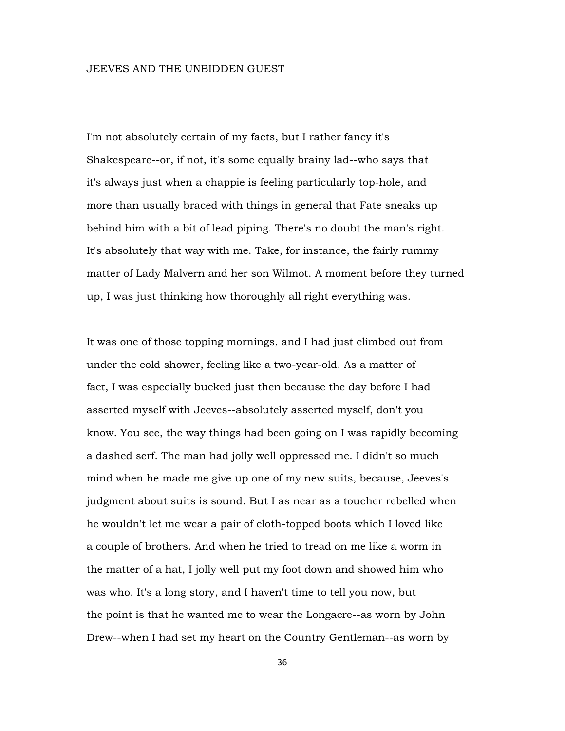### JEEVES AND THE UNBIDDEN GUEST

I'm not absolutely certain of my facts, but I rather fancy it's Shakespeare--or, if not, it's some equally brainy lad--who says that it's always just when a chappie is feeling particularly top-hole, and more than usually braced with things in general that Fate sneaks up behind him with a bit of lead piping. There's no doubt the man's right. It's absolutely that way with me. Take, for instance, the fairly rummy matter of Lady Malvern and her son Wilmot. A moment before they turned up, I was just thinking how thoroughly all right everything was.

It was one of those topping mornings, and I had just climbed out from under the cold shower, feeling like a two-year-old. As a matter of fact, I was especially bucked just then because the day before I had asserted myself with Jeeves--absolutely asserted myself, don't you know. You see, the way things had been going on I was rapidly becoming a dashed serf. The man had jolly well oppressed me. I didn't so much mind when he made me give up one of my new suits, because, Jeeves's judgment about suits is sound. But I as near as a toucher rebelled when he wouldn't let me wear a pair of cloth-topped boots which I loved like a couple of brothers. And when he tried to tread on me like a worm in the matter of a hat, I jolly well put my foot down and showed him who was who. It's a long story, and I haven't time to tell you now, but the point is that he wanted me to wear the Longacre--as worn by John Drew--when I had set my heart on the Country Gentleman--as worn by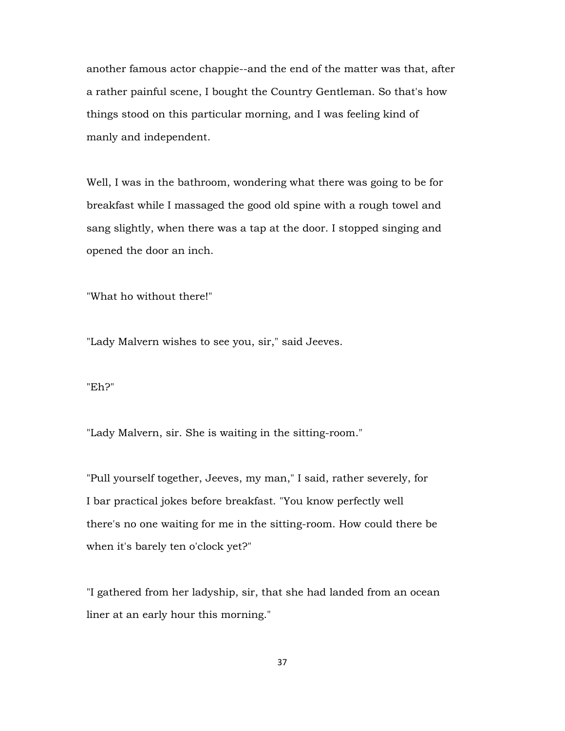another famous actor chappie--and the end of the matter was that, after a rather painful scene, I bought the Country Gentleman. So that's how things stood on this particular morning, and I was feeling kind of manly and independent.

Well, I was in the bathroom, wondering what there was going to be for breakfast while I massaged the good old spine with a rough towel and sang slightly, when there was a tap at the door. I stopped singing and opened the door an inch.

"What ho without there!"

"Lady Malvern wishes to see you, sir," said Jeeves.

## "Eh?"

"Lady Malvern, sir. She is waiting in the sitting-room."

"Pull yourself together, Jeeves, my man," I said, rather severely, for I bar practical jokes before breakfast. "You know perfectly well there's no one waiting for me in the sitting-room. How could there be when it's barely ten o'clock yet?"

"I gathered from her ladyship, sir, that she had landed from an ocean liner at an early hour this morning."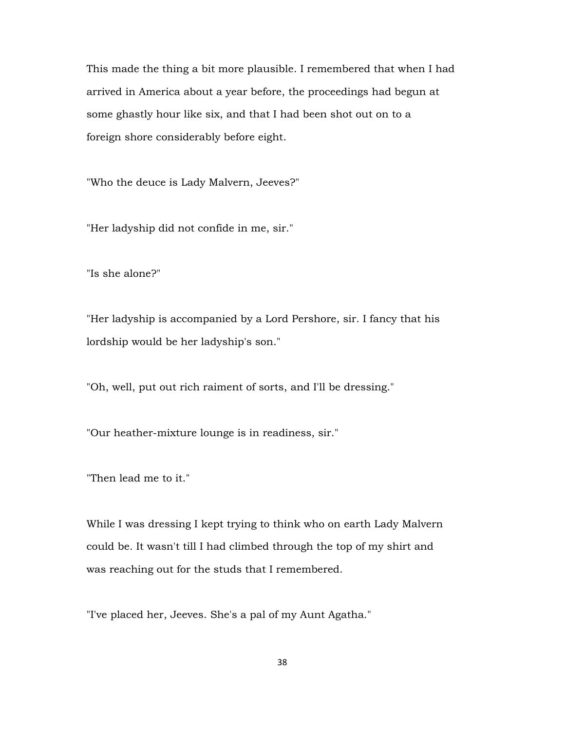This made the thing a bit more plausible. I remembered that when I had arrived in America about a year before, the proceedings had begun at some ghastly hour like six, and that I had been shot out on to a foreign shore considerably before eight.

"Who the deuce is Lady Malvern, Jeeves?"

"Her ladyship did not confide in me, sir."

"Is she alone?"

"Her ladyship is accompanied by a Lord Pershore, sir. I fancy that his lordship would be her ladyship's son."

"Oh, well, put out rich raiment of sorts, and I'll be dressing."

"Our heather-mixture lounge is in readiness, sir."

"Then lead me to it."

While I was dressing I kept trying to think who on earth Lady Malvern could be. It wasn't till I had climbed through the top of my shirt and was reaching out for the studs that I remembered.

"I've placed her, Jeeves. She's a pal of my Aunt Agatha."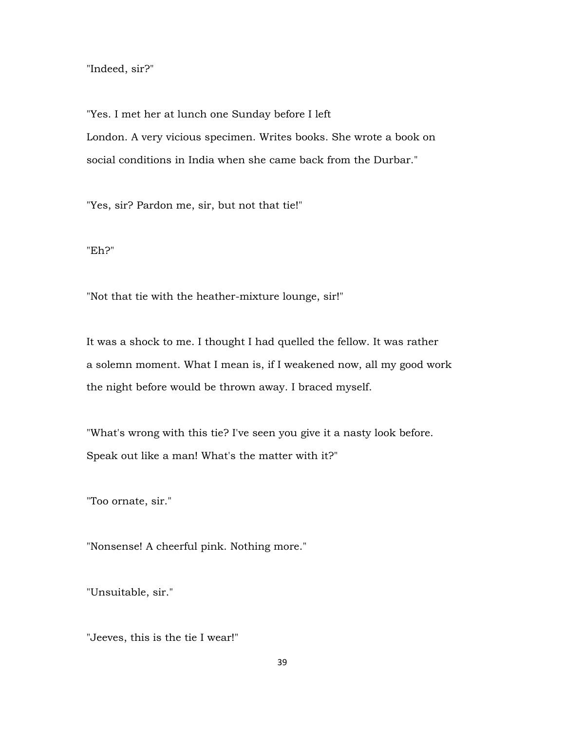"Indeed, sir?"

"Yes. I met her at lunch one Sunday before I left London. A very vicious specimen. Writes books. She wrote a book on social conditions in India when she came back from the Durbar."

"Yes, sir? Pardon me, sir, but not that tie!"

"Eh?"

"Not that tie with the heather-mixture lounge, sir!"

It was a shock to me. I thought I had quelled the fellow. It was rather a solemn moment. What I mean is, if I weakened now, all my good work the night before would be thrown away. I braced myself.

"What's wrong with this tie? I've seen you give it a nasty look before. Speak out like a man! What's the matter with it?"

"Too ornate, sir."

"Nonsense! A cheerful pink. Nothing more."

"Unsuitable, sir."

"Jeeves, this is the tie I wear!"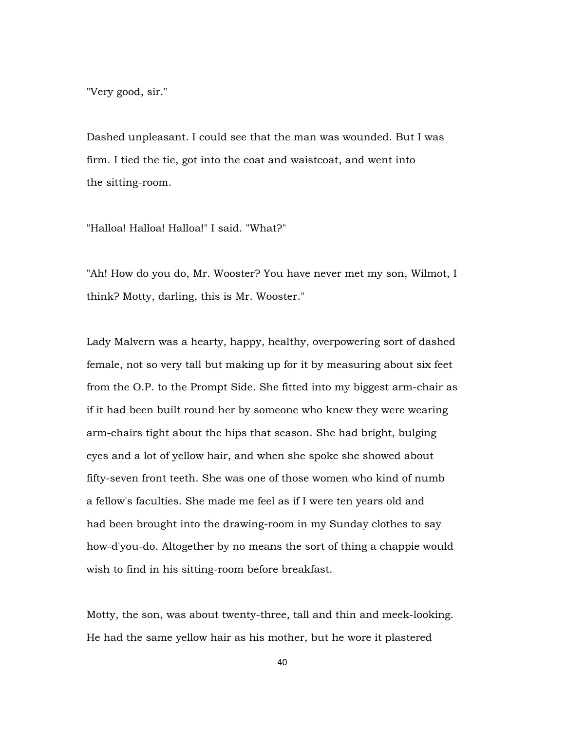"Very good, sir."

Dashed unpleasant. I could see that the man was wounded. But I was firm. I tied the tie, got into the coat and waistcoat, and went into the sitting-room.

"Halloa! Halloa! Halloa!" I said. "What?"

"Ah! How do you do, Mr. Wooster? You have never met my son, Wilmot, I think? Motty, darling, this is Mr. Wooster."

Lady Malvern was a hearty, happy, healthy, overpowering sort of dashed female, not so very tall but making up for it by measuring about six feet from the O.P. to the Prompt Side. She fitted into my biggest arm-chair as if it had been built round her by someone who knew they were wearing arm-chairs tight about the hips that season. She had bright, bulging eyes and a lot of yellow hair, and when she spoke she showed about fifty-seven front teeth. She was one of those women who kind of numb a fellow's faculties. She made me feel as if I were ten years old and had been brought into the drawing-room in my Sunday clothes to say how-d'you-do. Altogether by no means the sort of thing a chappie would wish to find in his sitting-room before breakfast.

Motty, the son, was about twenty-three, tall and thin and meek-looking. He had the same yellow hair as his mother, but he wore it plastered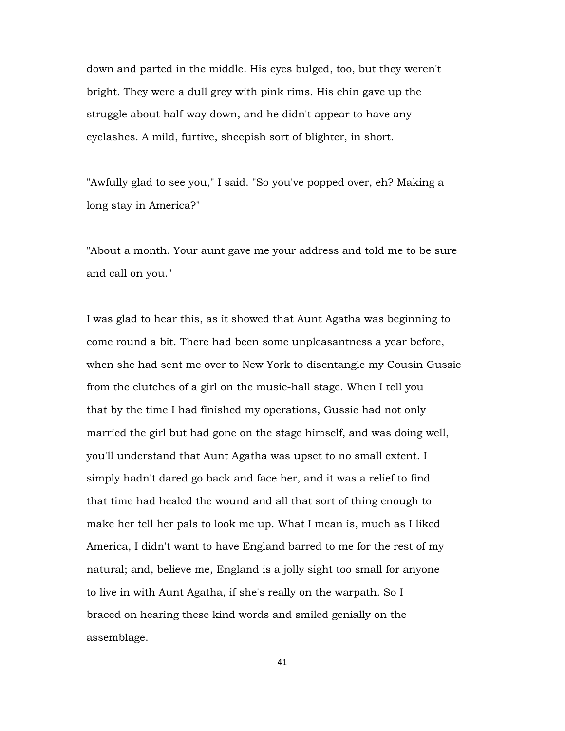down and parted in the middle. His eyes bulged, too, but they weren't bright. They were a dull grey with pink rims. His chin gave up the struggle about half-way down, and he didn't appear to have any eyelashes. A mild, furtive, sheepish sort of blighter, in short.

"Awfully glad to see you," I said. "So you've popped over, eh? Making a long stay in America?"

"About a month. Your aunt gave me your address and told me to be sure and call on you."

I was glad to hear this, as it showed that Aunt Agatha was beginning to come round a bit. There had been some unpleasantness a year before, when she had sent me over to New York to disentangle my Cousin Gussie from the clutches of a girl on the music-hall stage. When I tell you that by the time I had finished my operations, Gussie had not only married the girl but had gone on the stage himself, and was doing well, you'll understand that Aunt Agatha was upset to no small extent. I simply hadn't dared go back and face her, and it was a relief to find that time had healed the wound and all that sort of thing enough to make her tell her pals to look me up. What I mean is, much as I liked America, I didn't want to have England barred to me for the rest of my natural; and, believe me, England is a jolly sight too small for anyone to live in with Aunt Agatha, if she's really on the warpath. So I braced on hearing these kind words and smiled genially on the assemblage.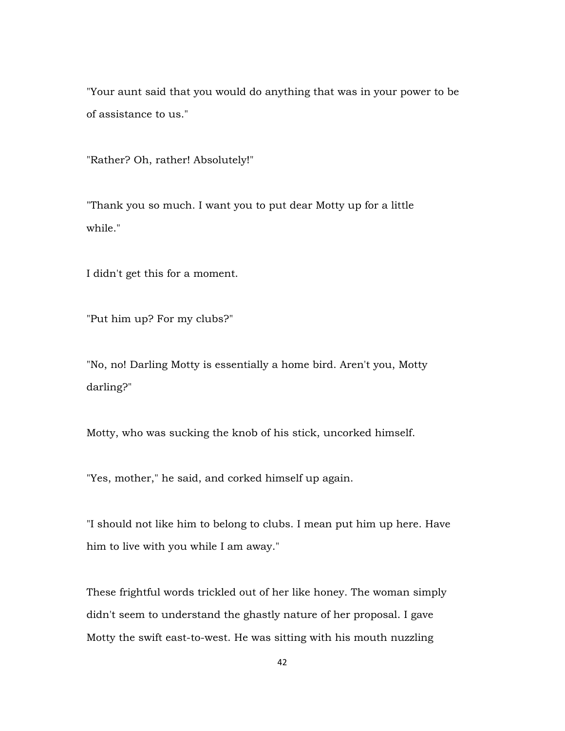"Your aunt said that you would do anything that was in your power to be of assistance to us."

"Rather? Oh, rather! Absolutely!"

"Thank you so much. I want you to put dear Motty up for a little while."

I didn't get this for a moment.

"Put him up? For my clubs?"

"No, no! Darling Motty is essentially a home bird. Aren't you, Motty darling?"

Motty, who was sucking the knob of his stick, uncorked himself.

"Yes, mother," he said, and corked himself up again.

"I should not like him to belong to clubs. I mean put him up here. Have him to live with you while I am away."

These frightful words trickled out of her like honey. The woman simply didn't seem to understand the ghastly nature of her proposal. I gave Motty the swift east-to-west. He was sitting with his mouth nuzzling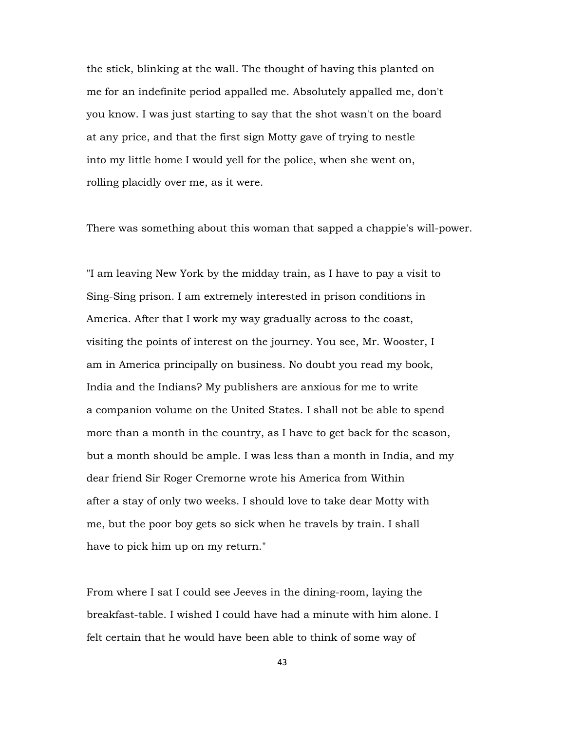the stick, blinking at the wall. The thought of having this planted on me for an indefinite period appalled me. Absolutely appalled me, don't you know. I was just starting to say that the shot wasn't on the board at any price, and that the first sign Motty gave of trying to nestle into my little home I would yell for the police, when she went on, rolling placidly over me, as it were.

There was something about this woman that sapped a chappie's will-power.

"I am leaving New York by the midday train, as I have to pay a visit to Sing-Sing prison. I am extremely interested in prison conditions in America. After that I work my way gradually across to the coast, visiting the points of interest on the journey. You see, Mr. Wooster, I am in America principally on business. No doubt you read my book, India and the Indians? My publishers are anxious for me to write a companion volume on the United States. I shall not be able to spend more than a month in the country, as I have to get back for the season, but a month should be ample. I was less than a month in India, and my dear friend Sir Roger Cremorne wrote his America from Within after a stay of only two weeks. I should love to take dear Motty with me, but the poor boy gets so sick when he travels by train. I shall have to pick him up on my return."

From where I sat I could see Jeeves in the dining-room, laying the breakfast-table. I wished I could have had a minute with him alone. I felt certain that he would have been able to think of some way of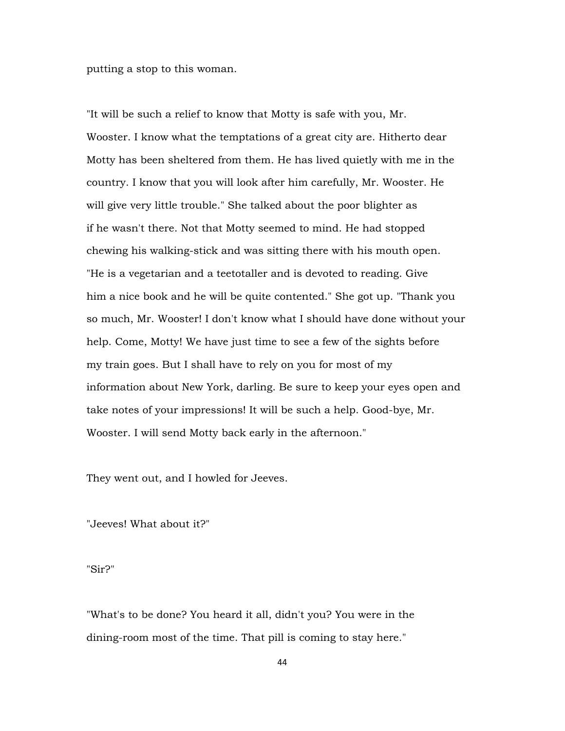putting a stop to this woman.

"It will be such a relief to know that Motty is safe with you, Mr. Wooster. I know what the temptations of a great city are. Hitherto dear Motty has been sheltered from them. He has lived quietly with me in the country. I know that you will look after him carefully, Mr. Wooster. He will give very little trouble." She talked about the poor blighter as if he wasn't there. Not that Motty seemed to mind. He had stopped chewing his walking-stick and was sitting there with his mouth open. "He is a vegetarian and a teetotaller and is devoted to reading. Give him a nice book and he will be quite contented." She got up. "Thank you so much, Mr. Wooster! I don't know what I should have done without your help. Come, Motty! We have just time to see a few of the sights before my train goes. But I shall have to rely on you for most of my information about New York, darling. Be sure to keep your eyes open and take notes of your impressions! It will be such a help. Good-bye, Mr. Wooster. I will send Motty back early in the afternoon."

They went out, and I howled for Jeeves.

"Jeeves! What about it?"

"Sir?"

"What's to be done? You heard it all, didn't you? You were in the dining-room most of the time. That pill is coming to stay here."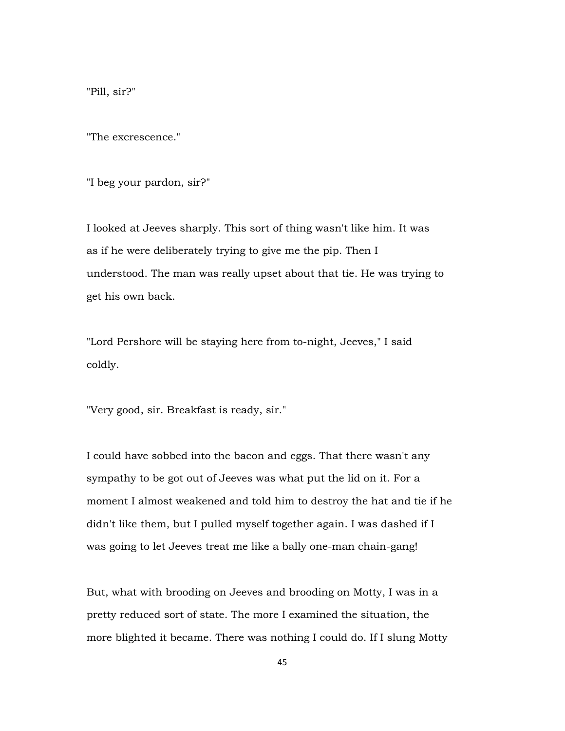"Pill, sir?"

"The excrescence."

"I beg your pardon, sir?"

I looked at Jeeves sharply. This sort of thing wasn't like him. It was as if he were deliberately trying to give me the pip. Then I understood. The man was really upset about that tie. He was trying to get his own back.

"Lord Pershore will be staying here from to-night, Jeeves," I said coldly.

"Very good, sir. Breakfast is ready, sir."

I could have sobbed into the bacon and eggs. That there wasn't any sympathy to be got out of Jeeves was what put the lid on it. For a moment I almost weakened and told him to destroy the hat and tie if he didn't like them, but I pulled myself together again. I was dashed if I was going to let Jeeves treat me like a bally one-man chain-gang!

But, what with brooding on Jeeves and brooding on Motty, I was in a pretty reduced sort of state. The more I examined the situation, the more blighted it became. There was nothing I could do. If I slung Motty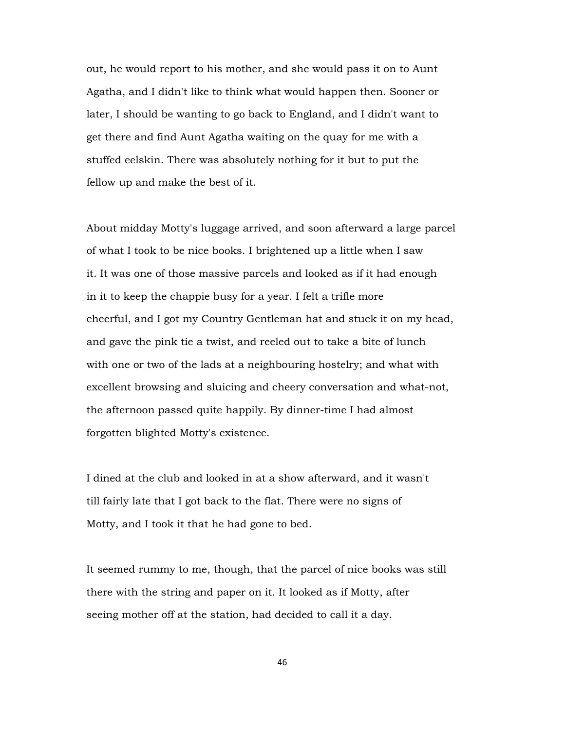out, he would report to his mother, and she would pass it on to Aunt Agatha, and I didn't like to think what would happen then. Sooner or later, I should be wanting to go back to England, and I didn't want to get there and find Aunt Agatha waiting on the quay for me with a stuffed eelskin. There was absolutely nothing for it but to put the fellow up and make the best of it.

About midday Motty's luggage arrived, and soon afterward a large parcel of what I took to be nice books. I brightened up a little when I saw it. It was one of those massive parcels and looked as if it had enough in it to keep the chappie busy for a year. I felt a trifle more cheerful, and I got my Country Gentleman hat and stuck it on my head, and gave the pink tie a twist, and reeled out to take a bite of lunch with one or two of the lads at a neighbouring hostelry; and what with excellent browsing and sluicing and cheery conversation and what-not, the afternoon passed quite happily. By dinner-time I had almost forgotten blighted Motty's existence.

I dined at the club and looked in at a show afterward, and it wasn't till fairly late that I got back to the flat. There were no signs of Motty, and I took it that he had gone to bed.

It seemed rummy to me, though, that the parcel of nice books was still there with the string and paper on it. It looked as if Motty, after seeing mother off at the station, had decided to call it a day.

46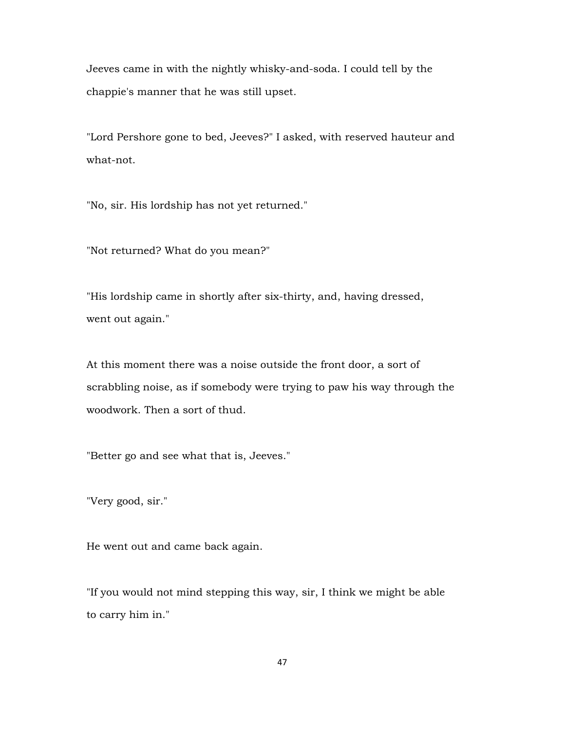Jeeves came in with the nightly whisky-and-soda. I could tell by the chappie's manner that he was still upset.

"Lord Pershore gone to bed, Jeeves?" I asked, with reserved hauteur and what-not.

"No, sir. His lordship has not yet returned."

"Not returned? What do you mean?"

"His lordship came in shortly after six-thirty, and, having dressed, went out again."

At this moment there was a noise outside the front door, a sort of scrabbling noise, as if somebody were trying to paw his way through the woodwork. Then a sort of thud.

"Better go and see what that is, Jeeves."

"Very good, sir."

He went out and came back again.

"If you would not mind stepping this way, sir, I think we might be able to carry him in."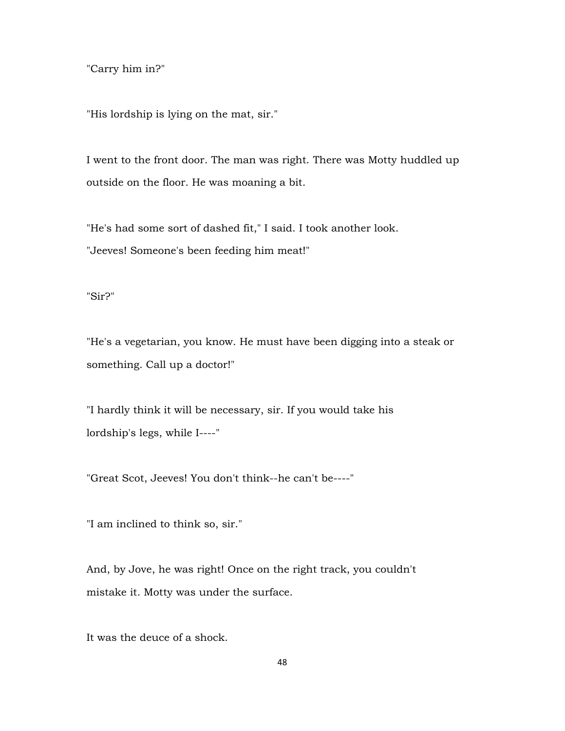"Carry him in?"

"His lordship is lying on the mat, sir."

I went to the front door. The man was right. There was Motty huddled up outside on the floor. He was moaning a bit.

"He's had some sort of dashed fit," I said. I took another look. "Jeeves! Someone's been feeding him meat!"

"Sir?"

"He's a vegetarian, you know. He must have been digging into a steak or something. Call up a doctor!"

"I hardly think it will be necessary, sir. If you would take his lordship's legs, while I----"

"Great Scot, Jeeves! You don't think--he can't be----"

"I am inclined to think so, sir."

And, by Jove, he was right! Once on the right track, you couldn't mistake it. Motty was under the surface.

It was the deuce of a shock.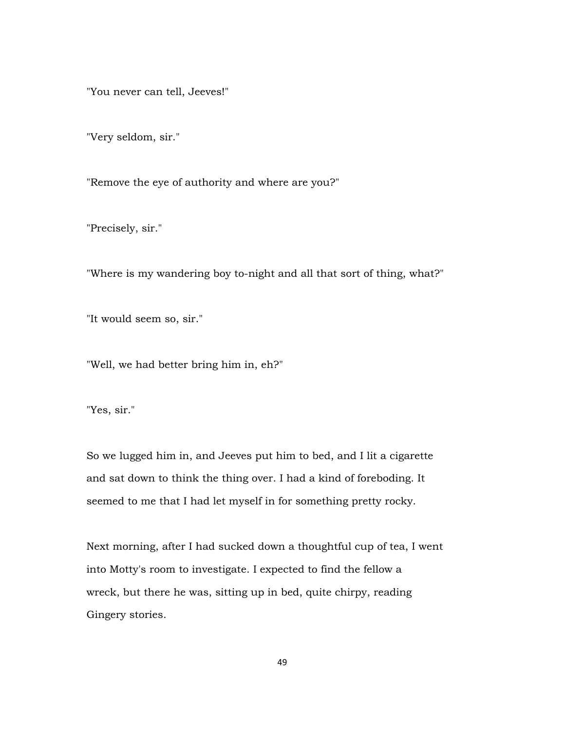"You never can tell, Jeeves!"

"Very seldom, sir."

"Remove the eye of authority and where are you?"

"Precisely, sir."

"Where is my wandering boy to-night and all that sort of thing, what?"

"It would seem so, sir."

"Well, we had better bring him in, eh?"

"Yes, sir."

So we lugged him in, and Jeeves put him to bed, and I lit a cigarette and sat down to think the thing over. I had a kind of foreboding. It seemed to me that I had let myself in for something pretty rocky.

Next morning, after I had sucked down a thoughtful cup of tea, I went into Motty's room to investigate. I expected to find the fellow a wreck, but there he was, sitting up in bed, quite chirpy, reading Gingery stories.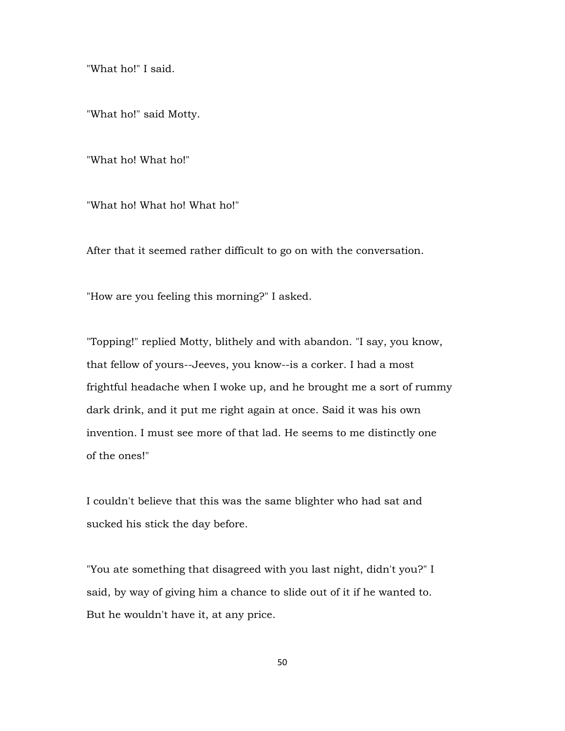"What ho!" I said.

"What ho!" said Motty.

"What ho! What ho!"

"What ho! What ho! What ho!"

After that it seemed rather difficult to go on with the conversation.

"How are you feeling this morning?" I asked.

"Topping!" replied Motty, blithely and with abandon. "I say, you know, that fellow of yours--Jeeves, you know--is a corker. I had a most frightful headache when I woke up, and he brought me a sort of rummy dark drink, and it put me right again at once. Said it was his own invention. I must see more of that lad. He seems to me distinctly one of the ones!"

I couldn't believe that this was the same blighter who had sat and sucked his stick the day before.

"You ate something that disagreed with you last night, didn't you?" I said, by way of giving him a chance to slide out of it if he wanted to. But he wouldn't have it, at any price.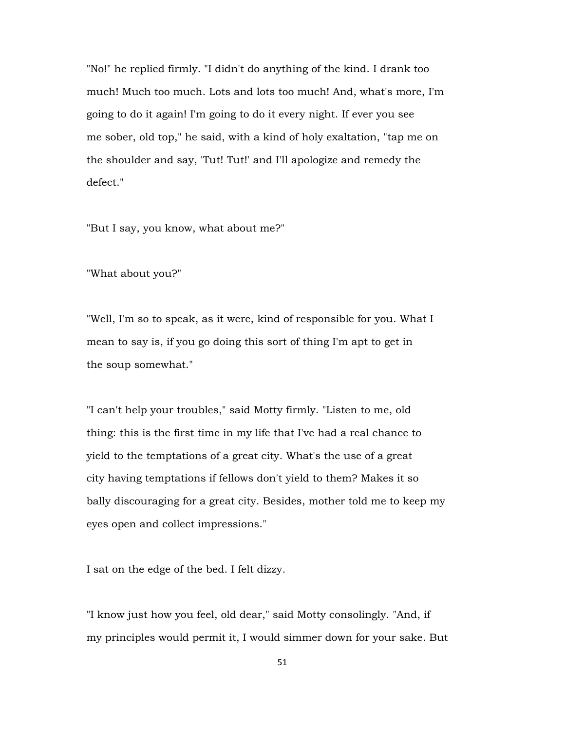"No!" he replied firmly. "I didn't do anything of the kind. I drank too much! Much too much. Lots and lots too much! And, what's more, I'm going to do it again! I'm going to do it every night. If ever you see me sober, old top," he said, with a kind of holy exaltation, "tap me on the shoulder and say, 'Tut! Tut!' and I'll apologize and remedy the defect."

"But I say, you know, what about me?"

"What about you?"

"Well, I'm so to speak, as it were, kind of responsible for you. What I mean to say is, if you go doing this sort of thing I'm apt to get in the soup somewhat."

"I can't help your troubles," said Motty firmly. "Listen to me, old thing: this is the first time in my life that I've had a real chance to yield to the temptations of a great city. What's the use of a great city having temptations if fellows don't yield to them? Makes it so bally discouraging for a great city. Besides, mother told me to keep my eyes open and collect impressions."

I sat on the edge of the bed. I felt dizzy.

"I know just how you feel, old dear," said Motty consolingly. "And, if my principles would permit it, I would simmer down for your sake. But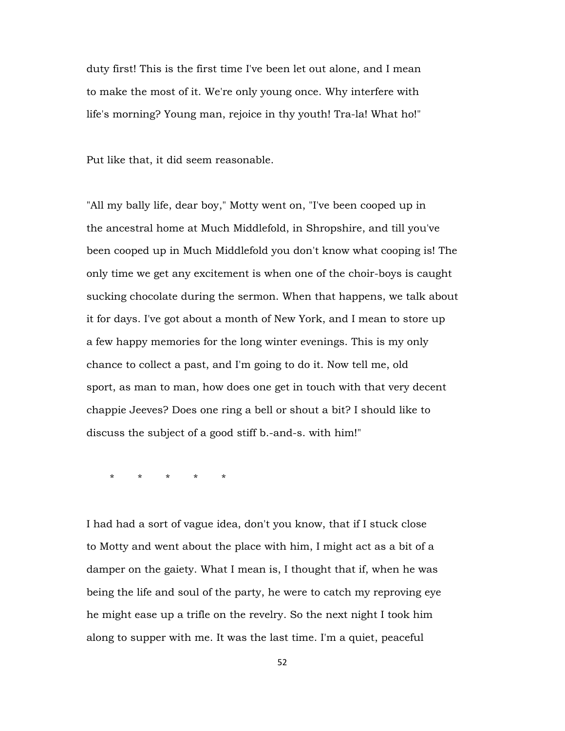duty first! This is the first time I've been let out alone, and I mean to make the most of it. We're only young once. Why interfere with life's morning? Young man, rejoice in thy youth! Tra-la! What ho!"

Put like that, it did seem reasonable.

"All my bally life, dear boy," Motty went on, "I've been cooped up in the ancestral home at Much Middlefold, in Shropshire, and till you've been cooped up in Much Middlefold you don't know what cooping is! The only time we get any excitement is when one of the choir-boys is caught sucking chocolate during the sermon. When that happens, we talk about it for days. I've got about a month of New York, and I mean to store up a few happy memories for the long winter evenings. This is my only chance to collect a past, and I'm going to do it. Now tell me, old sport, as man to man, how does one get in touch with that very decent chappie Jeeves? Does one ring a bell or shout a bit? I should like to discuss the subject of a good stiff b.-and-s. with him!"

\* \* \* \* \*

I had had a sort of vague idea, don't you know, that if I stuck close to Motty and went about the place with him, I might act as a bit of a damper on the gaiety. What I mean is, I thought that if, when he was being the life and soul of the party, he were to catch my reproving eye he might ease up a trifle on the revelry. So the next night I took him along to supper with me. It was the last time. I'm a quiet, peaceful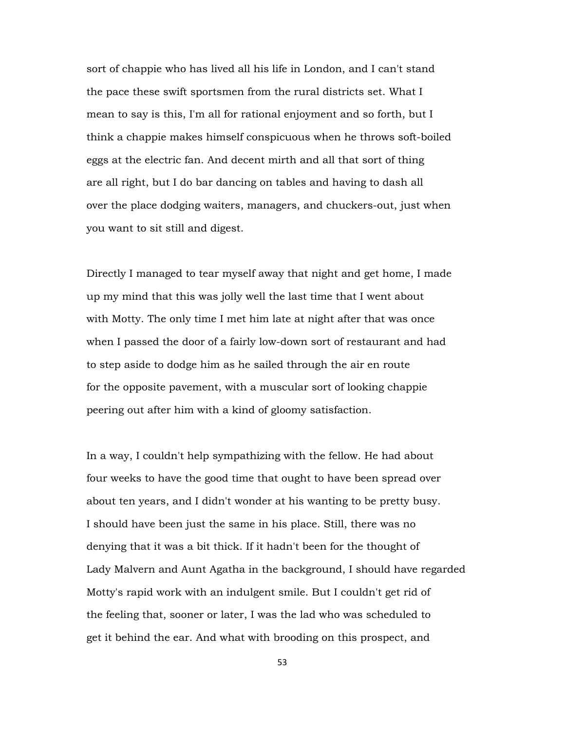sort of chappie who has lived all his life in London, and I can't stand the pace these swift sportsmen from the rural districts set. What I mean to say is this, I'm all for rational enjoyment and so forth, but I think a chappie makes himself conspicuous when he throws soft-boiled eggs at the electric fan. And decent mirth and all that sort of thing are all right, but I do bar dancing on tables and having to dash all over the place dodging waiters, managers, and chuckers-out, just when you want to sit still and digest.

Directly I managed to tear myself away that night and get home, I made up my mind that this was jolly well the last time that I went about with Motty. The only time I met him late at night after that was once when I passed the door of a fairly low-down sort of restaurant and had to step aside to dodge him as he sailed through the air en route for the opposite pavement, with a muscular sort of looking chappie peering out after him with a kind of gloomy satisfaction.

In a way, I couldn't help sympathizing with the fellow. He had about four weeks to have the good time that ought to have been spread over about ten years, and I didn't wonder at his wanting to be pretty busy. I should have been just the same in his place. Still, there was no denying that it was a bit thick. If it hadn't been for the thought of Lady Malvern and Aunt Agatha in the background, I should have regarded Motty's rapid work with an indulgent smile. But I couldn't get rid of the feeling that, sooner or later, I was the lad who was scheduled to get it behind the ear. And what with brooding on this prospect, and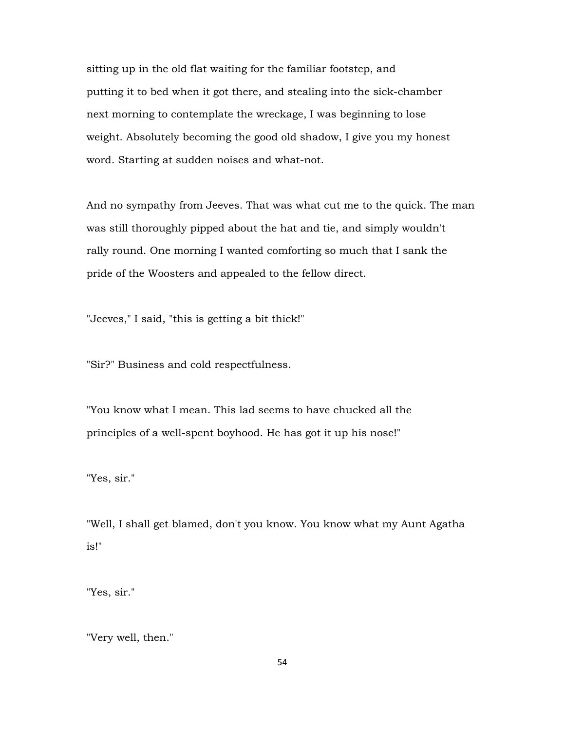sitting up in the old flat waiting for the familiar footstep, and putting it to bed when it got there, and stealing into the sick-chamber next morning to contemplate the wreckage, I was beginning to lose weight. Absolutely becoming the good old shadow, I give you my honest word. Starting at sudden noises and what-not.

And no sympathy from Jeeves. That was what cut me to the quick. The man was still thoroughly pipped about the hat and tie, and simply wouldn't rally round. One morning I wanted comforting so much that I sank the pride of the Woosters and appealed to the fellow direct.

"Jeeves," I said, "this is getting a bit thick!"

"Sir?" Business and cold respectfulness.

"You know what I mean. This lad seems to have chucked all the principles of a well-spent boyhood. He has got it up his nose!"

"Yes, sir."

"Well, I shall get blamed, don't you know. You know what my Aunt Agatha is!"

"Yes, sir."

"Very well, then."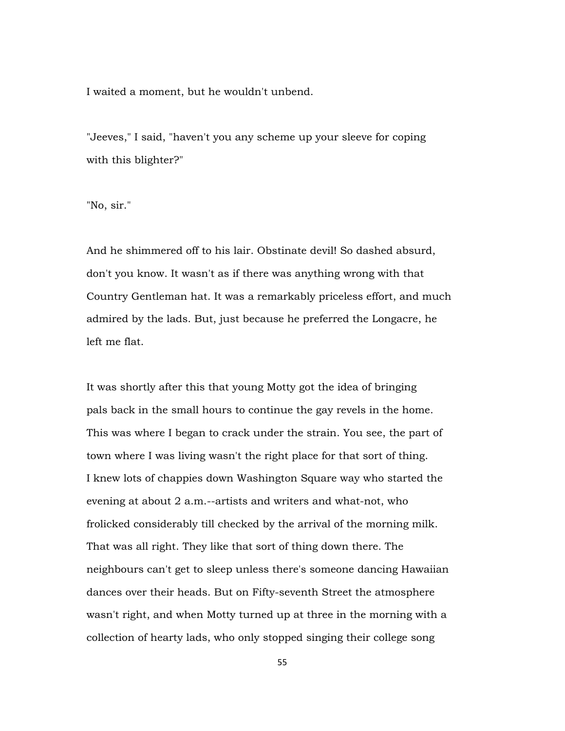I waited a moment, but he wouldn't unbend.

"Jeeves," I said, "haven't you any scheme up your sleeve for coping with this blighter?"

"No, sir."

And he shimmered off to his lair. Obstinate devil! So dashed absurd, don't you know. It wasn't as if there was anything wrong with that Country Gentleman hat. It was a remarkably priceless effort, and much admired by the lads. But, just because he preferred the Longacre, he left me flat.

It was shortly after this that young Motty got the idea of bringing pals back in the small hours to continue the gay revels in the home. This was where I began to crack under the strain. You see, the part of town where I was living wasn't the right place for that sort of thing. I knew lots of chappies down Washington Square way who started the evening at about 2 a.m.--artists and writers and what-not, who frolicked considerably till checked by the arrival of the morning milk. That was all right. They like that sort of thing down there. The neighbours can't get to sleep unless there's someone dancing Hawaiian dances over their heads. But on Fifty-seventh Street the atmosphere wasn't right, and when Motty turned up at three in the morning with a collection of hearty lads, who only stopped singing their college song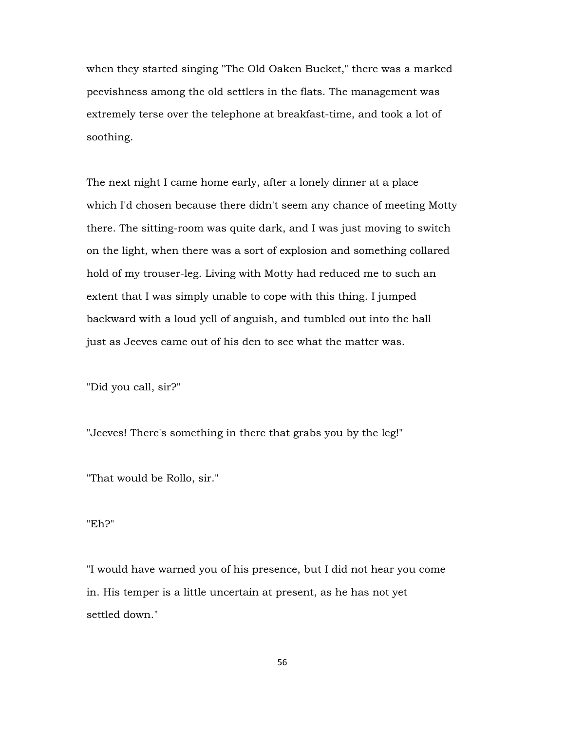when they started singing "The Old Oaken Bucket," there was a marked peevishness among the old settlers in the flats. The management was extremely terse over the telephone at breakfast-time, and took a lot of soothing.

The next night I came home early, after a lonely dinner at a place which I'd chosen because there didn't seem any chance of meeting Motty there. The sitting-room was quite dark, and I was just moving to switch on the light, when there was a sort of explosion and something collared hold of my trouser-leg. Living with Motty had reduced me to such an extent that I was simply unable to cope with this thing. I jumped backward with a loud yell of anguish, and tumbled out into the hall just as Jeeves came out of his den to see what the matter was.

"Did you call, sir?"

"Jeeves! There's something in there that grabs you by the leg!"

"That would be Rollo, sir."

"Eh?"

"I would have warned you of his presence, but I did not hear you come in. His temper is a little uncertain at present, as he has not yet settled down."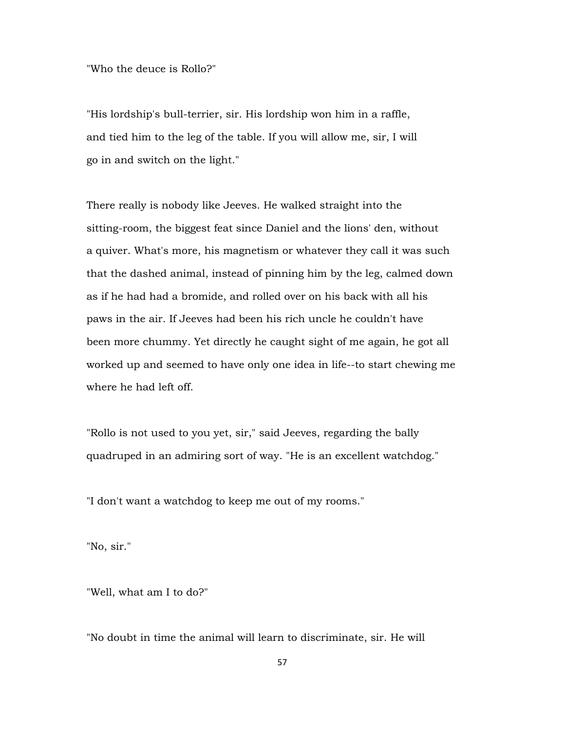"Who the deuce is Rollo?"

"His lordship's bull-terrier, sir. His lordship won him in a raffle, and tied him to the leg of the table. If you will allow me, sir, I will go in and switch on the light."

There really is nobody like Jeeves. He walked straight into the sitting-room, the biggest feat since Daniel and the lions' den, without a quiver. What's more, his magnetism or whatever they call it was such that the dashed animal, instead of pinning him by the leg, calmed down as if he had had a bromide, and rolled over on his back with all his paws in the air. If Jeeves had been his rich uncle he couldn't have been more chummy. Yet directly he caught sight of me again, he got all worked up and seemed to have only one idea in life--to start chewing me where he had left off.

"Rollo is not used to you yet, sir," said Jeeves, regarding the bally quadruped in an admiring sort of way. "He is an excellent watchdog."

"I don't want a watchdog to keep me out of my rooms."

"No, sir."

"Well, what am I to do?"

"No doubt in time the animal will learn to discriminate, sir. He will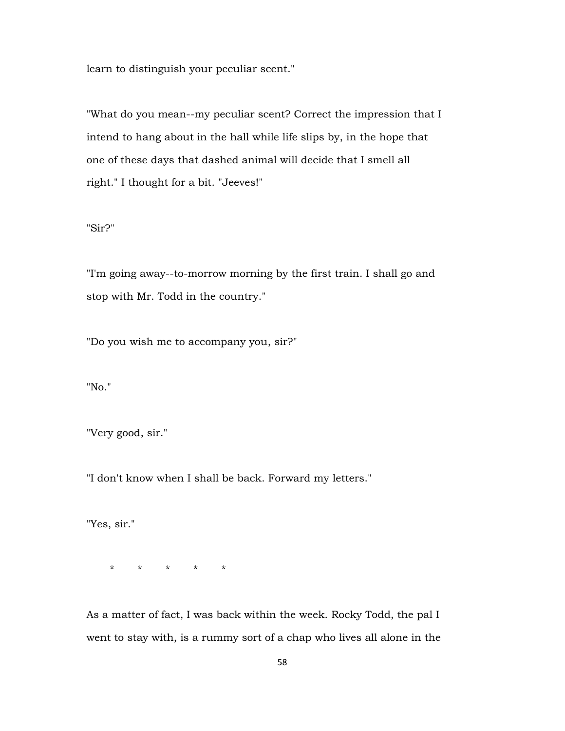learn to distinguish your peculiar scent."

"What do you mean--my peculiar scent? Correct the impression that I intend to hang about in the hall while life slips by, in the hope that one of these days that dashed animal will decide that I smell all right." I thought for a bit. "Jeeves!"

"Sir?"

"I'm going away--to-morrow morning by the first train. I shall go and stop with Mr. Todd in the country."

"Do you wish me to accompany you, sir?"

"No."

"Very good, sir."

"I don't know when I shall be back. Forward my letters."

"Yes, sir."

\* \* \* \* \*

As a matter of fact, I was back within the week. Rocky Todd, the pal I went to stay with, is a rummy sort of a chap who lives all alone in the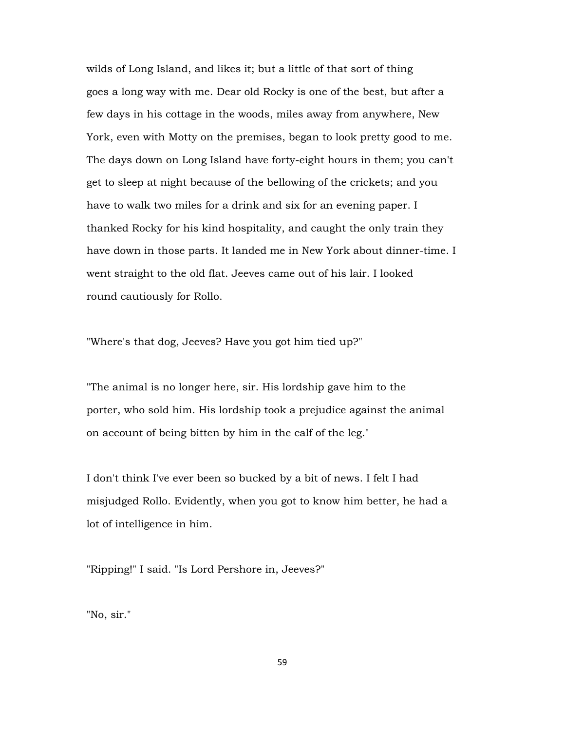wilds of Long Island, and likes it; but a little of that sort of thing goes a long way with me. Dear old Rocky is one of the best, but after a few days in his cottage in the woods, miles away from anywhere, New York, even with Motty on the premises, began to look pretty good to me. The days down on Long Island have forty-eight hours in them; you can't get to sleep at night because of the bellowing of the crickets; and you have to walk two miles for a drink and six for an evening paper. I thanked Rocky for his kind hospitality, and caught the only train they have down in those parts. It landed me in New York about dinner-time. I went straight to the old flat. Jeeves came out of his lair. I looked round cautiously for Rollo.

"Where's that dog, Jeeves? Have you got him tied up?"

"The animal is no longer here, sir. His lordship gave him to the porter, who sold him. His lordship took a prejudice against the animal on account of being bitten by him in the calf of the leg."

I don't think I've ever been so bucked by a bit of news. I felt I had misjudged Rollo. Evidently, when you got to know him better, he had a lot of intelligence in him.

"Ripping!" I said. "Is Lord Pershore in, Jeeves?"

"No, sir."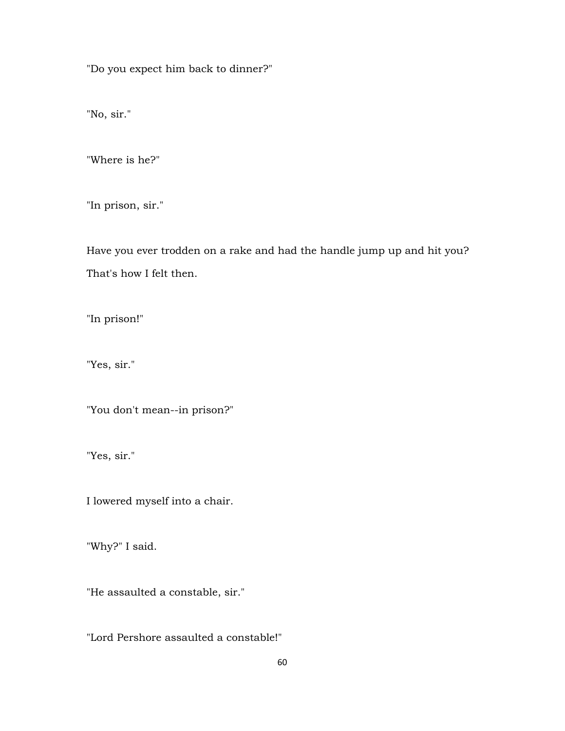"Do you expect him back to dinner?"

"No, sir."

"Where is he?"

"In prison, sir."

Have you ever trodden on a rake and had the handle jump up and hit you? That's how I felt then.

"In prison!"

"Yes, sir."

"You don't mean--in prison?"

"Yes, sir."

I lowered myself into a chair.

"Why?" I said.

"He assaulted a constable, sir."

"Lord Pershore assaulted a constable!"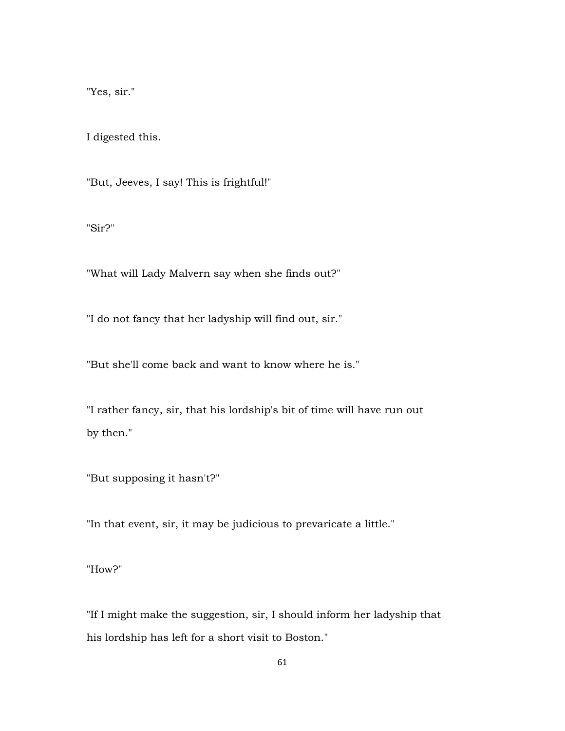"Yes, sir."

I digested this.

"But, Jeeves, I say! This is frightful!"

"Sir?"

"What will Lady Malvern say when she finds out?"

"I do not fancy that her ladyship will find out, sir."

"But she'll come back and want to know where he is."

"I rather fancy, sir, that his lordship's bit of time will have run out by then."

"But supposing it hasn't?"

"In that event, sir, it may be judicious to prevaricate a little."

"How?"

"If I might make the suggestion, sir, I should inform her ladyship that his lordship has left for a short visit to Boston."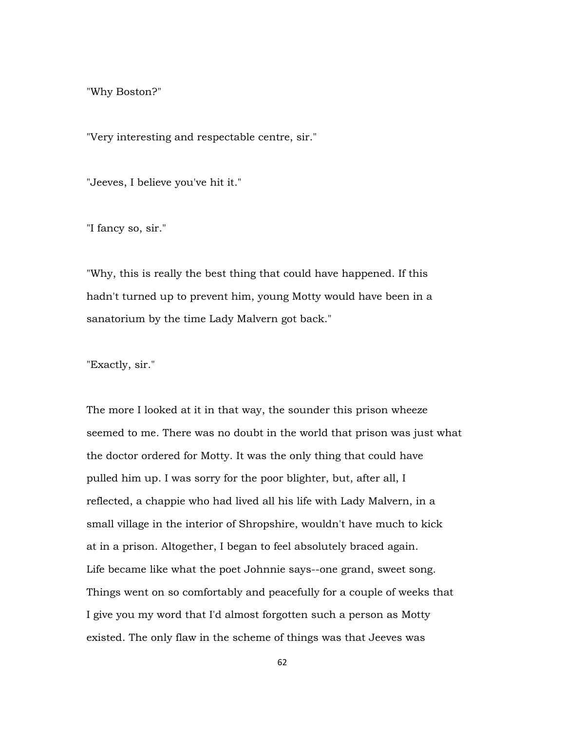"Why Boston?"

"Very interesting and respectable centre, sir."

"Jeeves, I believe you've hit it."

"I fancy so, sir."

"Why, this is really the best thing that could have happened. If this hadn't turned up to prevent him, young Motty would have been in a sanatorium by the time Lady Malvern got back."

"Exactly, sir."

The more I looked at it in that way, the sounder this prison wheeze seemed to me. There was no doubt in the world that prison was just what the doctor ordered for Motty. It was the only thing that could have pulled him up. I was sorry for the poor blighter, but, after all, I reflected, a chappie who had lived all his life with Lady Malvern, in a small village in the interior of Shropshire, wouldn't have much to kick at in a prison. Altogether, I began to feel absolutely braced again. Life became like what the poet Johnnie says--one grand, sweet song. Things went on so comfortably and peacefully for a couple of weeks that I give you my word that I'd almost forgotten such a person as Motty existed. The only flaw in the scheme of things was that Jeeves was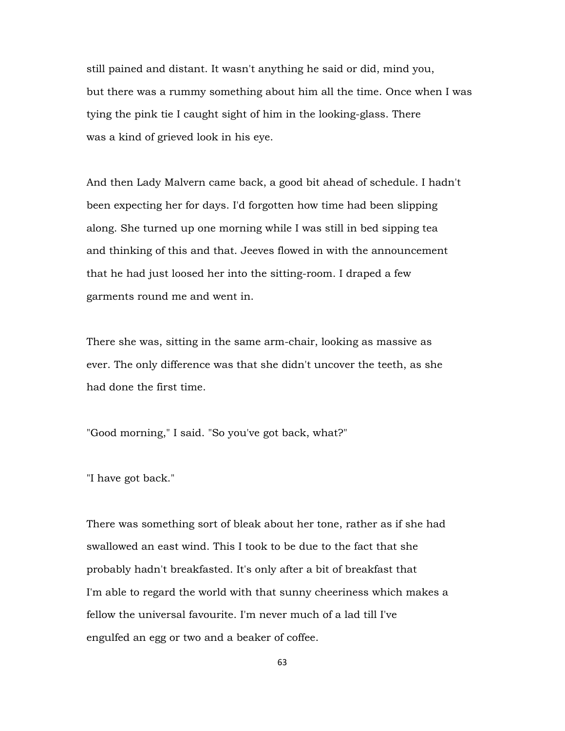still pained and distant. It wasn't anything he said or did, mind you, but there was a rummy something about him all the time. Once when I was tying the pink tie I caught sight of him in the looking-glass. There was a kind of grieved look in his eye.

And then Lady Malvern came back, a good bit ahead of schedule. I hadn't been expecting her for days. I'd forgotten how time had been slipping along. She turned up one morning while I was still in bed sipping tea and thinking of this and that. Jeeves flowed in with the announcement that he had just loosed her into the sitting-room. I draped a few garments round me and went in.

There she was, sitting in the same arm-chair, looking as massive as ever. The only difference was that she didn't uncover the teeth, as she had done the first time.

"Good morning," I said. "So you've got back, what?"

"I have got back."

There was something sort of bleak about her tone, rather as if she had swallowed an east wind. This I took to be due to the fact that she probably hadn't breakfasted. It's only after a bit of breakfast that I'm able to regard the world with that sunny cheeriness which makes a fellow the universal favourite. I'm never much of a lad till I've engulfed an egg or two and a beaker of coffee.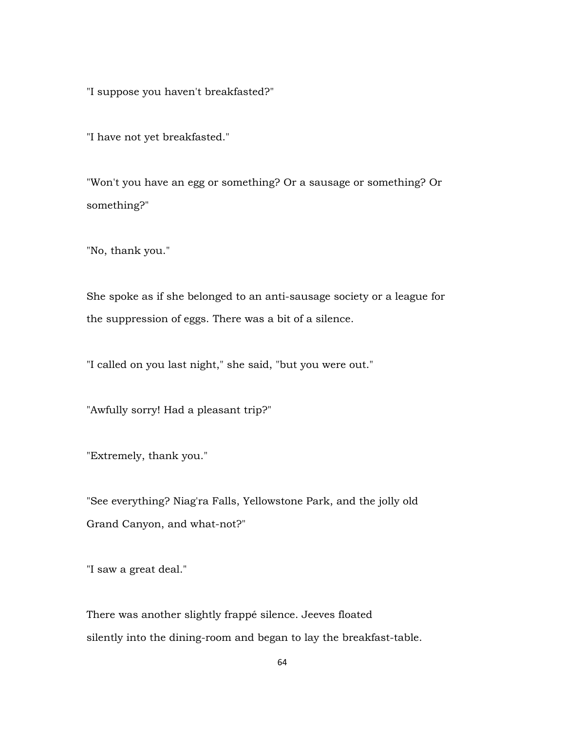"I suppose you haven't breakfasted?"

"I have not yet breakfasted."

"Won't you have an egg or something? Or a sausage or something? Or something?"

"No, thank you."

She spoke as if she belonged to an anti-sausage society or a league for the suppression of eggs. There was a bit of a silence.

"I called on you last night," she said, "but you were out."

"Awfully sorry! Had a pleasant trip?"

"Extremely, thank you."

"See everything? Niag'ra Falls, Yellowstone Park, and the jolly old Grand Canyon, and what-not?"

"I saw a great deal."

There was another slightly frappé silence. Jeeves floated silently into the dining-room and began to lay the breakfast-table.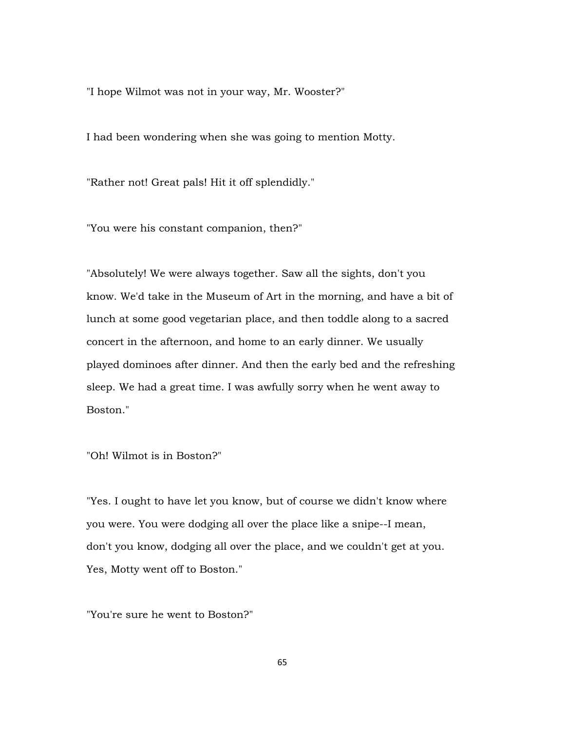"I hope Wilmot was not in your way, Mr. Wooster?"

I had been wondering when she was going to mention Motty.

"Rather not! Great pals! Hit it off splendidly."

"You were his constant companion, then?"

"Absolutely! We were always together. Saw all the sights, don't you know. We'd take in the Museum of Art in the morning, and have a bit of lunch at some good vegetarian place, and then toddle along to a sacred concert in the afternoon, and home to an early dinner. We usually played dominoes after dinner. And then the early bed and the refreshing sleep. We had a great time. I was awfully sorry when he went away to Boston."

"Oh! Wilmot is in Boston?"

"Yes. I ought to have let you know, but of course we didn't know where you were. You were dodging all over the place like a snipe--I mean, don't you know, dodging all over the place, and we couldn't get at you. Yes, Motty went off to Boston."

"You're sure he went to Boston?"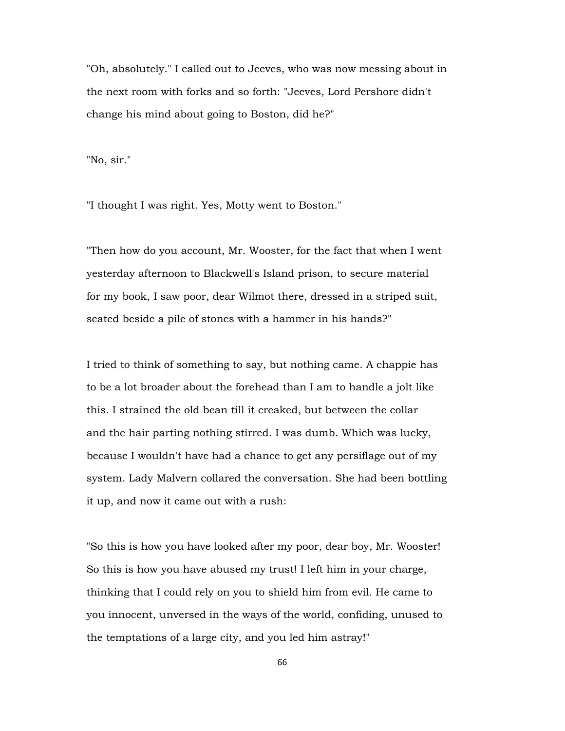"Oh, absolutely." I called out to Jeeves, who was now messing about in the next room with forks and so forth: "Jeeves, Lord Pershore didn't change his mind about going to Boston, did he?"

"No, sir."

"I thought I was right. Yes, Motty went to Boston."

"Then how do you account, Mr. Wooster, for the fact that when I went yesterday afternoon to Blackwell's Island prison, to secure material for my book, I saw poor, dear Wilmot there, dressed in a striped suit, seated beside a pile of stones with a hammer in his hands?"

I tried to think of something to say, but nothing came. A chappie has to be a lot broader about the forehead than I am to handle a jolt like this. I strained the old bean till it creaked, but between the collar and the hair parting nothing stirred. I was dumb. Which was lucky, because I wouldn't have had a chance to get any persiflage out of my system. Lady Malvern collared the conversation. She had been bottling it up, and now it came out with a rush:

"So this is how you have looked after my poor, dear boy, Mr. Wooster! So this is how you have abused my trust! I left him in your charge, thinking that I could rely on you to shield him from evil. He came to you innocent, unversed in the ways of the world, confiding, unused to the temptations of a large city, and you led him astray!"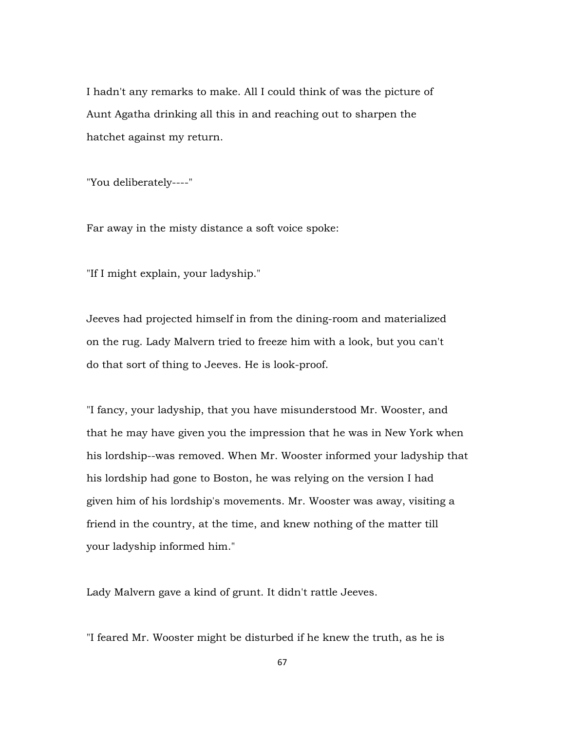I hadn't any remarks to make. All I could think of was the picture of Aunt Agatha drinking all this in and reaching out to sharpen the hatchet against my return.

"You deliberately----"

Far away in the misty distance a soft voice spoke:

"If I might explain, your ladyship."

Jeeves had projected himself in from the dining-room and materialized on the rug. Lady Malvern tried to freeze him with a look, but you can't do that sort of thing to Jeeves. He is look-proof.

"I fancy, your ladyship, that you have misunderstood Mr. Wooster, and that he may have given you the impression that he was in New York when his lordship--was removed. When Mr. Wooster informed your ladyship that his lordship had gone to Boston, he was relying on the version I had given him of his lordship's movements. Mr. Wooster was away, visiting a friend in the country, at the time, and knew nothing of the matter till your ladyship informed him."

Lady Malvern gave a kind of grunt. It didn't rattle Jeeves.

"I feared Mr. Wooster might be disturbed if he knew the truth, as he is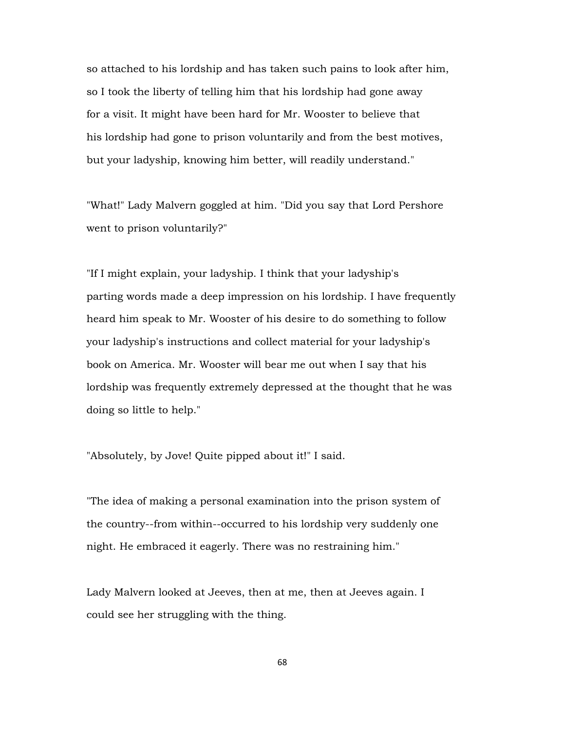so attached to his lordship and has taken such pains to look after him, so I took the liberty of telling him that his lordship had gone away for a visit. It might have been hard for Mr. Wooster to believe that his lordship had gone to prison voluntarily and from the best motives, but your ladyship, knowing him better, will readily understand."

"What!" Lady Malvern goggled at him. "Did you say that Lord Pershore went to prison voluntarily?"

"If I might explain, your ladyship. I think that your ladyship's parting words made a deep impression on his lordship. I have frequently heard him speak to Mr. Wooster of his desire to do something to follow your ladyship's instructions and collect material for your ladyship's book on America. Mr. Wooster will bear me out when I say that his lordship was frequently extremely depressed at the thought that he was doing so little to help."

"Absolutely, by Jove! Quite pipped about it!" I said.

"The idea of making a personal examination into the prison system of the country--from within--occurred to his lordship very suddenly one night. He embraced it eagerly. There was no restraining him."

Lady Malvern looked at Jeeves, then at me, then at Jeeves again. I could see her struggling with the thing.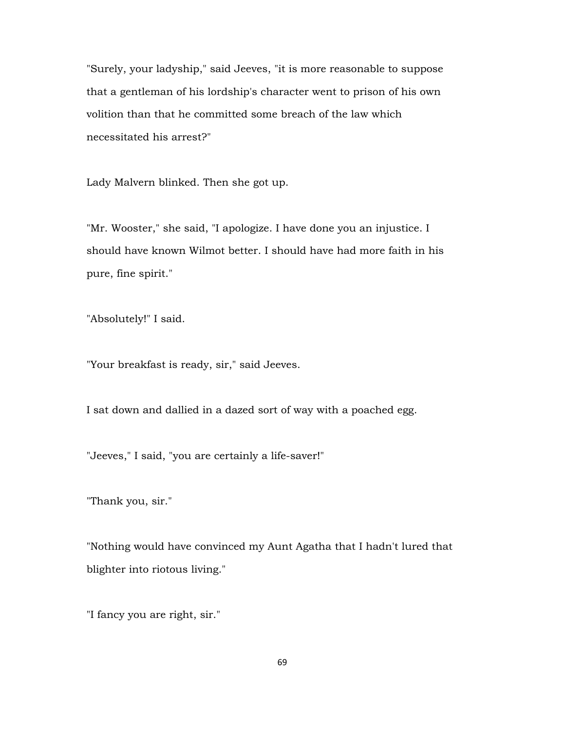"Surely, your ladyship," said Jeeves, "it is more reasonable to suppose that a gentleman of his lordship's character went to prison of his own volition than that he committed some breach of the law which necessitated his arrest?"

Lady Malvern blinked. Then she got up.

"Mr. Wooster," she said, "I apologize. I have done you an injustice. I should have known Wilmot better. I should have had more faith in his pure, fine spirit."

"Absolutely!" I said.

"Your breakfast is ready, sir," said Jeeves.

I sat down and dallied in a dazed sort of way with a poached egg.

"Jeeves," I said, "you are certainly a life-saver!"

"Thank you, sir."

"Nothing would have convinced my Aunt Agatha that I hadn't lured that blighter into riotous living."

"I fancy you are right, sir."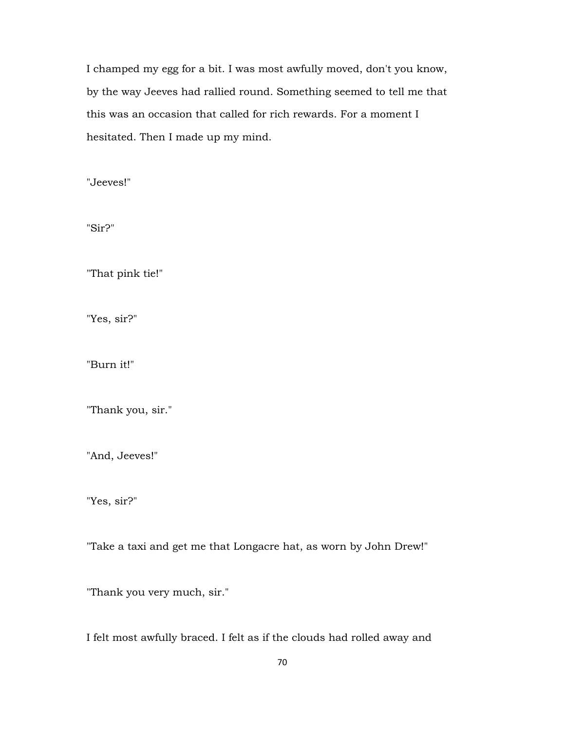I champed my egg for a bit. I was most awfully moved, don't you know, by the way Jeeves had rallied round. Something seemed to tell me that this was an occasion that called for rich rewards. For a moment I hesitated. Then I made up my mind.

"Jeeves!"

"Sir?"

"That pink tie!"

"Yes, sir?"

"Burn it!"

"Thank you, sir."

"And, Jeeves!"

"Yes, sir?"

"Take a taxi and get me that Longacre hat, as worn by John Drew!"

"Thank you very much, sir."

I felt most awfully braced. I felt as if the clouds had rolled away and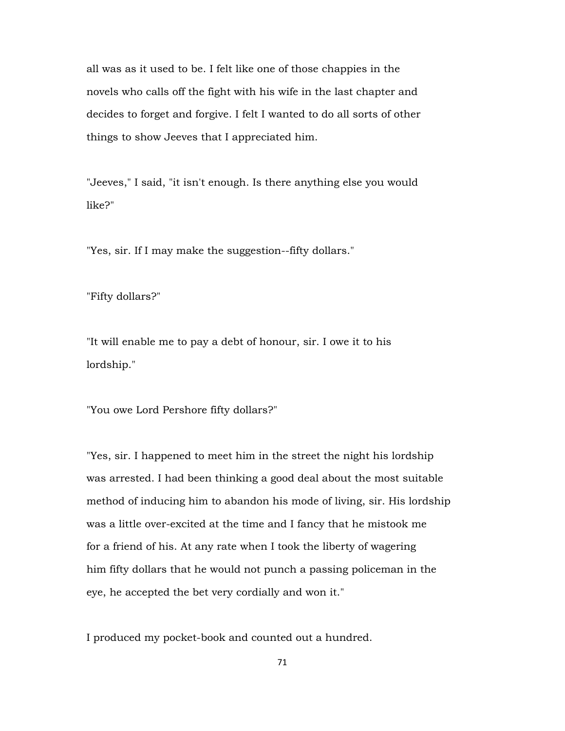all was as it used to be. I felt like one of those chappies in the novels who calls off the fight with his wife in the last chapter and decides to forget and forgive. I felt I wanted to do all sorts of other things to show Jeeves that I appreciated him.

"Jeeves," I said, "it isn't enough. Is there anything else you would like?"

"Yes, sir. If I may make the suggestion--fifty dollars."

"Fifty dollars?"

"It will enable me to pay a debt of honour, sir. I owe it to his lordship."

"You owe Lord Pershore fifty dollars?"

"Yes, sir. I happened to meet him in the street the night his lordship was arrested. I had been thinking a good deal about the most suitable method of inducing him to abandon his mode of living, sir. His lordship was a little over-excited at the time and I fancy that he mistook me for a friend of his. At any rate when I took the liberty of wagering him fifty dollars that he would not punch a passing policeman in the eye, he accepted the bet very cordially and won it."

I produced my pocket-book and counted out a hundred.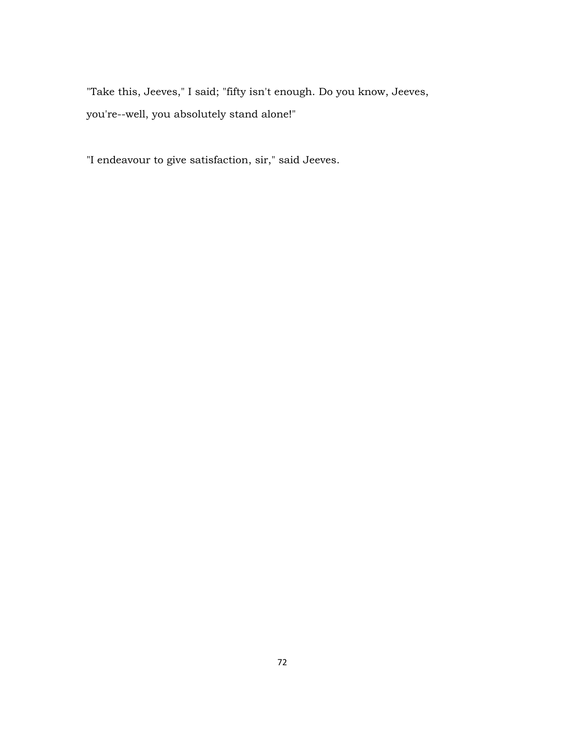"Take this, Jeeves," I said; "fifty isn't enough. Do you know, Jeeves, you're--well, you absolutely stand alone!"

"I endeavour to give satisfaction, sir," said Jeeves.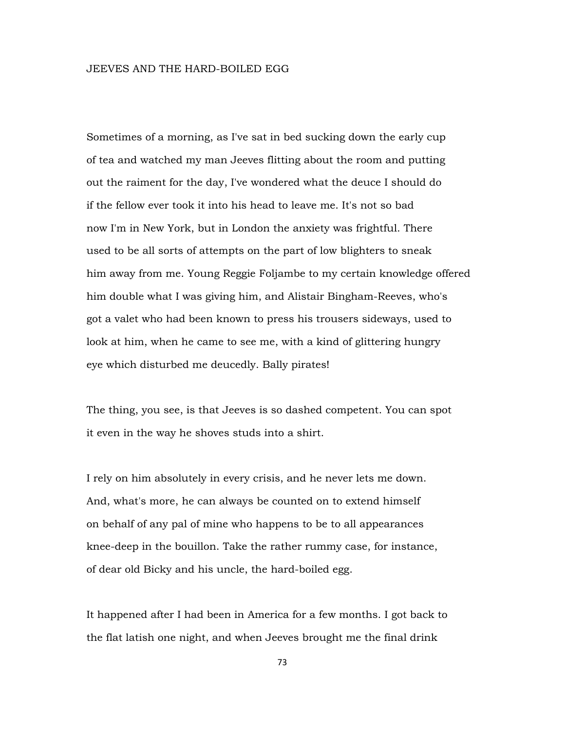Sometimes of a morning, as I've sat in bed sucking down the early cup of tea and watched my man Jeeves flitting about the room and putting out the raiment for the day, I've wondered what the deuce I should do if the fellow ever took it into his head to leave me. It's not so bad now I'm in New York, but in London the anxiety was frightful. There used to be all sorts of attempts on the part of low blighters to sneak him away from me. Young Reggie Foljambe to my certain knowledge offered him double what I was giving him, and Alistair Bingham-Reeves, who's got a valet who had been known to press his trousers sideways, used to look at him, when he came to see me, with a kind of glittering hungry eye which disturbed me deucedly. Bally pirates!

The thing, you see, is that Jeeves is so dashed competent. You can spot it even in the way he shoves studs into a shirt.

I rely on him absolutely in every crisis, and he never lets me down. And, what's more, he can always be counted on to extend himself on behalf of any pal of mine who happens to be to all appearances knee-deep in the bouillon. Take the rather rummy case, for instance, of dear old Bicky and his uncle, the hard-boiled egg.

It happened after I had been in America for a few months. I got back to the flat latish one night, and when Jeeves brought me the final drink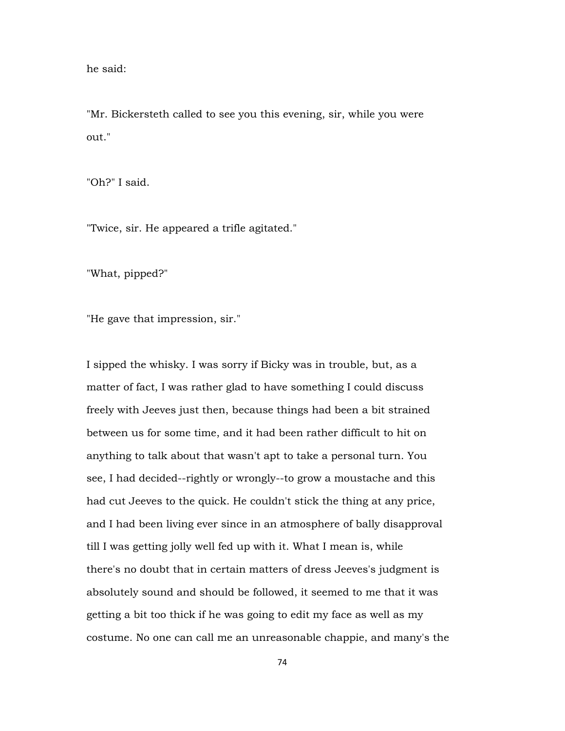he said:

"Mr. Bickersteth called to see you this evening, sir, while you were out."

"Oh?" I said.

"Twice, sir. He appeared a trifle agitated."

"What, pipped?"

"He gave that impression, sir."

I sipped the whisky. I was sorry if Bicky was in trouble, but, as a matter of fact, I was rather glad to have something I could discuss freely with Jeeves just then, because things had been a bit strained between us for some time, and it had been rather difficult to hit on anything to talk about that wasn't apt to take a personal turn. You see, I had decided--rightly or wrongly--to grow a moustache and this had cut Jeeves to the quick. He couldn't stick the thing at any price, and I had been living ever since in an atmosphere of bally disapproval till I was getting jolly well fed up with it. What I mean is, while there's no doubt that in certain matters of dress Jeeves's judgment is absolutely sound and should be followed, it seemed to me that it was getting a bit too thick if he was going to edit my face as well as my costume. No one can call me an unreasonable chappie, and many's the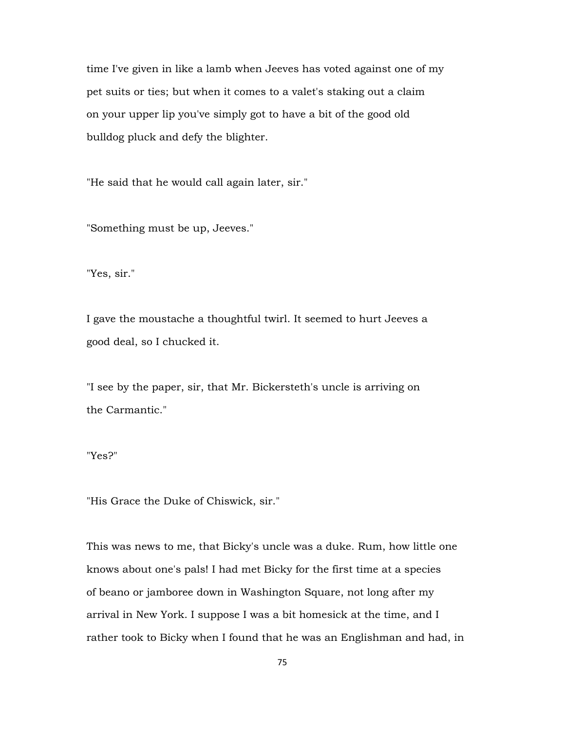time I've given in like a lamb when Jeeves has voted against one of my pet suits or ties; but when it comes to a valet's staking out a claim on your upper lip you've simply got to have a bit of the good old bulldog pluck and defy the blighter.

"He said that he would call again later, sir."

"Something must be up, Jeeves."

"Yes, sir."

I gave the moustache a thoughtful twirl. It seemed to hurt Jeeves a good deal, so I chucked it.

"I see by the paper, sir, that Mr. Bickersteth's uncle is arriving on the Carmantic."

"Yes?"

"His Grace the Duke of Chiswick, sir."

This was news to me, that Bicky's uncle was a duke. Rum, how little one knows about one's pals! I had met Bicky for the first time at a species of beano or jamboree down in Washington Square, not long after my arrival in New York. I suppose I was a bit homesick at the time, and I rather took to Bicky when I found that he was an Englishman and had, in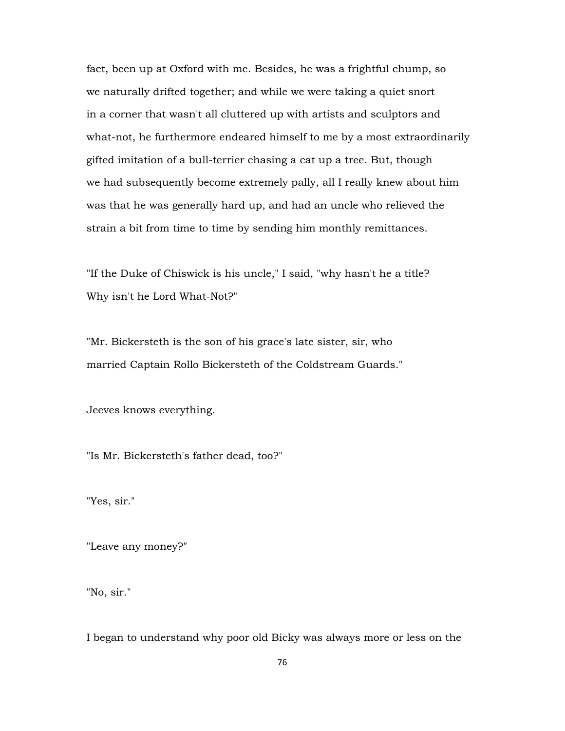fact, been up at Oxford with me. Besides, he was a frightful chump, so we naturally drifted together; and while we were taking a quiet snort in a corner that wasn't all cluttered up with artists and sculptors and what-not, he furthermore endeared himself to me by a most extraordinarily gifted imitation of a bull-terrier chasing a cat up a tree. But, though we had subsequently become extremely pally, all I really knew about him was that he was generally hard up, and had an uncle who relieved the strain a bit from time to time by sending him monthly remittances.

"If the Duke of Chiswick is his uncle," I said, "why hasn't he a title? Why isn't he Lord What-Not?"

"Mr. Bickersteth is the son of his grace's late sister, sir, who married Captain Rollo Bickersteth of the Coldstream Guards."

Jeeves knows everything.

"Is Mr. Bickersteth's father dead, too?"

"Yes, sir."

"Leave any money?"

"No, sir."

I began to understand why poor old Bicky was always more or less on the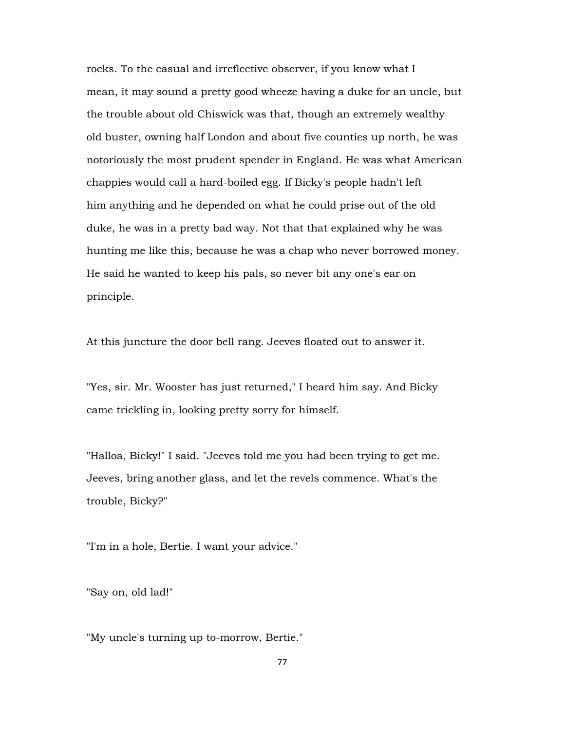rocks. To the casual and irreflective observer, if you know what I mean, it may sound a pretty good wheeze having a duke for an uncle, but the trouble about old Chiswick was that, though an extremely wealthy old buster, owning half London and about five counties up north, he was notoriously the most prudent spender in England. He was what American chappies would call a hard-boiled egg. If Bicky's people hadn't left him anything and he depended on what he could prise out of the old duke, he was in a pretty bad way. Not that that explained why he was hunting me like this, because he was a chap who never borrowed money. He said he wanted to keep his pals, so never bit any one's ear on principle.

At this juncture the door bell rang. Jeeves floated out to answer it.

"Yes, sir. Mr. Wooster has just returned," I heard him say. And Bicky came trickling in, looking pretty sorry for himself.

"Halloa, Bicky!" I said. "Jeeves told me you had been trying to get me. Jeeves, bring another glass, and let the revels commence. What's the trouble, Bicky?"

"I'm in a hole, Bertie. I want your advice."

"Say on, old lad!"

"My uncle's turning up to-morrow, Bertie."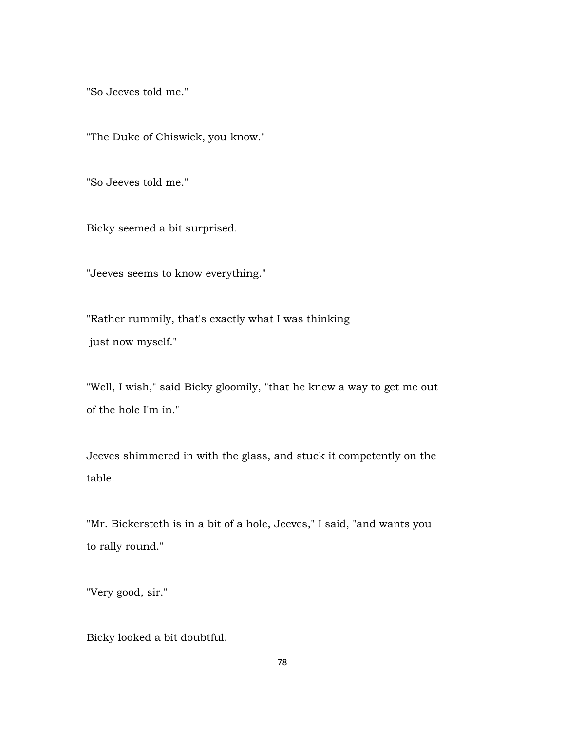"So Jeeves told me."

"The Duke of Chiswick, you know."

"So Jeeves told me."

Bicky seemed a bit surprised.

"Jeeves seems to know everything."

"Rather rummily, that's exactly what I was thinking just now myself."

"Well, I wish," said Bicky gloomily, "that he knew a way to get me out of the hole I'm in."

Jeeves shimmered in with the glass, and stuck it competently on the table.

"Mr. Bickersteth is in a bit of a hole, Jeeves," I said, "and wants you to rally round."

"Very good, sir."

Bicky looked a bit doubtful.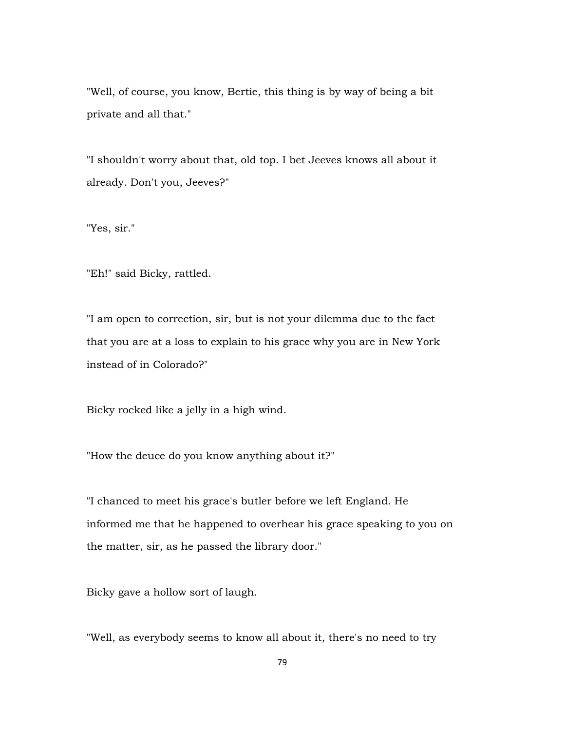"Well, of course, you know, Bertie, this thing is by way of being a bit private and all that."

"I shouldn't worry about that, old top. I bet Jeeves knows all about it already. Don't you, Jeeves?"

"Yes, sir."

"Eh!" said Bicky, rattled.

"I am open to correction, sir, but is not your dilemma due to the fact that you are at a loss to explain to his grace why you are in New York instead of in Colorado?"

Bicky rocked like a jelly in a high wind.

"How the deuce do you know anything about it?"

"I chanced to meet his grace's butler before we left England. He informed me that he happened to overhear his grace speaking to you on the matter, sir, as he passed the library door."

Bicky gave a hollow sort of laugh.

"Well, as everybody seems to know all about it, there's no need to try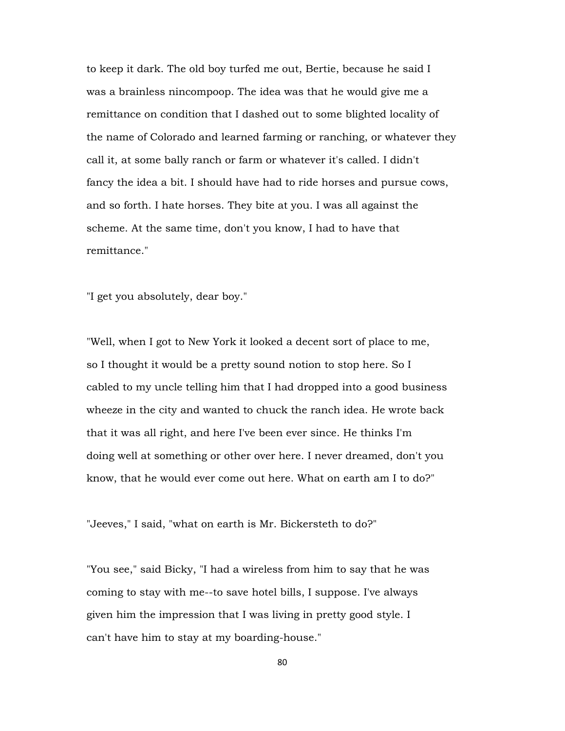to keep it dark. The old boy turfed me out, Bertie, because he said I was a brainless nincompoop. The idea was that he would give me a remittance on condition that I dashed out to some blighted locality of the name of Colorado and learned farming or ranching, or whatever they call it, at some bally ranch or farm or whatever it's called. I didn't fancy the idea a bit. I should have had to ride horses and pursue cows, and so forth. I hate horses. They bite at you. I was all against the scheme. At the same time, don't you know, I had to have that remittance."

"I get you absolutely, dear boy."

"Well, when I got to New York it looked a decent sort of place to me, so I thought it would be a pretty sound notion to stop here. So I cabled to my uncle telling him that I had dropped into a good business wheeze in the city and wanted to chuck the ranch idea. He wrote back that it was all right, and here I've been ever since. He thinks I'm doing well at something or other over here. I never dreamed, don't you know, that he would ever come out here. What on earth am I to do?"

"Jeeves," I said, "what on earth is Mr. Bickersteth to do?"

"You see," said Bicky, "I had a wireless from him to say that he was coming to stay with me--to save hotel bills, I suppose. I've always given him the impression that I was living in pretty good style. I can't have him to stay at my boarding-house."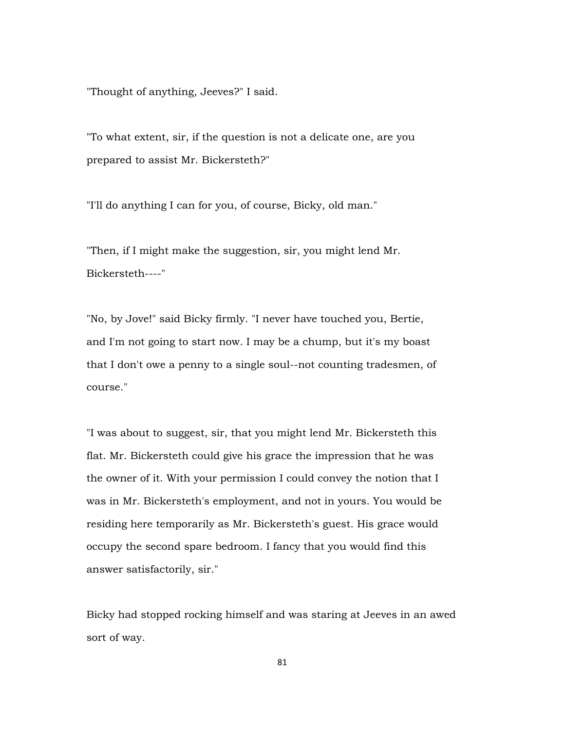"Thought of anything, Jeeves?" I said.

"To what extent, sir, if the question is not a delicate one, are you prepared to assist Mr. Bickersteth?"

"I'll do anything I can for you, of course, Bicky, old man."

"Then, if I might make the suggestion, sir, you might lend Mr. Bickersteth----"

"No, by Jove!" said Bicky firmly. "I never have touched you, Bertie, and I'm not going to start now. I may be a chump, but it's my boast that I don't owe a penny to a single soul--not counting tradesmen, of course."

"I was about to suggest, sir, that you might lend Mr. Bickersteth this flat. Mr. Bickersteth could give his grace the impression that he was the owner of it. With your permission I could convey the notion that I was in Mr. Bickersteth's employment, and not in yours. You would be residing here temporarily as Mr. Bickersteth's guest. His grace would occupy the second spare bedroom. I fancy that you would find this answer satisfactorily, sir."

Bicky had stopped rocking himself and was staring at Jeeves in an awed sort of way.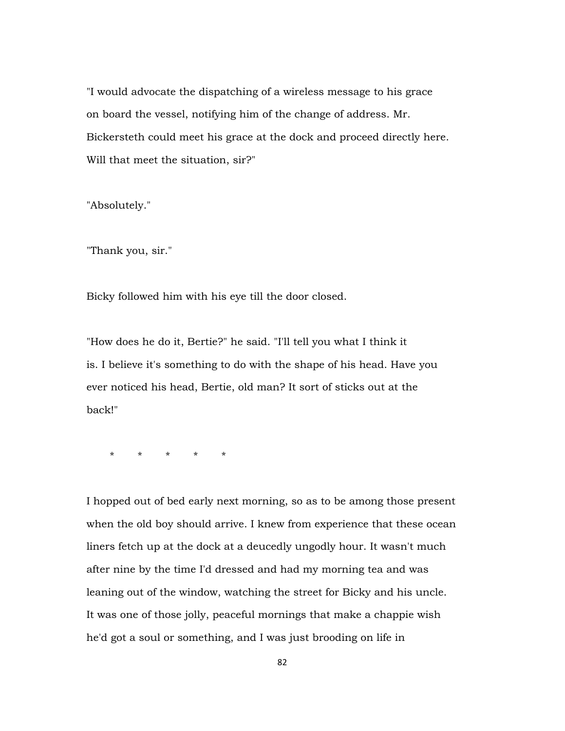"I would advocate the dispatching of a wireless message to his grace on board the vessel, notifying him of the change of address. Mr. Bickersteth could meet his grace at the dock and proceed directly here. Will that meet the situation, sir?"

"Absolutely."

"Thank you, sir."

Bicky followed him with his eye till the door closed.

"How does he do it, Bertie?" he said. "I'll tell you what I think it is. I believe it's something to do with the shape of his head. Have you ever noticed his head, Bertie, old man? It sort of sticks out at the back!"

\* \* \* \* \*

I hopped out of bed early next morning, so as to be among those present when the old boy should arrive. I knew from experience that these ocean liners fetch up at the dock at a deucedly ungodly hour. It wasn't much after nine by the time I'd dressed and had my morning tea and was leaning out of the window, watching the street for Bicky and his uncle. It was one of those jolly, peaceful mornings that make a chappie wish he'd got a soul or something, and I was just brooding on life in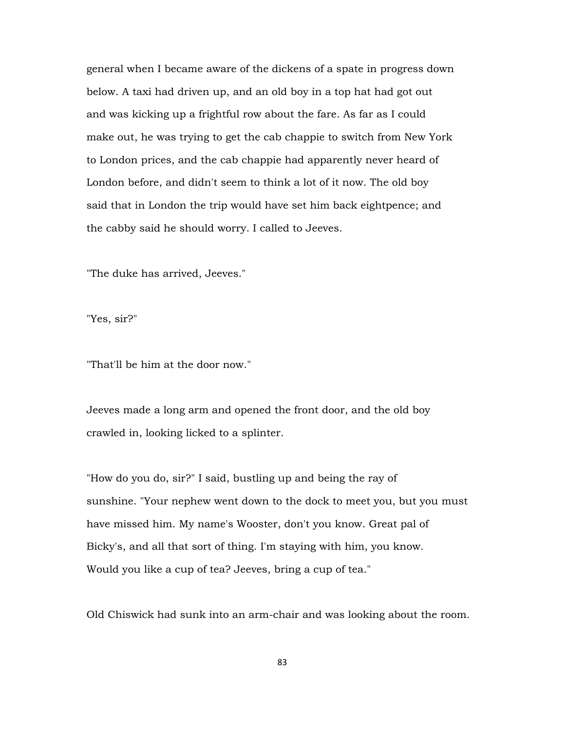general when I became aware of the dickens of a spate in progress down below. A taxi had driven up, and an old boy in a top hat had got out and was kicking up a frightful row about the fare. As far as I could make out, he was trying to get the cab chappie to switch from New York to London prices, and the cab chappie had apparently never heard of London before, and didn't seem to think a lot of it now. The old boy said that in London the trip would have set him back eightpence; and the cabby said he should worry. I called to Jeeves.

"The duke has arrived, Jeeves."

"Yes, sir?"

"That'll be him at the door now."

Jeeves made a long arm and opened the front door, and the old boy crawled in, looking licked to a splinter.

"How do you do, sir?" I said, bustling up and being the ray of sunshine. "Your nephew went down to the dock to meet you, but you must have missed him. My name's Wooster, don't you know. Great pal of Bicky's, and all that sort of thing. I'm staying with him, you know. Would you like a cup of tea? Jeeves, bring a cup of tea."

Old Chiswick had sunk into an arm-chair and was looking about the room.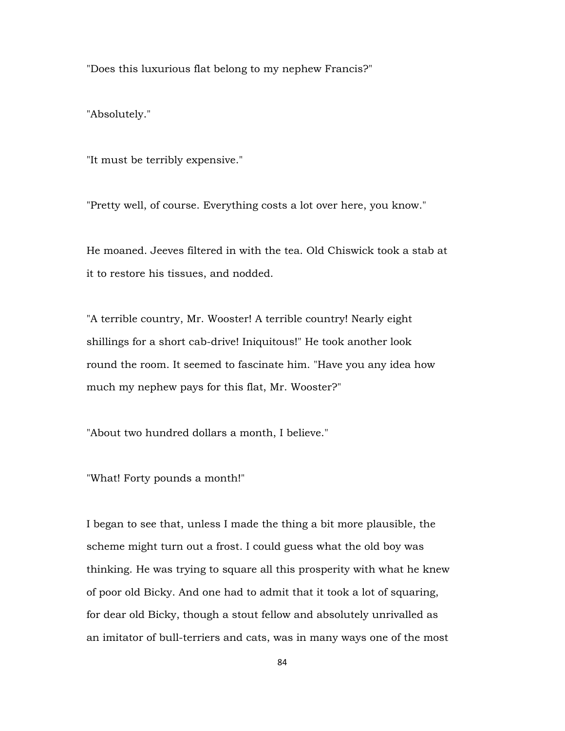"Does this luxurious flat belong to my nephew Francis?"

"Absolutely."

"It must be terribly expensive."

"Pretty well, of course. Everything costs a lot over here, you know."

He moaned. Jeeves filtered in with the tea. Old Chiswick took a stab at it to restore his tissues, and nodded.

"A terrible country, Mr. Wooster! A terrible country! Nearly eight shillings for a short cab-drive! Iniquitous!" He took another look round the room. It seemed to fascinate him. "Have you any idea how much my nephew pays for this flat, Mr. Wooster?"

"About two hundred dollars a month, I believe."

"What! Forty pounds a month!"

I began to see that, unless I made the thing a bit more plausible, the scheme might turn out a frost. I could guess what the old boy was thinking. He was trying to square all this prosperity with what he knew of poor old Bicky. And one had to admit that it took a lot of squaring, for dear old Bicky, though a stout fellow and absolutely unrivalled as an imitator of bull-terriers and cats, was in many ways one of the most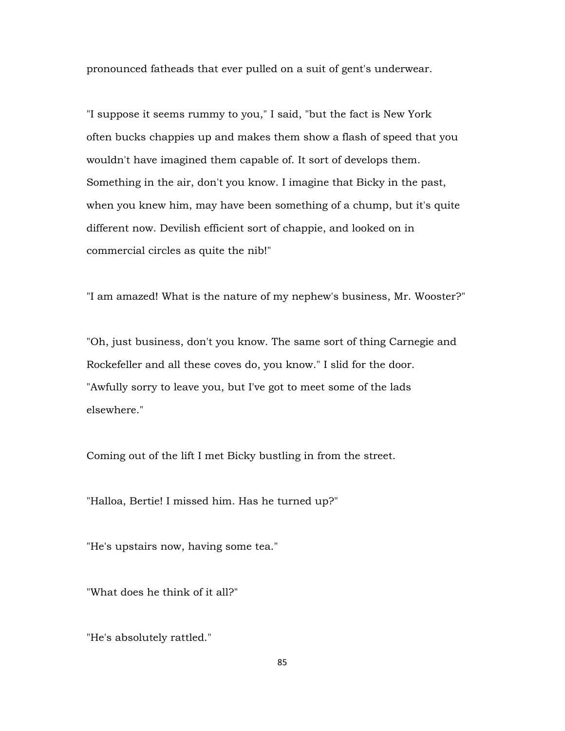pronounced fatheads that ever pulled on a suit of gent's underwear.

"I suppose it seems rummy to you," I said, "but the fact is New York often bucks chappies up and makes them show a flash of speed that you wouldn't have imagined them capable of. It sort of develops them. Something in the air, don't you know. I imagine that Bicky in the past, when you knew him, may have been something of a chump, but it's quite different now. Devilish efficient sort of chappie, and looked on in commercial circles as quite the nib!"

"I am amazed! What is the nature of my nephew's business, Mr. Wooster?"

"Oh, just business, don't you know. The same sort of thing Carnegie and Rockefeller and all these coves do, you know." I slid for the door. "Awfully sorry to leave you, but I've got to meet some of the lads elsewhere."

Coming out of the lift I met Bicky bustling in from the street.

"Halloa, Bertie! I missed him. Has he turned up?"

"He's upstairs now, having some tea."

"What does he think of it all?"

"He's absolutely rattled."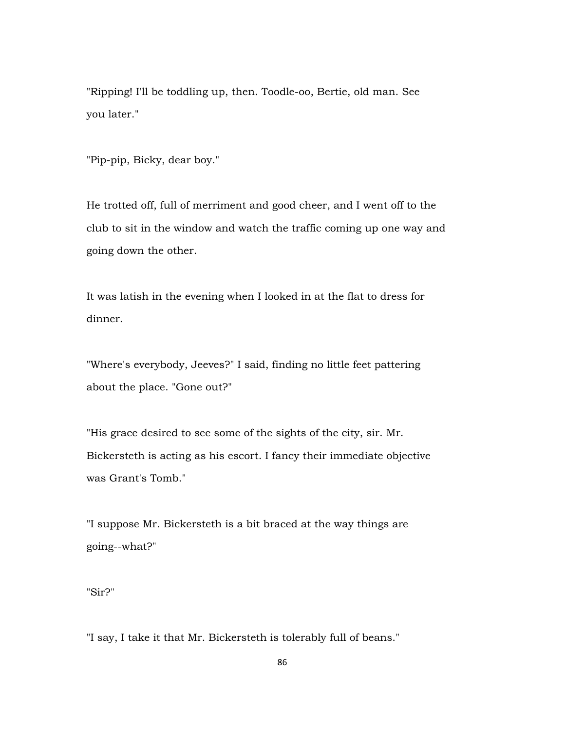"Ripping! I'll be toddling up, then. Toodle-oo, Bertie, old man. See you later."

"Pip-pip, Bicky, dear boy."

He trotted off, full of merriment and good cheer, and I went off to the club to sit in the window and watch the traffic coming up one way and going down the other.

It was latish in the evening when I looked in at the flat to dress for dinner.

"Where's everybody, Jeeves?" I said, finding no little feet pattering about the place. "Gone out?"

"His grace desired to see some of the sights of the city, sir. Mr. Bickersteth is acting as his escort. I fancy their immediate objective was Grant's Tomb."

"I suppose Mr. Bickersteth is a bit braced at the way things are going--what?"

"Sir?"

"I say, I take it that Mr. Bickersteth is tolerably full of beans."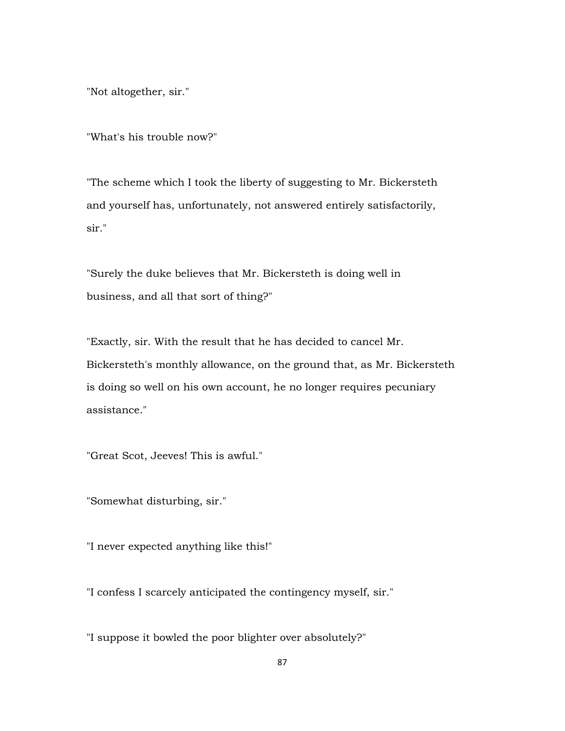"Not altogether, sir."

"What's his trouble now?"

"The scheme which I took the liberty of suggesting to Mr. Bickersteth and yourself has, unfortunately, not answered entirely satisfactorily, sir."

"Surely the duke believes that Mr. Bickersteth is doing well in business, and all that sort of thing?"

"Exactly, sir. With the result that he has decided to cancel Mr. Bickersteth's monthly allowance, on the ground that, as Mr. Bickersteth is doing so well on his own account, he no longer requires pecuniary assistance."

"Great Scot, Jeeves! This is awful."

"Somewhat disturbing, sir."

"I never expected anything like this!"

"I confess I scarcely anticipated the contingency myself, sir."

"I suppose it bowled the poor blighter over absolutely?"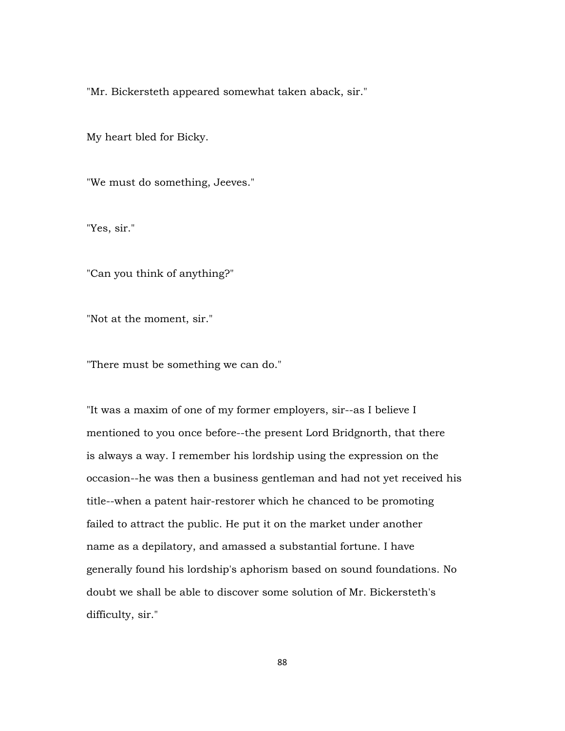"Mr. Bickersteth appeared somewhat taken aback, sir."

My heart bled for Bicky.

"We must do something, Jeeves."

"Yes, sir."

"Can you think of anything?"

"Not at the moment, sir."

"There must be something we can do."

"It was a maxim of one of my former employers, sir--as I believe I mentioned to you once before--the present Lord Bridgnorth, that there is always a way. I remember his lordship using the expression on the occasion--he was then a business gentleman and had not yet received his title--when a patent hair-restorer which he chanced to be promoting failed to attract the public. He put it on the market under another name as a depilatory, and amassed a substantial fortune. I have generally found his lordship's aphorism based on sound foundations. No doubt we shall be able to discover some solution of Mr. Bickersteth's difficulty, sir."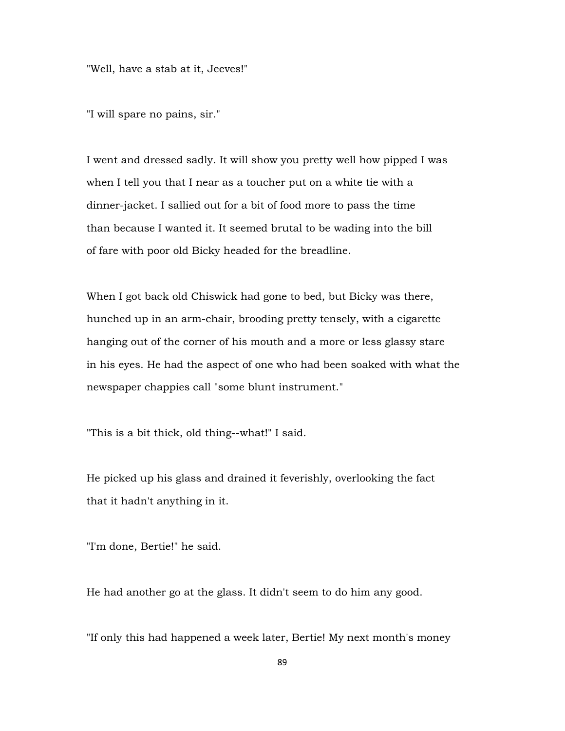"Well, have a stab at it, Jeeves!"

"I will spare no pains, sir."

I went and dressed sadly. It will show you pretty well how pipped I was when I tell you that I near as a toucher put on a white tie with a dinner-jacket. I sallied out for a bit of food more to pass the time than because I wanted it. It seemed brutal to be wading into the bill of fare with poor old Bicky headed for the breadline.

When I got back old Chiswick had gone to bed, but Bicky was there, hunched up in an arm-chair, brooding pretty tensely, with a cigarette hanging out of the corner of his mouth and a more or less glassy stare in his eyes. He had the aspect of one who had been soaked with what the newspaper chappies call "some blunt instrument."

"This is a bit thick, old thing--what!" I said.

He picked up his glass and drained it feverishly, overlooking the fact that it hadn't anything in it.

"I'm done, Bertie!" he said.

He had another go at the glass. It didn't seem to do him any good.

"If only this had happened a week later, Bertie! My next month's money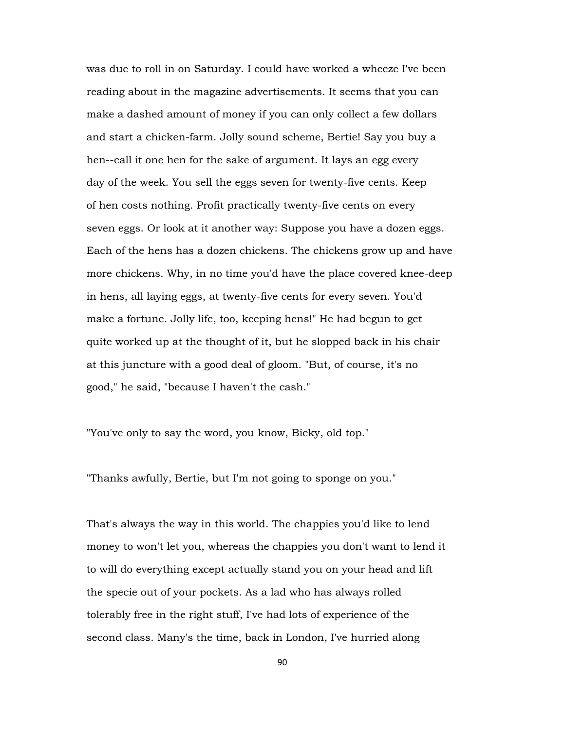was due to roll in on Saturday. I could have worked a wheeze I've been reading about in the magazine advertisements. It seems that you can make a dashed amount of money if you can only collect a few dollars and start a chicken-farm. Jolly sound scheme, Bertie! Say you buy a hen--call it one hen for the sake of argument. It lays an egg every day of the week. You sell the eggs seven for twenty-five cents. Keep of hen costs nothing. Profit practically twenty-five cents on every seven eggs. Or look at it another way: Suppose you have a dozen eggs. Each of the hens has a dozen chickens. The chickens grow up and have more chickens. Why, in no time you'd have the place covered knee-deep in hens, all laying eggs, at twenty-five cents for every seven. You'd make a fortune. Jolly life, too, keeping hens!" He had begun to get quite worked up at the thought of it, but he slopped back in his chair at this juncture with a good deal of gloom. "But, of course, it's no good," he said, "because I haven't the cash."

"You've only to say the word, you know, Bicky, old top."

"Thanks awfully, Bertie, but I'm not going to sponge on you."

That's always the way in this world. The chappies you'd like to lend money to won't let you, whereas the chappies you don't want to lend it to will do everything except actually stand you on your head and lift the specie out of your pockets. As a lad who has always rolled tolerably free in the right stuff, I've had lots of experience of the second class. Many's the time, back in London, I've hurried along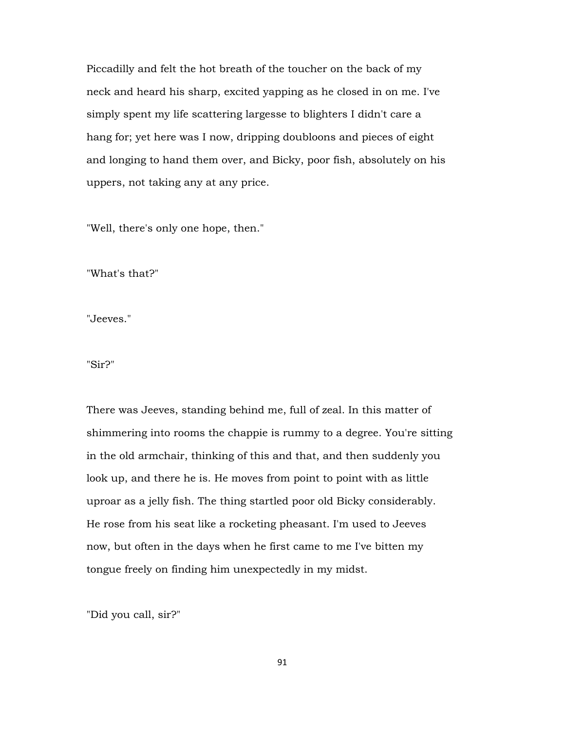Piccadilly and felt the hot breath of the toucher on the back of my neck and heard his sharp, excited yapping as he closed in on me. I've simply spent my life scattering largesse to blighters I didn't care a hang for; yet here was I now, dripping doubloons and pieces of eight and longing to hand them over, and Bicky, poor fish, absolutely on his uppers, not taking any at any price.

"Well, there's only one hope, then."

"What's that?"

"Jeeves."

"Sir?"

There was Jeeves, standing behind me, full of zeal. In this matter of shimmering into rooms the chappie is rummy to a degree. You're sitting in the old armchair, thinking of this and that, and then suddenly you look up, and there he is. He moves from point to point with as little uproar as a jelly fish. The thing startled poor old Bicky considerably. He rose from his seat like a rocketing pheasant. I'm used to Jeeves now, but often in the days when he first came to me I've bitten my tongue freely on finding him unexpectedly in my midst.

"Did you call, sir?"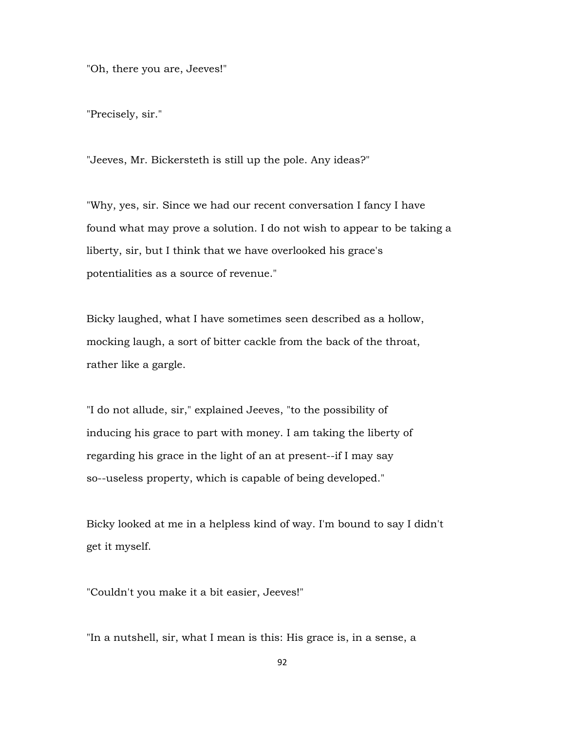"Oh, there you are, Jeeves!"

"Precisely, sir."

"Jeeves, Mr. Bickersteth is still up the pole. Any ideas?"

"Why, yes, sir. Since we had our recent conversation I fancy I have found what may prove a solution. I do not wish to appear to be taking a liberty, sir, but I think that we have overlooked his grace's potentialities as a source of revenue."

Bicky laughed, what I have sometimes seen described as a hollow, mocking laugh, a sort of bitter cackle from the back of the throat, rather like a gargle.

"I do not allude, sir," explained Jeeves, "to the possibility of inducing his grace to part with money. I am taking the liberty of regarding his grace in the light of an at present--if I may say so--useless property, which is capable of being developed."

Bicky looked at me in a helpless kind of way. I'm bound to say I didn't get it myself.

"Couldn't you make it a bit easier, Jeeves!"

"In a nutshell, sir, what I mean is this: His grace is, in a sense, a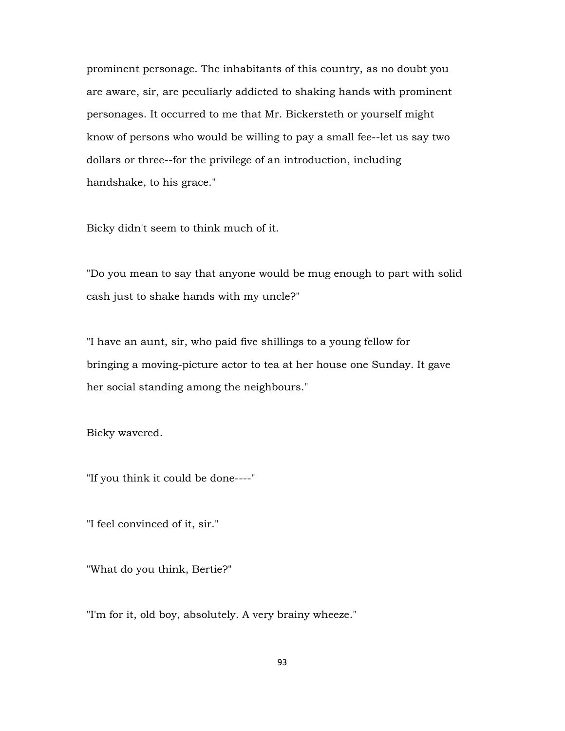prominent personage. The inhabitants of this country, as no doubt you are aware, sir, are peculiarly addicted to shaking hands with prominent personages. It occurred to me that Mr. Bickersteth or yourself might know of persons who would be willing to pay a small fee--let us say two dollars or three--for the privilege of an introduction, including handshake, to his grace."

Bicky didn't seem to think much of it.

"Do you mean to say that anyone would be mug enough to part with solid cash just to shake hands with my uncle?"

"I have an aunt, sir, who paid five shillings to a young fellow for bringing a moving-picture actor to tea at her house one Sunday. It gave her social standing among the neighbours."

Bicky wavered.

"If you think it could be done----"

"I feel convinced of it, sir."

"What do you think, Bertie?"

"I'm for it, old boy, absolutely. A very brainy wheeze."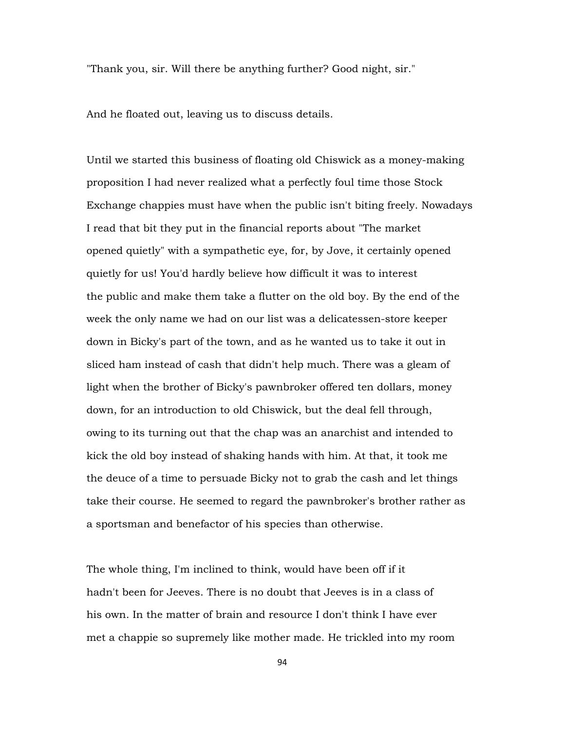"Thank you, sir. Will there be anything further? Good night, sir."

And he floated out, leaving us to discuss details.

Until we started this business of floating old Chiswick as a money-making proposition I had never realized what a perfectly foul time those Stock Exchange chappies must have when the public isn't biting freely. Nowadays I read that bit they put in the financial reports about "The market opened quietly" with a sympathetic eye, for, by Jove, it certainly opened quietly for us! You'd hardly believe how difficult it was to interest the public and make them take a flutter on the old boy. By the end of the week the only name we had on our list was a delicatessen-store keeper down in Bicky's part of the town, and as he wanted us to take it out in sliced ham instead of cash that didn't help much. There was a gleam of light when the brother of Bicky's pawnbroker offered ten dollars, money down, for an introduction to old Chiswick, but the deal fell through, owing to its turning out that the chap was an anarchist and intended to kick the old boy instead of shaking hands with him. At that, it took me the deuce of a time to persuade Bicky not to grab the cash and let things take their course. He seemed to regard the pawnbroker's brother rather as a sportsman and benefactor of his species than otherwise.

The whole thing, I'm inclined to think, would have been off if it hadn't been for Jeeves. There is no doubt that Jeeves is in a class of his own. In the matter of brain and resource I don't think I have ever met a chappie so supremely like mother made. He trickled into my room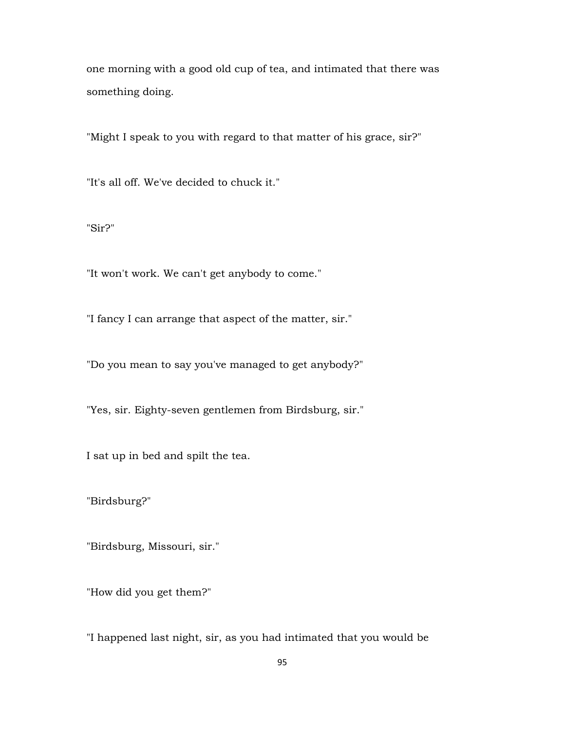one morning with a good old cup of tea, and intimated that there was something doing.

"Might I speak to you with regard to that matter of his grace, sir?"

"It's all off. We've decided to chuck it."

"Sir?"

"It won't work. We can't get anybody to come."

"I fancy I can arrange that aspect of the matter, sir."

"Do you mean to say you've managed to get anybody?"

"Yes, sir. Eighty-seven gentlemen from Birdsburg, sir."

I sat up in bed and spilt the tea.

"Birdsburg?"

"Birdsburg, Missouri, sir."

"How did you get them?"

"I happened last night, sir, as you had intimated that you would be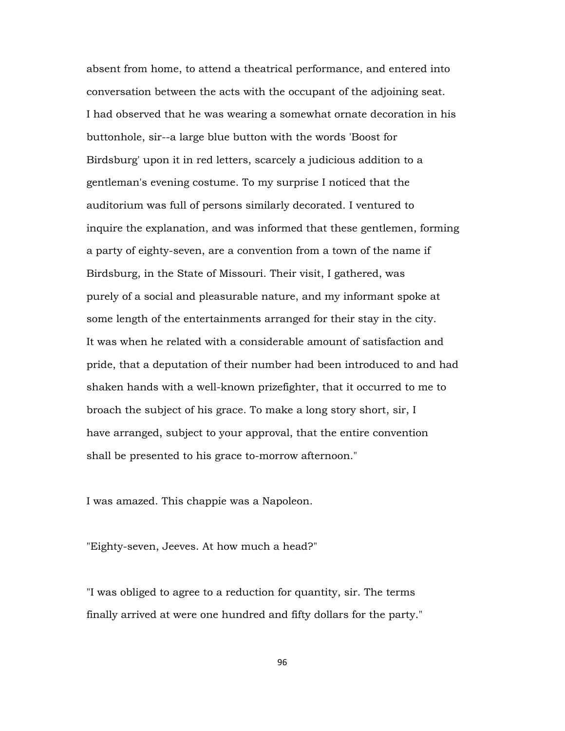absent from home, to attend a theatrical performance, and entered into conversation between the acts with the occupant of the adjoining seat. I had observed that he was wearing a somewhat ornate decoration in his buttonhole, sir--a large blue button with the words 'Boost for Birdsburg' upon it in red letters, scarcely a judicious addition to a gentleman's evening costume. To my surprise I noticed that the auditorium was full of persons similarly decorated. I ventured to inquire the explanation, and was informed that these gentlemen, forming a party of eighty-seven, are a convention from a town of the name if Birdsburg, in the State of Missouri. Their visit, I gathered, was purely of a social and pleasurable nature, and my informant spoke at some length of the entertainments arranged for their stay in the city. It was when he related with a considerable amount of satisfaction and pride, that a deputation of their number had been introduced to and had shaken hands with a well-known prizefighter, that it occurred to me to broach the subject of his grace. To make a long story short, sir, I have arranged, subject to your approval, that the entire convention shall be presented to his grace to-morrow afternoon."

I was amazed. This chappie was a Napoleon.

"Eighty-seven, Jeeves. At how much a head?"

"I was obliged to agree to a reduction for quantity, sir. The terms finally arrived at were one hundred and fifty dollars for the party."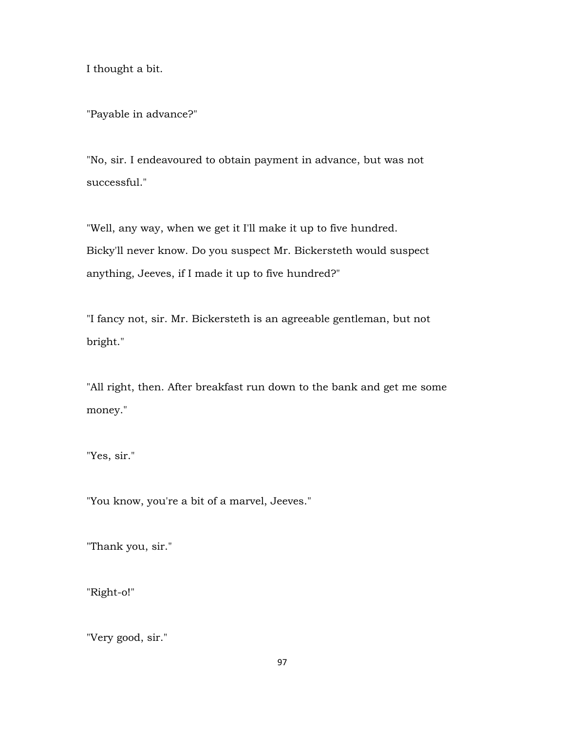I thought a bit.

"Payable in advance?"

"No, sir. I endeavoured to obtain payment in advance, but was not successful."

"Well, any way, when we get it I'll make it up to five hundred. Bicky'll never know. Do you suspect Mr. Bickersteth would suspect anything, Jeeves, if I made it up to five hundred?"

"I fancy not, sir. Mr. Bickersteth is an agreeable gentleman, but not bright."

"All right, then. After breakfast run down to the bank and get me some money."

"Yes, sir."

"You know, you're a bit of a marvel, Jeeves."

"Thank you, sir."

"Right-o!"

"Very good, sir."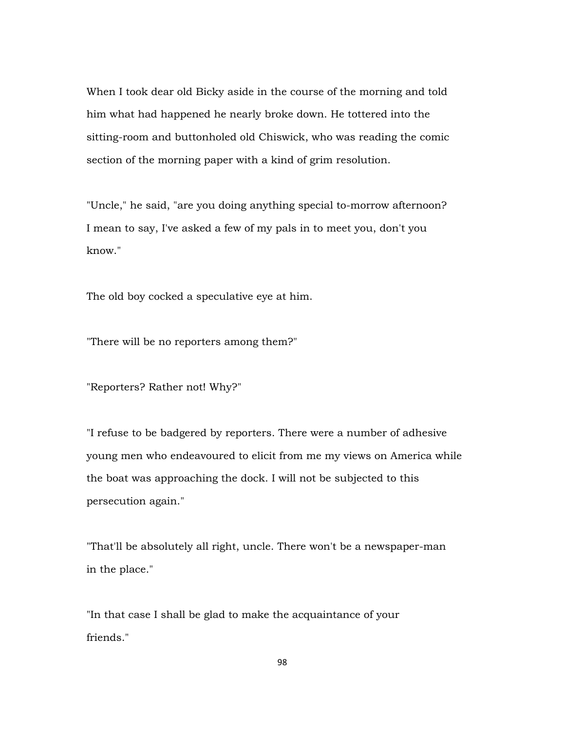When I took dear old Bicky aside in the course of the morning and told him what had happened he nearly broke down. He tottered into the sitting-room and buttonholed old Chiswick, who was reading the comic section of the morning paper with a kind of grim resolution.

"Uncle," he said, "are you doing anything special to-morrow afternoon? I mean to say, I've asked a few of my pals in to meet you, don't you know."

The old boy cocked a speculative eye at him.

"There will be no reporters among them?"

"Reporters? Rather not! Why?"

"I refuse to be badgered by reporters. There were a number of adhesive young men who endeavoured to elicit from me my views on America while the boat was approaching the dock. I will not be subjected to this persecution again."

"That'll be absolutely all right, uncle. There won't be a newspaper-man in the place."

"In that case I shall be glad to make the acquaintance of your friends."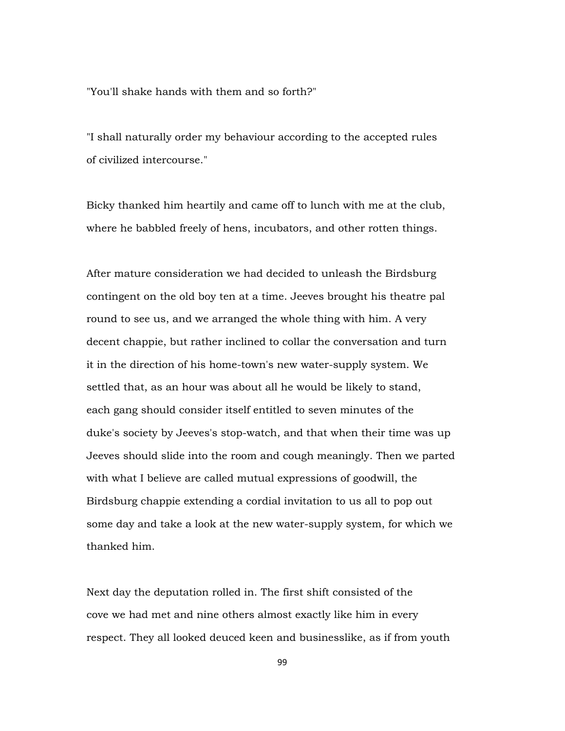"You'll shake hands with them and so forth?"

"I shall naturally order my behaviour according to the accepted rules of civilized intercourse."

Bicky thanked him heartily and came off to lunch with me at the club, where he babbled freely of hens, incubators, and other rotten things.

After mature consideration we had decided to unleash the Birdsburg contingent on the old boy ten at a time. Jeeves brought his theatre pal round to see us, and we arranged the whole thing with him. A very decent chappie, but rather inclined to collar the conversation and turn it in the direction of his home-town's new water-supply system. We settled that, as an hour was about all he would be likely to stand, each gang should consider itself entitled to seven minutes of the duke's society by Jeeves's stop-watch, and that when their time was up Jeeves should slide into the room and cough meaningly. Then we parted with what I believe are called mutual expressions of goodwill, the Birdsburg chappie extending a cordial invitation to us all to pop out some day and take a look at the new water-supply system, for which we thanked him.

Next day the deputation rolled in. The first shift consisted of the cove we had met and nine others almost exactly like him in every respect. They all looked deuced keen and businesslike, as if from youth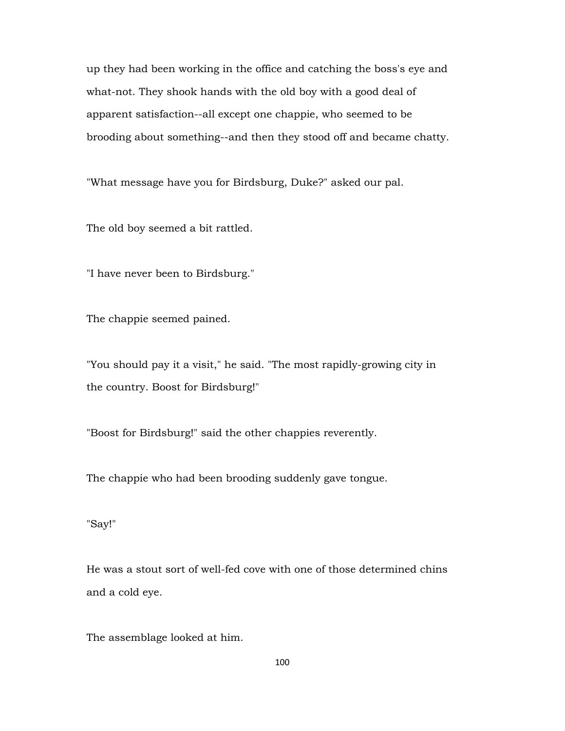up they had been working in the office and catching the boss's eye and what-not. They shook hands with the old boy with a good deal of apparent satisfaction--all except one chappie, who seemed to be brooding about something--and then they stood off and became chatty.

"What message have you for Birdsburg, Duke?" asked our pal.

The old boy seemed a bit rattled.

"I have never been to Birdsburg."

The chappie seemed pained.

"You should pay it a visit," he said. "The most rapidly-growing city in the country. Boost for Birdsburg!"

"Boost for Birdsburg!" said the other chappies reverently.

The chappie who had been brooding suddenly gave tongue.

"Say!"

He was a stout sort of well-fed cove with one of those determined chins and a cold eye.

The assemblage looked at him.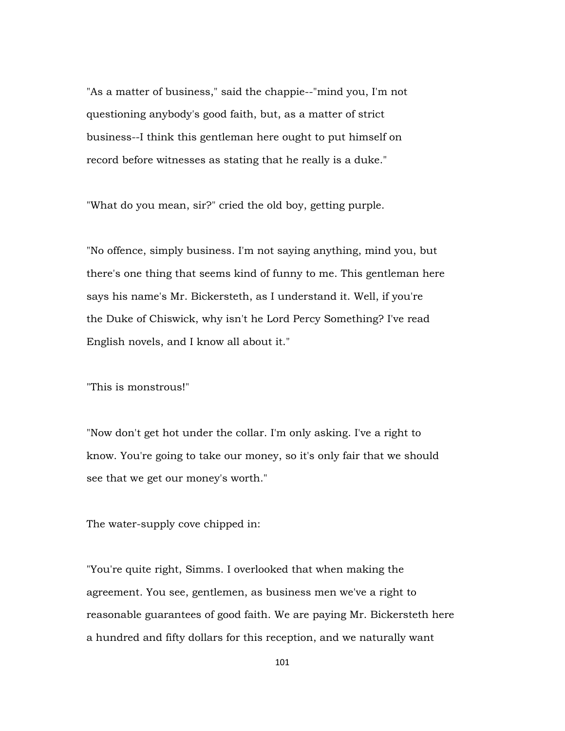"As a matter of business," said the chappie--"mind you, I'm not questioning anybody's good faith, but, as a matter of strict business--I think this gentleman here ought to put himself on record before witnesses as stating that he really is a duke."

"What do you mean, sir?" cried the old boy, getting purple.

"No offence, simply business. I'm not saying anything, mind you, but there's one thing that seems kind of funny to me. This gentleman here says his name's Mr. Bickersteth, as I understand it. Well, if you're the Duke of Chiswick, why isn't he Lord Percy Something? I've read English novels, and I know all about it."

"This is monstrous!"

"Now don't get hot under the collar. I'm only asking. I've a right to know. You're going to take our money, so it's only fair that we should see that we get our money's worth."

The water-supply cove chipped in:

"You're quite right, Simms. I overlooked that when making the agreement. You see, gentlemen, as business men we've a right to reasonable guarantees of good faith. We are paying Mr. Bickersteth here a hundred and fifty dollars for this reception, and we naturally want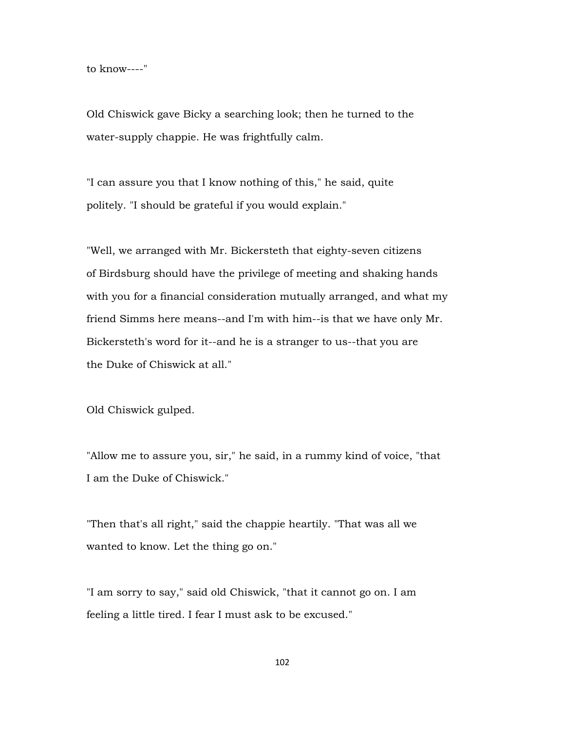to know----"

Old Chiswick gave Bicky a searching look; then he turned to the water-supply chappie. He was frightfully calm.

"I can assure you that I know nothing of this," he said, quite politely. "I should be grateful if you would explain."

"Well, we arranged with Mr. Bickersteth that eighty-seven citizens of Birdsburg should have the privilege of meeting and shaking hands with you for a financial consideration mutually arranged, and what my friend Simms here means--and I'm with him--is that we have only Mr. Bickersteth's word for it--and he is a stranger to us--that you are the Duke of Chiswick at all."

Old Chiswick gulped.

"Allow me to assure you, sir," he said, in a rummy kind of voice, "that I am the Duke of Chiswick."

"Then that's all right," said the chappie heartily. "That was all we wanted to know. Let the thing go on."

"I am sorry to say," said old Chiswick, "that it cannot go on. I am feeling a little tired. I fear I must ask to be excused."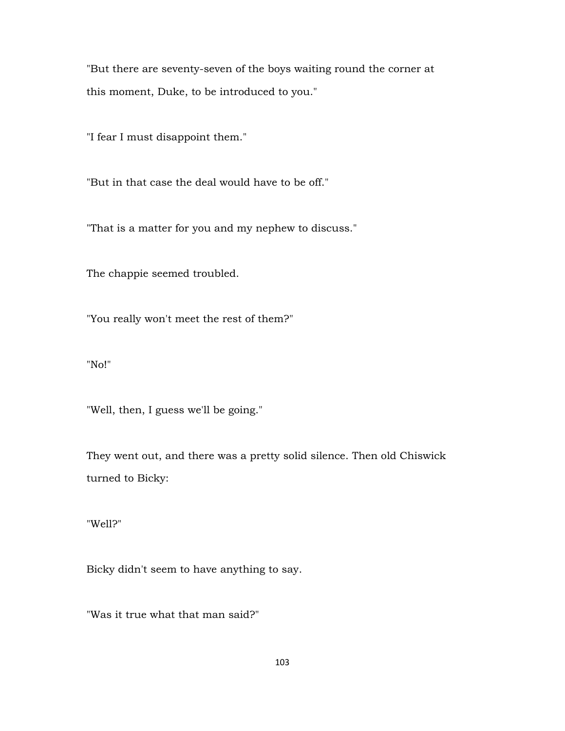"But there are seventy-seven of the boys waiting round the corner at this moment, Duke, to be introduced to you."

"I fear I must disappoint them."

"But in that case the deal would have to be off."

"That is a matter for you and my nephew to discuss."

The chappie seemed troubled.

"You really won't meet the rest of them?"

"No!"

"Well, then, I guess we'll be going."

They went out, and there was a pretty solid silence. Then old Chiswick turned to Bicky:

"Well?"

Bicky didn't seem to have anything to say.

"Was it true what that man said?"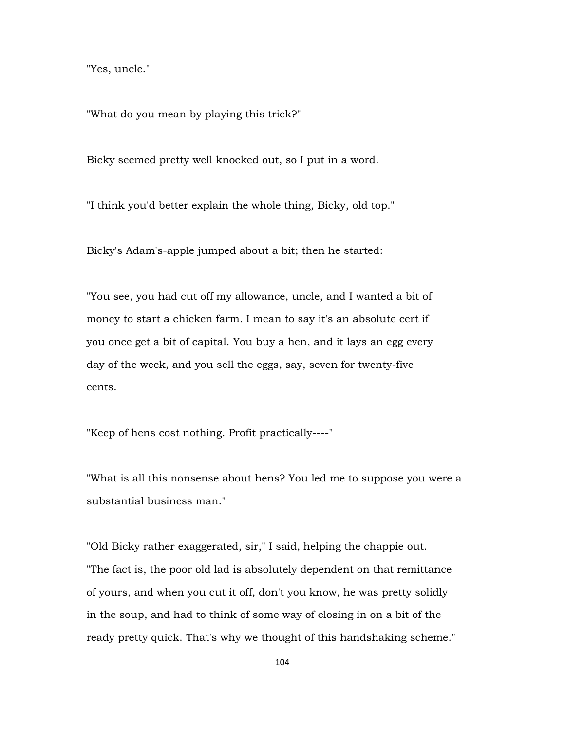"Yes, uncle."

"What do you mean by playing this trick?"

Bicky seemed pretty well knocked out, so I put in a word.

"I think you'd better explain the whole thing, Bicky, old top."

Bicky's Adam's-apple jumped about a bit; then he started:

"You see, you had cut off my allowance, uncle, and I wanted a bit of money to start a chicken farm. I mean to say it's an absolute cert if you once get a bit of capital. You buy a hen, and it lays an egg every day of the week, and you sell the eggs, say, seven for twenty-five cents.

"Keep of hens cost nothing. Profit practically----"

"What is all this nonsense about hens? You led me to suppose you were a substantial business man."

"Old Bicky rather exaggerated, sir," I said, helping the chappie out. "The fact is, the poor old lad is absolutely dependent on that remittance of yours, and when you cut it off, don't you know, he was pretty solidly in the soup, and had to think of some way of closing in on a bit of the ready pretty quick. That's why we thought of this handshaking scheme."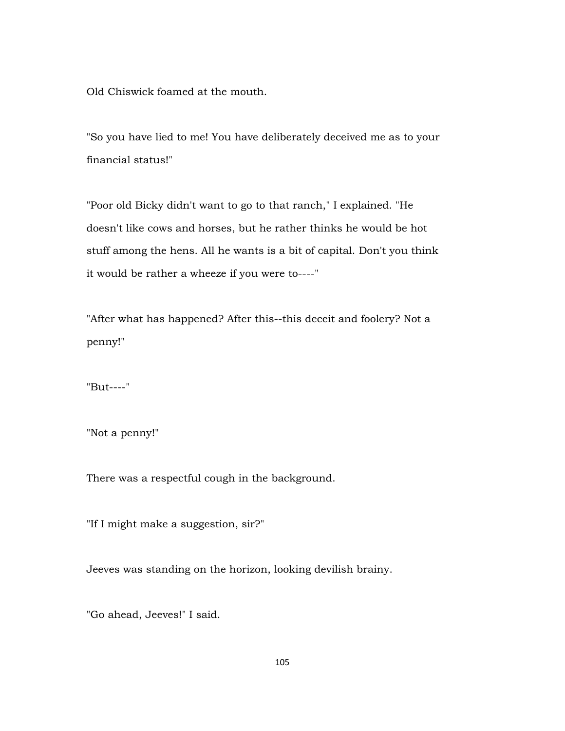Old Chiswick foamed at the mouth.

"So you have lied to me! You have deliberately deceived me as to your financial status!"

"Poor old Bicky didn't want to go to that ranch," I explained. "He doesn't like cows and horses, but he rather thinks he would be hot stuff among the hens. All he wants is a bit of capital. Don't you think it would be rather a wheeze if you were to----"

"After what has happened? After this--this deceit and foolery? Not a penny!"

"But----"

"Not a penny!"

There was a respectful cough in the background.

"If I might make a suggestion, sir?"

Jeeves was standing on the horizon, looking devilish brainy.

"Go ahead, Jeeves!" I said.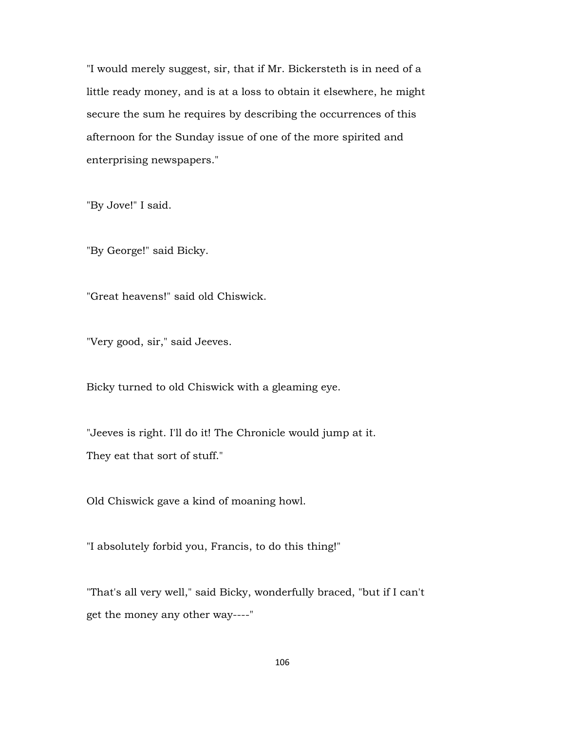"I would merely suggest, sir, that if Mr. Bickersteth is in need of a little ready money, and is at a loss to obtain it elsewhere, he might secure the sum he requires by describing the occurrences of this afternoon for the Sunday issue of one of the more spirited and enterprising newspapers."

"By Jove!" I said.

"By George!" said Bicky.

"Great heavens!" said old Chiswick.

"Very good, sir," said Jeeves.

Bicky turned to old Chiswick with a gleaming eye.

"Jeeves is right. I'll do it! The Chronicle would jump at it. They eat that sort of stuff."

Old Chiswick gave a kind of moaning howl.

"I absolutely forbid you, Francis, to do this thing!"

"That's all very well," said Bicky, wonderfully braced, "but if I can't get the money any other way----"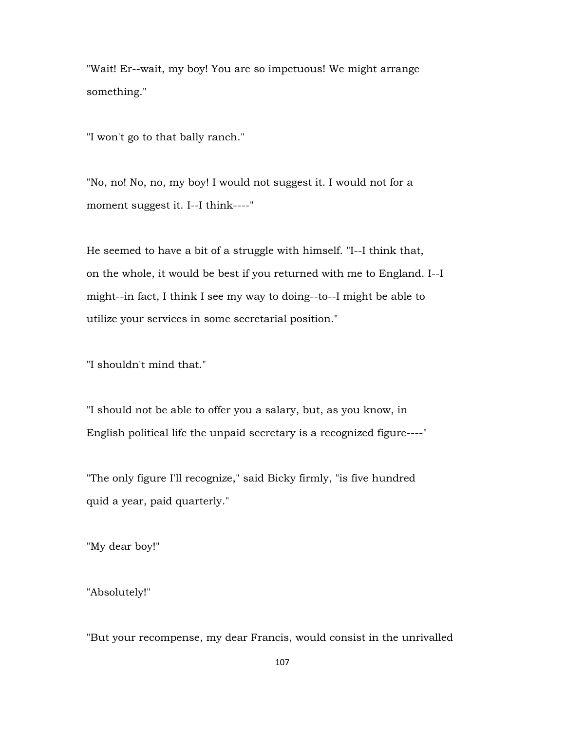"Wait! Er--wait, my boy! You are so impetuous! We might arrange something."

"I won't go to that bally ranch."

"No, no! No, no, my boy! I would not suggest it. I would not for a moment suggest it. I--I think----"

He seemed to have a bit of a struggle with himself. "I--I think that, on the whole, it would be best if you returned with me to England. I--I might--in fact, I think I see my way to doing--to--I might be able to utilize your services in some secretarial position."

"I shouldn't mind that."

"I should not be able to offer you a salary, but, as you know, in English political life the unpaid secretary is a recognized figure----"

"The only figure I'll recognize," said Bicky firmly, "is five hundred quid a year, paid quarterly."

"My dear boy!"

"Absolutely!"

"But your recompense, my dear Francis, would consist in the unrivalled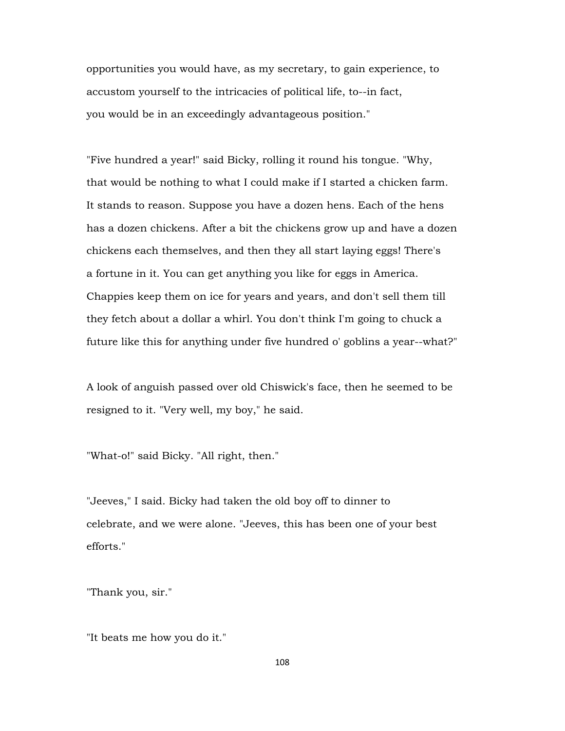opportunities you would have, as my secretary, to gain experience, to accustom yourself to the intricacies of political life, to--in fact, you would be in an exceedingly advantageous position."

"Five hundred a year!" said Bicky, rolling it round his tongue. "Why, that would be nothing to what I could make if I started a chicken farm. It stands to reason. Suppose you have a dozen hens. Each of the hens has a dozen chickens. After a bit the chickens grow up and have a dozen chickens each themselves, and then they all start laying eggs! There's a fortune in it. You can get anything you like for eggs in America. Chappies keep them on ice for years and years, and don't sell them till they fetch about a dollar a whirl. You don't think I'm going to chuck a future like this for anything under five hundred o' goblins a year--what?"

A look of anguish passed over old Chiswick's face, then he seemed to be resigned to it. "Very well, my boy," he said.

"What-o!" said Bicky. "All right, then."

"Jeeves," I said. Bicky had taken the old boy off to dinner to celebrate, and we were alone. "Jeeves, this has been one of your best efforts."

"Thank you, sir."

"It beats me how you do it."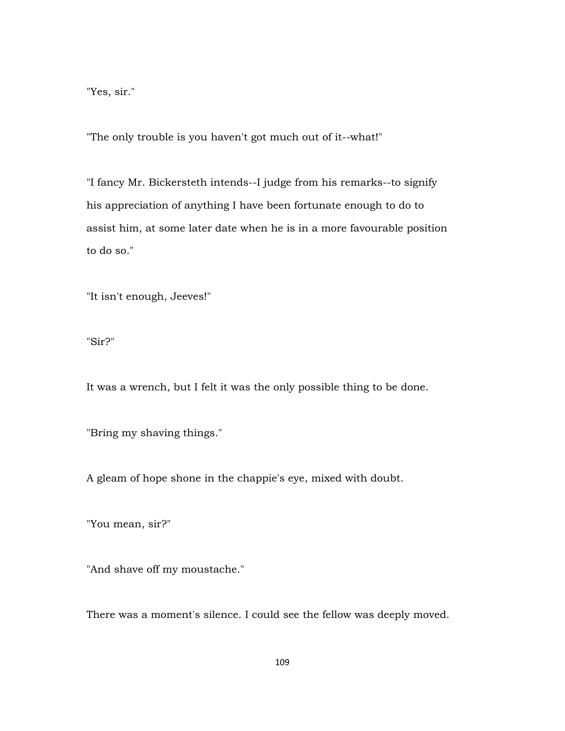"Yes, sir."

"The only trouble is you haven't got much out of it--what!"

"I fancy Mr. Bickersteth intends--I judge from his remarks--to signify his appreciation of anything I have been fortunate enough to do to assist him, at some later date when he is in a more favourable position to do so."

"It isn't enough, Jeeves!"

"Sir?"

It was a wrench, but I felt it was the only possible thing to be done.

"Bring my shaving things."

A gleam of hope shone in the chappie's eye, mixed with doubt.

"You mean, sir?"

"And shave off my moustache."

There was a moment's silence. I could see the fellow was deeply moved.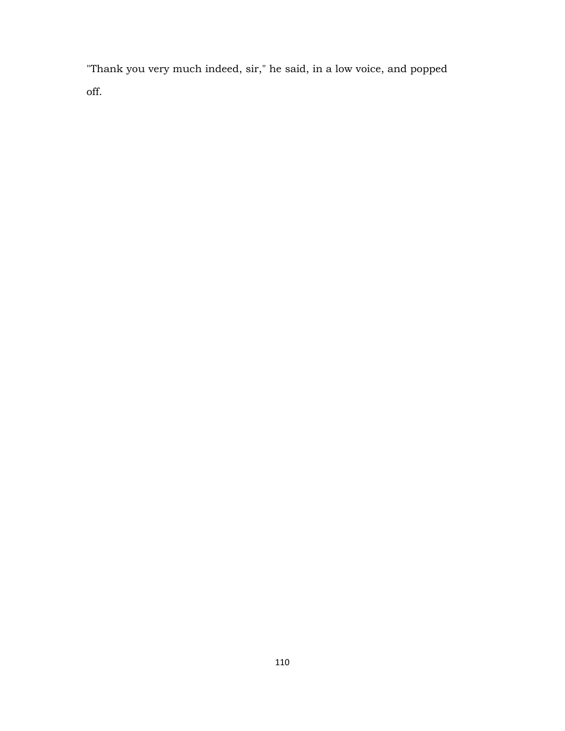"Thank you very much indeed, sir," he said, in a low voice, and popped off.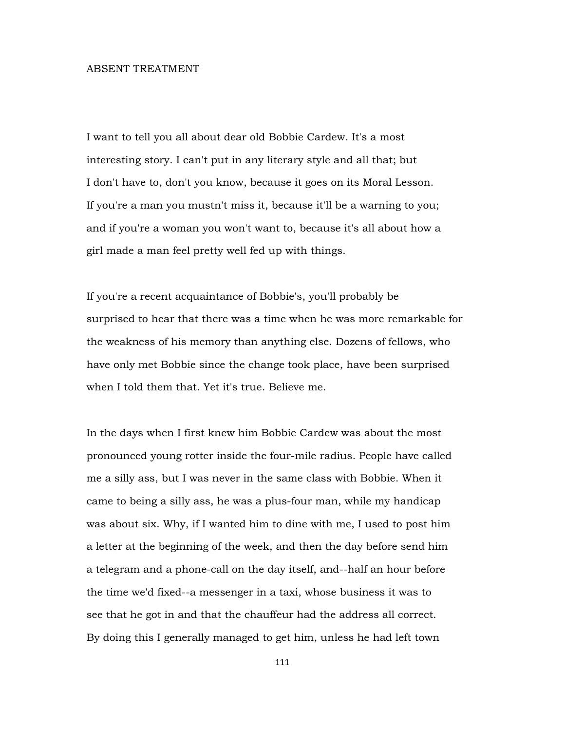## ABSENT TREATMENT

I want to tell you all about dear old Bobbie Cardew. It's a most interesting story. I can't put in any literary style and all that; but I don't have to, don't you know, because it goes on its Moral Lesson. If you're a man you mustn't miss it, because it'll be a warning to you; and if you're a woman you won't want to, because it's all about how a girl made a man feel pretty well fed up with things.

If you're a recent acquaintance of Bobbie's, you'll probably be surprised to hear that there was a time when he was more remarkable for the weakness of his memory than anything else. Dozens of fellows, who have only met Bobbie since the change took place, have been surprised when I told them that. Yet it's true. Believe me.

In the days when I first knew him Bobbie Cardew was about the most pronounced young rotter inside the four-mile radius. People have called me a silly ass, but I was never in the same class with Bobbie. When it came to being a silly ass, he was a plus-four man, while my handicap was about six. Why, if I wanted him to dine with me, I used to post him a letter at the beginning of the week, and then the day before send him a telegram and a phone-call on the day itself, and--half an hour before the time we'd fixed--a messenger in a taxi, whose business it was to see that he got in and that the chauffeur had the address all correct. By doing this I generally managed to get him, unless he had left town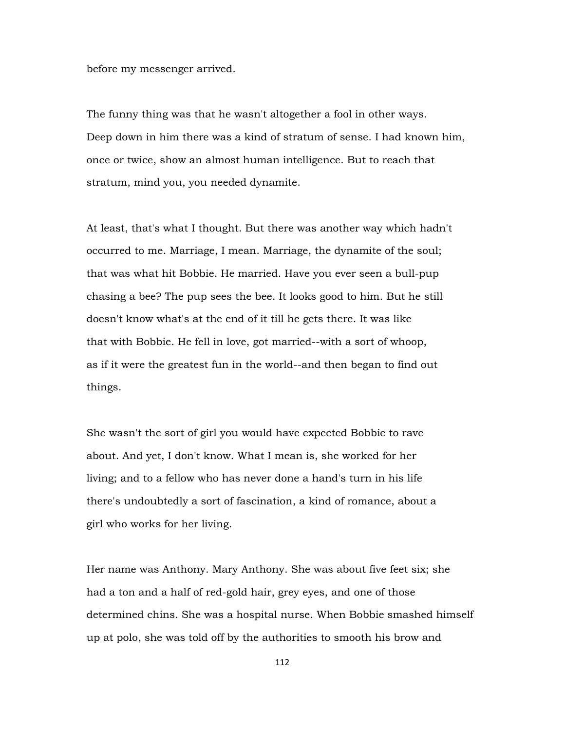before my messenger arrived.

The funny thing was that he wasn't altogether a fool in other ways. Deep down in him there was a kind of stratum of sense. I had known him, once or twice, show an almost human intelligence. But to reach that stratum, mind you, you needed dynamite.

At least, that's what I thought. But there was another way which hadn't occurred to me. Marriage, I mean. Marriage, the dynamite of the soul; that was what hit Bobbie. He married. Have you ever seen a bull-pup chasing a bee? The pup sees the bee. It looks good to him. But he still doesn't know what's at the end of it till he gets there. It was like that with Bobbie. He fell in love, got married--with a sort of whoop, as if it were the greatest fun in the world--and then began to find out things.

She wasn't the sort of girl you would have expected Bobbie to rave about. And yet, I don't know. What I mean is, she worked for her living; and to a fellow who has never done a hand's turn in his life there's undoubtedly a sort of fascination, a kind of romance, about a girl who works for her living.

Her name was Anthony. Mary Anthony. She was about five feet six; she had a ton and a half of red-gold hair, grey eyes, and one of those determined chins. She was a hospital nurse. When Bobbie smashed himself up at polo, she was told off by the authorities to smooth his brow and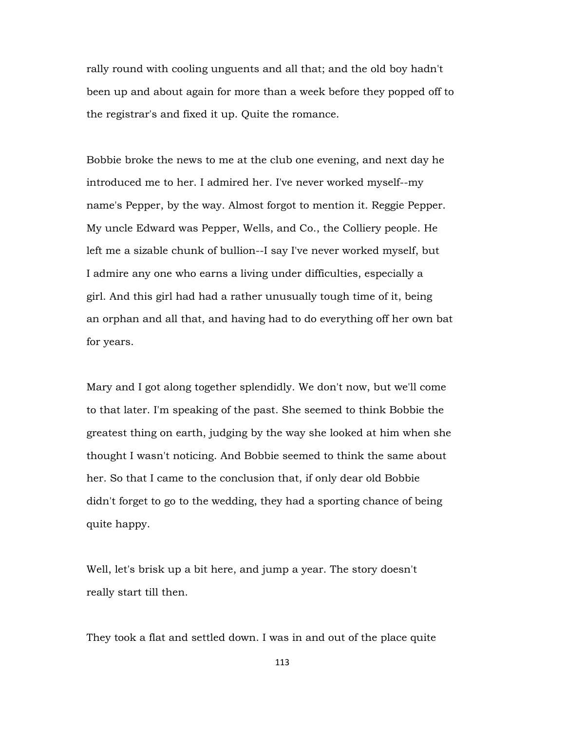rally round with cooling unguents and all that; and the old boy hadn't been up and about again for more than a week before they popped off to the registrar's and fixed it up. Quite the romance.

Bobbie broke the news to me at the club one evening, and next day he introduced me to her. I admired her. I've never worked myself--my name's Pepper, by the way. Almost forgot to mention it. Reggie Pepper. My uncle Edward was Pepper, Wells, and Co., the Colliery people. He left me a sizable chunk of bullion--I say I've never worked myself, but I admire any one who earns a living under difficulties, especially a girl. And this girl had had a rather unusually tough time of it, being an orphan and all that, and having had to do everything off her own bat for years.

Mary and I got along together splendidly. We don't now, but we'll come to that later. I'm speaking of the past. She seemed to think Bobbie the greatest thing on earth, judging by the way she looked at him when she thought I wasn't noticing. And Bobbie seemed to think the same about her. So that I came to the conclusion that, if only dear old Bobbie didn't forget to go to the wedding, they had a sporting chance of being quite happy.

Well, let's brisk up a bit here, and jump a year. The story doesn't really start till then.

They took a flat and settled down. I was in and out of the place quite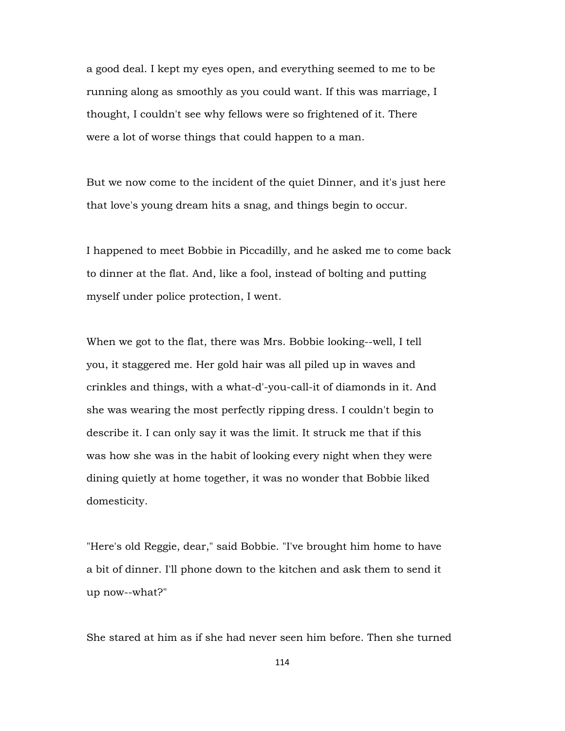a good deal. I kept my eyes open, and everything seemed to me to be running along as smoothly as you could want. If this was marriage, I thought, I couldn't see why fellows were so frightened of it. There were a lot of worse things that could happen to a man.

But we now come to the incident of the quiet Dinner, and it's just here that love's young dream hits a snag, and things begin to occur.

I happened to meet Bobbie in Piccadilly, and he asked me to come back to dinner at the flat. And, like a fool, instead of bolting and putting myself under police protection, I went.

When we got to the flat, there was Mrs. Bobbie looking--well, I tell you, it staggered me. Her gold hair was all piled up in waves and crinkles and things, with a what-d'-you-call-it of diamonds in it. And she was wearing the most perfectly ripping dress. I couldn't begin to describe it. I can only say it was the limit. It struck me that if this was how she was in the habit of looking every night when they were dining quietly at home together, it was no wonder that Bobbie liked domesticity.

"Here's old Reggie, dear," said Bobbie. "I've brought him home to have a bit of dinner. I'll phone down to the kitchen and ask them to send it up now--what?"

She stared at him as if she had never seen him before. Then she turned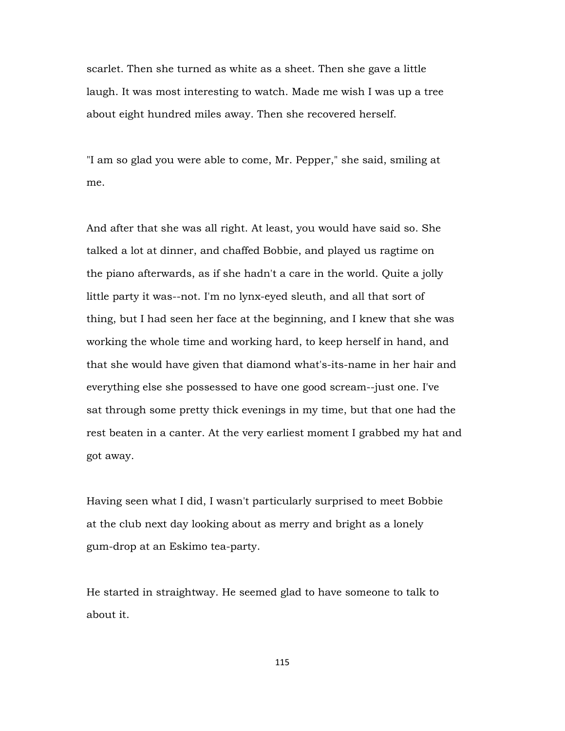scarlet. Then she turned as white as a sheet. Then she gave a little laugh. It was most interesting to watch. Made me wish I was up a tree about eight hundred miles away. Then she recovered herself.

"I am so glad you were able to come, Mr. Pepper," she said, smiling at me.

And after that she was all right. At least, you would have said so. She talked a lot at dinner, and chaffed Bobbie, and played us ragtime on the piano afterwards, as if she hadn't a care in the world. Quite a jolly little party it was--not. I'm no lynx-eyed sleuth, and all that sort of thing, but I had seen her face at the beginning, and I knew that she was working the whole time and working hard, to keep herself in hand, and that she would have given that diamond what's-its-name in her hair and everything else she possessed to have one good scream--just one. I've sat through some pretty thick evenings in my time, but that one had the rest beaten in a canter. At the very earliest moment I grabbed my hat and got away.

Having seen what I did, I wasn't particularly surprised to meet Bobbie at the club next day looking about as merry and bright as a lonely gum-drop at an Eskimo tea-party.

He started in straightway. He seemed glad to have someone to talk to about it.

115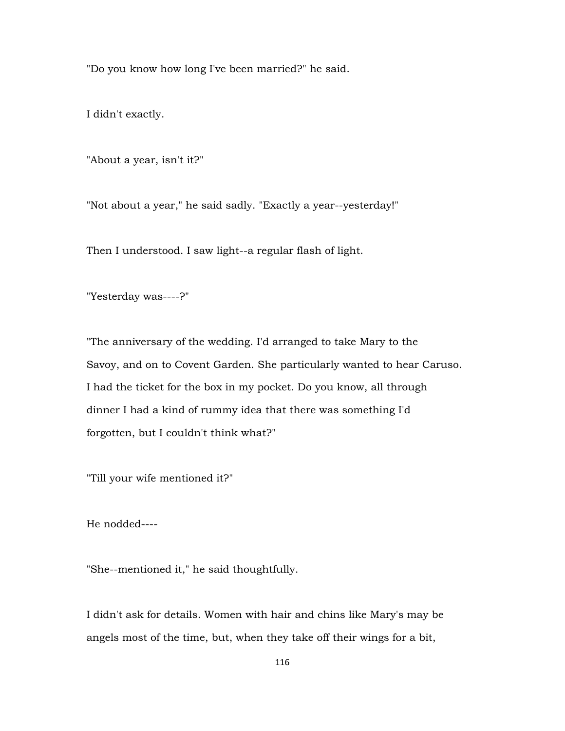"Do you know how long I've been married?" he said.

I didn't exactly.

"About a year, isn't it?"

"Not about a year," he said sadly. "Exactly a year--yesterday!"

Then I understood. I saw light--a regular flash of light.

"Yesterday was----?"

"The anniversary of the wedding. I'd arranged to take Mary to the Savoy, and on to Covent Garden. She particularly wanted to hear Caruso. I had the ticket for the box in my pocket. Do you know, all through dinner I had a kind of rummy idea that there was something I'd forgotten, but I couldn't think what?"

"Till your wife mentioned it?"

He nodded----

"She--mentioned it," he said thoughtfully.

I didn't ask for details. Women with hair and chins like Mary's may be angels most of the time, but, when they take off their wings for a bit,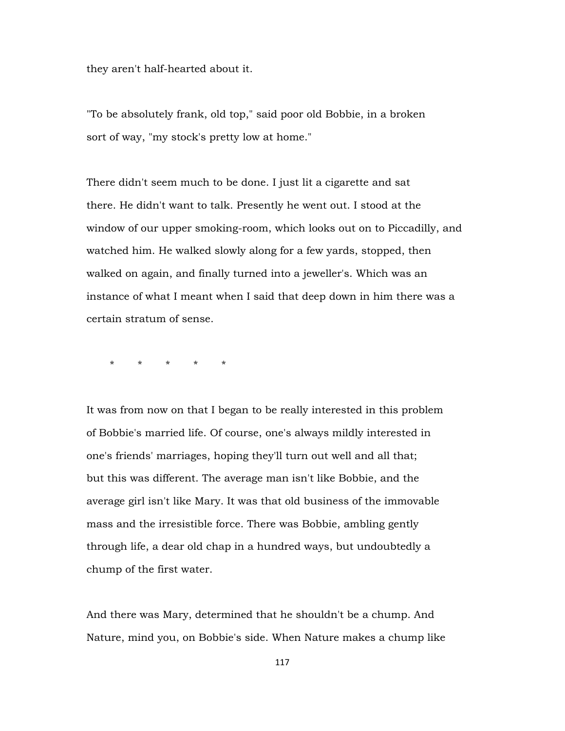they aren't half-hearted about it.

"To be absolutely frank, old top," said poor old Bobbie, in a broken sort of way, "my stock's pretty low at home."

There didn't seem much to be done. I just lit a cigarette and sat there. He didn't want to talk. Presently he went out. I stood at the window of our upper smoking-room, which looks out on to Piccadilly, and watched him. He walked slowly along for a few yards, stopped, then walked on again, and finally turned into a jeweller's. Which was an instance of what I meant when I said that deep down in him there was a certain stratum of sense.

\* \* \* \* \*

It was from now on that I began to be really interested in this problem of Bobbie's married life. Of course, one's always mildly interested in one's friends' marriages, hoping they'll turn out well and all that; but this was different. The average man isn't like Bobbie, and the average girl isn't like Mary. It was that old business of the immovable mass and the irresistible force. There was Bobbie, ambling gently through life, a dear old chap in a hundred ways, but undoubtedly a chump of the first water.

And there was Mary, determined that he shouldn't be a chump. And Nature, mind you, on Bobbie's side. When Nature makes a chump like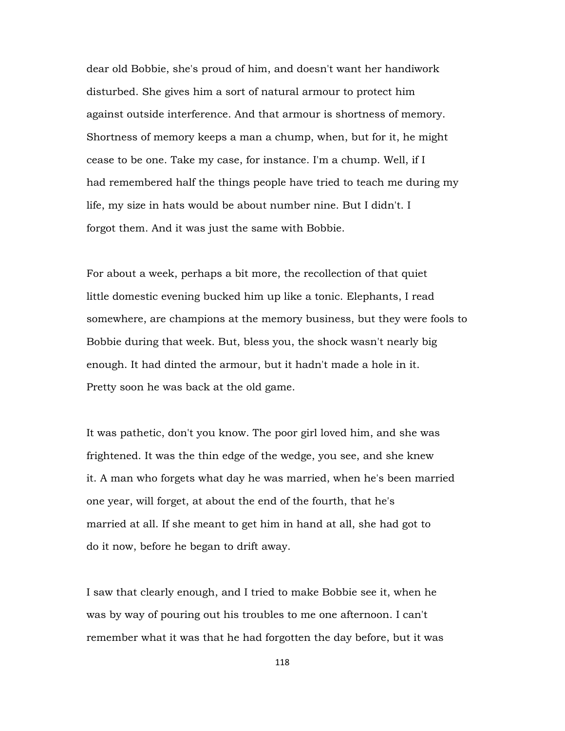dear old Bobbie, she's proud of him, and doesn't want her handiwork disturbed. She gives him a sort of natural armour to protect him against outside interference. And that armour is shortness of memory. Shortness of memory keeps a man a chump, when, but for it, he might cease to be one. Take my case, for instance. I'm a chump. Well, if I had remembered half the things people have tried to teach me during my life, my size in hats would be about number nine. But I didn't. I forgot them. And it was just the same with Bobbie.

For about a week, perhaps a bit more, the recollection of that quiet little domestic evening bucked him up like a tonic. Elephants, I read somewhere, are champions at the memory business, but they were fools to Bobbie during that week. But, bless you, the shock wasn't nearly big enough. It had dinted the armour, but it hadn't made a hole in it. Pretty soon he was back at the old game.

It was pathetic, don't you know. The poor girl loved him, and she was frightened. It was the thin edge of the wedge, you see, and she knew it. A man who forgets what day he was married, when he's been married one year, will forget, at about the end of the fourth, that he's married at all. If she meant to get him in hand at all, she had got to do it now, before he began to drift away.

I saw that clearly enough, and I tried to make Bobbie see it, when he was by way of pouring out his troubles to me one afternoon. I can't remember what it was that he had forgotten the day before, but it was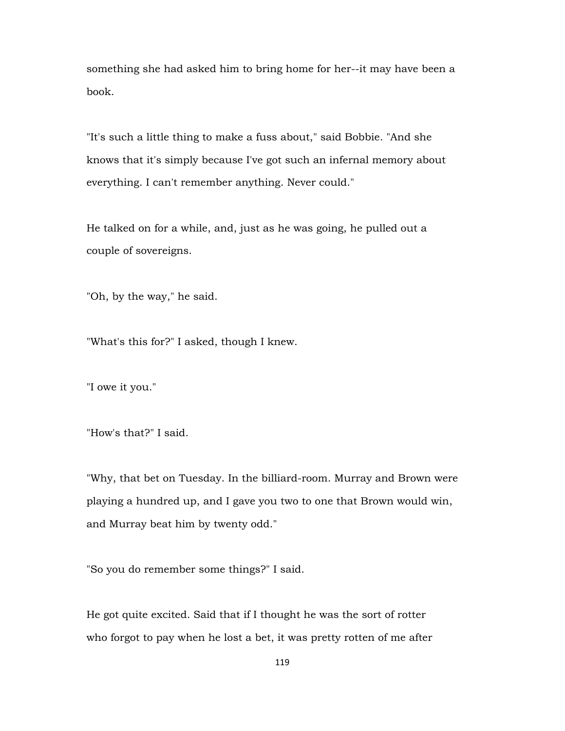something she had asked him to bring home for her--it may have been a book.

"It's such a little thing to make a fuss about," said Bobbie. "And she knows that it's simply because I've got such an infernal memory about everything. I can't remember anything. Never could."

He talked on for a while, and, just as he was going, he pulled out a couple of sovereigns.

"Oh, by the way," he said.

"What's this for?" I asked, though I knew.

"I owe it you."

"How's that?" I said.

"Why, that bet on Tuesday. In the billiard-room. Murray and Brown were playing a hundred up, and I gave you two to one that Brown would win, and Murray beat him by twenty odd."

"So you do remember some things?" I said.

He got quite excited. Said that if I thought he was the sort of rotter who forgot to pay when he lost a bet, it was pretty rotten of me after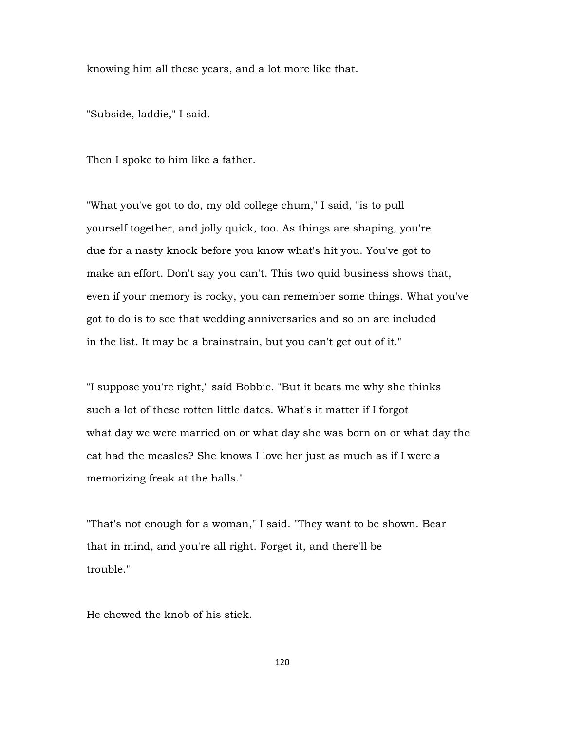knowing him all these years, and a lot more like that.

"Subside, laddie," I said.

Then I spoke to him like a father.

"What you've got to do, my old college chum," I said, "is to pull yourself together, and jolly quick, too. As things are shaping, you're due for a nasty knock before you know what's hit you. You've got to make an effort. Don't say you can't. This two quid business shows that, even if your memory is rocky, you can remember some things. What you've got to do is to see that wedding anniversaries and so on are included in the list. It may be a brainstrain, but you can't get out of it."

"I suppose you're right," said Bobbie. "But it beats me why she thinks such a lot of these rotten little dates. What's it matter if I forgot what day we were married on or what day she was born on or what day the cat had the measles? She knows I love her just as much as if I were a memorizing freak at the halls."

"That's not enough for a woman," I said. "They want to be shown. Bear that in mind, and you're all right. Forget it, and there'll be trouble."

He chewed the knob of his stick.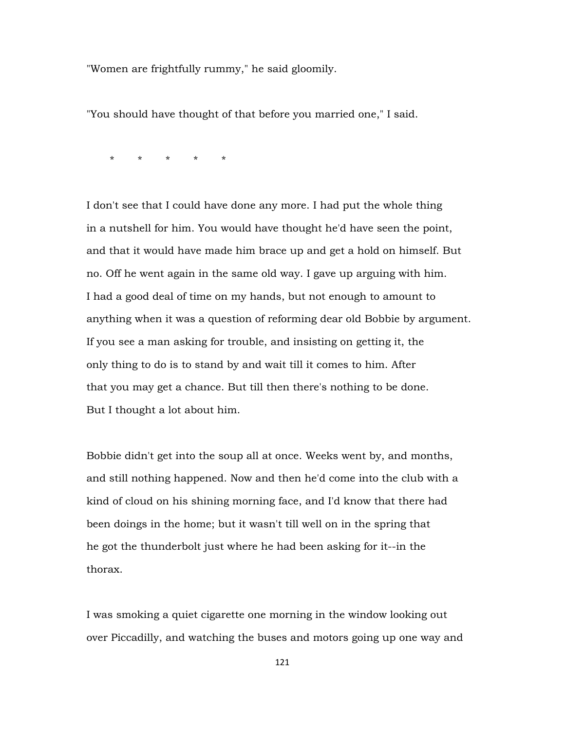"Women are frightfully rummy," he said gloomily.

"You should have thought of that before you married one," I said.

\* \* \* \* \*

I don't see that I could have done any more. I had put the whole thing in a nutshell for him. You would have thought he'd have seen the point, and that it would have made him brace up and get a hold on himself. But no. Off he went again in the same old way. I gave up arguing with him. I had a good deal of time on my hands, but not enough to amount to anything when it was a question of reforming dear old Bobbie by argument. If you see a man asking for trouble, and insisting on getting it, the only thing to do is to stand by and wait till it comes to him. After that you may get a chance. But till then there's nothing to be done. But I thought a lot about him.

Bobbie didn't get into the soup all at once. Weeks went by, and months, and still nothing happened. Now and then he'd come into the club with a kind of cloud on his shining morning face, and I'd know that there had been doings in the home; but it wasn't till well on in the spring that he got the thunderbolt just where he had been asking for it--in the thorax.

I was smoking a quiet cigarette one morning in the window looking out over Piccadilly, and watching the buses and motors going up one way and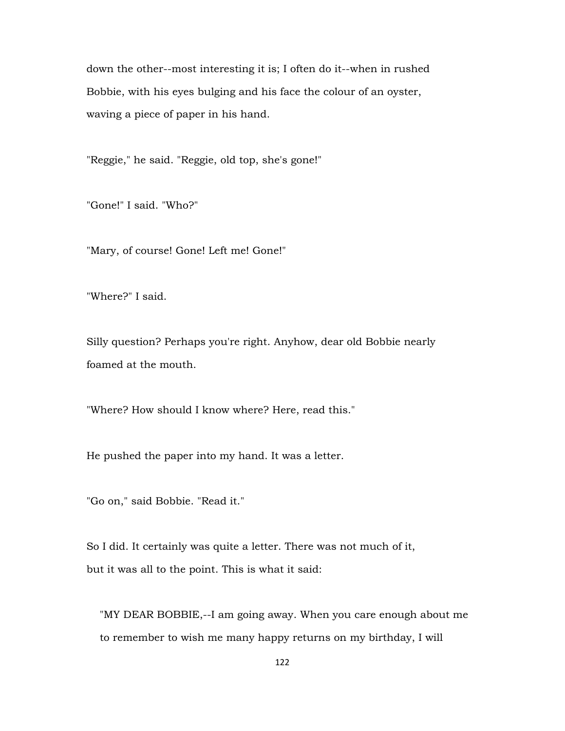down the other--most interesting it is; I often do it--when in rushed Bobbie, with his eyes bulging and his face the colour of an oyster, waving a piece of paper in his hand.

"Reggie," he said. "Reggie, old top, she's gone!"

"Gone!" I said. "Who?"

"Mary, of course! Gone! Left me! Gone!"

"Where?" I said.

Silly question? Perhaps you're right. Anyhow, dear old Bobbie nearly foamed at the mouth.

"Where? How should I know where? Here, read this."

He pushed the paper into my hand. It was a letter.

"Go on," said Bobbie. "Read it."

So I did. It certainly was quite a letter. There was not much of it, but it was all to the point. This is what it said:

 "MY DEAR BOBBIE,--I am going away. When you care enough about me to remember to wish me many happy returns on my birthday, I will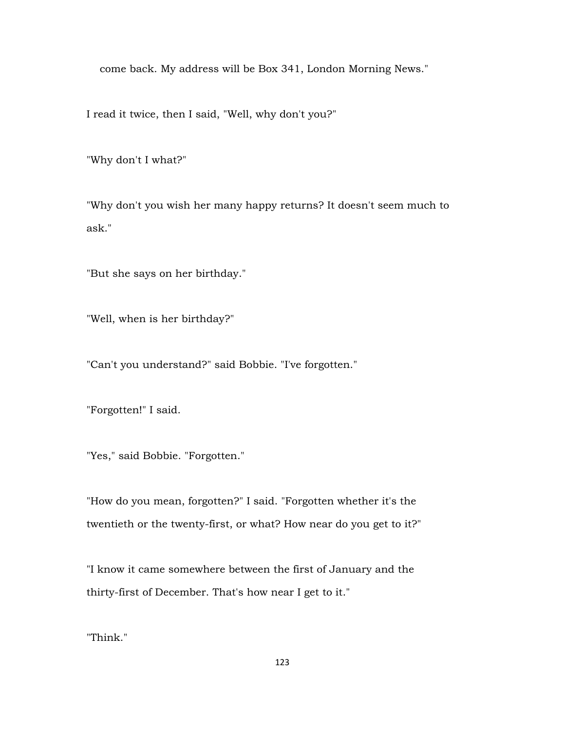come back. My address will be Box 341, London Morning News."

I read it twice, then I said, "Well, why don't you?"

"Why don't I what?"

"Why don't you wish her many happy returns? It doesn't seem much to ask."

"But she says on her birthday."

"Well, when is her birthday?"

"Can't you understand?" said Bobbie. "I've forgotten."

"Forgotten!" I said.

"Yes," said Bobbie. "Forgotten."

"How do you mean, forgotten?" I said. "Forgotten whether it's the twentieth or the twenty-first, or what? How near do you get to it?"

"I know it came somewhere between the first of January and the thirty-first of December. That's how near I get to it."

"Think."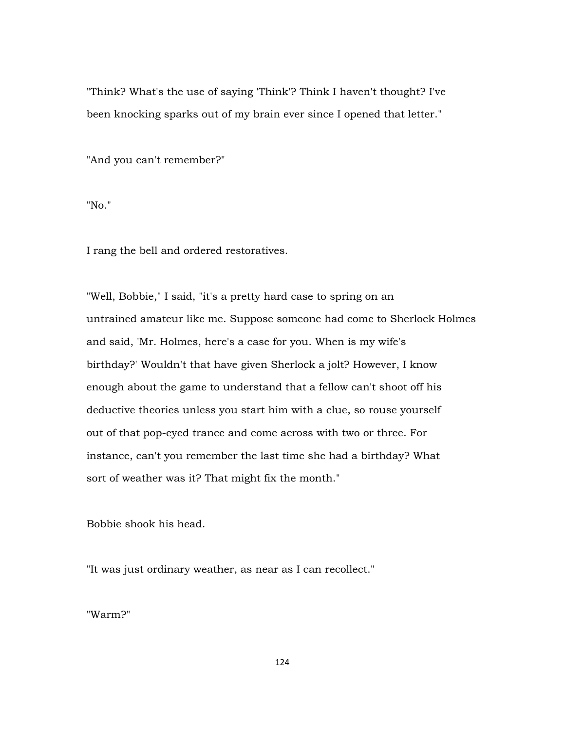"Think? What's the use of saying 'Think'? Think I haven't thought? I've been knocking sparks out of my brain ever since I opened that letter."

"And you can't remember?"

"No."

I rang the bell and ordered restoratives.

"Well, Bobbie," I said, "it's a pretty hard case to spring on an untrained amateur like me. Suppose someone had come to Sherlock Holmes and said, 'Mr. Holmes, here's a case for you. When is my wife's birthday?' Wouldn't that have given Sherlock a jolt? However, I know enough about the game to understand that a fellow can't shoot off his deductive theories unless you start him with a clue, so rouse yourself out of that pop-eyed trance and come across with two or three. For instance, can't you remember the last time she had a birthday? What sort of weather was it? That might fix the month."

Bobbie shook his head.

"It was just ordinary weather, as near as I can recollect."

"Warm?"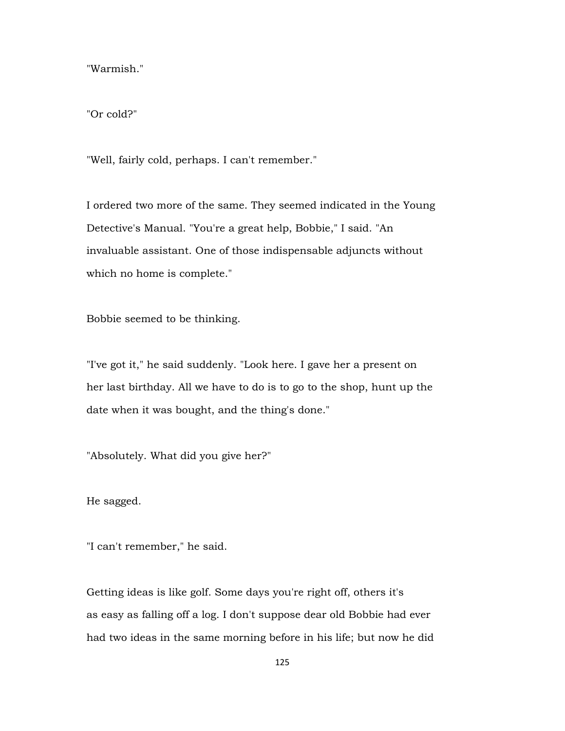"Warmish."

"Or cold?"

"Well, fairly cold, perhaps. I can't remember."

I ordered two more of the same. They seemed indicated in the Young Detective's Manual. "You're a great help, Bobbie," I said. "An invaluable assistant. One of those indispensable adjuncts without which no home is complete."

Bobbie seemed to be thinking.

"I've got it," he said suddenly. "Look here. I gave her a present on her last birthday. All we have to do is to go to the shop, hunt up the date when it was bought, and the thing's done."

"Absolutely. What did you give her?"

He sagged.

"I can't remember," he said.

Getting ideas is like golf. Some days you're right off, others it's as easy as falling off a log. I don't suppose dear old Bobbie had ever had two ideas in the same morning before in his life; but now he did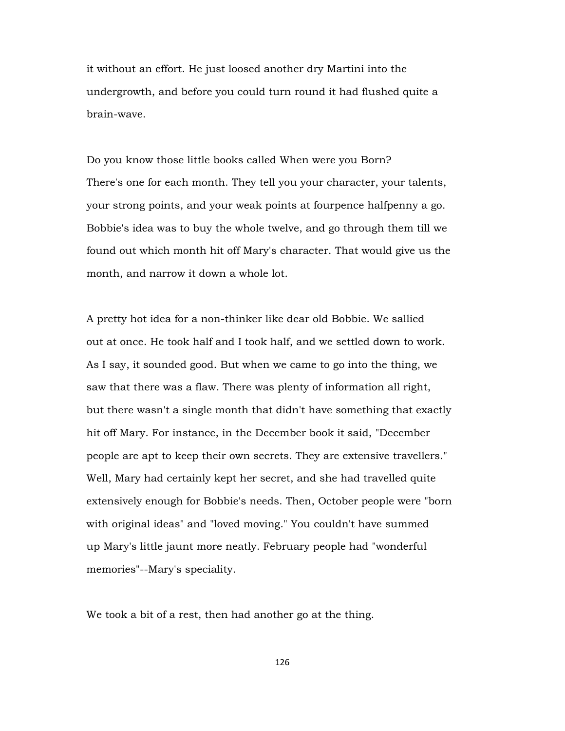it without an effort. He just loosed another dry Martini into the undergrowth, and before you could turn round it had flushed quite a brain-wave.

Do you know those little books called When were you Born? There's one for each month. They tell you your character, your talents, your strong points, and your weak points at fourpence halfpenny a go. Bobbie's idea was to buy the whole twelve, and go through them till we found out which month hit off Mary's character. That would give us the month, and narrow it down a whole lot.

A pretty hot idea for a non-thinker like dear old Bobbie. We sallied out at once. He took half and I took half, and we settled down to work. As I say, it sounded good. But when we came to go into the thing, we saw that there was a flaw. There was plenty of information all right, but there wasn't a single month that didn't have something that exactly hit off Mary. For instance, in the December book it said, "December people are apt to keep their own secrets. They are extensive travellers." Well, Mary had certainly kept her secret, and she had travelled quite extensively enough for Bobbie's needs. Then, October people were "born with original ideas" and "loved moving." You couldn't have summed up Mary's little jaunt more neatly. February people had "wonderful memories"--Mary's speciality.

We took a bit of a rest, then had another go at the thing.

126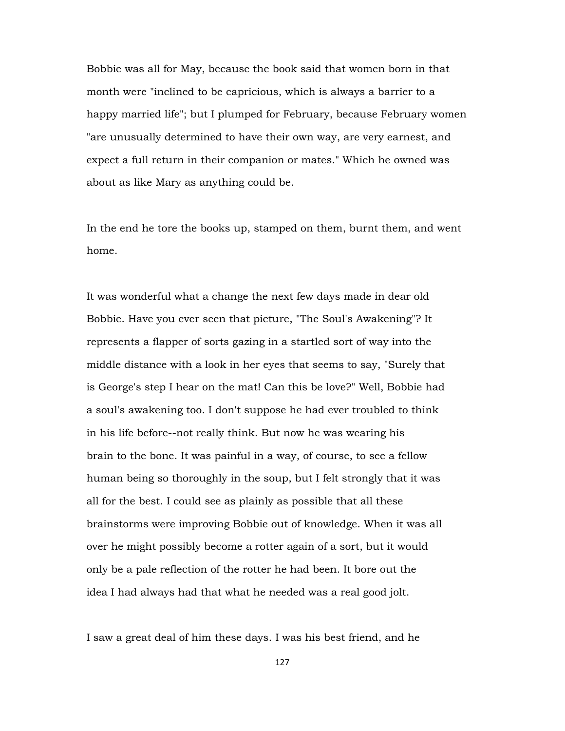Bobbie was all for May, because the book said that women born in that month were "inclined to be capricious, which is always a barrier to a happy married life"; but I plumped for February, because February women "are unusually determined to have their own way, are very earnest, and expect a full return in their companion or mates." Which he owned was about as like Mary as anything could be.

In the end he tore the books up, stamped on them, burnt them, and went home.

It was wonderful what a change the next few days made in dear old Bobbie. Have you ever seen that picture, "The Soul's Awakening"? It represents a flapper of sorts gazing in a startled sort of way into the middle distance with a look in her eyes that seems to say, "Surely that is George's step I hear on the mat! Can this be love?" Well, Bobbie had a soul's awakening too. I don't suppose he had ever troubled to think in his life before--not really think. But now he was wearing his brain to the bone. It was painful in a way, of course, to see a fellow human being so thoroughly in the soup, but I felt strongly that it was all for the best. I could see as plainly as possible that all these brainstorms were improving Bobbie out of knowledge. When it was all over he might possibly become a rotter again of a sort, but it would only be a pale reflection of the rotter he had been. It bore out the idea I had always had that what he needed was a real good jolt.

I saw a great deal of him these days. I was his best friend, and he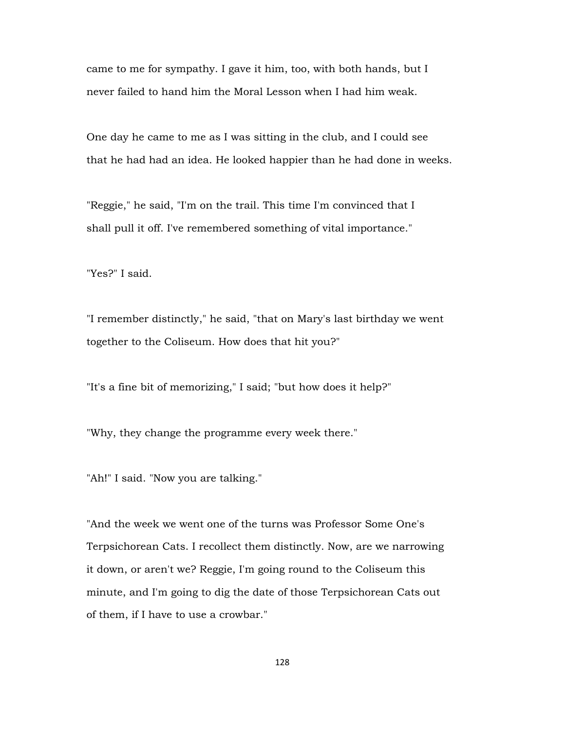came to me for sympathy. I gave it him, too, with both hands, but I never failed to hand him the Moral Lesson when I had him weak.

One day he came to me as I was sitting in the club, and I could see that he had had an idea. He looked happier than he had done in weeks.

"Reggie," he said, "I'm on the trail. This time I'm convinced that I shall pull it off. I've remembered something of vital importance."

"Yes?" I said.

"I remember distinctly," he said, "that on Mary's last birthday we went together to the Coliseum. How does that hit you?"

"It's a fine bit of memorizing," I said; "but how does it help?"

"Why, they change the programme every week there."

"Ah!" I said. "Now you are talking."

"And the week we went one of the turns was Professor Some One's Terpsichorean Cats. I recollect them distinctly. Now, are we narrowing it down, or aren't we? Reggie, I'm going round to the Coliseum this minute, and I'm going to dig the date of those Terpsichorean Cats out of them, if I have to use a crowbar."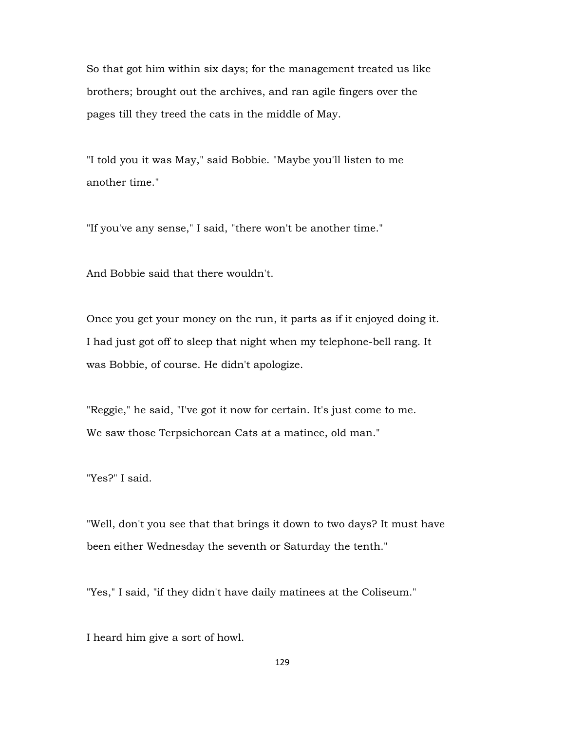So that got him within six days; for the management treated us like brothers; brought out the archives, and ran agile fingers over the pages till they treed the cats in the middle of May.

"I told you it was May," said Bobbie. "Maybe you'll listen to me another time."

"If you've any sense," I said, "there won't be another time."

And Bobbie said that there wouldn't.

Once you get your money on the run, it parts as if it enjoyed doing it. I had just got off to sleep that night when my telephone-bell rang. It was Bobbie, of course. He didn't apologize.

"Reggie," he said, "I've got it now for certain. It's just come to me. We saw those Terpsichorean Cats at a matinee, old man."

"Yes?" I said.

"Well, don't you see that that brings it down to two days? It must have been either Wednesday the seventh or Saturday the tenth."

"Yes," I said, "if they didn't have daily matinees at the Coliseum."

I heard him give a sort of howl.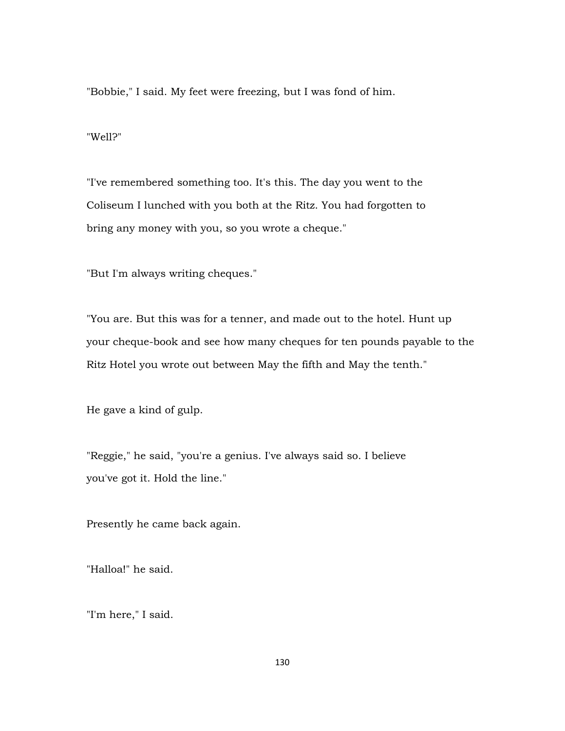"Bobbie," I said. My feet were freezing, but I was fond of him.

"Well?"

"I've remembered something too. It's this. The day you went to the Coliseum I lunched with you both at the Ritz. You had forgotten to bring any money with you, so you wrote a cheque."

"But I'm always writing cheques."

"You are. But this was for a tenner, and made out to the hotel. Hunt up your cheque-book and see how many cheques for ten pounds payable to the Ritz Hotel you wrote out between May the fifth and May the tenth."

He gave a kind of gulp.

"Reggie," he said, "you're a genius. I've always said so. I believe you've got it. Hold the line."

Presently he came back again.

"Halloa!" he said.

"I'm here," I said.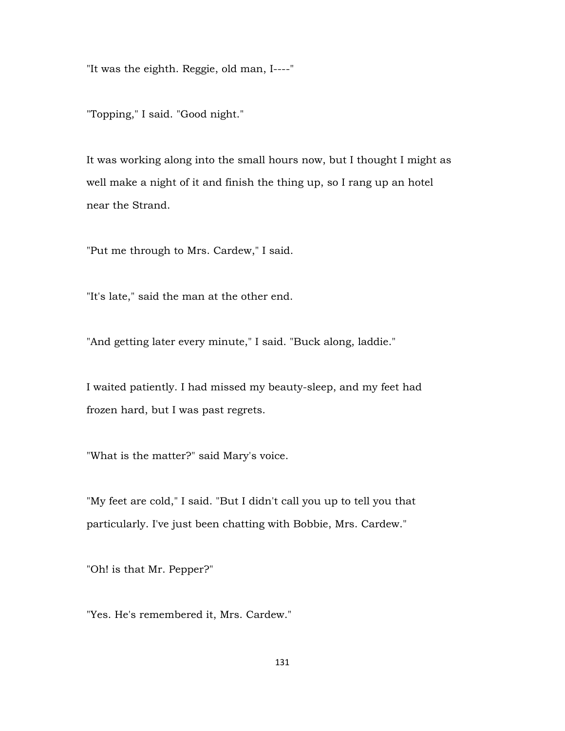"It was the eighth. Reggie, old man, I----"

"Topping," I said. "Good night."

It was working along into the small hours now, but I thought I might as well make a night of it and finish the thing up, so I rang up an hotel near the Strand.

"Put me through to Mrs. Cardew," I said.

"It's late," said the man at the other end.

"And getting later every minute," I said. "Buck along, laddie."

I waited patiently. I had missed my beauty-sleep, and my feet had frozen hard, but I was past regrets.

"What is the matter?" said Mary's voice.

"My feet are cold," I said. "But I didn't call you up to tell you that particularly. I've just been chatting with Bobbie, Mrs. Cardew."

"Oh! is that Mr. Pepper?"

"Yes. He's remembered it, Mrs. Cardew."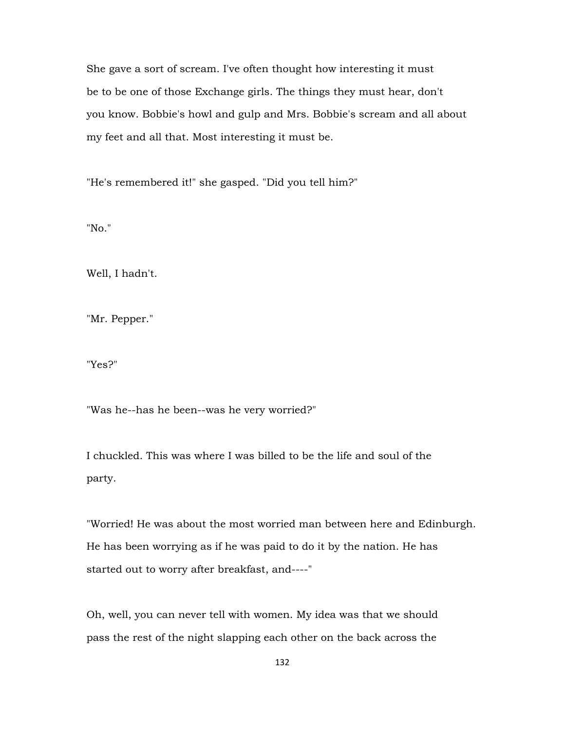She gave a sort of scream. I've often thought how interesting it must be to be one of those Exchange girls. The things they must hear, don't you know. Bobbie's howl and gulp and Mrs. Bobbie's scream and all about my feet and all that. Most interesting it must be.

"He's remembered it!" she gasped. "Did you tell him?"

"No."

Well, I hadn't.

"Mr. Pepper."

"Yes?"

"Was he--has he been--was he very worried?"

I chuckled. This was where I was billed to be the life and soul of the party.

"Worried! He was about the most worried man between here and Edinburgh. He has been worrying as if he was paid to do it by the nation. He has started out to worry after breakfast, and----"

Oh, well, you can never tell with women. My idea was that we should pass the rest of the night slapping each other on the back across the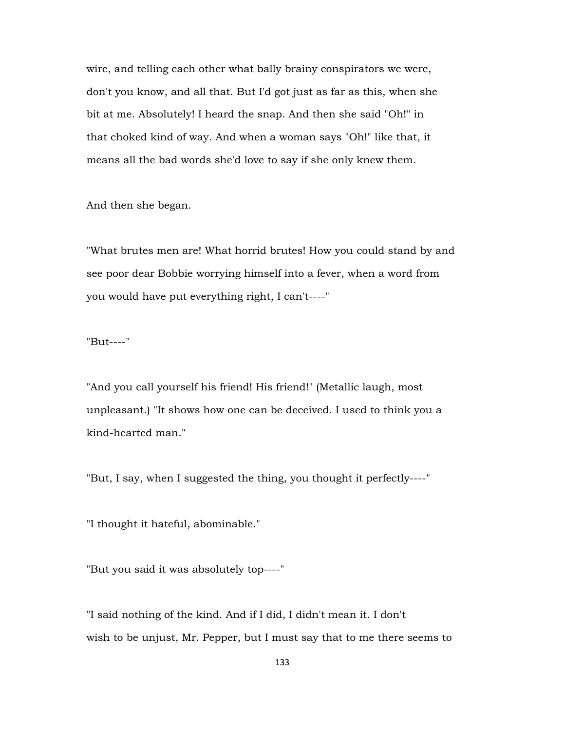wire, and telling each other what bally brainy conspirators we were, don't you know, and all that. But I'd got just as far as this, when she bit at me. Absolutely! I heard the snap. And then she said "Oh!" in that choked kind of way. And when a woman says "Oh!" like that, it means all the bad words she'd love to say if she only knew them.

And then she began.

"What brutes men are! What horrid brutes! How you could stand by and see poor dear Bobbie worrying himself into a fever, when a word from you would have put everything right, I can't----"

"But----"

"And you call yourself his friend! His friend!" (Metallic laugh, most unpleasant.) "It shows how one can be deceived. I used to think you a kind-hearted man."

"But, I say, when I suggested the thing, you thought it perfectly----"

"I thought it hateful, abominable."

"But you said it was absolutely top----"

"I said nothing of the kind. And if I did, I didn't mean it. I don't wish to be unjust, Mr. Pepper, but I must say that to me there seems to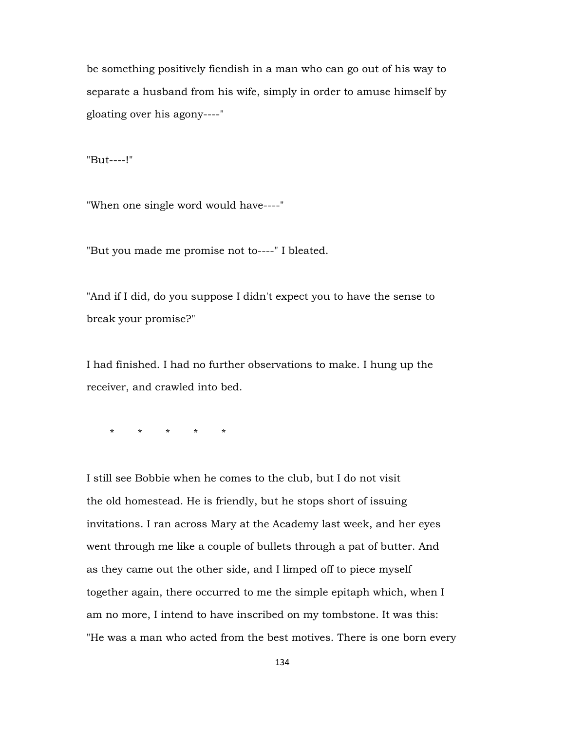be something positively fiendish in a man who can go out of his way to separate a husband from his wife, simply in order to amuse himself by gloating over his agony----"

"But----!"

"When one single word would have----"

"But you made me promise not to----" I bleated.

"And if I did, do you suppose I didn't expect you to have the sense to break your promise?"

I had finished. I had no further observations to make. I hung up the receiver, and crawled into bed.

\* \* \* \* \*

I still see Bobbie when he comes to the club, but I do not visit the old homestead. He is friendly, but he stops short of issuing invitations. I ran across Mary at the Academy last week, and her eyes went through me like a couple of bullets through a pat of butter. And as they came out the other side, and I limped off to piece myself together again, there occurred to me the simple epitaph which, when I am no more, I intend to have inscribed on my tombstone. It was this: "He was a man who acted from the best motives. There is one born every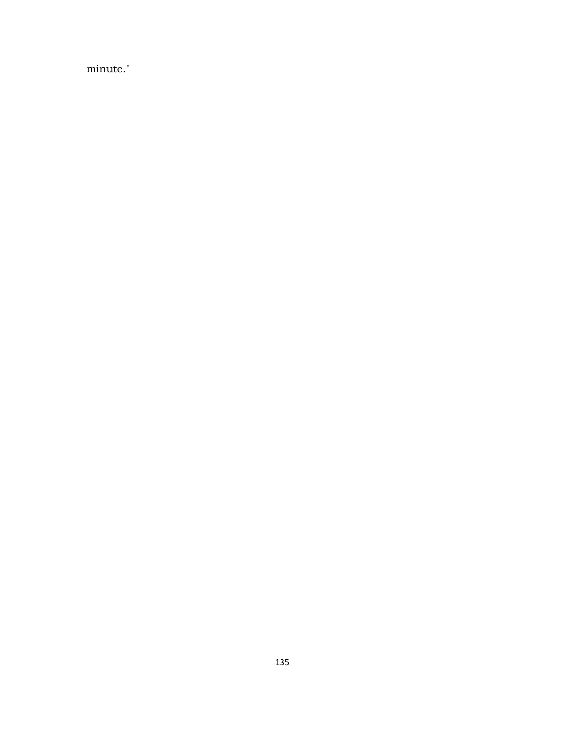minute."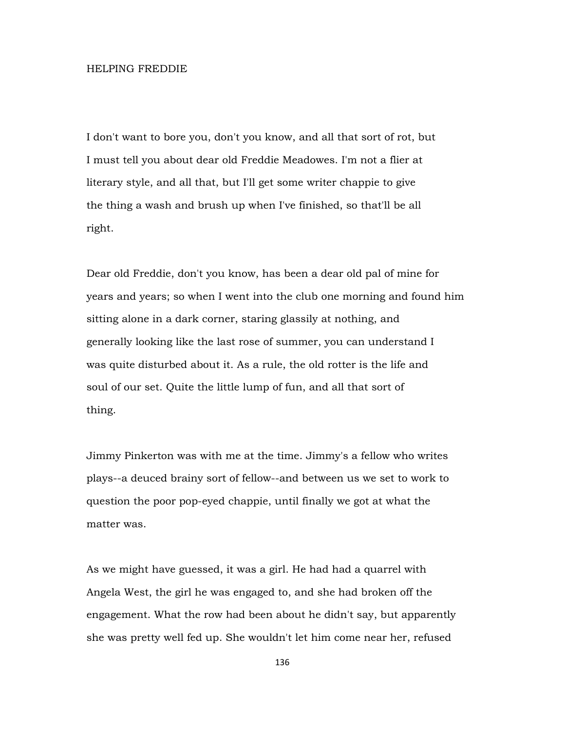## HELPING FREDDIE

I don't want to bore you, don't you know, and all that sort of rot, but I must tell you about dear old Freddie Meadowes. I'm not a flier at literary style, and all that, but I'll get some writer chappie to give the thing a wash and brush up when I've finished, so that'll be all right.

Dear old Freddie, don't you know, has been a dear old pal of mine for years and years; so when I went into the club one morning and found him sitting alone in a dark corner, staring glassily at nothing, and generally looking like the last rose of summer, you can understand I was quite disturbed about it. As a rule, the old rotter is the life and soul of our set. Quite the little lump of fun, and all that sort of thing.

Jimmy Pinkerton was with me at the time. Jimmy's a fellow who writes plays--a deuced brainy sort of fellow--and between us we set to work to question the poor pop-eyed chappie, until finally we got at what the matter was.

As we might have guessed, it was a girl. He had had a quarrel with Angela West, the girl he was engaged to, and she had broken off the engagement. What the row had been about he didn't say, but apparently she was pretty well fed up. She wouldn't let him come near her, refused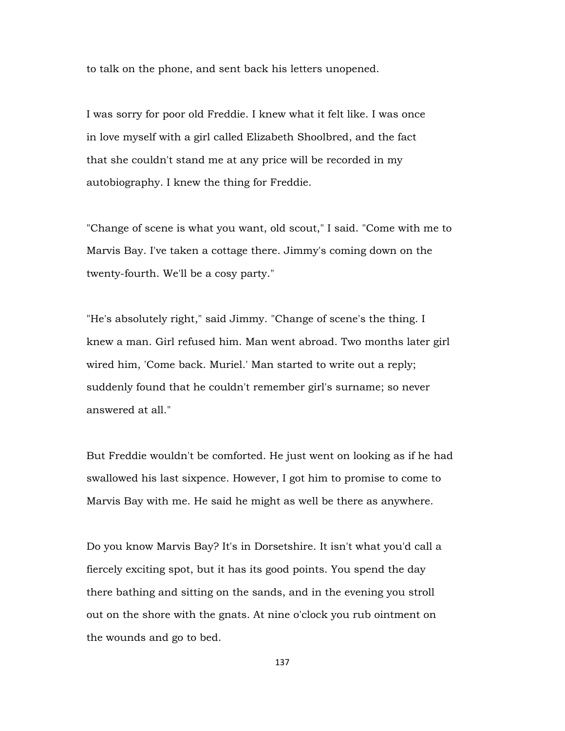to talk on the phone, and sent back his letters unopened.

I was sorry for poor old Freddie. I knew what it felt like. I was once in love myself with a girl called Elizabeth Shoolbred, and the fact that she couldn't stand me at any price will be recorded in my autobiography. I knew the thing for Freddie.

"Change of scene is what you want, old scout," I said. "Come with me to Marvis Bay. I've taken a cottage there. Jimmy's coming down on the twenty-fourth. We'll be a cosy party."

"He's absolutely right," said Jimmy. "Change of scene's the thing. I knew a man. Girl refused him. Man went abroad. Two months later girl wired him, 'Come back. Muriel.' Man started to write out a reply; suddenly found that he couldn't remember girl's surname; so never answered at all."

But Freddie wouldn't be comforted. He just went on looking as if he had swallowed his last sixpence. However, I got him to promise to come to Marvis Bay with me. He said he might as well be there as anywhere.

Do you know Marvis Bay? It's in Dorsetshire. It isn't what you'd call a fiercely exciting spot, but it has its good points. You spend the day there bathing and sitting on the sands, and in the evening you stroll out on the shore with the gnats. At nine o'clock you rub ointment on the wounds and go to bed.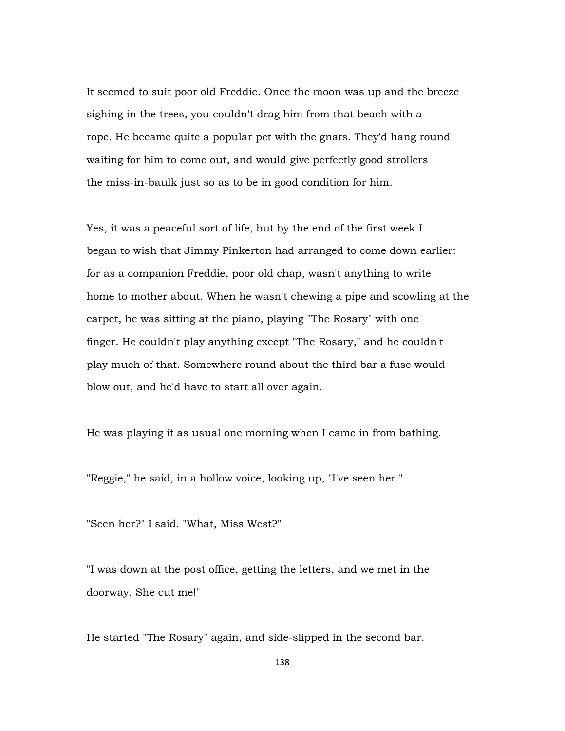It seemed to suit poor old Freddie. Once the moon was up and the breeze sighing in the trees, you couldn't drag him from that beach with a rope. He became quite a popular pet with the gnats. They'd hang round waiting for him to come out, and would give perfectly good strollers the miss-in-baulk just so as to be in good condition for him.

Yes, it was a peaceful sort of life, but by the end of the first week I began to wish that Jimmy Pinkerton had arranged to come down earlier: for as a companion Freddie, poor old chap, wasn't anything to write home to mother about. When he wasn't chewing a pipe and scowling at the carpet, he was sitting at the piano, playing "The Rosary" with one finger. He couldn't play anything except "The Rosary," and he couldn't play much of that. Somewhere round about the third bar a fuse would blow out, and he'd have to start all over again.

He was playing it as usual one morning when I came in from bathing.

"Reggie," he said, in a hollow voice, looking up, "I've seen her."

"Seen her?" I said. "What, Miss West?"

"I was down at the post office, getting the letters, and we met in the doorway. She cut me!"

He started "The Rosary" again, and side-slipped in the second bar.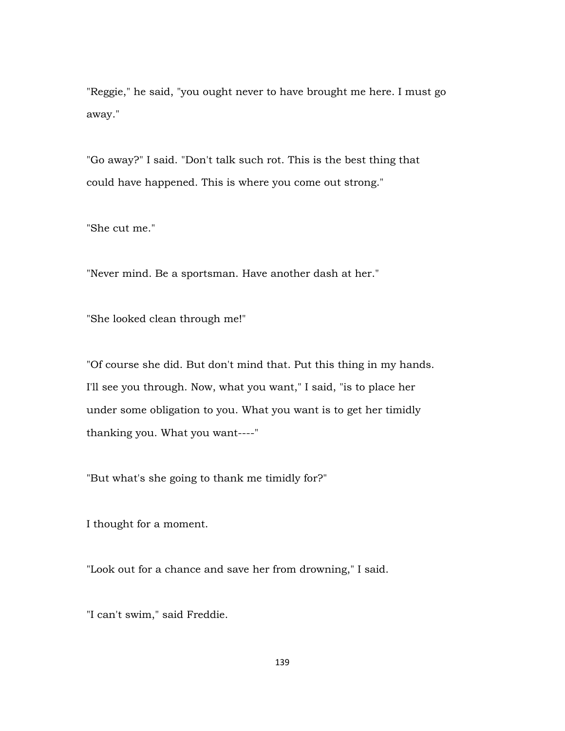"Reggie," he said, "you ought never to have brought me here. I must go away."

"Go away?" I said. "Don't talk such rot. This is the best thing that could have happened. This is where you come out strong."

"She cut me."

"Never mind. Be a sportsman. Have another dash at her."

"She looked clean through me!"

"Of course she did. But don't mind that. Put this thing in my hands. I'll see you through. Now, what you want," I said, "is to place her under some obligation to you. What you want is to get her timidly thanking you. What you want----"

"But what's she going to thank me timidly for?"

I thought for a moment.

"Look out for a chance and save her from drowning," I said.

"I can't swim," said Freddie.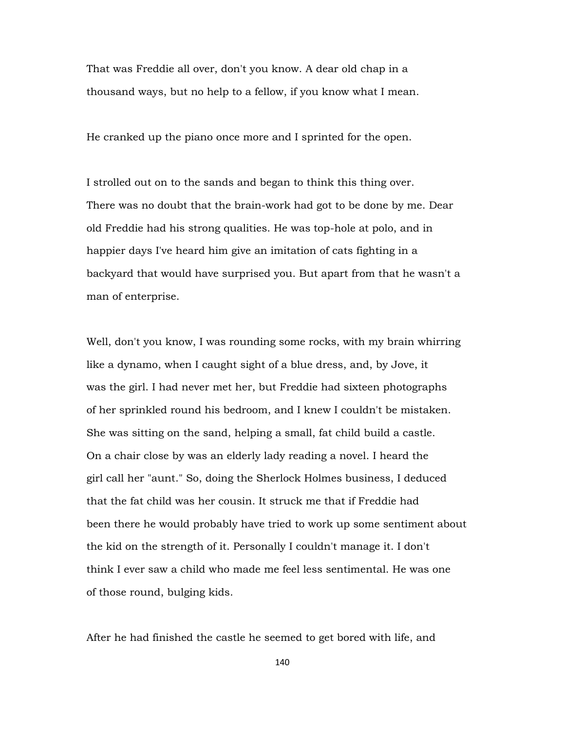That was Freddie all over, don't you know. A dear old chap in a thousand ways, but no help to a fellow, if you know what I mean.

He cranked up the piano once more and I sprinted for the open.

I strolled out on to the sands and began to think this thing over. There was no doubt that the brain-work had got to be done by me. Dear old Freddie had his strong qualities. He was top-hole at polo, and in happier days I've heard him give an imitation of cats fighting in a backyard that would have surprised you. But apart from that he wasn't a man of enterprise.

Well, don't you know, I was rounding some rocks, with my brain whirring like a dynamo, when I caught sight of a blue dress, and, by Jove, it was the girl. I had never met her, but Freddie had sixteen photographs of her sprinkled round his bedroom, and I knew I couldn't be mistaken. She was sitting on the sand, helping a small, fat child build a castle. On a chair close by was an elderly lady reading a novel. I heard the girl call her "aunt." So, doing the Sherlock Holmes business, I deduced that the fat child was her cousin. It struck me that if Freddie had been there he would probably have tried to work up some sentiment about the kid on the strength of it. Personally I couldn't manage it. I don't think I ever saw a child who made me feel less sentimental. He was one of those round, bulging kids.

After he had finished the castle he seemed to get bored with life, and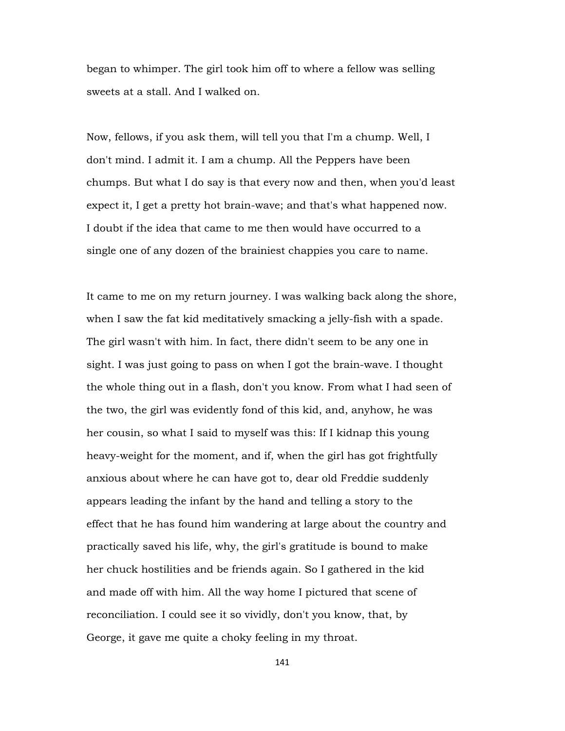began to whimper. The girl took him off to where a fellow was selling sweets at a stall. And I walked on.

Now, fellows, if you ask them, will tell you that I'm a chump. Well, I don't mind. I admit it. I am a chump. All the Peppers have been chumps. But what I do say is that every now and then, when you'd least expect it, I get a pretty hot brain-wave; and that's what happened now. I doubt if the idea that came to me then would have occurred to a single one of any dozen of the brainiest chappies you care to name.

It came to me on my return journey. I was walking back along the shore, when I saw the fat kid meditatively smacking a jelly-fish with a spade. The girl wasn't with him. In fact, there didn't seem to be any one in sight. I was just going to pass on when I got the brain-wave. I thought the whole thing out in a flash, don't you know. From what I had seen of the two, the girl was evidently fond of this kid, and, anyhow, he was her cousin, so what I said to myself was this: If I kidnap this young heavy-weight for the moment, and if, when the girl has got frightfully anxious about where he can have got to, dear old Freddie suddenly appears leading the infant by the hand and telling a story to the effect that he has found him wandering at large about the country and practically saved his life, why, the girl's gratitude is bound to make her chuck hostilities and be friends again. So I gathered in the kid and made off with him. All the way home I pictured that scene of reconciliation. I could see it so vividly, don't you know, that, by George, it gave me quite a choky feeling in my throat.

141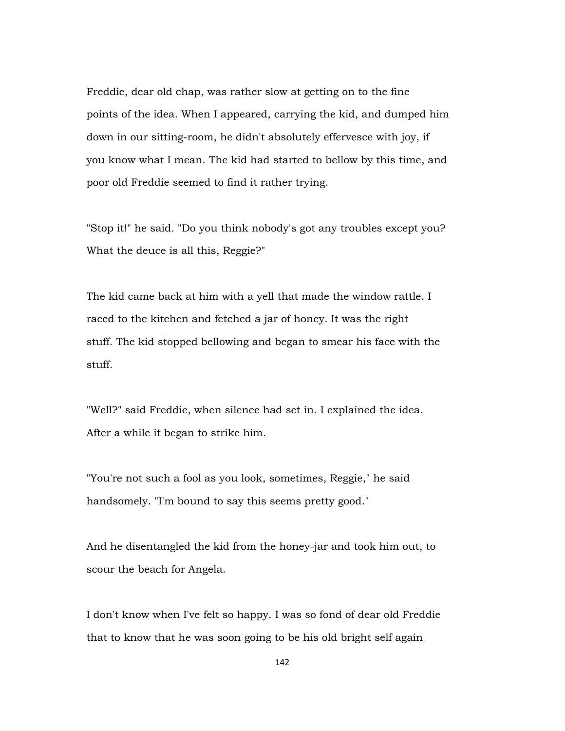Freddie, dear old chap, was rather slow at getting on to the fine points of the idea. When I appeared, carrying the kid, and dumped him down in our sitting-room, he didn't absolutely effervesce with joy, if you know what I mean. The kid had started to bellow by this time, and poor old Freddie seemed to find it rather trying.

"Stop it!" he said. "Do you think nobody's got any troubles except you? What the deuce is all this, Reggie?"

The kid came back at him with a yell that made the window rattle. I raced to the kitchen and fetched a jar of honey. It was the right stuff. The kid stopped bellowing and began to smear his face with the stuff.

"Well?" said Freddie, when silence had set in. I explained the idea. After a while it began to strike him.

"You're not such a fool as you look, sometimes, Reggie," he said handsomely. "I'm bound to say this seems pretty good."

And he disentangled the kid from the honey-jar and took him out, to scour the beach for Angela.

I don't know when I've felt so happy. I was so fond of dear old Freddie that to know that he was soon going to be his old bright self again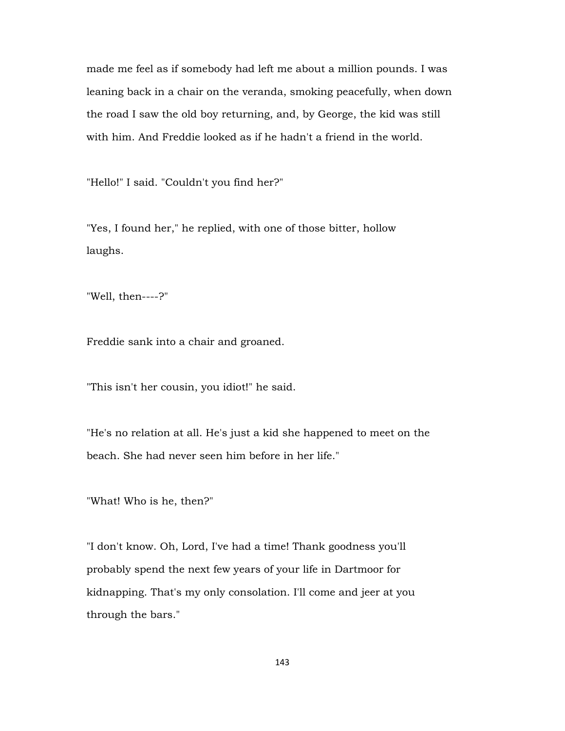made me feel as if somebody had left me about a million pounds. I was leaning back in a chair on the veranda, smoking peacefully, when down the road I saw the old boy returning, and, by George, the kid was still with him. And Freddie looked as if he hadn't a friend in the world.

"Hello!" I said. "Couldn't you find her?"

"Yes, I found her," he replied, with one of those bitter, hollow laughs.

"Well, then----?"

Freddie sank into a chair and groaned.

"This isn't her cousin, you idiot!" he said.

"He's no relation at all. He's just a kid she happened to meet on the beach. She had never seen him before in her life."

"What! Who is he, then?"

"I don't know. Oh, Lord, I've had a time! Thank goodness you'll probably spend the next few years of your life in Dartmoor for kidnapping. That's my only consolation. I'll come and jeer at you through the bars."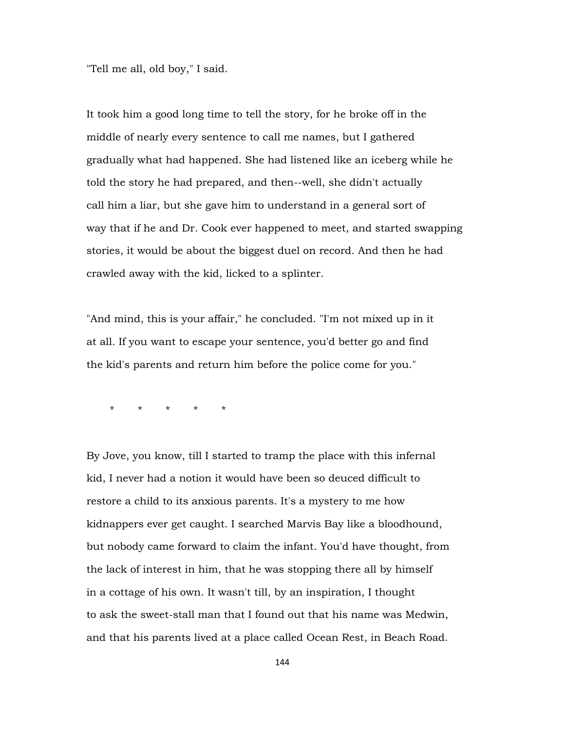"Tell me all, old boy," I said.

It took him a good long time to tell the story, for he broke off in the middle of nearly every sentence to call me names, but I gathered gradually what had happened. She had listened like an iceberg while he told the story he had prepared, and then--well, she didn't actually call him a liar, but she gave him to understand in a general sort of way that if he and Dr. Cook ever happened to meet, and started swapping stories, it would be about the biggest duel on record. And then he had crawled away with the kid, licked to a splinter.

"And mind, this is your affair," he concluded. "I'm not mixed up in it at all. If you want to escape your sentence, you'd better go and find the kid's parents and return him before the police come for you."

\* \* \* \* \*

By Jove, you know, till I started to tramp the place with this infernal kid, I never had a notion it would have been so deuced difficult to restore a child to its anxious parents. It's a mystery to me how kidnappers ever get caught. I searched Marvis Bay like a bloodhound, but nobody came forward to claim the infant. You'd have thought, from the lack of interest in him, that he was stopping there all by himself in a cottage of his own. It wasn't till, by an inspiration, I thought to ask the sweet-stall man that I found out that his name was Medwin, and that his parents lived at a place called Ocean Rest, in Beach Road.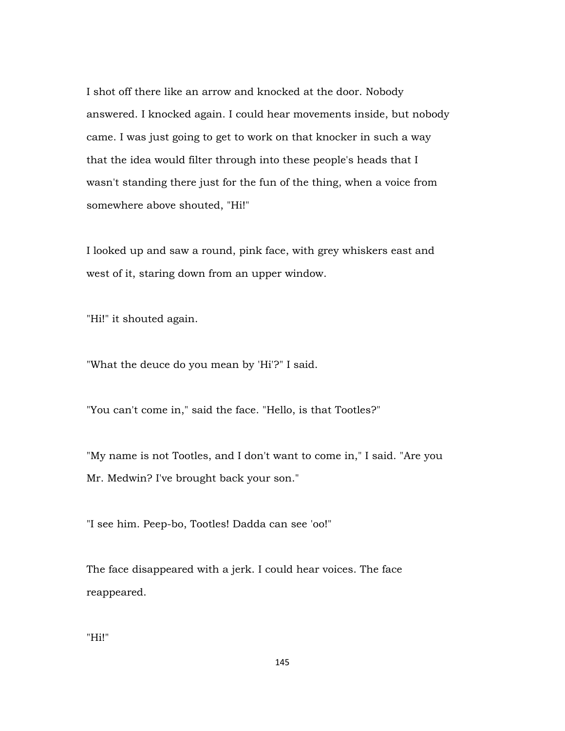I shot off there like an arrow and knocked at the door. Nobody answered. I knocked again. I could hear movements inside, but nobody came. I was just going to get to work on that knocker in such a way that the idea would filter through into these people's heads that I wasn't standing there just for the fun of the thing, when a voice from somewhere above shouted, "Hi!"

I looked up and saw a round, pink face, with grey whiskers east and west of it, staring down from an upper window.

"Hi!" it shouted again.

"What the deuce do you mean by 'Hi'?" I said.

"You can't come in," said the face. "Hello, is that Tootles?"

"My name is not Tootles, and I don't want to come in," I said. "Are you Mr. Medwin? I've brought back your son."

"I see him. Peep-bo, Tootles! Dadda can see 'oo!"

The face disappeared with a jerk. I could hear voices. The face reappeared.

"Hi!"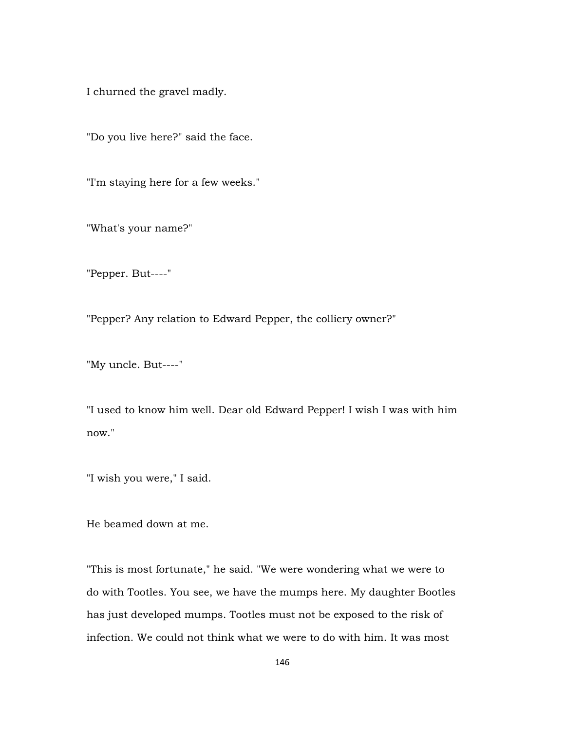I churned the gravel madly.

"Do you live here?" said the face.

"I'm staying here for a few weeks."

"What's your name?"

"Pepper. But----"

"Pepper? Any relation to Edward Pepper, the colliery owner?"

"My uncle. But----"

"I used to know him well. Dear old Edward Pepper! I wish I was with him now."

"I wish you were," I said.

He beamed down at me.

"This is most fortunate," he said. "We were wondering what we were to do with Tootles. You see, we have the mumps here. My daughter Bootles has just developed mumps. Tootles must not be exposed to the risk of infection. We could not think what we were to do with him. It was most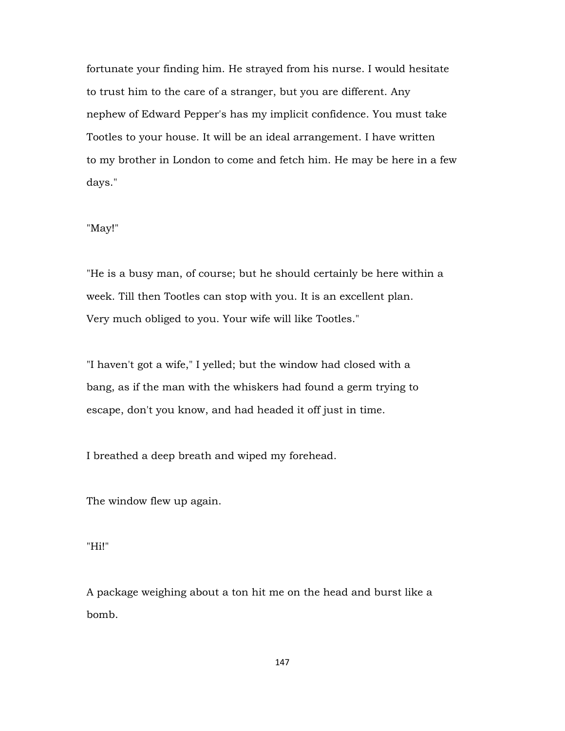fortunate your finding him. He strayed from his nurse. I would hesitate to trust him to the care of a stranger, but you are different. Any nephew of Edward Pepper's has my implicit confidence. You must take Tootles to your house. It will be an ideal arrangement. I have written to my brother in London to come and fetch him. He may be here in a few days."

# "May!"

"He is a busy man, of course; but he should certainly be here within a week. Till then Tootles can stop with you. It is an excellent plan. Very much obliged to you. Your wife will like Tootles."

"I haven't got a wife," I yelled; but the window had closed with a bang, as if the man with the whiskers had found a germ trying to escape, don't you know, and had headed it off just in time.

I breathed a deep breath and wiped my forehead.

The window flew up again.

"Hi!"

A package weighing about a ton hit me on the head and burst like a bomb.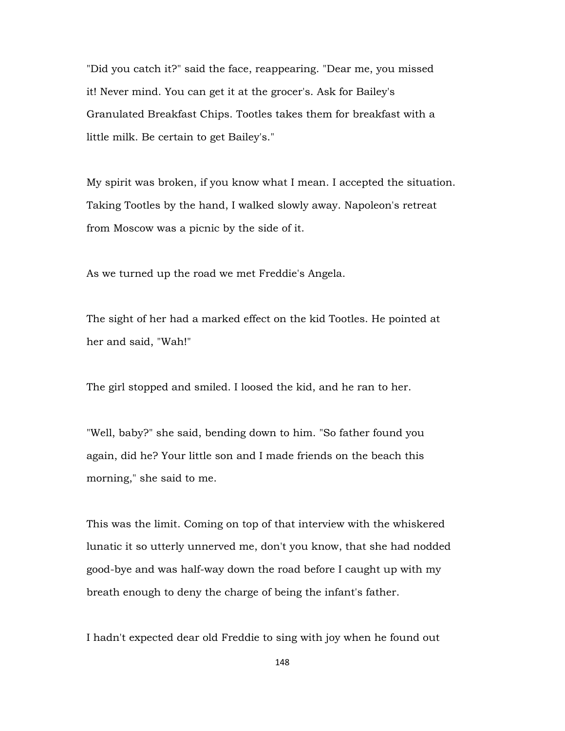"Did you catch it?" said the face, reappearing. "Dear me, you missed it! Never mind. You can get it at the grocer's. Ask for Bailey's Granulated Breakfast Chips. Tootles takes them for breakfast with a little milk. Be certain to get Bailey's."

My spirit was broken, if you know what I mean. I accepted the situation. Taking Tootles by the hand, I walked slowly away. Napoleon's retreat from Moscow was a picnic by the side of it.

As we turned up the road we met Freddie's Angela.

The sight of her had a marked effect on the kid Tootles. He pointed at her and said, "Wah!"

The girl stopped and smiled. I loosed the kid, and he ran to her.

"Well, baby?" she said, bending down to him. "So father found you again, did he? Your little son and I made friends on the beach this morning," she said to me.

This was the limit. Coming on top of that interview with the whiskered lunatic it so utterly unnerved me, don't you know, that she had nodded good-bye and was half-way down the road before I caught up with my breath enough to deny the charge of being the infant's father.

I hadn't expected dear old Freddie to sing with joy when he found out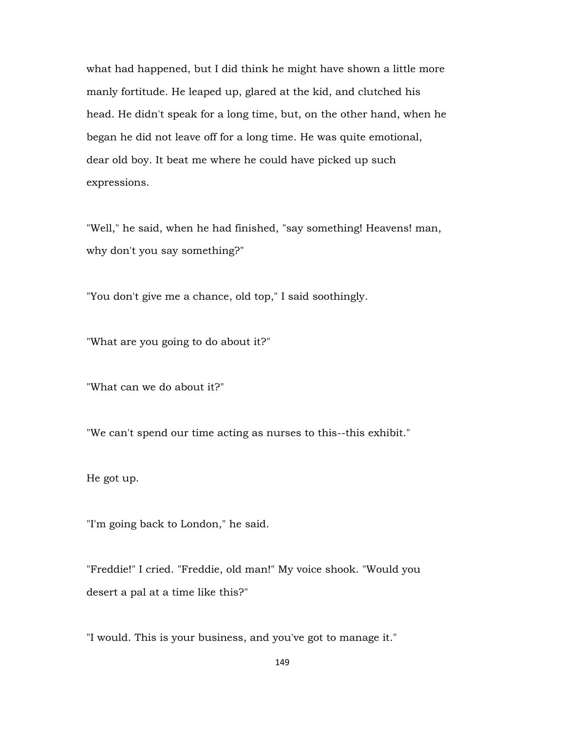what had happened, but I did think he might have shown a little more manly fortitude. He leaped up, glared at the kid, and clutched his head. He didn't speak for a long time, but, on the other hand, when he began he did not leave off for a long time. He was quite emotional, dear old boy. It beat me where he could have picked up such expressions.

"Well," he said, when he had finished, "say something! Heavens! man, why don't you say something?"

"You don't give me a chance, old top," I said soothingly.

"What are you going to do about it?"

"What can we do about it?"

"We can't spend our time acting as nurses to this--this exhibit."

He got up.

"I'm going back to London," he said.

"Freddie!" I cried. "Freddie, old man!" My voice shook. "Would you desert a pal at a time like this?"

"I would. This is your business, and you've got to manage it."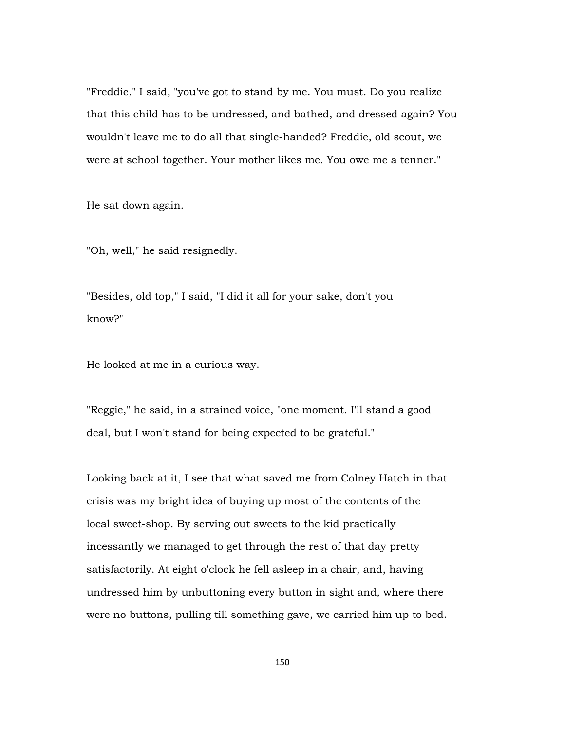"Freddie," I said, "you've got to stand by me. You must. Do you realize that this child has to be undressed, and bathed, and dressed again? You wouldn't leave me to do all that single-handed? Freddie, old scout, we were at school together. Your mother likes me. You owe me a tenner."

He sat down again.

"Oh, well," he said resignedly.

"Besides, old top," I said, "I did it all for your sake, don't you know?"

He looked at me in a curious way.

"Reggie," he said, in a strained voice, "one moment. I'll stand a good deal, but I won't stand for being expected to be grateful."

Looking back at it, I see that what saved me from Colney Hatch in that crisis was my bright idea of buying up most of the contents of the local sweet-shop. By serving out sweets to the kid practically incessantly we managed to get through the rest of that day pretty satisfactorily. At eight o'clock he fell asleep in a chair, and, having undressed him by unbuttoning every button in sight and, where there were no buttons, pulling till something gave, we carried him up to bed.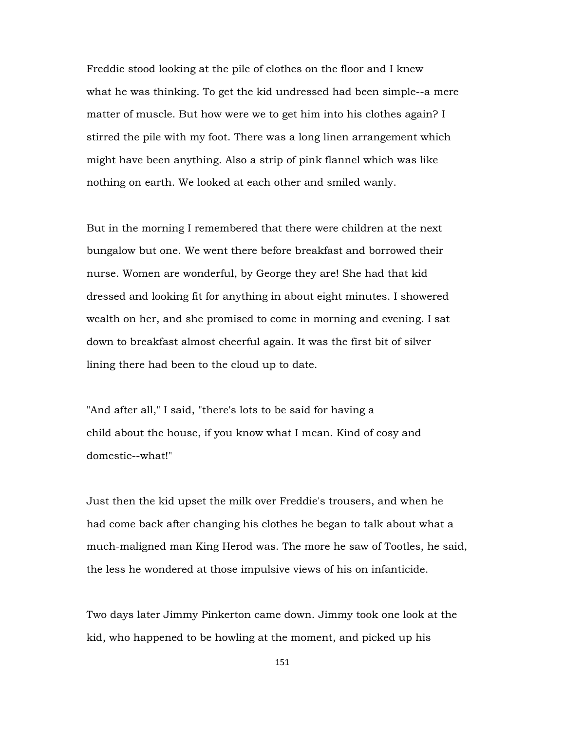Freddie stood looking at the pile of clothes on the floor and I knew what he was thinking. To get the kid undressed had been simple--a mere matter of muscle. But how were we to get him into his clothes again? I stirred the pile with my foot. There was a long linen arrangement which might have been anything. Also a strip of pink flannel which was like nothing on earth. We looked at each other and smiled wanly.

But in the morning I remembered that there were children at the next bungalow but one. We went there before breakfast and borrowed their nurse. Women are wonderful, by George they are! She had that kid dressed and looking fit for anything in about eight minutes. I showered wealth on her, and she promised to come in morning and evening. I sat down to breakfast almost cheerful again. It was the first bit of silver lining there had been to the cloud up to date.

"And after all," I said, "there's lots to be said for having a child about the house, if you know what I mean. Kind of cosy and domestic--what!"

Just then the kid upset the milk over Freddie's trousers, and when he had come back after changing his clothes he began to talk about what a much-maligned man King Herod was. The more he saw of Tootles, he said, the less he wondered at those impulsive views of his on infanticide.

Two days later Jimmy Pinkerton came down. Jimmy took one look at the kid, who happened to be howling at the moment, and picked up his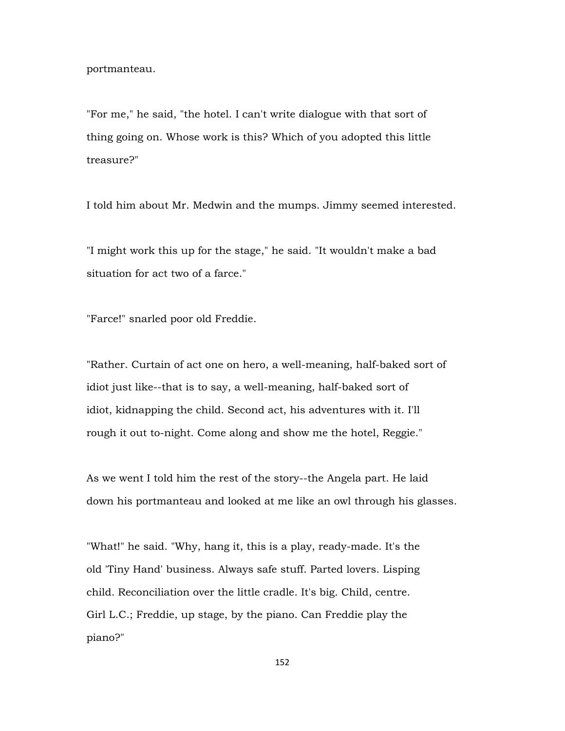portmanteau.

"For me," he said, "the hotel. I can't write dialogue with that sort of thing going on. Whose work is this? Which of you adopted this little treasure?"

I told him about Mr. Medwin and the mumps. Jimmy seemed interested.

"I might work this up for the stage," he said. "It wouldn't make a bad situation for act two of a farce."

"Farce!" snarled poor old Freddie.

"Rather. Curtain of act one on hero, a well-meaning, half-baked sort of idiot just like--that is to say, a well-meaning, half-baked sort of idiot, kidnapping the child. Second act, his adventures with it. I'll rough it out to-night. Come along and show me the hotel, Reggie."

As we went I told him the rest of the story--the Angela part. He laid down his portmanteau and looked at me like an owl through his glasses.

"What!" he said. "Why, hang it, this is a play, ready-made. It's the old 'Tiny Hand' business. Always safe stuff. Parted lovers. Lisping child. Reconciliation over the little cradle. It's big. Child, centre. Girl L.C.; Freddie, up stage, by the piano. Can Freddie play the piano?"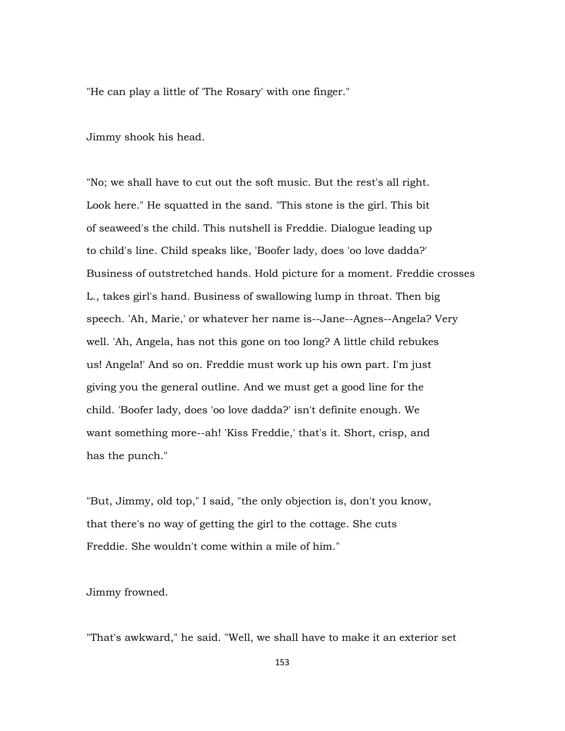"He can play a little of 'The Rosary' with one finger."

Jimmy shook his head.

"No; we shall have to cut out the soft music. But the rest's all right. Look here." He squatted in the sand. "This stone is the girl. This bit of seaweed's the child. This nutshell is Freddie. Dialogue leading up to child's line. Child speaks like, 'Boofer lady, does 'oo love dadda?' Business of outstretched hands. Hold picture for a moment. Freddie crosses L., takes girl's hand. Business of swallowing lump in throat. Then big speech. 'Ah, Marie,' or whatever her name is--Jane--Agnes--Angela? Very well. 'Ah, Angela, has not this gone on too long? A little child rebukes us! Angela!' And so on. Freddie must work up his own part. I'm just giving you the general outline. And we must get a good line for the child. 'Boofer lady, does 'oo love dadda?' isn't definite enough. We want something more--ah! 'Kiss Freddie,' that's it. Short, crisp, and has the punch."

"But, Jimmy, old top," I said, "the only objection is, don't you know, that there's no way of getting the girl to the cottage. She cuts Freddie. She wouldn't come within a mile of him."

Jimmy frowned.

"That's awkward," he said. "Well, we shall have to make it an exterior set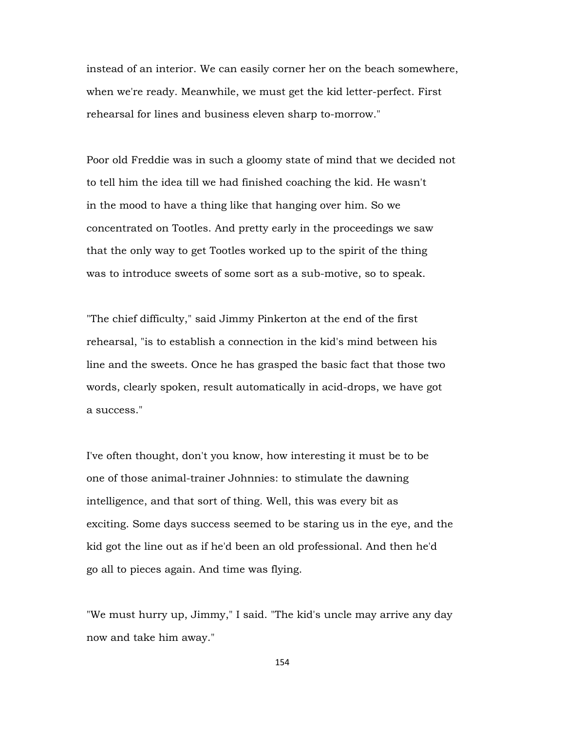instead of an interior. We can easily corner her on the beach somewhere, when we're ready. Meanwhile, we must get the kid letter-perfect. First rehearsal for lines and business eleven sharp to-morrow."

Poor old Freddie was in such a gloomy state of mind that we decided not to tell him the idea till we had finished coaching the kid. He wasn't in the mood to have a thing like that hanging over him. So we concentrated on Tootles. And pretty early in the proceedings we saw that the only way to get Tootles worked up to the spirit of the thing was to introduce sweets of some sort as a sub-motive, so to speak.

"The chief difficulty," said Jimmy Pinkerton at the end of the first rehearsal, "is to establish a connection in the kid's mind between his line and the sweets. Once he has grasped the basic fact that those two words, clearly spoken, result automatically in acid-drops, we have got a success."

I've often thought, don't you know, how interesting it must be to be one of those animal-trainer Johnnies: to stimulate the dawning intelligence, and that sort of thing. Well, this was every bit as exciting. Some days success seemed to be staring us in the eye, and the kid got the line out as if he'd been an old professional. And then he'd go all to pieces again. And time was flying.

"We must hurry up, Jimmy," I said. "The kid's uncle may arrive any day now and take him away."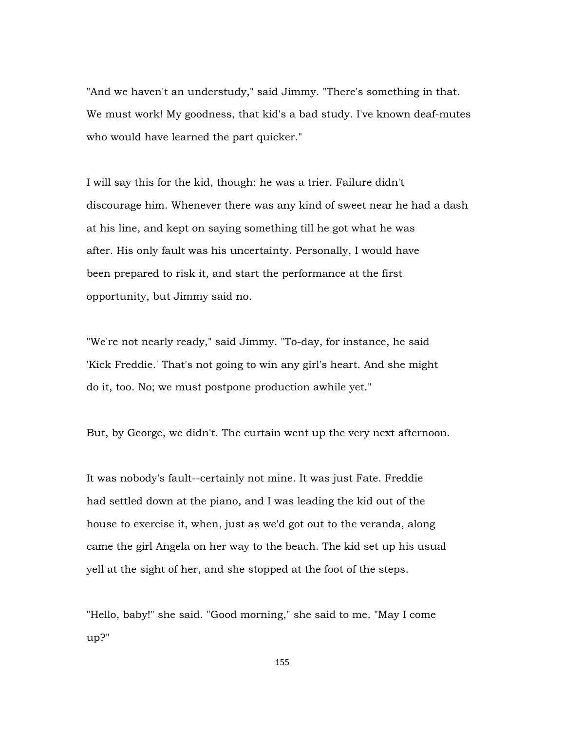"And we haven't an understudy," said Jimmy. "There's something in that. We must work! My goodness, that kid's a bad study. I've known deaf-mutes who would have learned the part quicker."

I will say this for the kid, though: he was a trier. Failure didn't discourage him. Whenever there was any kind of sweet near he had a dash at his line, and kept on saying something till he got what he was after. His only fault was his uncertainty. Personally, I would have been prepared to risk it, and start the performance at the first opportunity, but Jimmy said no.

"We're not nearly ready," said Jimmy. "To-day, for instance, he said 'Kick Freddie.' That's not going to win any girl's heart. And she might do it, too. No; we must postpone production awhile yet."

But, by George, we didn't. The curtain went up the very next afternoon.

It was nobody's fault--certainly not mine. It was just Fate. Freddie had settled down at the piano, and I was leading the kid out of the house to exercise it, when, just as we'd got out to the veranda, along came the girl Angela on her way to the beach. The kid set up his usual yell at the sight of her, and she stopped at the foot of the steps.

"Hello, baby!" she said. "Good morning," she said to me. "May I come up?"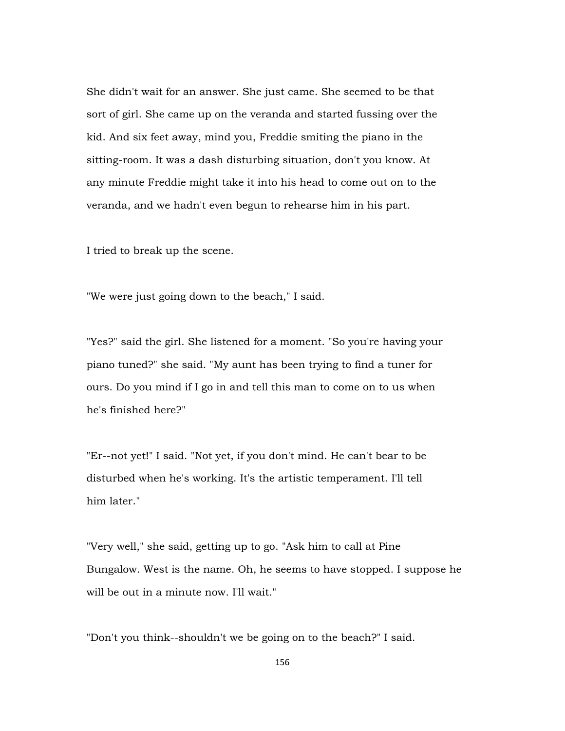She didn't wait for an answer. She just came. She seemed to be that sort of girl. She came up on the veranda and started fussing over the kid. And six feet away, mind you, Freddie smiting the piano in the sitting-room. It was a dash disturbing situation, don't you know. At any minute Freddie might take it into his head to come out on to the veranda, and we hadn't even begun to rehearse him in his part.

I tried to break up the scene.

"We were just going down to the beach," I said.

"Yes?" said the girl. She listened for a moment. "So you're having your piano tuned?" she said. "My aunt has been trying to find a tuner for ours. Do you mind if I go in and tell this man to come on to us when he's finished here?"

"Er--not yet!" I said. "Not yet, if you don't mind. He can't bear to be disturbed when he's working. It's the artistic temperament. I'll tell him later."

"Very well," she said, getting up to go. "Ask him to call at Pine Bungalow. West is the name. Oh, he seems to have stopped. I suppose he will be out in a minute now. I'll wait."

"Don't you think--shouldn't we be going on to the beach?" I said.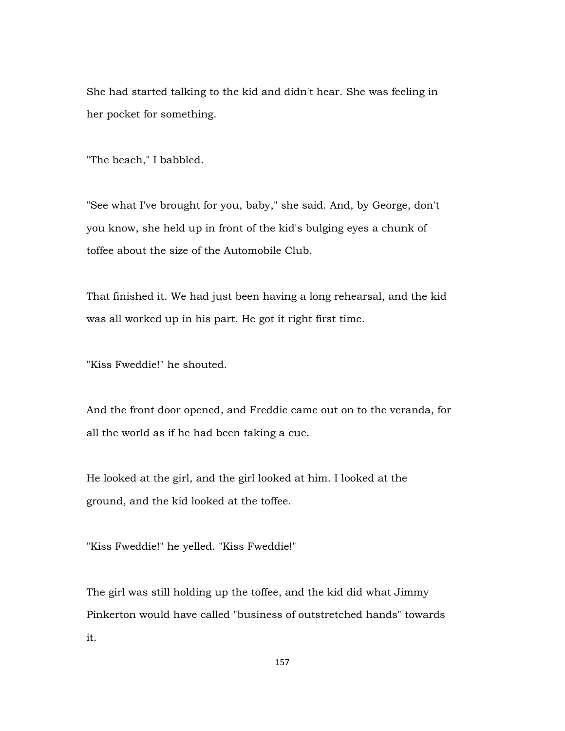She had started talking to the kid and didn't hear. She was feeling in her pocket for something.

"The beach," I babbled.

"See what I've brought for you, baby," she said. And, by George, don't you know, she held up in front of the kid's bulging eyes a chunk of toffee about the size of the Automobile Club.

That finished it. We had just been having a long rehearsal, and the kid was all worked up in his part. He got it right first time.

"Kiss Fweddie!" he shouted.

And the front door opened, and Freddie came out on to the veranda, for all the world as if he had been taking a cue.

He looked at the girl, and the girl looked at him. I looked at the ground, and the kid looked at the toffee.

"Kiss Fweddie!" he yelled. "Kiss Fweddie!"

The girl was still holding up the toffee, and the kid did what Jimmy Pinkerton would have called "business of outstretched hands" towards it.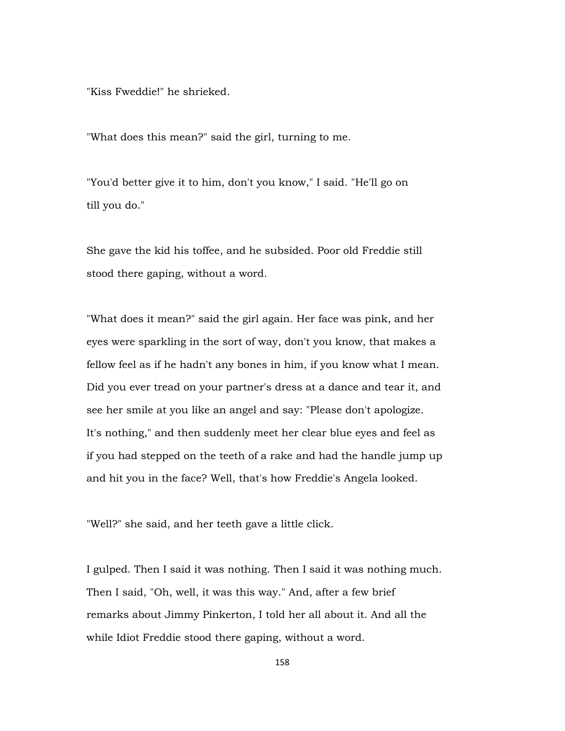"Kiss Fweddie!" he shrieked.

"What does this mean?" said the girl, turning to me.

"You'd better give it to him, don't you know," I said. "He'll go on till you do."

She gave the kid his toffee, and he subsided. Poor old Freddie still stood there gaping, without a word.

"What does it mean?" said the girl again. Her face was pink, and her eyes were sparkling in the sort of way, don't you know, that makes a fellow feel as if he hadn't any bones in him, if you know what I mean. Did you ever tread on your partner's dress at a dance and tear it, and see her smile at you like an angel and say: "Please don't apologize. It's nothing," and then suddenly meet her clear blue eyes and feel as if you had stepped on the teeth of a rake and had the handle jump up and hit you in the face? Well, that's how Freddie's Angela looked.

"Well?" she said, and her teeth gave a little click.

I gulped. Then I said it was nothing. Then I said it was nothing much. Then I said, "Oh, well, it was this way." And, after a few brief remarks about Jimmy Pinkerton, I told her all about it. And all the while Idiot Freddie stood there gaping, without a word.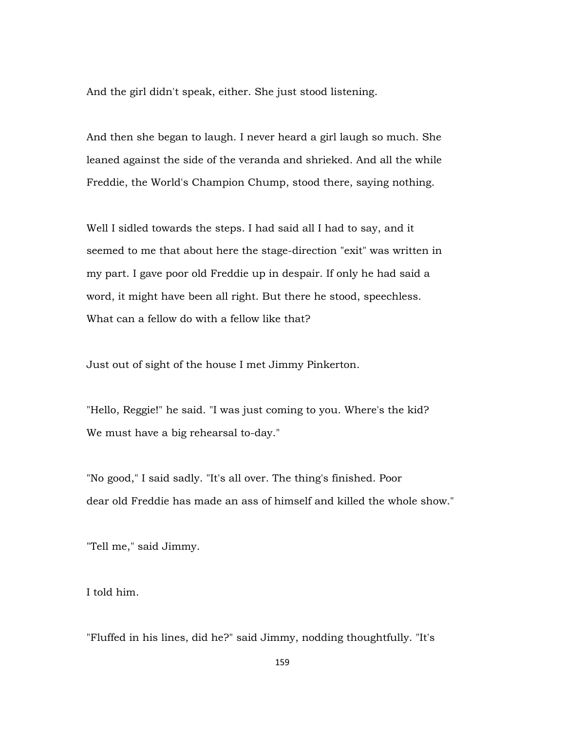And the girl didn't speak, either. She just stood listening.

And then she began to laugh. I never heard a girl laugh so much. She leaned against the side of the veranda and shrieked. And all the while Freddie, the World's Champion Chump, stood there, saying nothing.

Well I sidled towards the steps. I had said all I had to say, and it seemed to me that about here the stage-direction "exit" was written in my part. I gave poor old Freddie up in despair. If only he had said a word, it might have been all right. But there he stood, speechless. What can a fellow do with a fellow like that?

Just out of sight of the house I met Jimmy Pinkerton.

"Hello, Reggie!" he said. "I was just coming to you. Where's the kid? We must have a big rehearsal to-day."

"No good," I said sadly. "It's all over. The thing's finished. Poor dear old Freddie has made an ass of himself and killed the whole show."

"Tell me," said Jimmy.

I told him.

"Fluffed in his lines, did he?" said Jimmy, nodding thoughtfully. "It's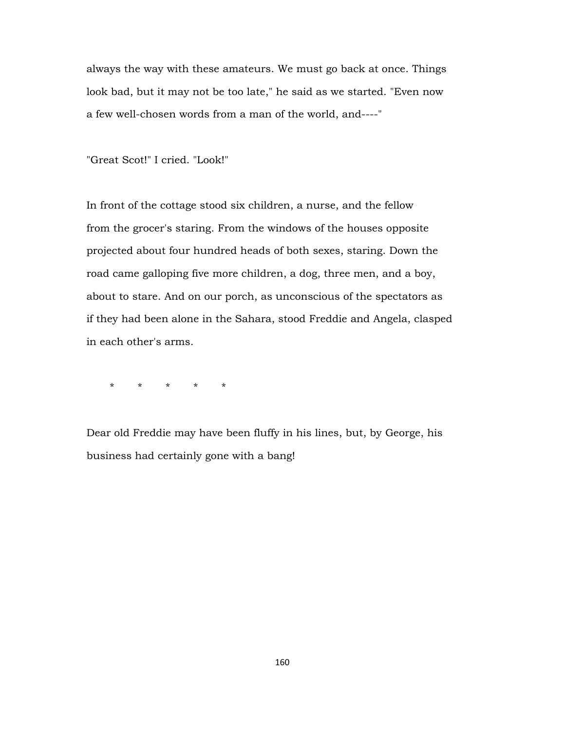always the way with these amateurs. We must go back at once. Things look bad, but it may not be too late," he said as we started. "Even now a few well-chosen words from a man of the world, and----"

"Great Scot!" I cried. "Look!"

In front of the cottage stood six children, a nurse, and the fellow from the grocer's staring. From the windows of the houses opposite projected about four hundred heads of both sexes, staring. Down the road came galloping five more children, a dog, three men, and a boy, about to stare. And on our porch, as unconscious of the spectators as if they had been alone in the Sahara, stood Freddie and Angela, clasped in each other's arms.

\* \* \* \* \*

Dear old Freddie may have been fluffy in his lines, but, by George, his business had certainly gone with a bang!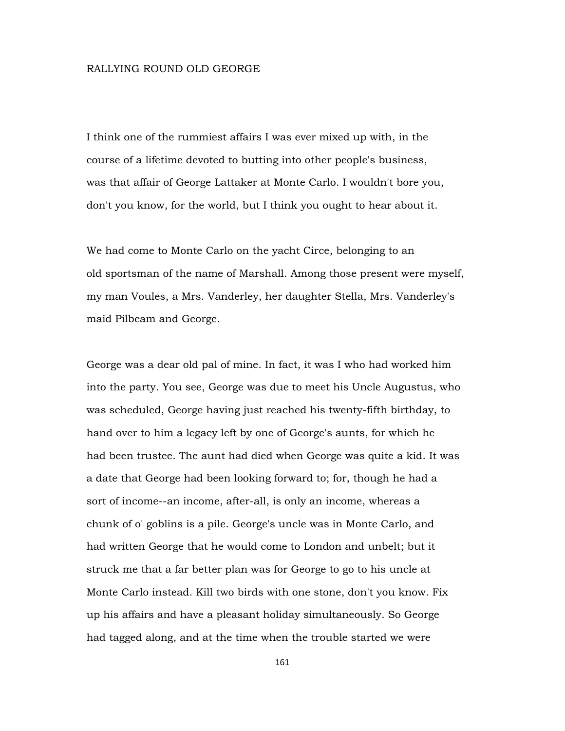#### RALLYING ROUND OLD GEORGE

I think one of the rummiest affairs I was ever mixed up with, in the course of a lifetime devoted to butting into other people's business, was that affair of George Lattaker at Monte Carlo. I wouldn't bore you, don't you know, for the world, but I think you ought to hear about it.

We had come to Monte Carlo on the yacht Circe, belonging to an old sportsman of the name of Marshall. Among those present were myself, my man Voules, a Mrs. Vanderley, her daughter Stella, Mrs. Vanderley's maid Pilbeam and George.

George was a dear old pal of mine. In fact, it was I who had worked him into the party. You see, George was due to meet his Uncle Augustus, who was scheduled, George having just reached his twenty-fifth birthday, to hand over to him a legacy left by one of George's aunts, for which he had been trustee. The aunt had died when George was quite a kid. It was a date that George had been looking forward to; for, though he had a sort of income--an income, after-all, is only an income, whereas a chunk of o' goblins is a pile. George's uncle was in Monte Carlo, and had written George that he would come to London and unbelt; but it struck me that a far better plan was for George to go to his uncle at Monte Carlo instead. Kill two birds with one stone, don't you know. Fix up his affairs and have a pleasant holiday simultaneously. So George had tagged along, and at the time when the trouble started we were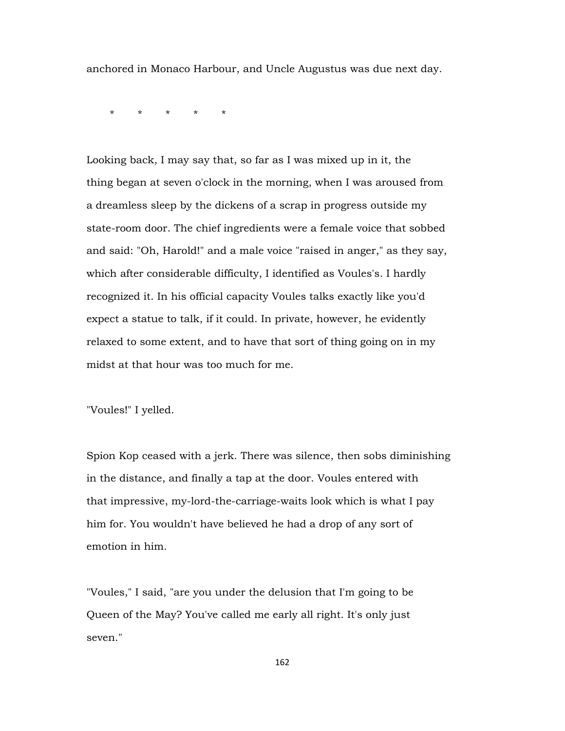anchored in Monaco Harbour, and Uncle Augustus was due next day.

\* \* \* \* \*

Looking back, I may say that, so far as I was mixed up in it, the thing began at seven o'clock in the morning, when I was aroused from a dreamless sleep by the dickens of a scrap in progress outside my state-room door. The chief ingredients were a female voice that sobbed and said: "Oh, Harold!" and a male voice "raised in anger," as they say, which after considerable difficulty, I identified as Voules's. I hardly recognized it. In his official capacity Voules talks exactly like you'd expect a statue to talk, if it could. In private, however, he evidently relaxed to some extent, and to have that sort of thing going on in my midst at that hour was too much for me.

"Voules!" I yelled.

Spion Kop ceased with a jerk. There was silence, then sobs diminishing in the distance, and finally a tap at the door. Voules entered with that impressive, my-lord-the-carriage-waits look which is what I pay him for. You wouldn't have believed he had a drop of any sort of emotion in him.

"Voules," I said, "are you under the delusion that I'm going to be Queen of the May? You've called me early all right. It's only just seven."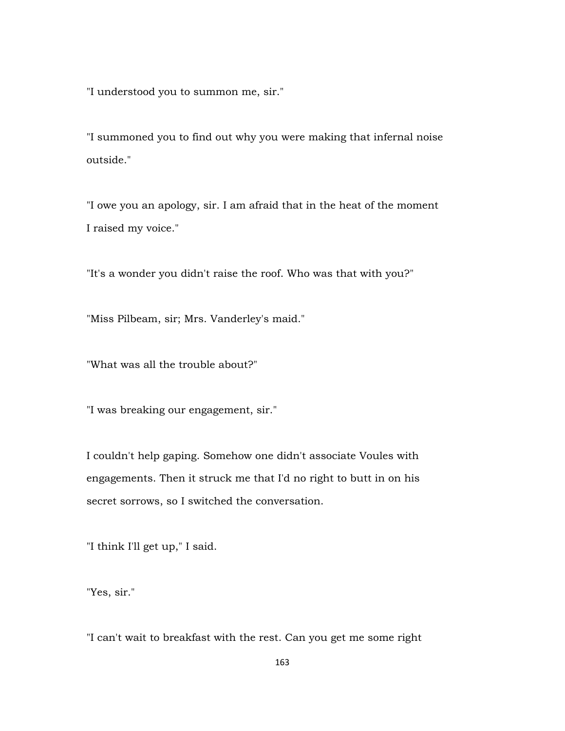"I understood you to summon me, sir."

"I summoned you to find out why you were making that infernal noise outside."

"I owe you an apology, sir. I am afraid that in the heat of the moment I raised my voice."

"It's a wonder you didn't raise the roof. Who was that with you?"

"Miss Pilbeam, sir; Mrs. Vanderley's maid."

"What was all the trouble about?"

"I was breaking our engagement, sir."

I couldn't help gaping. Somehow one didn't associate Voules with engagements. Then it struck me that I'd no right to butt in on his secret sorrows, so I switched the conversation.

"I think I'll get up," I said.

"Yes, sir."

"I can't wait to breakfast with the rest. Can you get me some right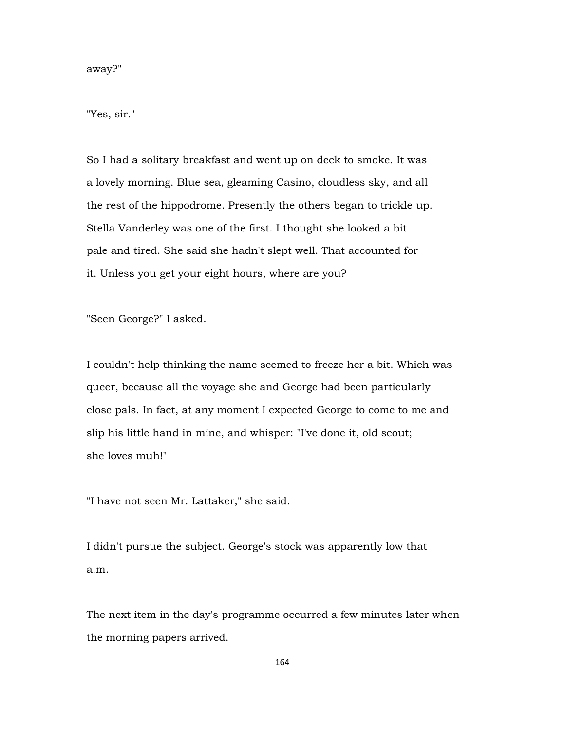away?"

"Yes, sir."

So I had a solitary breakfast and went up on deck to smoke. It was a lovely morning. Blue sea, gleaming Casino, cloudless sky, and all the rest of the hippodrome. Presently the others began to trickle up. Stella Vanderley was one of the first. I thought she looked a bit pale and tired. She said she hadn't slept well. That accounted for it. Unless you get your eight hours, where are you?

"Seen George?" I asked.

I couldn't help thinking the name seemed to freeze her a bit. Which was queer, because all the voyage she and George had been particularly close pals. In fact, at any moment I expected George to come to me and slip his little hand in mine, and whisper: "I've done it, old scout; she loves muh!"

"I have not seen Mr. Lattaker," she said.

I didn't pursue the subject. George's stock was apparently low that a.m.

The next item in the day's programme occurred a few minutes later when the morning papers arrived.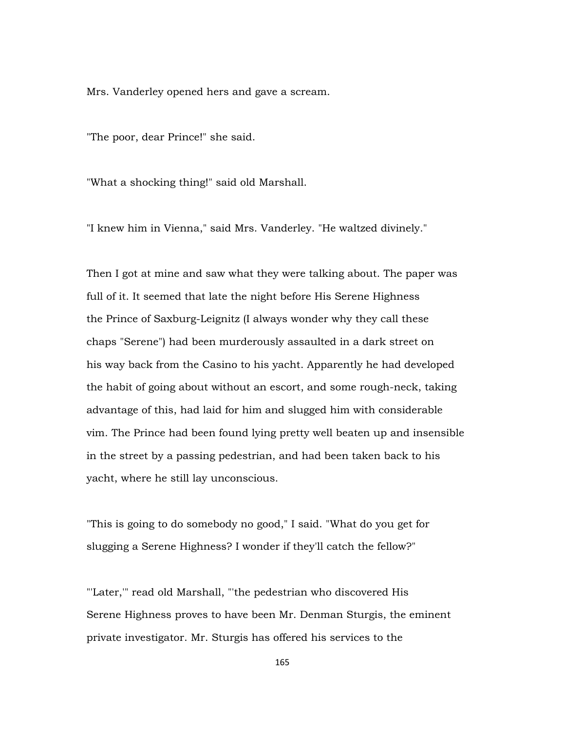Mrs. Vanderley opened hers and gave a scream.

"The poor, dear Prince!" she said.

"What a shocking thing!" said old Marshall.

"I knew him in Vienna," said Mrs. Vanderley. "He waltzed divinely."

Then I got at mine and saw what they were talking about. The paper was full of it. It seemed that late the night before His Serene Highness the Prince of Saxburg-Leignitz (I always wonder why they call these chaps "Serene") had been murderously assaulted in a dark street on his way back from the Casino to his yacht. Apparently he had developed the habit of going about without an escort, and some rough-neck, taking advantage of this, had laid for him and slugged him with considerable vim. The Prince had been found lying pretty well beaten up and insensible in the street by a passing pedestrian, and had been taken back to his yacht, where he still lay unconscious.

"This is going to do somebody no good," I said. "What do you get for slugging a Serene Highness? I wonder if they'll catch the fellow?"

"'Later,'" read old Marshall, "'the pedestrian who discovered His Serene Highness proves to have been Mr. Denman Sturgis, the eminent private investigator. Mr. Sturgis has offered his services to the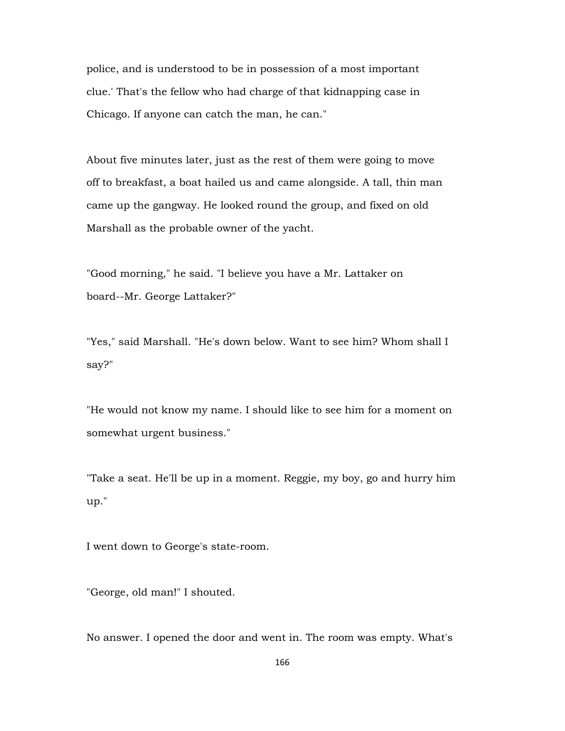police, and is understood to be in possession of a most important clue.' That's the fellow who had charge of that kidnapping case in Chicago. If anyone can catch the man, he can."

About five minutes later, just as the rest of them were going to move off to breakfast, a boat hailed us and came alongside. A tall, thin man came up the gangway. He looked round the group, and fixed on old Marshall as the probable owner of the yacht.

"Good morning," he said. "I believe you have a Mr. Lattaker on board--Mr. George Lattaker?"

"Yes," said Marshall. "He's down below. Want to see him? Whom shall I say?"

"He would not know my name. I should like to see him for a moment on somewhat urgent business."

"Take a seat. He'll be up in a moment. Reggie, my boy, go and hurry him up."

I went down to George's state-room.

"George, old man!" I shouted.

No answer. I opened the door and went in. The room was empty. What's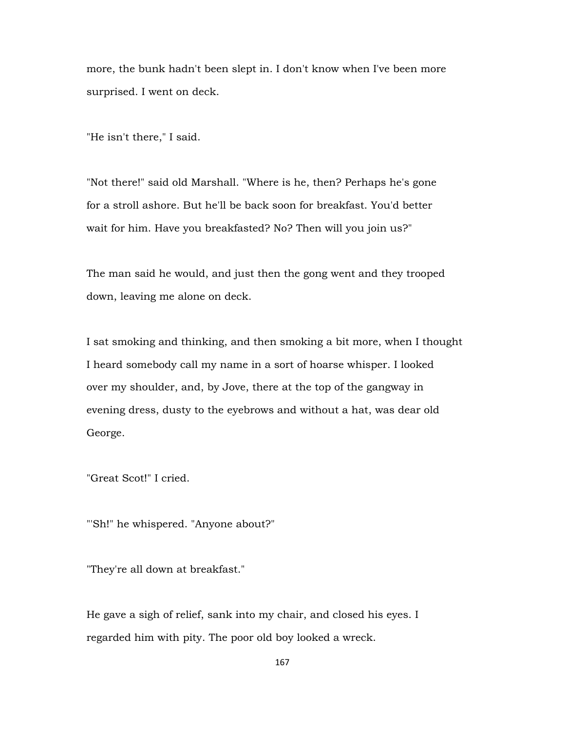more, the bunk hadn't been slept in. I don't know when I've been more surprised. I went on deck.

"He isn't there," I said.

"Not there!" said old Marshall. "Where is he, then? Perhaps he's gone for a stroll ashore. But he'll be back soon for breakfast. You'd better wait for him. Have you breakfasted? No? Then will you join us?"

The man said he would, and just then the gong went and they trooped down, leaving me alone on deck.

I sat smoking and thinking, and then smoking a bit more, when I thought I heard somebody call my name in a sort of hoarse whisper. I looked over my shoulder, and, by Jove, there at the top of the gangway in evening dress, dusty to the eyebrows and without a hat, was dear old George.

"Great Scot!" I cried.

"'Sh!" he whispered. "Anyone about?"

"They're all down at breakfast."

He gave a sigh of relief, sank into my chair, and closed his eyes. I regarded him with pity. The poor old boy looked a wreck.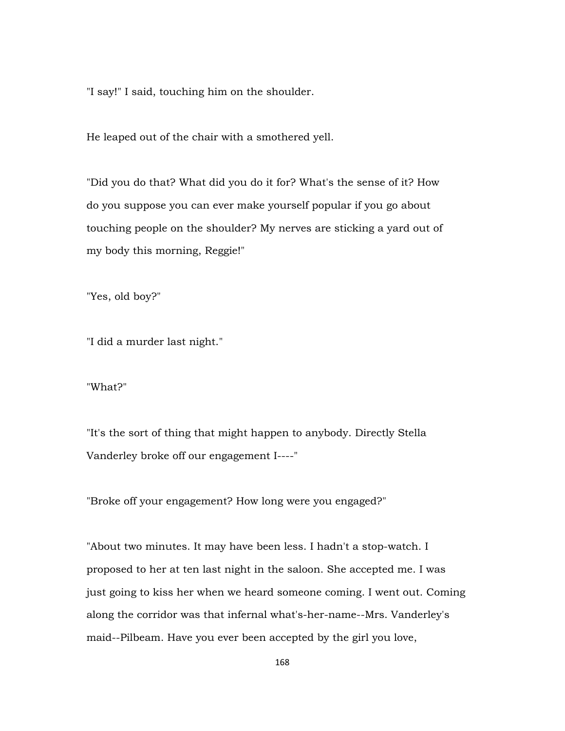"I say!" I said, touching him on the shoulder.

He leaped out of the chair with a smothered yell.

"Did you do that? What did you do it for? What's the sense of it? How do you suppose you can ever make yourself popular if you go about touching people on the shoulder? My nerves are sticking a yard out of my body this morning, Reggie!"

"Yes, old boy?"

"I did a murder last night."

"What?"

"It's the sort of thing that might happen to anybody. Directly Stella Vanderley broke off our engagement I----"

"Broke off your engagement? How long were you engaged?"

"About two minutes. It may have been less. I hadn't a stop-watch. I proposed to her at ten last night in the saloon. She accepted me. I was just going to kiss her when we heard someone coming. I went out. Coming along the corridor was that infernal what's-her-name--Mrs. Vanderley's maid--Pilbeam. Have you ever been accepted by the girl you love,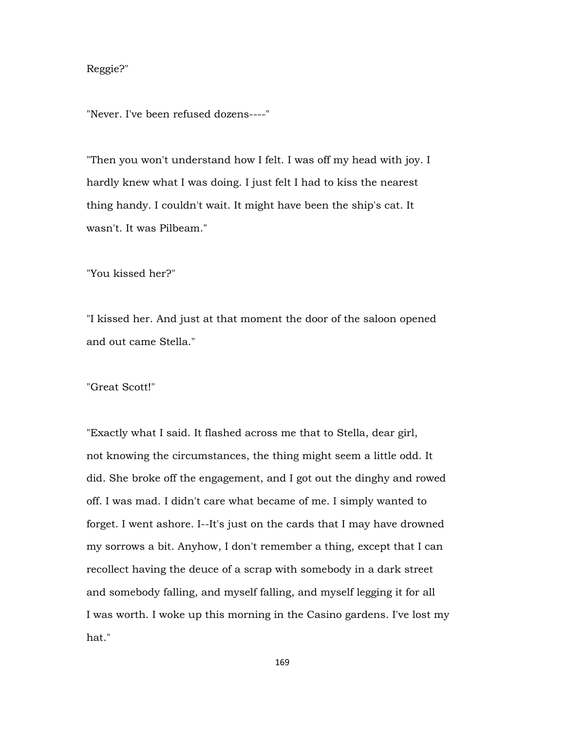## Reggie?"

"Never. I've been refused dozens----"

"Then you won't understand how I felt. I was off my head with joy. I hardly knew what I was doing. I just felt I had to kiss the nearest thing handy. I couldn't wait. It might have been the ship's cat. It wasn't. It was Pilbeam."

"You kissed her?"

"I kissed her. And just at that moment the door of the saloon opened and out came Stella."

"Great Scott!"

"Exactly what I said. It flashed across me that to Stella, dear girl, not knowing the circumstances, the thing might seem a little odd. It did. She broke off the engagement, and I got out the dinghy and rowed off. I was mad. I didn't care what became of me. I simply wanted to forget. I went ashore. I--It's just on the cards that I may have drowned my sorrows a bit. Anyhow, I don't remember a thing, except that I can recollect having the deuce of a scrap with somebody in a dark street and somebody falling, and myself falling, and myself legging it for all I was worth. I woke up this morning in the Casino gardens. I've lost my hat."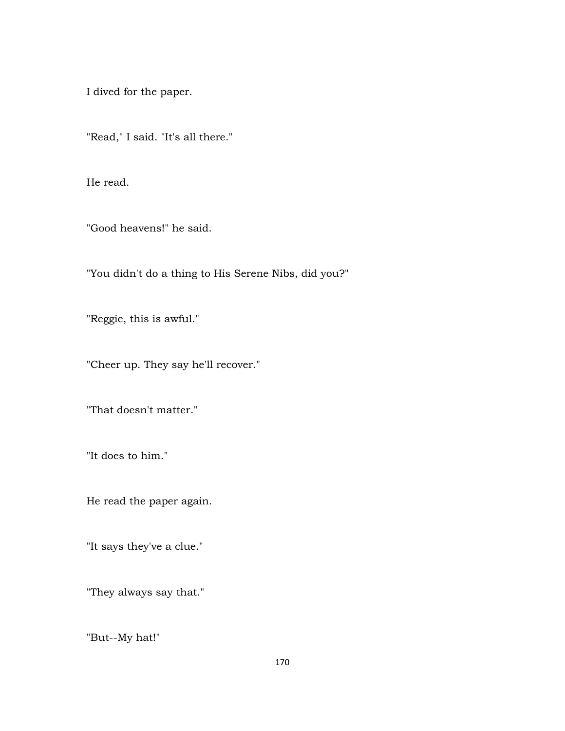I dived for the paper.

"Read," I said. "It's all there."

He read.

"Good heavens!" he said.

"You didn't do a thing to His Serene Nibs, did you?"

"Reggie, this is awful."

"Cheer up. They say he'll recover."

"That doesn't matter."

"It does to him."

He read the paper again.

"It says they've a clue."

"They always say that."

"But--My hat!"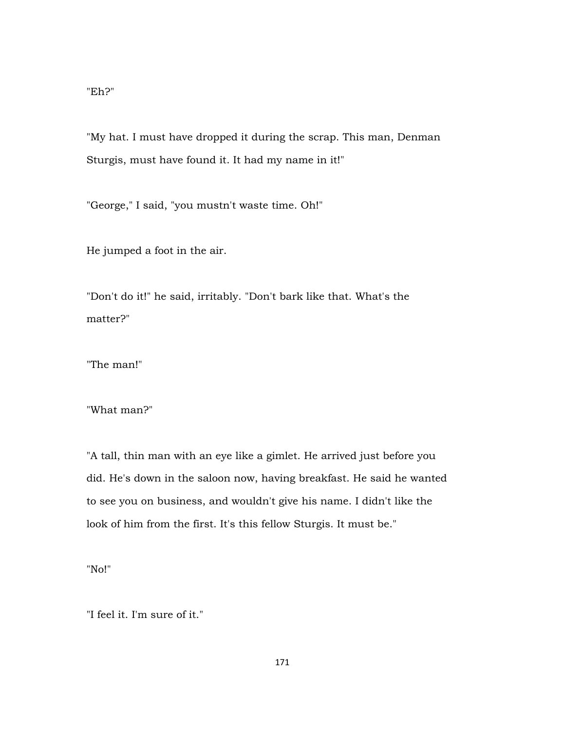## "Eh?"

"My hat. I must have dropped it during the scrap. This man, Denman Sturgis, must have found it. It had my name in it!"

"George," I said, "you mustn't waste time. Oh!"

He jumped a foot in the air.

"Don't do it!" he said, irritably. "Don't bark like that. What's the matter?"

"The man!"

"What man?"

"A tall, thin man with an eye like a gimlet. He arrived just before you did. He's down in the saloon now, having breakfast. He said he wanted to see you on business, and wouldn't give his name. I didn't like the look of him from the first. It's this fellow Sturgis. It must be."

"No!"

"I feel it. I'm sure of it."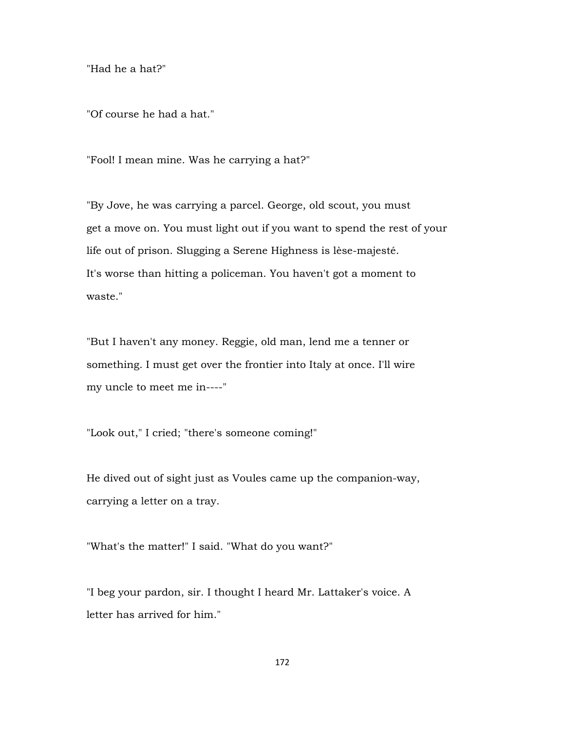"Had he a hat?"

"Of course he had a hat."

"Fool! I mean mine. Was he carrying a hat?"

"By Jove, he was carrying a parcel. George, old scout, you must get a move on. You must light out if you want to spend the rest of your life out of prison. Slugging a Serene Highness is lèse-majesté. It's worse than hitting a policeman. You haven't got a moment to waste."

"But I haven't any money. Reggie, old man, lend me a tenner or something. I must get over the frontier into Italy at once. I'll wire my uncle to meet me in----"

"Look out," I cried; "there's someone coming!"

He dived out of sight just as Voules came up the companion-way, carrying a letter on a tray.

"What's the matter!" I said. "What do you want?"

"I beg your pardon, sir. I thought I heard Mr. Lattaker's voice. A letter has arrived for him."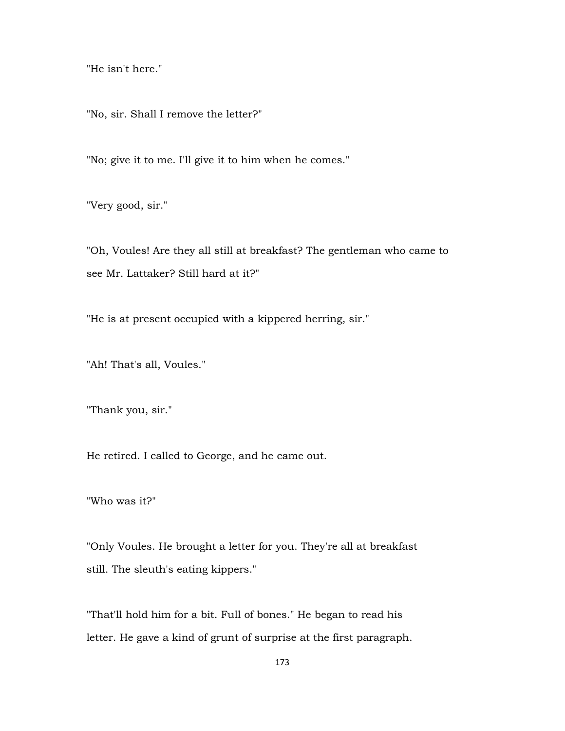"He isn't here."

"No, sir. Shall I remove the letter?"

"No; give it to me. I'll give it to him when he comes."

"Very good, sir."

"Oh, Voules! Are they all still at breakfast? The gentleman who came to see Mr. Lattaker? Still hard at it?"

"He is at present occupied with a kippered herring, sir."

"Ah! That's all, Voules."

"Thank you, sir."

He retired. I called to George, and he came out.

"Who was it?"

"Only Voules. He brought a letter for you. They're all at breakfast still. The sleuth's eating kippers."

"That'll hold him for a bit. Full of bones." He began to read his letter. He gave a kind of grunt of surprise at the first paragraph.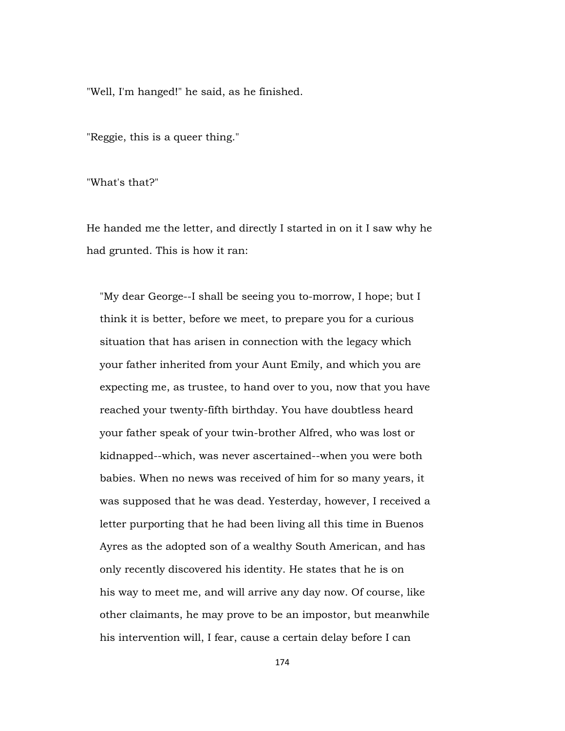"Well, I'm hanged!" he said, as he finished.

"Reggie, this is a queer thing."

"What's that?"

He handed me the letter, and directly I started in on it I saw why he had grunted. This is how it ran:

 "My dear George--I shall be seeing you to-morrow, I hope; but I think it is better, before we meet, to prepare you for a curious situation that has arisen in connection with the legacy which your father inherited from your Aunt Emily, and which you are expecting me, as trustee, to hand over to you, now that you have reached your twenty-fifth birthday. You have doubtless heard your father speak of your twin-brother Alfred, who was lost or kidnapped--which, was never ascertained--when you were both babies. When no news was received of him for so many years, it was supposed that he was dead. Yesterday, however, I received a letter purporting that he had been living all this time in Buenos Ayres as the adopted son of a wealthy South American, and has only recently discovered his identity. He states that he is on his way to meet me, and will arrive any day now. Of course, like other claimants, he may prove to be an impostor, but meanwhile his intervention will, I fear, cause a certain delay before I can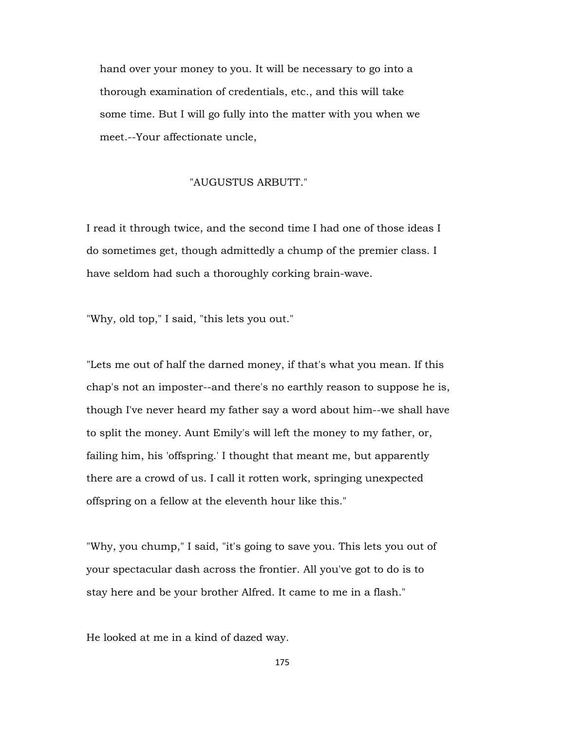hand over your money to you. It will be necessary to go into a thorough examination of credentials, etc., and this will take some time. But I will go fully into the matter with you when we meet.--Your affectionate uncle,

# "AUGUSTUS ARBUTT."

I read it through twice, and the second time I had one of those ideas I do sometimes get, though admittedly a chump of the premier class. I have seldom had such a thoroughly corking brain-wave.

"Why, old top," I said, "this lets you out."

"Lets me out of half the darned money, if that's what you mean. If this chap's not an imposter--and there's no earthly reason to suppose he is, though I've never heard my father say a word about him--we shall have to split the money. Aunt Emily's will left the money to my father, or, failing him, his 'offspring.' I thought that meant me, but apparently there are a crowd of us. I call it rotten work, springing unexpected offspring on a fellow at the eleventh hour like this."

"Why, you chump," I said, "it's going to save you. This lets you out of your spectacular dash across the frontier. All you've got to do is to stay here and be your brother Alfred. It came to me in a flash."

He looked at me in a kind of dazed way.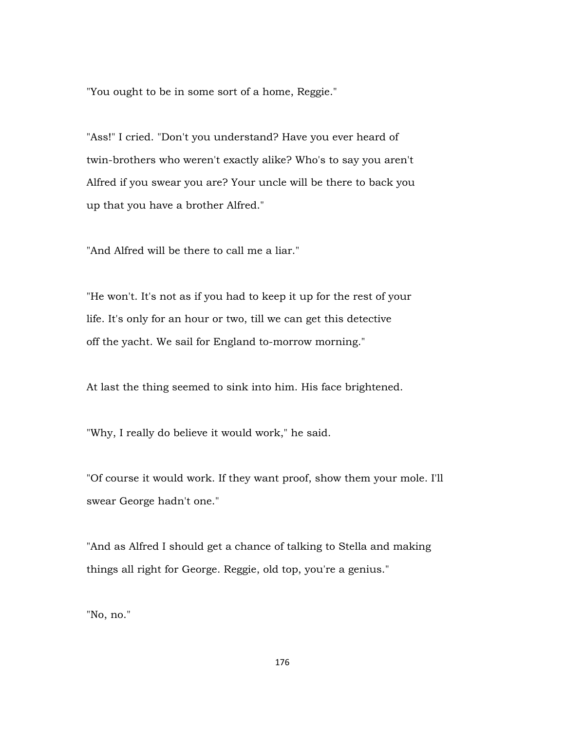"You ought to be in some sort of a home, Reggie."

"Ass!" I cried. "Don't you understand? Have you ever heard of twin-brothers who weren't exactly alike? Who's to say you aren't Alfred if you swear you are? Your uncle will be there to back you up that you have a brother Alfred."

"And Alfred will be there to call me a liar."

"He won't. It's not as if you had to keep it up for the rest of your life. It's only for an hour or two, till we can get this detective off the yacht. We sail for England to-morrow morning."

At last the thing seemed to sink into him. His face brightened.

"Why, I really do believe it would work," he said.

"Of course it would work. If they want proof, show them your mole. I'll swear George hadn't one."

"And as Alfred I should get a chance of talking to Stella and making things all right for George. Reggie, old top, you're a genius."

"No, no."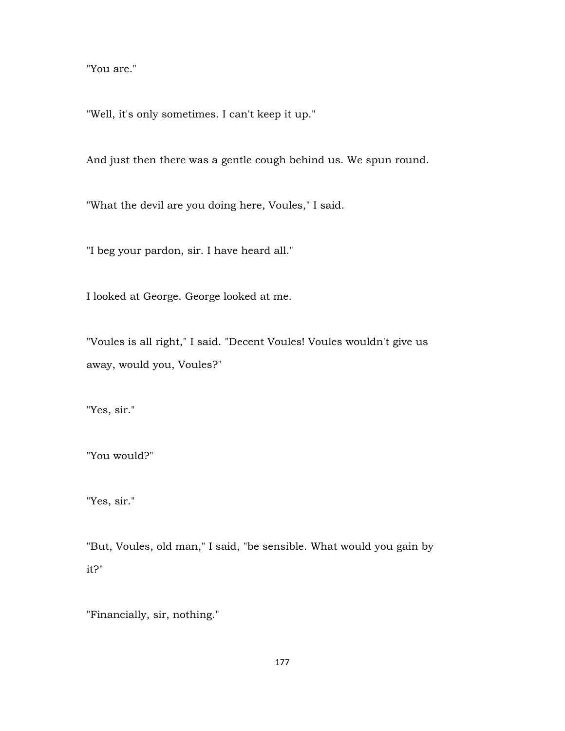"You are."

"Well, it's only sometimes. I can't keep it up."

And just then there was a gentle cough behind us. We spun round.

"What the devil are you doing here, Voules," I said.

"I beg your pardon, sir. I have heard all."

I looked at George. George looked at me.

"Voules is all right," I said. "Decent Voules! Voules wouldn't give us away, would you, Voules?"

"Yes, sir."

"You would?"

"Yes, sir."

"But, Voules, old man," I said, "be sensible. What would you gain by it?"

"Financially, sir, nothing."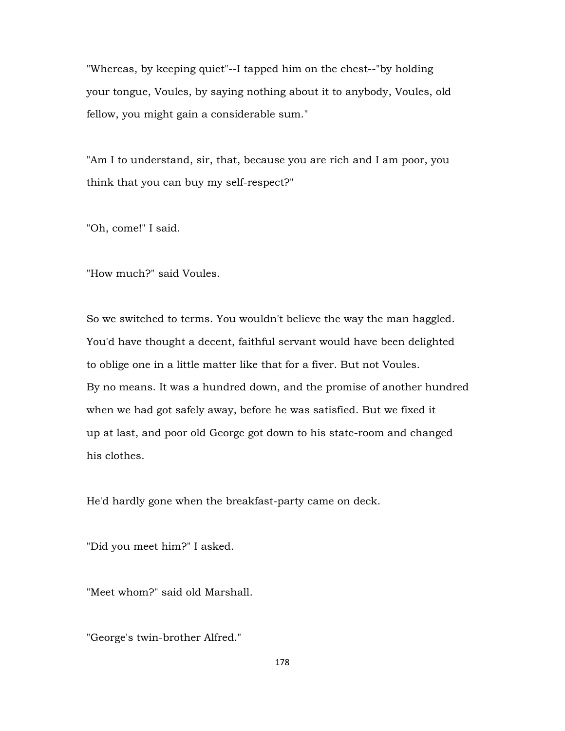"Whereas, by keeping quiet"--I tapped him on the chest--"by holding your tongue, Voules, by saying nothing about it to anybody, Voules, old fellow, you might gain a considerable sum."

"Am I to understand, sir, that, because you are rich and I am poor, you think that you can buy my self-respect?"

"Oh, come!" I said.

"How much?" said Voules.

So we switched to terms. You wouldn't believe the way the man haggled. You'd have thought a decent, faithful servant would have been delighted to oblige one in a little matter like that for a fiver. But not Voules. By no means. It was a hundred down, and the promise of another hundred when we had got safely away, before he was satisfied. But we fixed it up at last, and poor old George got down to his state-room and changed his clothes.

He'd hardly gone when the breakfast-party came on deck.

"Did you meet him?" I asked.

"Meet whom?" said old Marshall.

"George's twin-brother Alfred."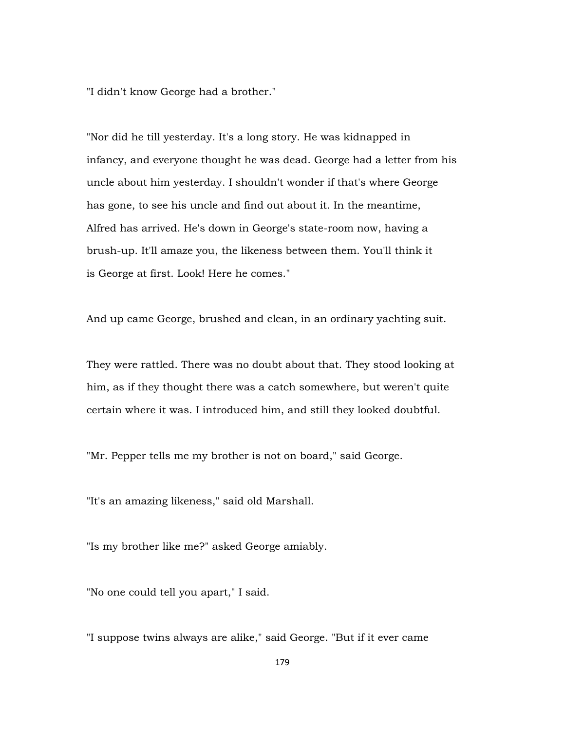"I didn't know George had a brother."

"Nor did he till yesterday. It's a long story. He was kidnapped in infancy, and everyone thought he was dead. George had a letter from his uncle about him yesterday. I shouldn't wonder if that's where George has gone, to see his uncle and find out about it. In the meantime, Alfred has arrived. He's down in George's state-room now, having a brush-up. It'll amaze you, the likeness between them. You'll think it is George at first. Look! Here he comes."

And up came George, brushed and clean, in an ordinary yachting suit.

They were rattled. There was no doubt about that. They stood looking at him, as if they thought there was a catch somewhere, but weren't quite certain where it was. I introduced him, and still they looked doubtful.

"Mr. Pepper tells me my brother is not on board," said George.

"It's an amazing likeness," said old Marshall.

"Is my brother like me?" asked George amiably.

"No one could tell you apart," I said.

"I suppose twins always are alike," said George. "But if it ever came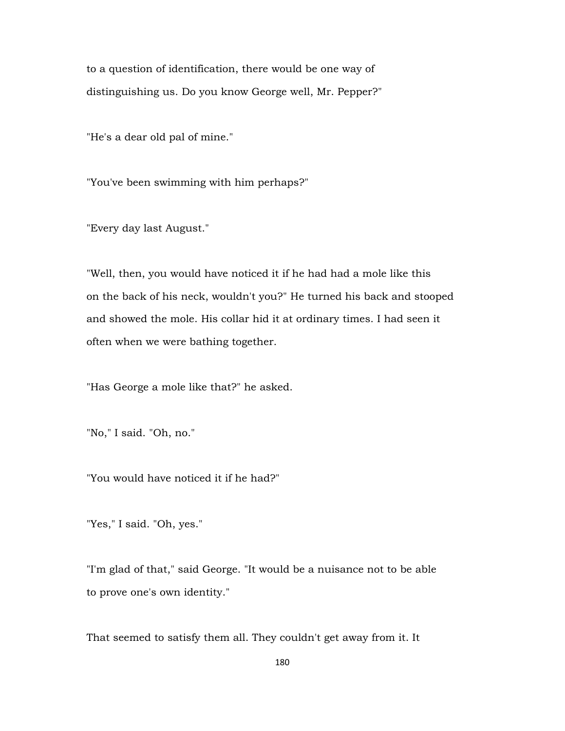to a question of identification, there would be one way of distinguishing us. Do you know George well, Mr. Pepper?"

"He's a dear old pal of mine."

"You've been swimming with him perhaps?"

"Every day last August."

"Well, then, you would have noticed it if he had had a mole like this on the back of his neck, wouldn't you?" He turned his back and stooped and showed the mole. His collar hid it at ordinary times. I had seen it often when we were bathing together.

"Has George a mole like that?" he asked.

"No," I said. "Oh, no."

"You would have noticed it if he had?"

"Yes," I said. "Oh, yes."

"I'm glad of that," said George. "It would be a nuisance not to be able to prove one's own identity."

That seemed to satisfy them all. They couldn't get away from it. It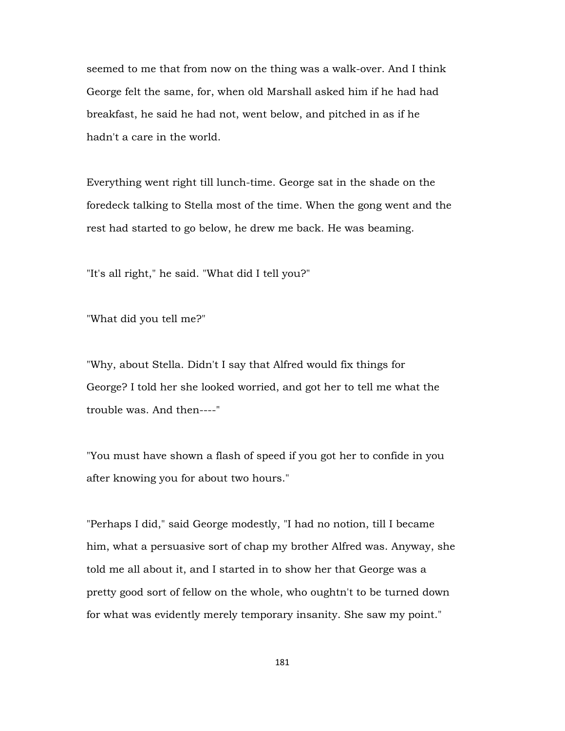seemed to me that from now on the thing was a walk-over. And I think George felt the same, for, when old Marshall asked him if he had had breakfast, he said he had not, went below, and pitched in as if he hadn't a care in the world.

Everything went right till lunch-time. George sat in the shade on the foredeck talking to Stella most of the time. When the gong went and the rest had started to go below, he drew me back. He was beaming.

"It's all right," he said. "What did I tell you?"

"What did you tell me?"

"Why, about Stella. Didn't I say that Alfred would fix things for George? I told her she looked worried, and got her to tell me what the trouble was. And then----"

"You must have shown a flash of speed if you got her to confide in you after knowing you for about two hours."

"Perhaps I did," said George modestly, "I had no notion, till I became him, what a persuasive sort of chap my brother Alfred was. Anyway, she told me all about it, and I started in to show her that George was a pretty good sort of fellow on the whole, who oughtn't to be turned down for what was evidently merely temporary insanity. She saw my point."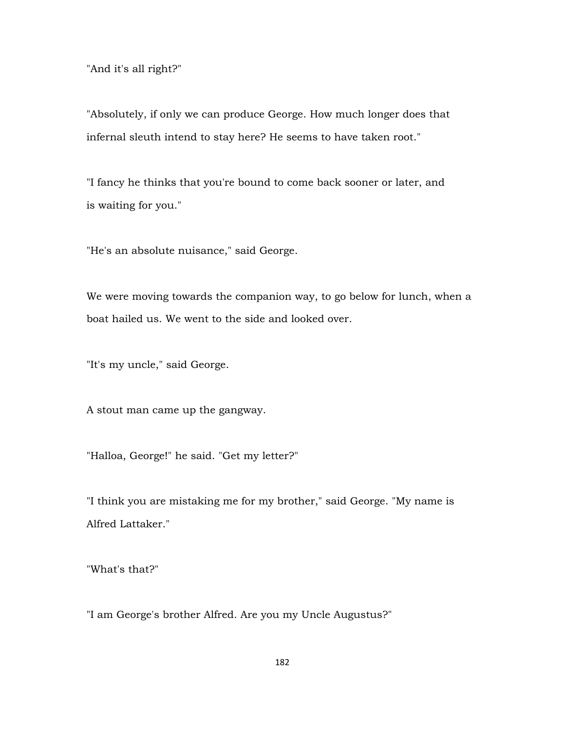"And it's all right?"

"Absolutely, if only we can produce George. How much longer does that infernal sleuth intend to stay here? He seems to have taken root."

"I fancy he thinks that you're bound to come back sooner or later, and is waiting for you."

"He's an absolute nuisance," said George.

We were moving towards the companion way, to go below for lunch, when a boat hailed us. We went to the side and looked over.

"It's my uncle," said George.

A stout man came up the gangway.

"Halloa, George!" he said. "Get my letter?"

"I think you are mistaking me for my brother," said George. "My name is Alfred Lattaker."

"What's that?"

"I am George's brother Alfred. Are you my Uncle Augustus?"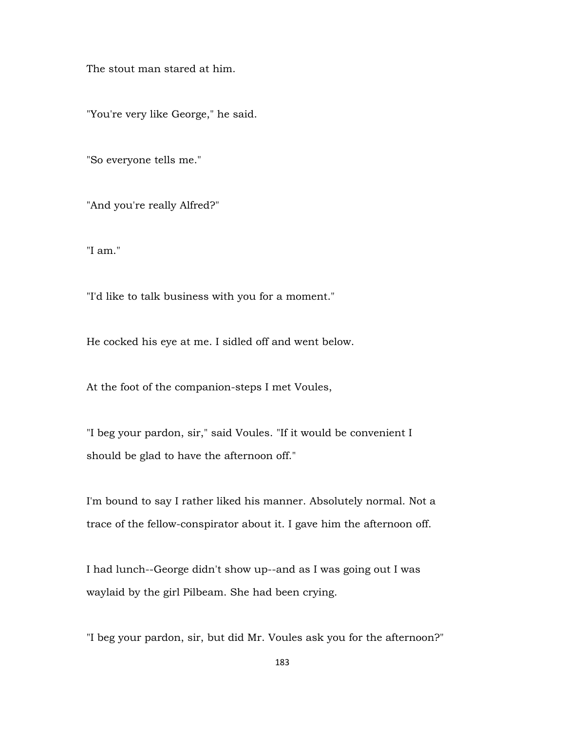The stout man stared at him.

"You're very like George," he said.

"So everyone tells me."

"And you're really Alfred?"

"I am."

"I'd like to talk business with you for a moment."

He cocked his eye at me. I sidled off and went below.

At the foot of the companion-steps I met Voules,

"I beg your pardon, sir," said Voules. "If it would be convenient I should be glad to have the afternoon off."

I'm bound to say I rather liked his manner. Absolutely normal. Not a trace of the fellow-conspirator about it. I gave him the afternoon off.

I had lunch--George didn't show up--and as I was going out I was waylaid by the girl Pilbeam. She had been crying.

"I beg your pardon, sir, but did Mr. Voules ask you for the afternoon?"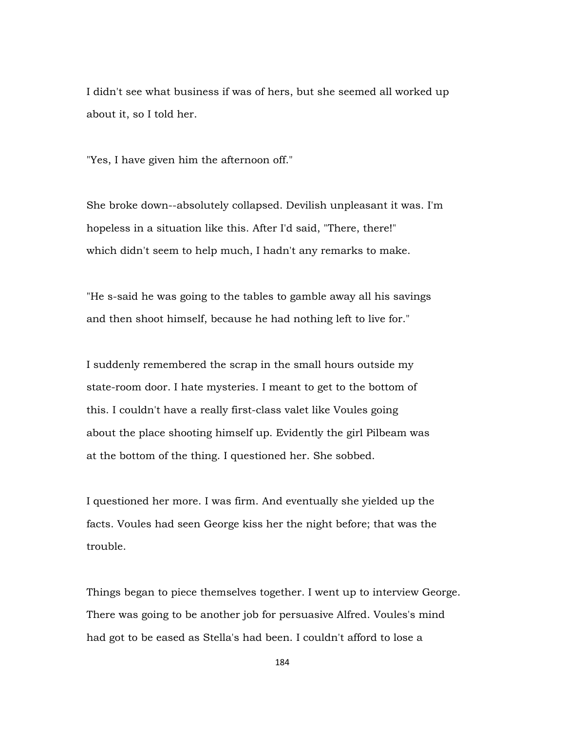I didn't see what business if was of hers, but she seemed all worked up about it, so I told her.

"Yes, I have given him the afternoon off."

She broke down--absolutely collapsed. Devilish unpleasant it was. I'm hopeless in a situation like this. After I'd said, "There, there!" which didn't seem to help much, I hadn't any remarks to make.

"He s-said he was going to the tables to gamble away all his savings and then shoot himself, because he had nothing left to live for."

I suddenly remembered the scrap in the small hours outside my state-room door. I hate mysteries. I meant to get to the bottom of this. I couldn't have a really first-class valet like Voules going about the place shooting himself up. Evidently the girl Pilbeam was at the bottom of the thing. I questioned her. She sobbed.

I questioned her more. I was firm. And eventually she yielded up the facts. Voules had seen George kiss her the night before; that was the trouble.

Things began to piece themselves together. I went up to interview George. There was going to be another job for persuasive Alfred. Voules's mind had got to be eased as Stella's had been. I couldn't afford to lose a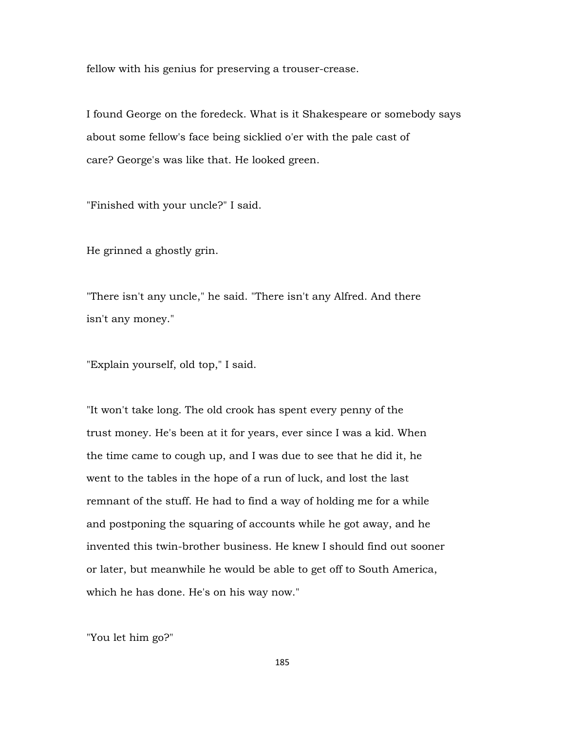fellow with his genius for preserving a trouser-crease.

I found George on the foredeck. What is it Shakespeare or somebody says about some fellow's face being sicklied o'er with the pale cast of care? George's was like that. He looked green.

"Finished with your uncle?" I said.

He grinned a ghostly grin.

"There isn't any uncle," he said. "There isn't any Alfred. And there isn't any money."

"Explain yourself, old top," I said.

"It won't take long. The old crook has spent every penny of the trust money. He's been at it for years, ever since I was a kid. When the time came to cough up, and I was due to see that he did it, he went to the tables in the hope of a run of luck, and lost the last remnant of the stuff. He had to find a way of holding me for a while and postponing the squaring of accounts while he got away, and he invented this twin-brother business. He knew I should find out sooner or later, but meanwhile he would be able to get off to South America, which he has done. He's on his way now."

"You let him go?"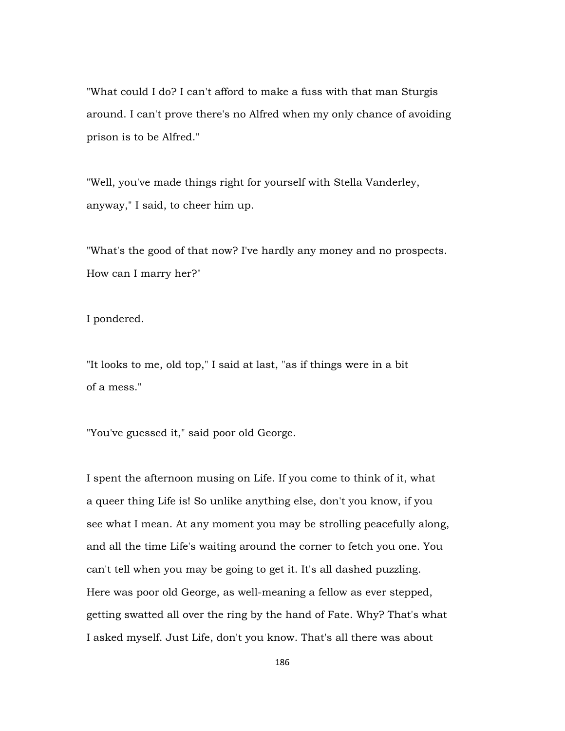"What could I do? I can't afford to make a fuss with that man Sturgis around. I can't prove there's no Alfred when my only chance of avoiding prison is to be Alfred."

"Well, you've made things right for yourself with Stella Vanderley, anyway," I said, to cheer him up.

"What's the good of that now? I've hardly any money and no prospects. How can I marry her?"

I pondered.

"It looks to me, old top," I said at last, "as if things were in a bit of a mess."

"You've guessed it," said poor old George.

I spent the afternoon musing on Life. If you come to think of it, what a queer thing Life is! So unlike anything else, don't you know, if you see what I mean. At any moment you may be strolling peacefully along, and all the time Life's waiting around the corner to fetch you one. You can't tell when you may be going to get it. It's all dashed puzzling. Here was poor old George, as well-meaning a fellow as ever stepped, getting swatted all over the ring by the hand of Fate. Why? That's what I asked myself. Just Life, don't you know. That's all there was about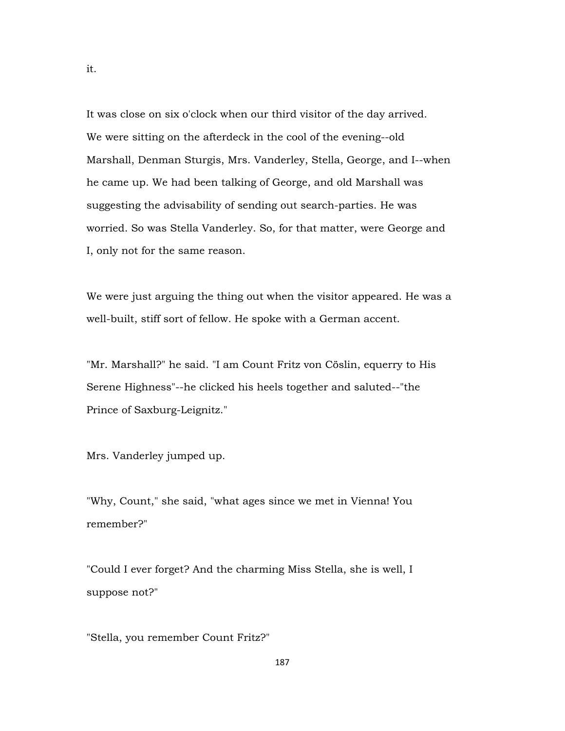It was close on six o'clock when our third visitor of the day arrived. We were sitting on the afterdeck in the cool of the evening--old Marshall, Denman Sturgis, Mrs. Vanderley, Stella, George, and I--when he came up. We had been talking of George, and old Marshall was suggesting the advisability of sending out search-parties. He was worried. So was Stella Vanderley. So, for that matter, were George and I, only not for the same reason.

We were just arguing the thing out when the visitor appeared. He was a well-built, stiff sort of fellow. He spoke with a German accent.

"Mr. Marshall?" he said. "I am Count Fritz von Cöslin, equerry to His Serene Highness"--he clicked his heels together and saluted--"the Prince of Saxburg-Leignitz."

Mrs. Vanderley jumped up.

"Why, Count," she said, "what ages since we met in Vienna! You remember?"

"Could I ever forget? And the charming Miss Stella, she is well, I suppose not?"

"Stella, you remember Count Fritz?"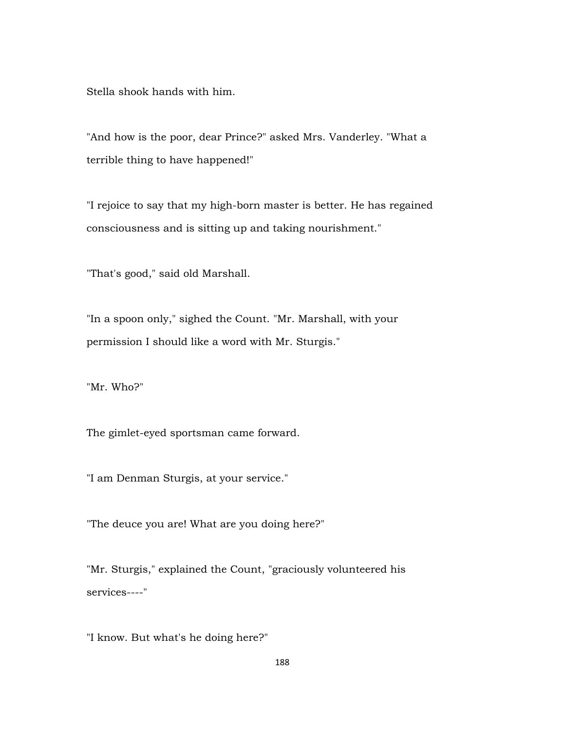Stella shook hands with him.

"And how is the poor, dear Prince?" asked Mrs. Vanderley. "What a terrible thing to have happened!"

"I rejoice to say that my high-born master is better. He has regained consciousness and is sitting up and taking nourishment."

"That's good," said old Marshall.

"In a spoon only," sighed the Count. "Mr. Marshall, with your permission I should like a word with Mr. Sturgis."

"Mr. Who?"

The gimlet-eyed sportsman came forward.

"I am Denman Sturgis, at your service."

"The deuce you are! What are you doing here?"

"Mr. Sturgis," explained the Count, "graciously volunteered his services----"

"I know. But what's he doing here?"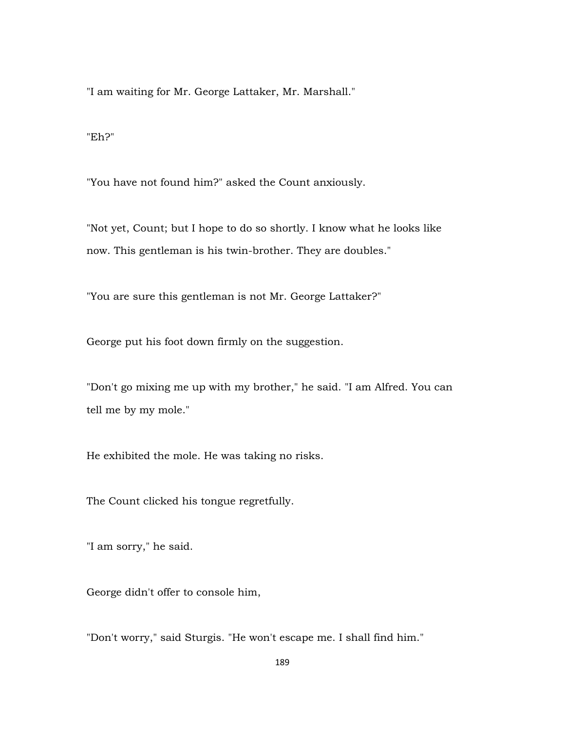"I am waiting for Mr. George Lattaker, Mr. Marshall."

"Eh?"

"You have not found him?" asked the Count anxiously.

"Not yet, Count; but I hope to do so shortly. I know what he looks like now. This gentleman is his twin-brother. They are doubles."

"You are sure this gentleman is not Mr. George Lattaker?"

George put his foot down firmly on the suggestion.

"Don't go mixing me up with my brother," he said. "I am Alfred. You can tell me by my mole."

He exhibited the mole. He was taking no risks.

The Count clicked his tongue regretfully.

"I am sorry," he said.

George didn't offer to console him,

"Don't worry," said Sturgis. "He won't escape me. I shall find him."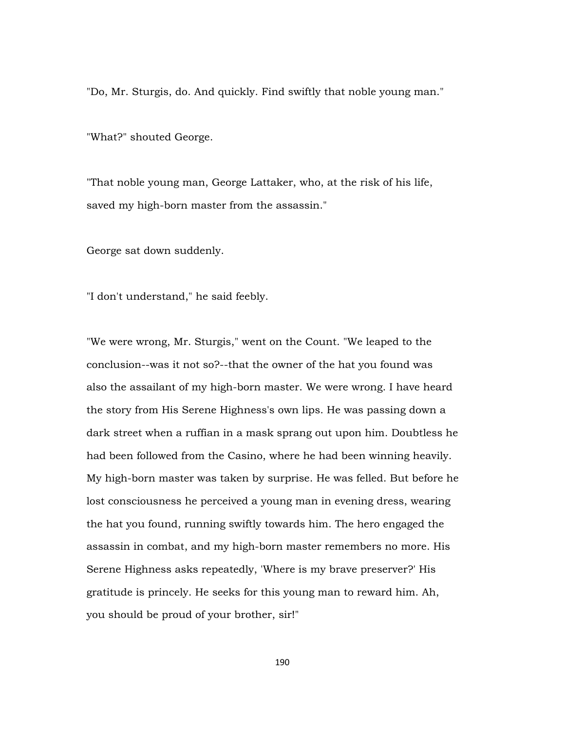"Do, Mr. Sturgis, do. And quickly. Find swiftly that noble young man."

"What?" shouted George.

"That noble young man, George Lattaker, who, at the risk of his life, saved my high-born master from the assassin."

George sat down suddenly.

"I don't understand," he said feebly.

"We were wrong, Mr. Sturgis," went on the Count. "We leaped to the conclusion--was it not so?--that the owner of the hat you found was also the assailant of my high-born master. We were wrong. I have heard the story from His Serene Highness's own lips. He was passing down a dark street when a ruffian in a mask sprang out upon him. Doubtless he had been followed from the Casino, where he had been winning heavily. My high-born master was taken by surprise. He was felled. But before he lost consciousness he perceived a young man in evening dress, wearing the hat you found, running swiftly towards him. The hero engaged the assassin in combat, and my high-born master remembers no more. His Serene Highness asks repeatedly, 'Where is my brave preserver?' His gratitude is princely. He seeks for this young man to reward him. Ah, you should be proud of your brother, sir!"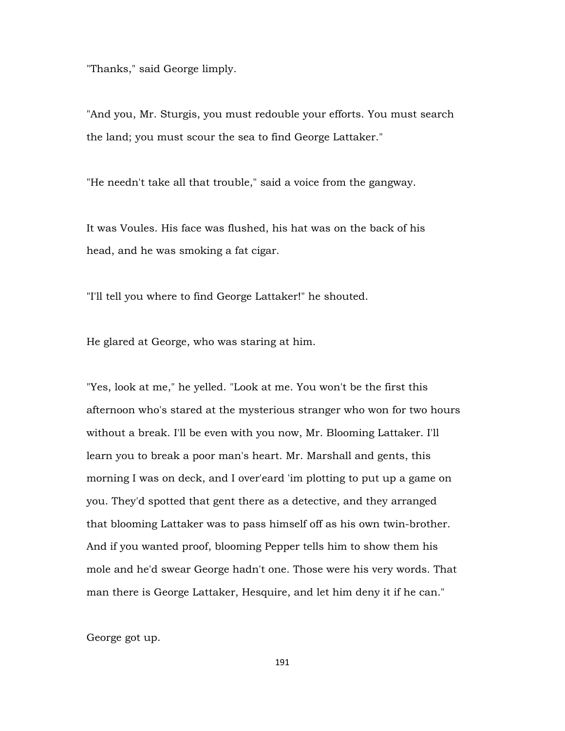"Thanks," said George limply.

"And you, Mr. Sturgis, you must redouble your efforts. You must search the land; you must scour the sea to find George Lattaker."

"He needn't take all that trouble," said a voice from the gangway.

It was Voules. His face was flushed, his hat was on the back of his head, and he was smoking a fat cigar.

"I'll tell you where to find George Lattaker!" he shouted.

He glared at George, who was staring at him.

"Yes, look at me," he yelled. "Look at me. You won't be the first this afternoon who's stared at the mysterious stranger who won for two hours without a break. I'll be even with you now, Mr. Blooming Lattaker. I'll learn you to break a poor man's heart. Mr. Marshall and gents, this morning I was on deck, and I over'eard 'im plotting to put up a game on you. They'd spotted that gent there as a detective, and they arranged that blooming Lattaker was to pass himself off as his own twin-brother. And if you wanted proof, blooming Pepper tells him to show them his mole and he'd swear George hadn't one. Those were his very words. That man there is George Lattaker, Hesquire, and let him deny it if he can."

George got up.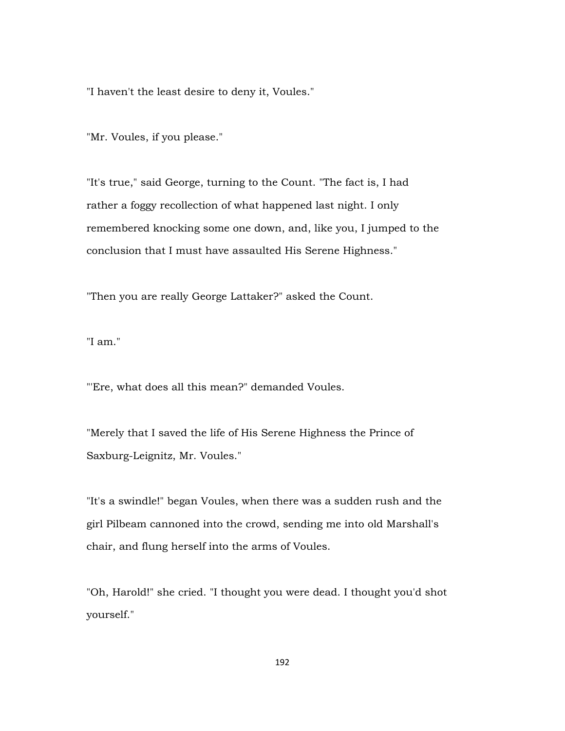"I haven't the least desire to deny it, Voules."

"Mr. Voules, if you please."

"It's true," said George, turning to the Count. "The fact is, I had rather a foggy recollection of what happened last night. I only remembered knocking some one down, and, like you, I jumped to the conclusion that I must have assaulted His Serene Highness."

"Then you are really George Lattaker?" asked the Count.

"I am."

"'Ere, what does all this mean?" demanded Voules.

"Merely that I saved the life of His Serene Highness the Prince of Saxburg-Leignitz, Mr. Voules."

"It's a swindle!" began Voules, when there was a sudden rush and the girl Pilbeam cannoned into the crowd, sending me into old Marshall's chair, and flung herself into the arms of Voules.

"Oh, Harold!" she cried. "I thought you were dead. I thought you'd shot yourself."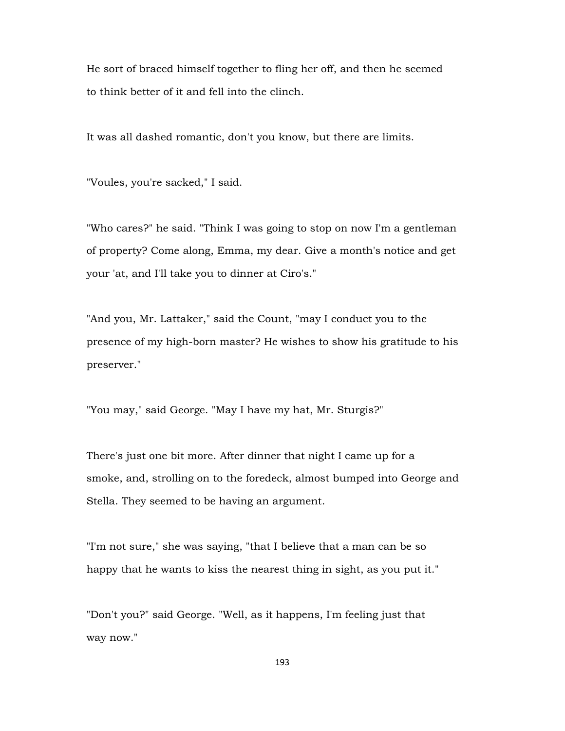He sort of braced himself together to fling her off, and then he seemed to think better of it and fell into the clinch.

It was all dashed romantic, don't you know, but there are limits.

"Voules, you're sacked," I said.

"Who cares?" he said. "Think I was going to stop on now I'm a gentleman of property? Come along, Emma, my dear. Give a month's notice and get your 'at, and I'll take you to dinner at Ciro's."

"And you, Mr. Lattaker," said the Count, "may I conduct you to the presence of my high-born master? He wishes to show his gratitude to his preserver."

"You may," said George. "May I have my hat, Mr. Sturgis?"

There's just one bit more. After dinner that night I came up for a smoke, and, strolling on to the foredeck, almost bumped into George and Stella. They seemed to be having an argument.

"I'm not sure," she was saying, "that I believe that a man can be so happy that he wants to kiss the nearest thing in sight, as you put it."

"Don't you?" said George. "Well, as it happens, I'm feeling just that way now."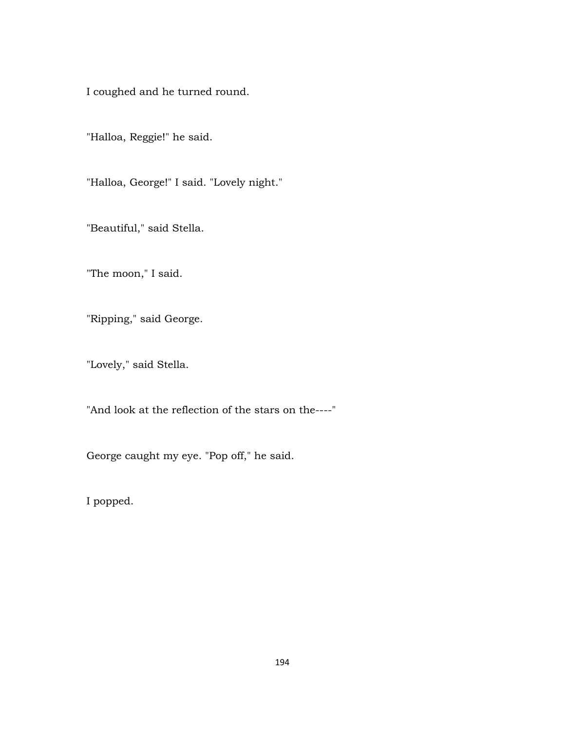I coughed and he turned round.

"Halloa, Reggie!" he said.

"Halloa, George!" I said. "Lovely night."

"Beautiful," said Stella.

"The moon," I said.

"Ripping," said George.

"Lovely," said Stella.

"And look at the reflection of the stars on the----"

George caught my eye. "Pop off," he said.

I popped.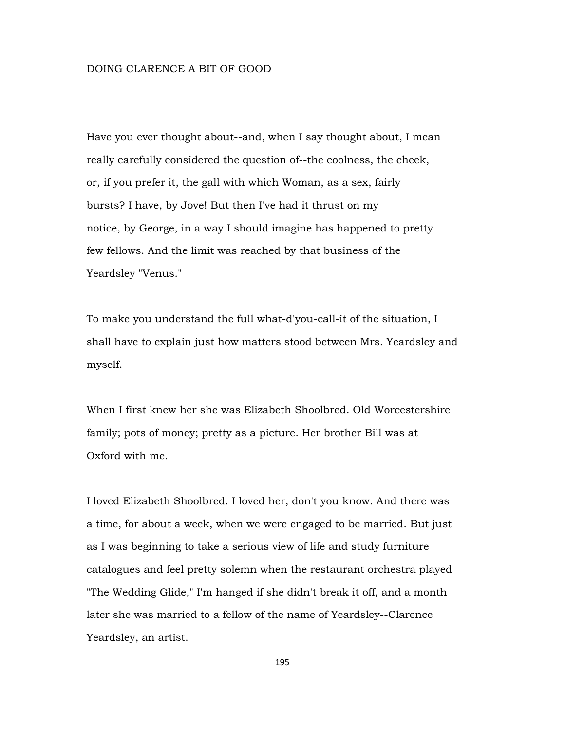## DOING CLARENCE A BIT OF GOOD

Have you ever thought about--and, when I say thought about, I mean really carefully considered the question of--the coolness, the cheek, or, if you prefer it, the gall with which Woman, as a sex, fairly bursts? I have, by Jove! But then I've had it thrust on my notice, by George, in a way I should imagine has happened to pretty few fellows. And the limit was reached by that business of the Yeardsley "Venus."

To make you understand the full what-d'you-call-it of the situation, I shall have to explain just how matters stood between Mrs. Yeardsley and myself.

When I first knew her she was Elizabeth Shoolbred. Old Worcestershire family; pots of money; pretty as a picture. Her brother Bill was at Oxford with me.

I loved Elizabeth Shoolbred. I loved her, don't you know. And there was a time, for about a week, when we were engaged to be married. But just as I was beginning to take a serious view of life and study furniture catalogues and feel pretty solemn when the restaurant orchestra played "The Wedding Glide," I'm hanged if she didn't break it off, and a month later she was married to a fellow of the name of Yeardsley--Clarence Yeardsley, an artist.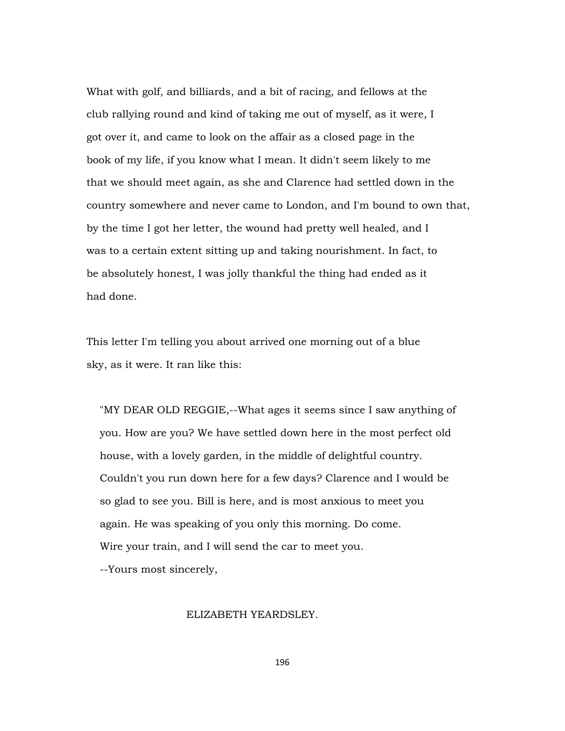What with golf, and billiards, and a bit of racing, and fellows at the club rallying round and kind of taking me out of myself, as it were, I got over it, and came to look on the affair as a closed page in the book of my life, if you know what I mean. It didn't seem likely to me that we should meet again, as she and Clarence had settled down in the country somewhere and never came to London, and I'm bound to own that, by the time I got her letter, the wound had pretty well healed, and I was to a certain extent sitting up and taking nourishment. In fact, to be absolutely honest, I was jolly thankful the thing had ended as it had done.

This letter I'm telling you about arrived one morning out of a blue sky, as it were. It ran like this:

 "MY DEAR OLD REGGIE,--What ages it seems since I saw anything of you. How are you? We have settled down here in the most perfect old house, with a lovely garden, in the middle of delightful country. Couldn't you run down here for a few days? Clarence and I would be so glad to see you. Bill is here, and is most anxious to meet you again. He was speaking of you only this morning. Do come. Wire your train, and I will send the car to meet you.

--Yours most sincerely,

## ELIZABETH YEARDSLEY.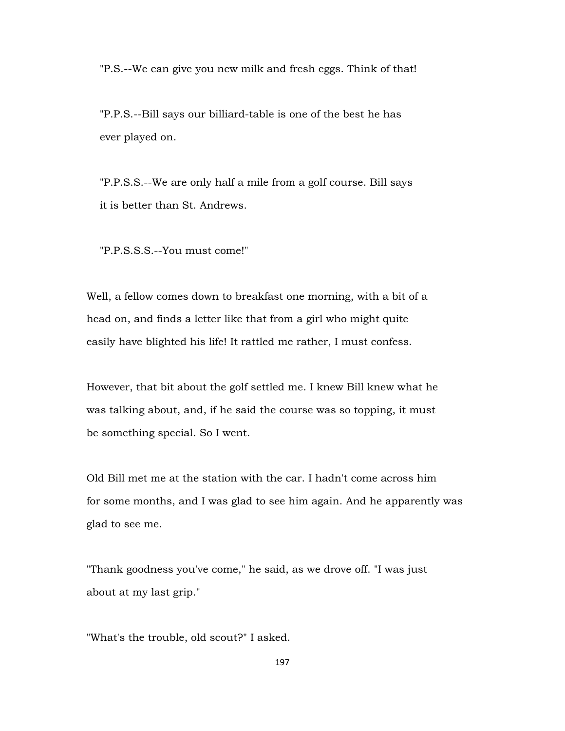"P.S.--We can give you new milk and fresh eggs. Think of that!

 "P.P.S.--Bill says our billiard-table is one of the best he has ever played on.

 "P.P.S.S.--We are only half a mile from a golf course. Bill says it is better than St. Andrews.

"P.P.S.S.S.--You must come!"

Well, a fellow comes down to breakfast one morning, with a bit of a head on, and finds a letter like that from a girl who might quite easily have blighted his life! It rattled me rather, I must confess.

However, that bit about the golf settled me. I knew Bill knew what he was talking about, and, if he said the course was so topping, it must be something special. So I went.

Old Bill met me at the station with the car. I hadn't come across him for some months, and I was glad to see him again. And he apparently was glad to see me.

"Thank goodness you've come," he said, as we drove off. "I was just about at my last grip."

"What's the trouble, old scout?" I asked.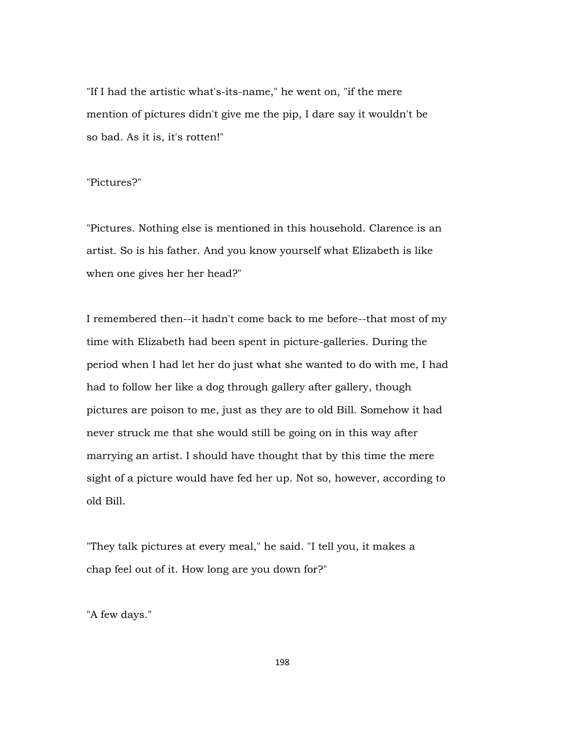"If I had the artistic what's-its-name," he went on, "if the mere mention of pictures didn't give me the pip, I dare say it wouldn't be so bad. As it is, it's rotten!"

## "Pictures?"

"Pictures. Nothing else is mentioned in this household. Clarence is an artist. So is his father. And you know yourself what Elizabeth is like when one gives her her head?"

I remembered then--it hadn't come back to me before--that most of my time with Elizabeth had been spent in picture-galleries. During the period when I had let her do just what she wanted to do with me, I had had to follow her like a dog through gallery after gallery, though pictures are poison to me, just as they are to old Bill. Somehow it had never struck me that she would still be going on in this way after marrying an artist. I should have thought that by this time the mere sight of a picture would have fed her up. Not so, however, according to old Bill.

"They talk pictures at every meal," he said. "I tell you, it makes a chap feel out of it. How long are you down for?"

"A few days."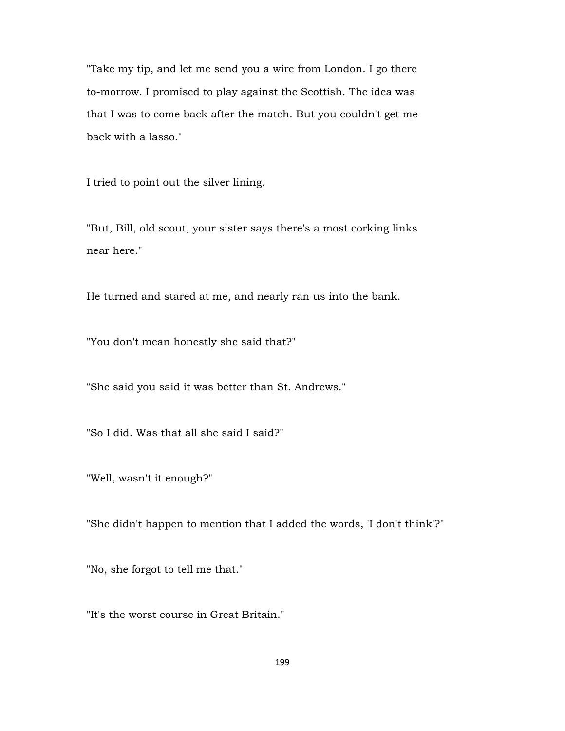"Take my tip, and let me send you a wire from London. I go there to-morrow. I promised to play against the Scottish. The idea was that I was to come back after the match. But you couldn't get me back with a lasso."

I tried to point out the silver lining.

"But, Bill, old scout, your sister says there's a most corking links near here."

He turned and stared at me, and nearly ran us into the bank.

"You don't mean honestly she said that?"

"She said you said it was better than St. Andrews."

"So I did. Was that all she said I said?"

"Well, wasn't it enough?"

"She didn't happen to mention that I added the words, 'I don't think'?"

"No, she forgot to tell me that."

"It's the worst course in Great Britain."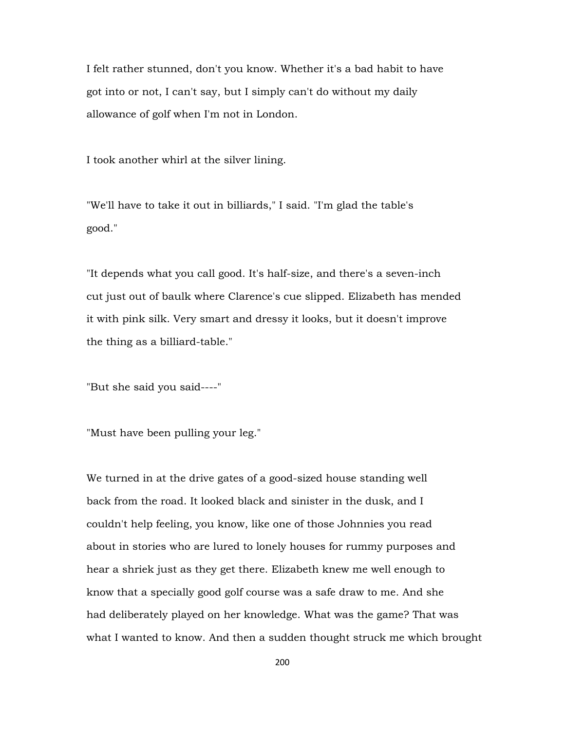I felt rather stunned, don't you know. Whether it's a bad habit to have got into or not, I can't say, but I simply can't do without my daily allowance of golf when I'm not in London.

I took another whirl at the silver lining.

"We'll have to take it out in billiards," I said. "I'm glad the table's good."

"It depends what you call good. It's half-size, and there's a seven-inch cut just out of baulk where Clarence's cue slipped. Elizabeth has mended it with pink silk. Very smart and dressy it looks, but it doesn't improve the thing as a billiard-table."

"But she said you said----"

"Must have been pulling your leg."

We turned in at the drive gates of a good-sized house standing well back from the road. It looked black and sinister in the dusk, and I couldn't help feeling, you know, like one of those Johnnies you read about in stories who are lured to lonely houses for rummy purposes and hear a shriek just as they get there. Elizabeth knew me well enough to know that a specially good golf course was a safe draw to me. And she had deliberately played on her knowledge. What was the game? That was what I wanted to know. And then a sudden thought struck me which brought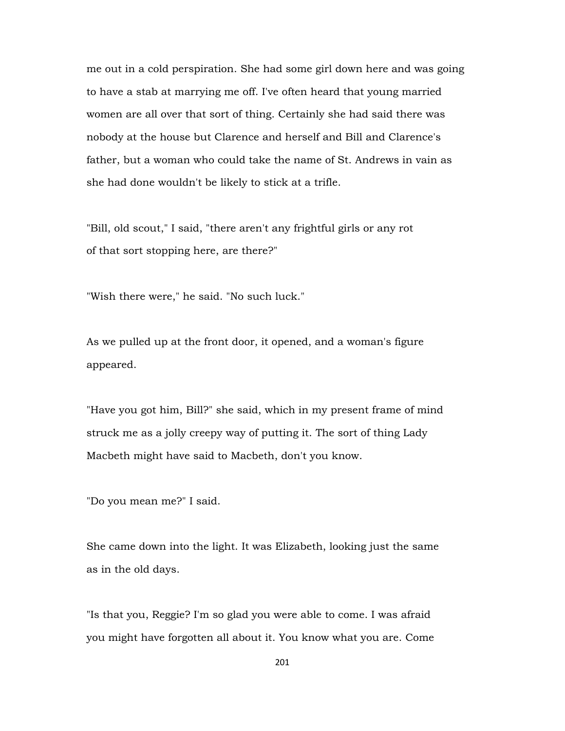me out in a cold perspiration. She had some girl down here and was going to have a stab at marrying me off. I've often heard that young married women are all over that sort of thing. Certainly she had said there was nobody at the house but Clarence and herself and Bill and Clarence's father, but a woman who could take the name of St. Andrews in vain as she had done wouldn't be likely to stick at a trifle.

"Bill, old scout," I said, "there aren't any frightful girls or any rot of that sort stopping here, are there?"

"Wish there were," he said. "No such luck."

As we pulled up at the front door, it opened, and a woman's figure appeared.

"Have you got him, Bill?" she said, which in my present frame of mind struck me as a jolly creepy way of putting it. The sort of thing Lady Macbeth might have said to Macbeth, don't you know.

"Do you mean me?" I said.

She came down into the light. It was Elizabeth, looking just the same as in the old days.

"Is that you, Reggie? I'm so glad you were able to come. I was afraid you might have forgotten all about it. You know what you are. Come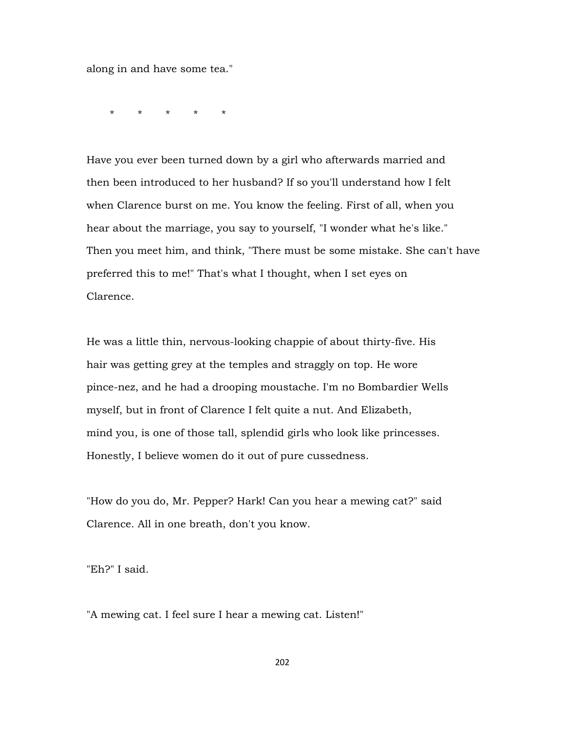along in and have some tea."

\* \* \* \* \*

Have you ever been turned down by a girl who afterwards married and then been introduced to her husband? If so you'll understand how I felt when Clarence burst on me. You know the feeling. First of all, when you hear about the marriage, you say to yourself, "I wonder what he's like." Then you meet him, and think, "There must be some mistake. She can't have preferred this to me!" That's what I thought, when I set eyes on Clarence.

He was a little thin, nervous-looking chappie of about thirty-five. His hair was getting grey at the temples and straggly on top. He wore pince-nez, and he had a drooping moustache. I'm no Bombardier Wells myself, but in front of Clarence I felt quite a nut. And Elizabeth, mind you, is one of those tall, splendid girls who look like princesses. Honestly, I believe women do it out of pure cussedness.

"How do you do, Mr. Pepper? Hark! Can you hear a mewing cat?" said Clarence. All in one breath, don't you know.

"Eh?" I said.

"A mewing cat. I feel sure I hear a mewing cat. Listen!"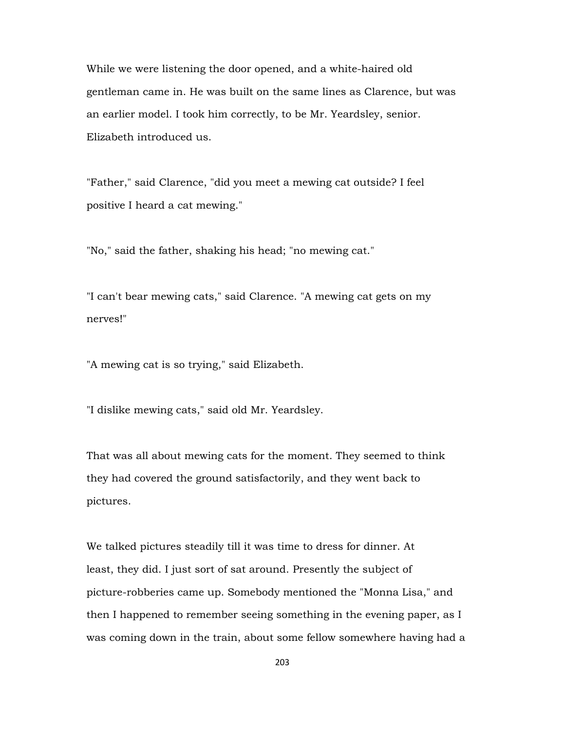While we were listening the door opened, and a white-haired old gentleman came in. He was built on the same lines as Clarence, but was an earlier model. I took him correctly, to be Mr. Yeardsley, senior. Elizabeth introduced us.

"Father," said Clarence, "did you meet a mewing cat outside? I feel positive I heard a cat mewing."

"No," said the father, shaking his head; "no mewing cat."

"I can't bear mewing cats," said Clarence. "A mewing cat gets on my nerves!"

"A mewing cat is so trying," said Elizabeth.

"I dislike mewing cats," said old Mr. Yeardsley.

That was all about mewing cats for the moment. They seemed to think they had covered the ground satisfactorily, and they went back to pictures.

We talked pictures steadily till it was time to dress for dinner. At least, they did. I just sort of sat around. Presently the subject of picture-robberies came up. Somebody mentioned the "Monna Lisa," and then I happened to remember seeing something in the evening paper, as I was coming down in the train, about some fellow somewhere having had a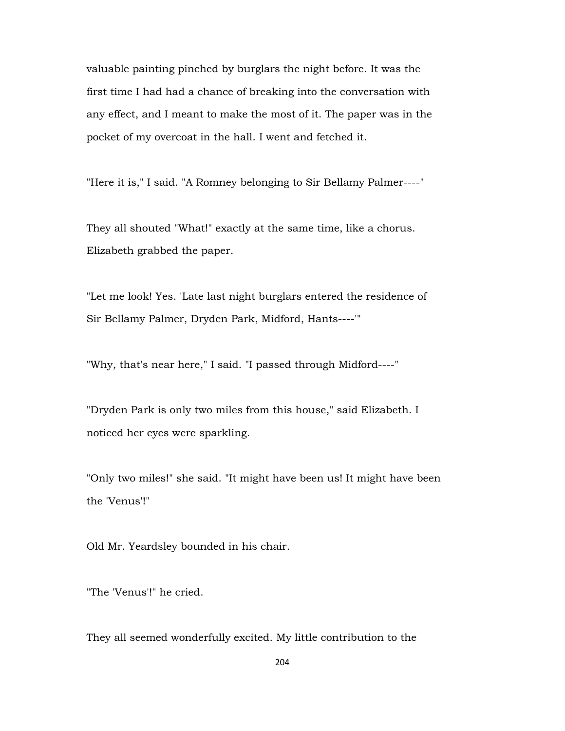valuable painting pinched by burglars the night before. It was the first time I had had a chance of breaking into the conversation with any effect, and I meant to make the most of it. The paper was in the pocket of my overcoat in the hall. I went and fetched it.

"Here it is," I said. "A Romney belonging to Sir Bellamy Palmer----"

They all shouted "What!" exactly at the same time, like a chorus. Elizabeth grabbed the paper.

"Let me look! Yes. 'Late last night burglars entered the residence of Sir Bellamy Palmer, Dryden Park, Midford, Hants----'"

"Why, that's near here," I said. "I passed through Midford----"

"Dryden Park is only two miles from this house," said Elizabeth. I noticed her eyes were sparkling.

"Only two miles!" she said. "It might have been us! It might have been the 'Venus'!"

Old Mr. Yeardsley bounded in his chair.

"The 'Venus'!" he cried.

They all seemed wonderfully excited. My little contribution to the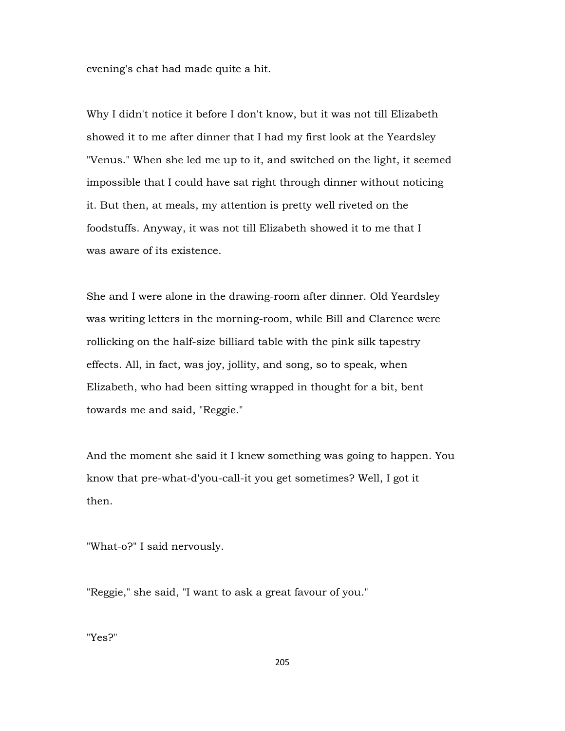evening's chat had made quite a hit.

Why I didn't notice it before I don't know, but it was not till Elizabeth showed it to me after dinner that I had my first look at the Yeardsley "Venus." When she led me up to it, and switched on the light, it seemed impossible that I could have sat right through dinner without noticing it. But then, at meals, my attention is pretty well riveted on the foodstuffs. Anyway, it was not till Elizabeth showed it to me that I was aware of its existence.

She and I were alone in the drawing-room after dinner. Old Yeardsley was writing letters in the morning-room, while Bill and Clarence were rollicking on the half-size billiard table with the pink silk tapestry effects. All, in fact, was joy, jollity, and song, so to speak, when Elizabeth, who had been sitting wrapped in thought for a bit, bent towards me and said, "Reggie."

And the moment she said it I knew something was going to happen. You know that pre-what-d'you-call-it you get sometimes? Well, I got it then.

"What-o?" I said nervously.

"Reggie," she said, "I want to ask a great favour of you."

"Yes?"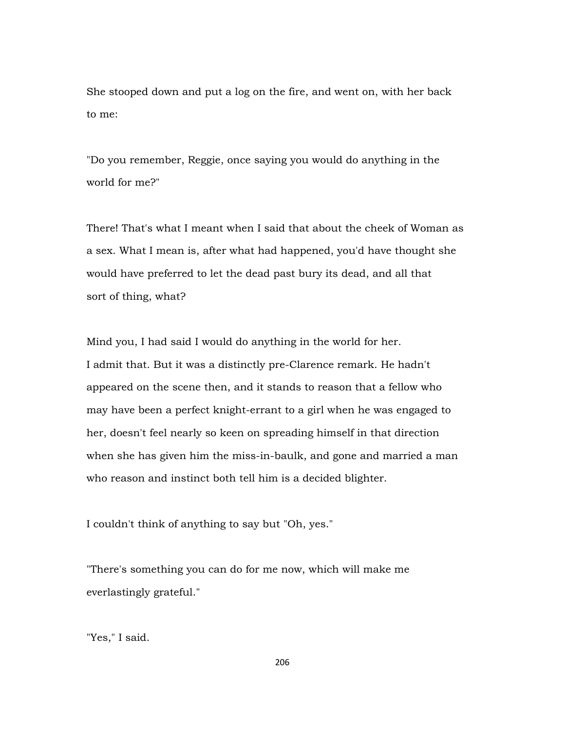She stooped down and put a log on the fire, and went on, with her back to me:

"Do you remember, Reggie, once saying you would do anything in the world for me?"

There! That's what I meant when I said that about the cheek of Woman as a sex. What I mean is, after what had happened, you'd have thought she would have preferred to let the dead past bury its dead, and all that sort of thing, what?

Mind you, I had said I would do anything in the world for her. I admit that. But it was a distinctly pre-Clarence remark. He hadn't appeared on the scene then, and it stands to reason that a fellow who may have been a perfect knight-errant to a girl when he was engaged to her, doesn't feel nearly so keen on spreading himself in that direction when she has given him the miss-in-baulk, and gone and married a man who reason and instinct both tell him is a decided blighter.

I couldn't think of anything to say but "Oh, yes."

"There's something you can do for me now, which will make me everlastingly grateful."

"Yes," I said.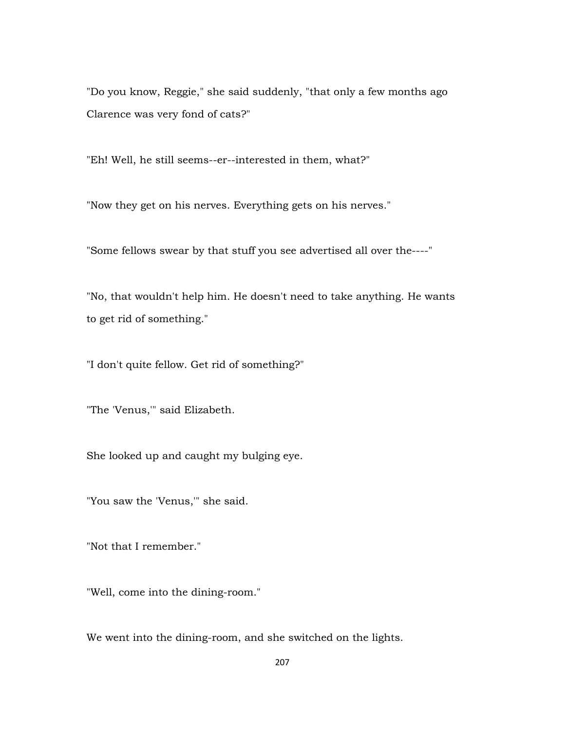"Do you know, Reggie," she said suddenly, "that only a few months ago Clarence was very fond of cats?"

"Eh! Well, he still seems--er--interested in them, what?"

"Now they get on his nerves. Everything gets on his nerves."

"Some fellows swear by that stuff you see advertised all over the----"

"No, that wouldn't help him. He doesn't need to take anything. He wants to get rid of something."

"I don't quite fellow. Get rid of something?"

"The 'Venus,'" said Elizabeth.

She looked up and caught my bulging eye.

"You saw the 'Venus,'" she said.

"Not that I remember."

"Well, come into the dining-room."

We went into the dining-room, and she switched on the lights.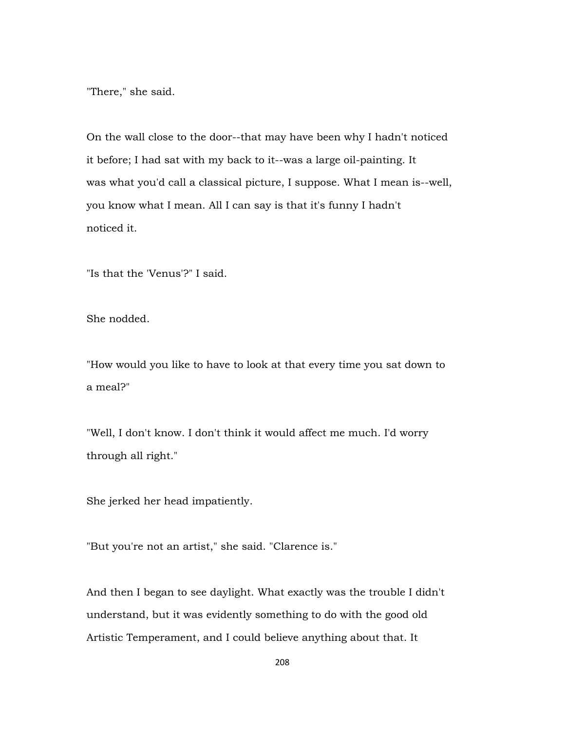"There," she said.

On the wall close to the door--that may have been why I hadn't noticed it before; I had sat with my back to it--was a large oil-painting. It was what you'd call a classical picture, I suppose. What I mean is--well, you know what I mean. All I can say is that it's funny I hadn't noticed it.

"Is that the 'Venus'?" I said.

She nodded.

"How would you like to have to look at that every time you sat down to a meal?"

"Well, I don't know. I don't think it would affect me much. I'd worry through all right."

She jerked her head impatiently.

"But you're not an artist," she said. "Clarence is."

And then I began to see daylight. What exactly was the trouble I didn't understand, but it was evidently something to do with the good old Artistic Temperament, and I could believe anything about that. It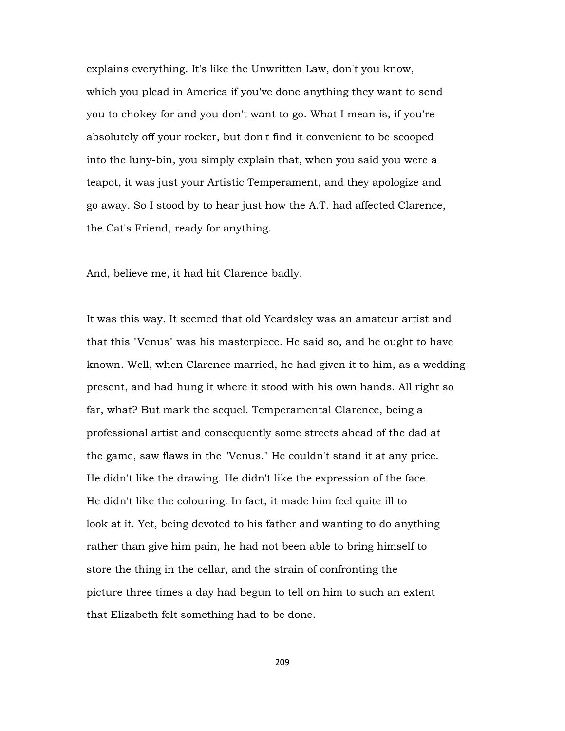explains everything. It's like the Unwritten Law, don't you know, which you plead in America if you've done anything they want to send you to chokey for and you don't want to go. What I mean is, if you're absolutely off your rocker, but don't find it convenient to be scooped into the luny-bin, you simply explain that, when you said you were a teapot, it was just your Artistic Temperament, and they apologize and go away. So I stood by to hear just how the A.T. had affected Clarence, the Cat's Friend, ready for anything.

And, believe me, it had hit Clarence badly.

It was this way. It seemed that old Yeardsley was an amateur artist and that this "Venus" was his masterpiece. He said so, and he ought to have known. Well, when Clarence married, he had given it to him, as a wedding present, and had hung it where it stood with his own hands. All right so far, what? But mark the sequel. Temperamental Clarence, being a professional artist and consequently some streets ahead of the dad at the game, saw flaws in the "Venus." He couldn't stand it at any price. He didn't like the drawing. He didn't like the expression of the face. He didn't like the colouring. In fact, it made him feel quite ill to look at it. Yet, being devoted to his father and wanting to do anything rather than give him pain, he had not been able to bring himself to store the thing in the cellar, and the strain of confronting the picture three times a day had begun to tell on him to such an extent that Elizabeth felt something had to be done.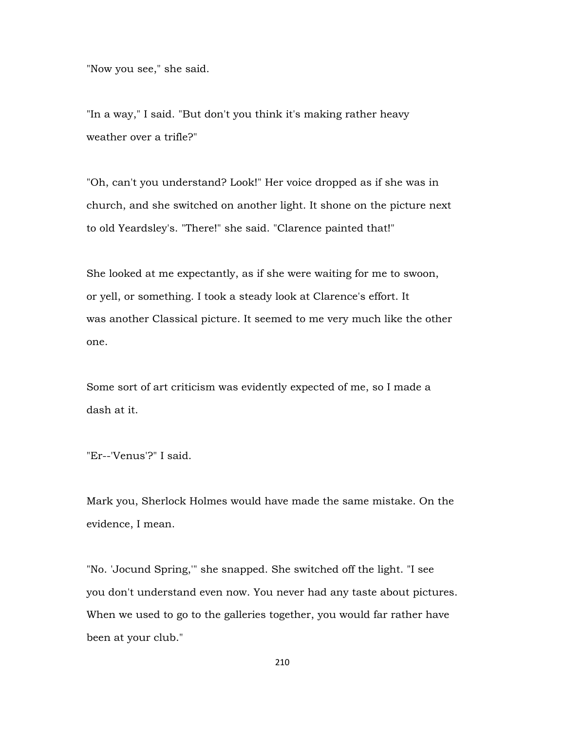"Now you see," she said.

"In a way," I said. "But don't you think it's making rather heavy weather over a trifle?"

"Oh, can't you understand? Look!" Her voice dropped as if she was in church, and she switched on another light. It shone on the picture next to old Yeardsley's. "There!" she said. "Clarence painted that!"

She looked at me expectantly, as if she were waiting for me to swoon, or yell, or something. I took a steady look at Clarence's effort. It was another Classical picture. It seemed to me very much like the other one.

Some sort of art criticism was evidently expected of me, so I made a dash at it.

"Er--'Venus'?" I said.

Mark you, Sherlock Holmes would have made the same mistake. On the evidence, I mean.

"No. 'Jocund Spring,'" she snapped. She switched off the light. "I see you don't understand even now. You never had any taste about pictures. When we used to go to the galleries together, you would far rather have been at your club."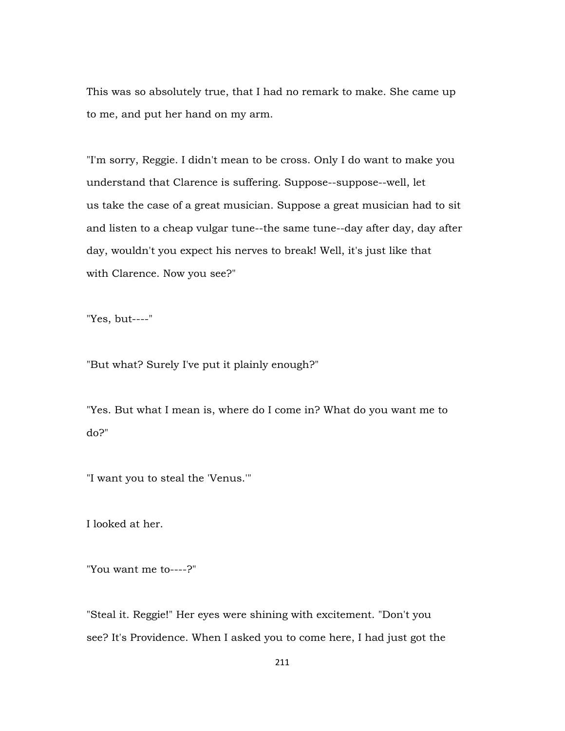This was so absolutely true, that I had no remark to make. She came up to me, and put her hand on my arm.

"I'm sorry, Reggie. I didn't mean to be cross. Only I do want to make you understand that Clarence is suffering. Suppose--suppose--well, let us take the case of a great musician. Suppose a great musician had to sit and listen to a cheap vulgar tune--the same tune--day after day, day after day, wouldn't you expect his nerves to break! Well, it's just like that with Clarence. Now you see?"

"Yes, but----"

"But what? Surely I've put it plainly enough?"

"Yes. But what I mean is, where do I come in? What do you want me to do?"

"I want you to steal the 'Venus.'"

I looked at her.

"You want me to----?"

"Steal it. Reggie!" Her eyes were shining with excitement. "Don't you see? It's Providence. When I asked you to come here, I had just got the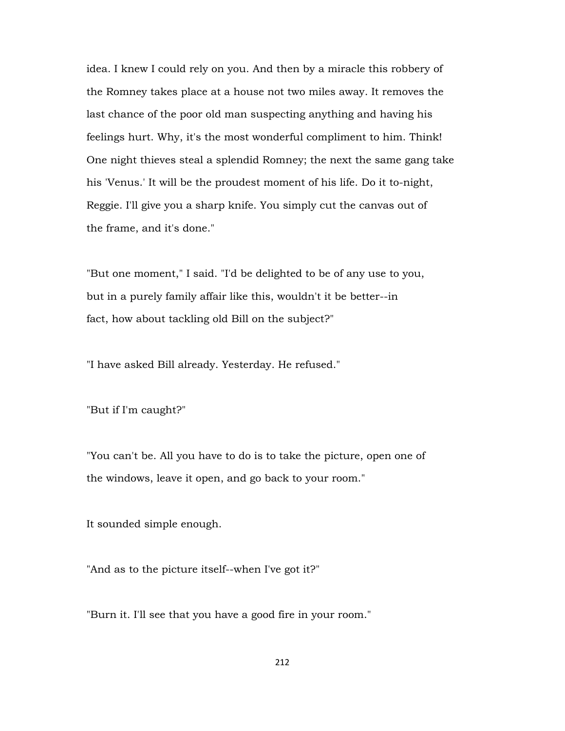idea. I knew I could rely on you. And then by a miracle this robbery of the Romney takes place at a house not two miles away. It removes the last chance of the poor old man suspecting anything and having his feelings hurt. Why, it's the most wonderful compliment to him. Think! One night thieves steal a splendid Romney; the next the same gang take his 'Venus.' It will be the proudest moment of his life. Do it to-night, Reggie. I'll give you a sharp knife. You simply cut the canvas out of the frame, and it's done."

"But one moment," I said. "I'd be delighted to be of any use to you, but in a purely family affair like this, wouldn't it be better--in fact, how about tackling old Bill on the subject?"

"I have asked Bill already. Yesterday. He refused."

"But if I'm caught?"

"You can't be. All you have to do is to take the picture, open one of the windows, leave it open, and go back to your room."

It sounded simple enough.

"And as to the picture itself--when I've got it?"

"Burn it. I'll see that you have a good fire in your room."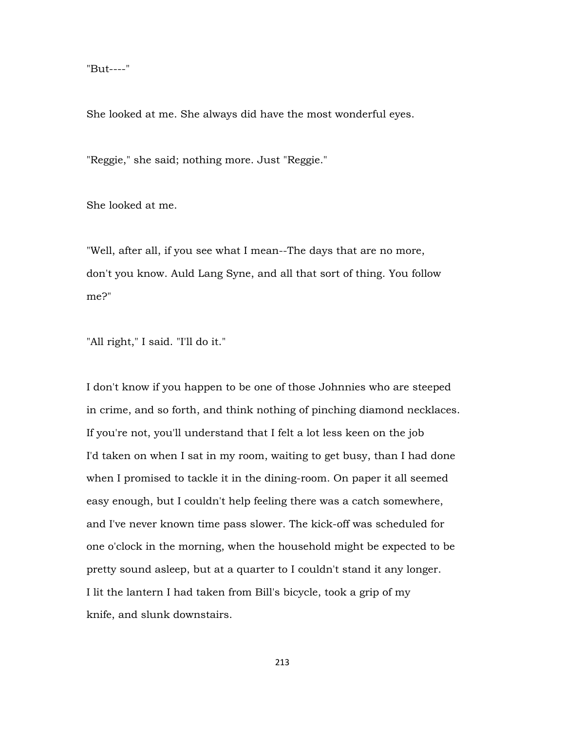"But----"

She looked at me. She always did have the most wonderful eyes.

"Reggie," she said; nothing more. Just "Reggie."

She looked at me.

"Well, after all, if you see what I mean--The days that are no more, don't you know. Auld Lang Syne, and all that sort of thing. You follow me?"

"All right," I said. "I'll do it."

I don't know if you happen to be one of those Johnnies who are steeped in crime, and so forth, and think nothing of pinching diamond necklaces. If you're not, you'll understand that I felt a lot less keen on the job I'd taken on when I sat in my room, waiting to get busy, than I had done when I promised to tackle it in the dining-room. On paper it all seemed easy enough, but I couldn't help feeling there was a catch somewhere, and I've never known time pass slower. The kick-off was scheduled for one o'clock in the morning, when the household might be expected to be pretty sound asleep, but at a quarter to I couldn't stand it any longer. I lit the lantern I had taken from Bill's bicycle, took a grip of my knife, and slunk downstairs.

213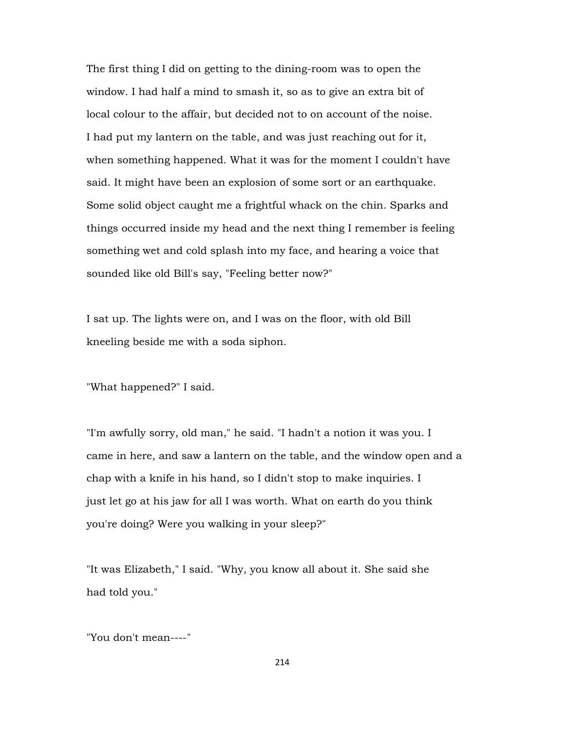The first thing I did on getting to the dining-room was to open the window. I had half a mind to smash it, so as to give an extra bit of local colour to the affair, but decided not to on account of the noise. I had put my lantern on the table, and was just reaching out for it, when something happened. What it was for the moment I couldn't have said. It might have been an explosion of some sort or an earthquake. Some solid object caught me a frightful whack on the chin. Sparks and things occurred inside my head and the next thing I remember is feeling something wet and cold splash into my face, and hearing a voice that sounded like old Bill's say, "Feeling better now?"

I sat up. The lights were on, and I was on the floor, with old Bill kneeling beside me with a soda siphon.

"What happened?" I said.

"I'm awfully sorry, old man," he said. "I hadn't a notion it was you. I came in here, and saw a lantern on the table, and the window open and a chap with a knife in his hand, so I didn't stop to make inquiries. I just let go at his jaw for all I was worth. What on earth do you think you're doing? Were you walking in your sleep?"

"It was Elizabeth," I said. "Why, you know all about it. She said she had told you."

"You don't mean----"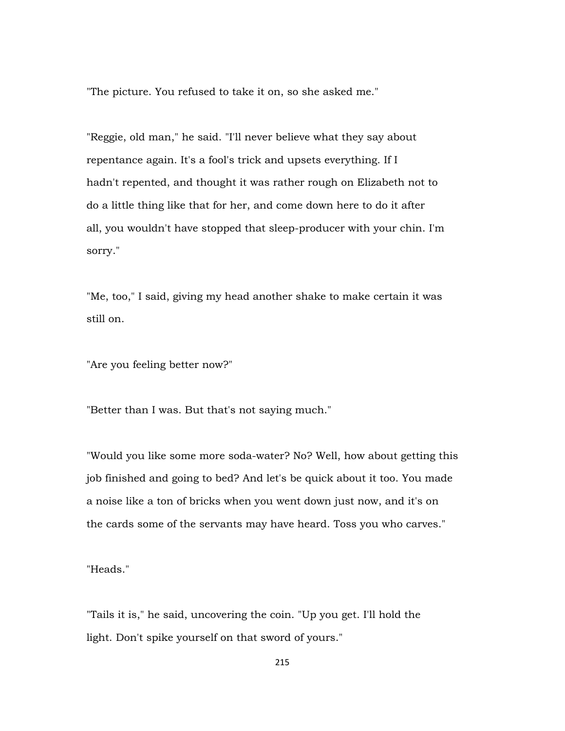"The picture. You refused to take it on, so she asked me."

"Reggie, old man," he said. "I'll never believe what they say about repentance again. It's a fool's trick and upsets everything. If I hadn't repented, and thought it was rather rough on Elizabeth not to do a little thing like that for her, and come down here to do it after all, you wouldn't have stopped that sleep-producer with your chin. I'm sorry."

"Me, too," I said, giving my head another shake to make certain it was still on.

"Are you feeling better now?"

"Better than I was. But that's not saying much."

"Would you like some more soda-water? No? Well, how about getting this job finished and going to bed? And let's be quick about it too. You made a noise like a ton of bricks when you went down just now, and it's on the cards some of the servants may have heard. Toss you who carves."

"Heads."

"Tails it is," he said, uncovering the coin. "Up you get. I'll hold the light. Don't spike yourself on that sword of yours."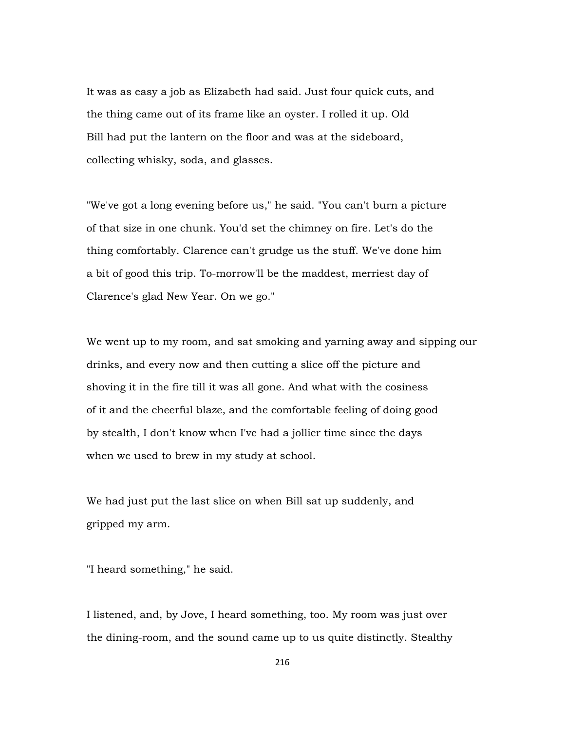It was as easy a job as Elizabeth had said. Just four quick cuts, and the thing came out of its frame like an oyster. I rolled it up. Old Bill had put the lantern on the floor and was at the sideboard, collecting whisky, soda, and glasses.

"We've got a long evening before us," he said. "You can't burn a picture of that size in one chunk. You'd set the chimney on fire. Let's do the thing comfortably. Clarence can't grudge us the stuff. We've done him a bit of good this trip. To-morrow'll be the maddest, merriest day of Clarence's glad New Year. On we go."

We went up to my room, and sat smoking and yarning away and sipping our drinks, and every now and then cutting a slice off the picture and shoving it in the fire till it was all gone. And what with the cosiness of it and the cheerful blaze, and the comfortable feeling of doing good by stealth, I don't know when I've had a jollier time since the days when we used to brew in my study at school.

We had just put the last slice on when Bill sat up suddenly, and gripped my arm.

"I heard something," he said.

I listened, and, by Jove, I heard something, too. My room was just over the dining-room, and the sound came up to us quite distinctly. Stealthy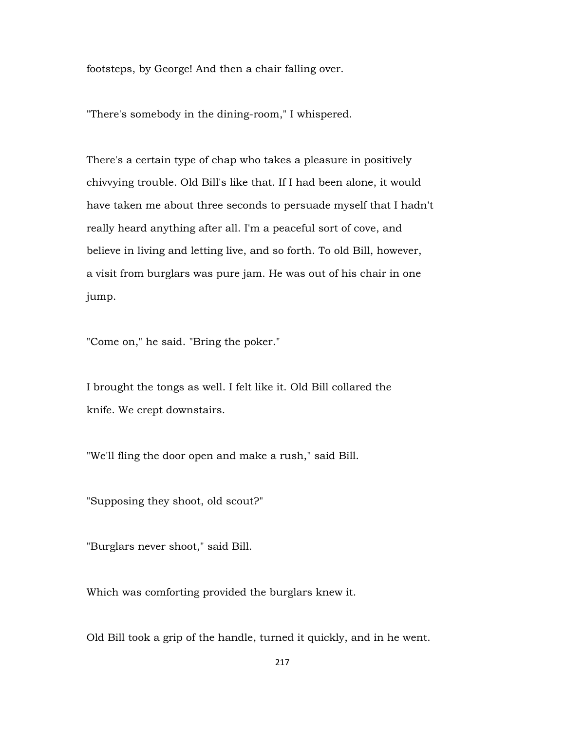footsteps, by George! And then a chair falling over.

"There's somebody in the dining-room," I whispered.

There's a certain type of chap who takes a pleasure in positively chivvying trouble. Old Bill's like that. If I had been alone, it would have taken me about three seconds to persuade myself that I hadn't really heard anything after all. I'm a peaceful sort of cove, and believe in living and letting live, and so forth. To old Bill, however, a visit from burglars was pure jam. He was out of his chair in one jump.

"Come on," he said. "Bring the poker."

I brought the tongs as well. I felt like it. Old Bill collared the knife. We crept downstairs.

"We'll fling the door open and make a rush," said Bill.

"Supposing they shoot, old scout?"

"Burglars never shoot," said Bill.

Which was comforting provided the burglars knew it.

Old Bill took a grip of the handle, turned it quickly, and in he went.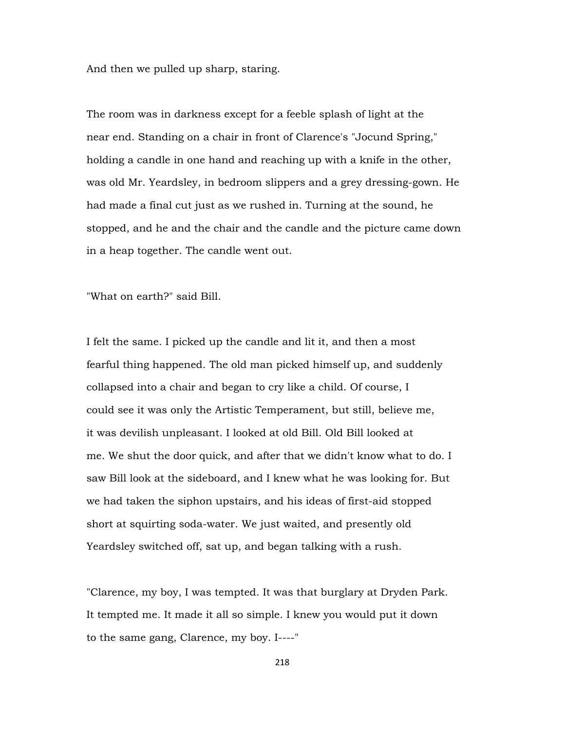And then we pulled up sharp, staring.

The room was in darkness except for a feeble splash of light at the near end. Standing on a chair in front of Clarence's "Jocund Spring," holding a candle in one hand and reaching up with a knife in the other, was old Mr. Yeardsley, in bedroom slippers and a grey dressing-gown. He had made a final cut just as we rushed in. Turning at the sound, he stopped, and he and the chair and the candle and the picture came down in a heap together. The candle went out.

"What on earth?" said Bill.

I felt the same. I picked up the candle and lit it, and then a most fearful thing happened. The old man picked himself up, and suddenly collapsed into a chair and began to cry like a child. Of course, I could see it was only the Artistic Temperament, but still, believe me, it was devilish unpleasant. I looked at old Bill. Old Bill looked at me. We shut the door quick, and after that we didn't know what to do. I saw Bill look at the sideboard, and I knew what he was looking for. But we had taken the siphon upstairs, and his ideas of first-aid stopped short at squirting soda-water. We just waited, and presently old Yeardsley switched off, sat up, and began talking with a rush.

"Clarence, my boy, I was tempted. It was that burglary at Dryden Park. It tempted me. It made it all so simple. I knew you would put it down to the same gang, Clarence, my boy. I----"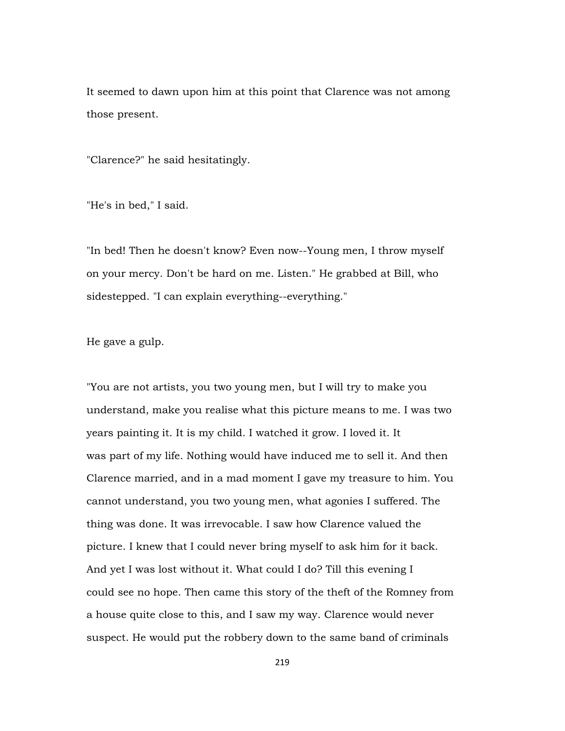It seemed to dawn upon him at this point that Clarence was not among those present.

"Clarence?" he said hesitatingly.

"He's in bed," I said.

"In bed! Then he doesn't know? Even now--Young men, I throw myself on your mercy. Don't be hard on me. Listen." He grabbed at Bill, who sidestepped. "I can explain everything--everything."

He gave a gulp.

"You are not artists, you two young men, but I will try to make you understand, make you realise what this picture means to me. I was two years painting it. It is my child. I watched it grow. I loved it. It was part of my life. Nothing would have induced me to sell it. And then Clarence married, and in a mad moment I gave my treasure to him. You cannot understand, you two young men, what agonies I suffered. The thing was done. It was irrevocable. I saw how Clarence valued the picture. I knew that I could never bring myself to ask him for it back. And yet I was lost without it. What could I do? Till this evening I could see no hope. Then came this story of the theft of the Romney from a house quite close to this, and I saw my way. Clarence would never suspect. He would put the robbery down to the same band of criminals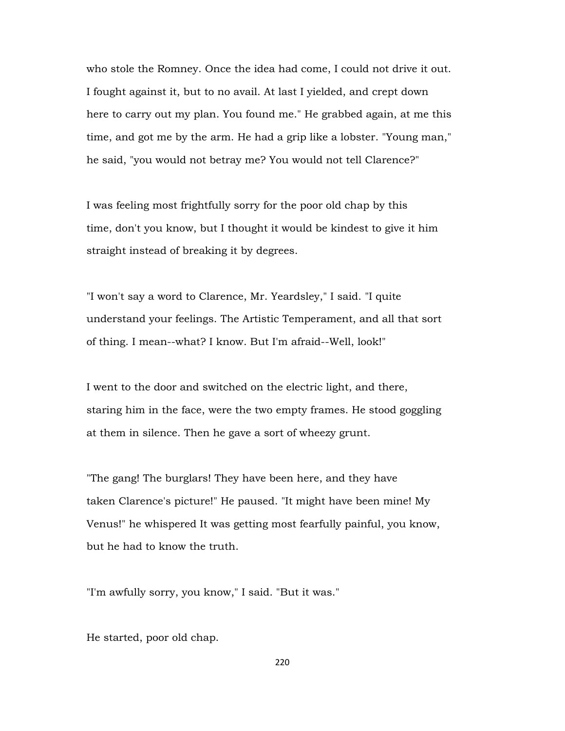who stole the Romney. Once the idea had come, I could not drive it out. I fought against it, but to no avail. At last I yielded, and crept down here to carry out my plan. You found me." He grabbed again, at me this time, and got me by the arm. He had a grip like a lobster. "Young man," he said, "you would not betray me? You would not tell Clarence?"

I was feeling most frightfully sorry for the poor old chap by this time, don't you know, but I thought it would be kindest to give it him straight instead of breaking it by degrees.

"I won't say a word to Clarence, Mr. Yeardsley," I said. "I quite understand your feelings. The Artistic Temperament, and all that sort of thing. I mean--what? I know. But I'm afraid--Well, look!"

I went to the door and switched on the electric light, and there, staring him in the face, were the two empty frames. He stood goggling at them in silence. Then he gave a sort of wheezy grunt.

"The gang! The burglars! They have been here, and they have taken Clarence's picture!" He paused. "It might have been mine! My Venus!" he whispered It was getting most fearfully painful, you know, but he had to know the truth.

"I'm awfully sorry, you know," I said. "But it was."

He started, poor old chap.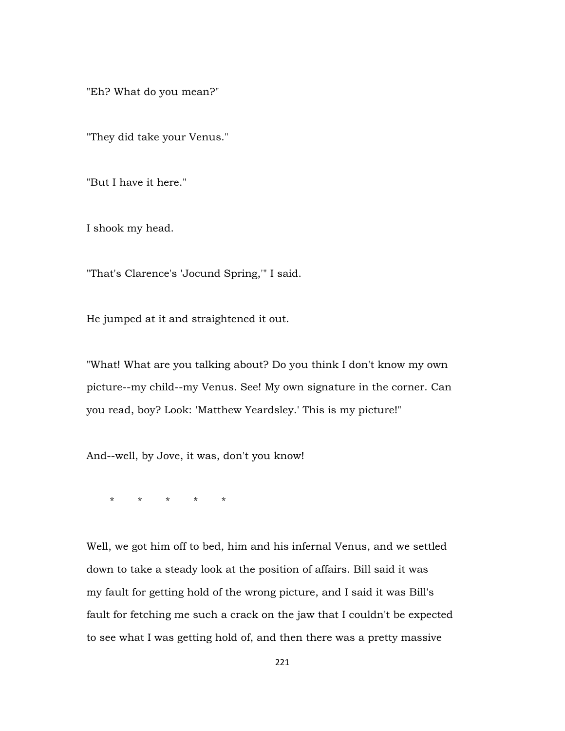"Eh? What do you mean?"

"They did take your Venus."

"But I have it here."

I shook my head.

"That's Clarence's 'Jocund Spring,'" I said.

He jumped at it and straightened it out.

"What! What are you talking about? Do you think I don't know my own picture--my child--my Venus. See! My own signature in the corner. Can you read, boy? Look: 'Matthew Yeardsley.' This is my picture!"

And--well, by Jove, it was, don't you know!

\* \* \* \* \*

Well, we got him off to bed, him and his infernal Venus, and we settled down to take a steady look at the position of affairs. Bill said it was my fault for getting hold of the wrong picture, and I said it was Bill's fault for fetching me such a crack on the jaw that I couldn't be expected to see what I was getting hold of, and then there was a pretty massive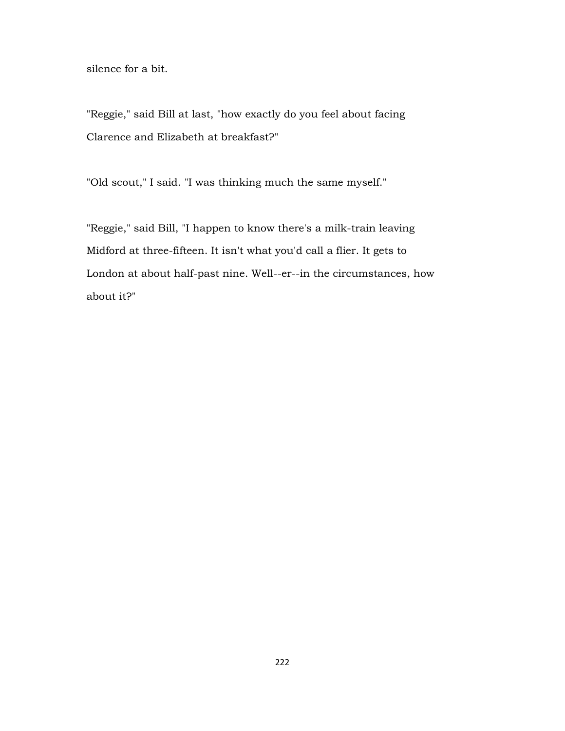silence for a bit.

"Reggie," said Bill at last, "how exactly do you feel about facing Clarence and Elizabeth at breakfast?"

"Old scout," I said. "I was thinking much the same myself."

"Reggie," said Bill, "I happen to know there's a milk-train leaving Midford at three-fifteen. It isn't what you'd call a flier. It gets to London at about half-past nine. Well--er--in the circumstances, how about it?"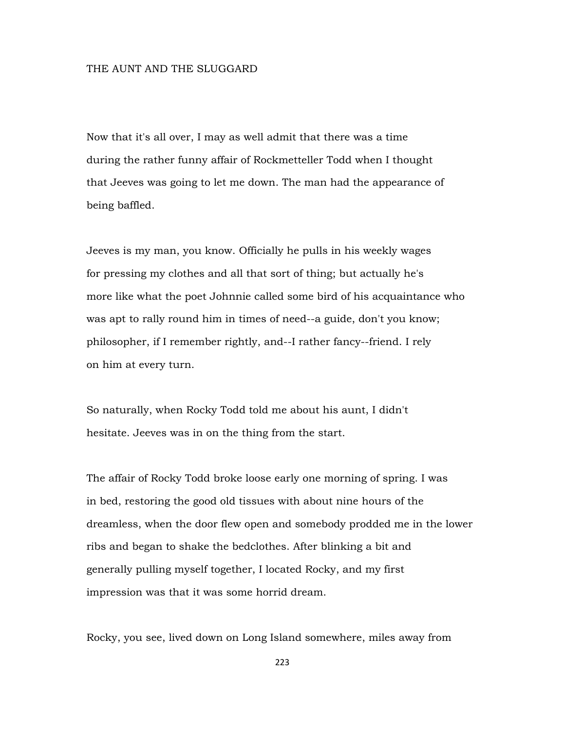## THE AUNT AND THE SLUGGARD

Now that it's all over, I may as well admit that there was a time during the rather funny affair of Rockmetteller Todd when I thought that Jeeves was going to let me down. The man had the appearance of being baffled.

Jeeves is my man, you know. Officially he pulls in his weekly wages for pressing my clothes and all that sort of thing; but actually he's more like what the poet Johnnie called some bird of his acquaintance who was apt to rally round him in times of need--a guide, don't you know; philosopher, if I remember rightly, and--I rather fancy--friend. I rely on him at every turn.

So naturally, when Rocky Todd told me about his aunt, I didn't hesitate. Jeeves was in on the thing from the start.

The affair of Rocky Todd broke loose early one morning of spring. I was in bed, restoring the good old tissues with about nine hours of the dreamless, when the door flew open and somebody prodded me in the lower ribs and began to shake the bedclothes. After blinking a bit and generally pulling myself together, I located Rocky, and my first impression was that it was some horrid dream.

Rocky, you see, lived down on Long Island somewhere, miles away from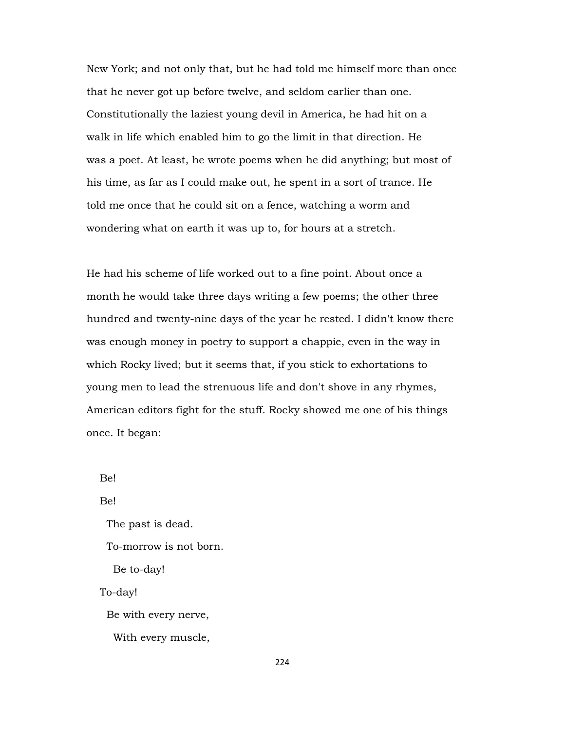New York; and not only that, but he had told me himself more than once that he never got up before twelve, and seldom earlier than one. Constitutionally the laziest young devil in America, he had hit on a walk in life which enabled him to go the limit in that direction. He was a poet. At least, he wrote poems when he did anything; but most of his time, as far as I could make out, he spent in a sort of trance. He told me once that he could sit on a fence, watching a worm and wondering what on earth it was up to, for hours at a stretch.

He had his scheme of life worked out to a fine point. About once a month he would take three days writing a few poems; the other three hundred and twenty-nine days of the year he rested. I didn't know there was enough money in poetry to support a chappie, even in the way in which Rocky lived; but it seems that, if you stick to exhortations to young men to lead the strenuous life and don't shove in any rhymes, American editors fight for the stuff. Rocky showed me one of his things once. It began:

Be!

Be!

The past is dead.

To-morrow is not born.

Be to-day!

To-day!

Be with every nerve,

With every muscle,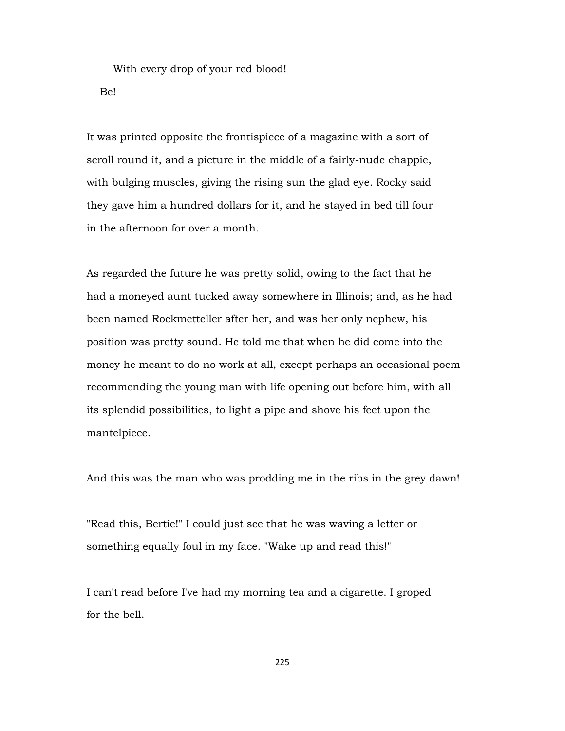With every drop of your red blood! Be!

It was printed opposite the frontispiece of a magazine with a sort of scroll round it, and a picture in the middle of a fairly-nude chappie, with bulging muscles, giving the rising sun the glad eye. Rocky said they gave him a hundred dollars for it, and he stayed in bed till four in the afternoon for over a month.

As regarded the future he was pretty solid, owing to the fact that he had a moneyed aunt tucked away somewhere in Illinois; and, as he had been named Rockmetteller after her, and was her only nephew, his position was pretty sound. He told me that when he did come into the money he meant to do no work at all, except perhaps an occasional poem recommending the young man with life opening out before him, with all its splendid possibilities, to light a pipe and shove his feet upon the mantelpiece.

And this was the man who was prodding me in the ribs in the grey dawn!

"Read this, Bertie!" I could just see that he was waving a letter or something equally foul in my face. "Wake up and read this!"

I can't read before I've had my morning tea and a cigarette. I groped for the bell.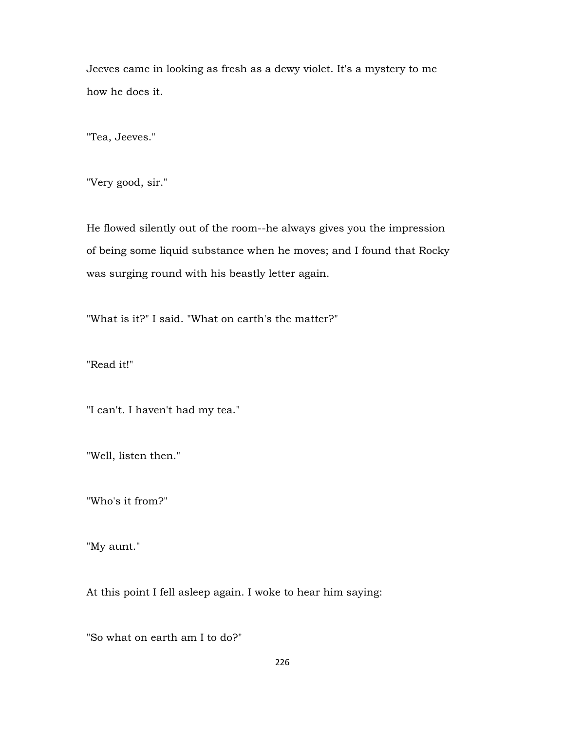Jeeves came in looking as fresh as a dewy violet. It's a mystery to me how he does it.

"Tea, Jeeves."

"Very good, sir."

He flowed silently out of the room--he always gives you the impression of being some liquid substance when he moves; and I found that Rocky was surging round with his beastly letter again.

"What is it?" I said. "What on earth's the matter?"

"Read it!"

"I can't. I haven't had my tea."

"Well, listen then."

"Who's it from?"

"My aunt."

At this point I fell asleep again. I woke to hear him saying:

"So what on earth am I to do?"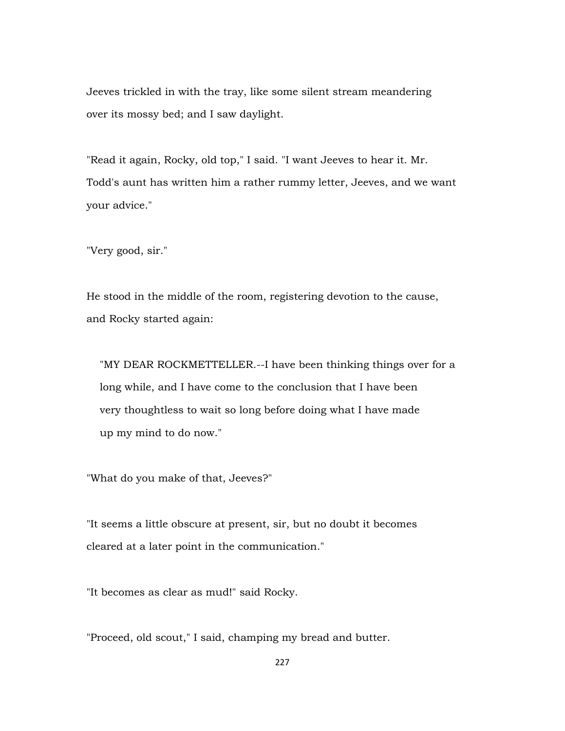Jeeves trickled in with the tray, like some silent stream meandering over its mossy bed; and I saw daylight.

"Read it again, Rocky, old top," I said. "I want Jeeves to hear it. Mr. Todd's aunt has written him a rather rummy letter, Jeeves, and we want your advice."

"Very good, sir."

He stood in the middle of the room, registering devotion to the cause, and Rocky started again:

 "MY DEAR ROCKMETTELLER.--I have been thinking things over for a long while, and I have come to the conclusion that I have been very thoughtless to wait so long before doing what I have made up my mind to do now."

"What do you make of that, Jeeves?"

"It seems a little obscure at present, sir, but no doubt it becomes cleared at a later point in the communication."

"It becomes as clear as mud!" said Rocky.

"Proceed, old scout," I said, champing my bread and butter.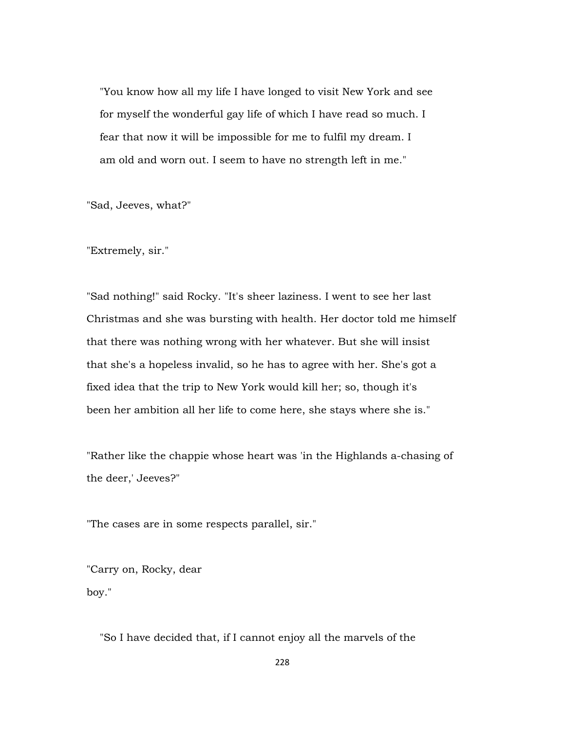"You know how all my life I have longed to visit New York and see for myself the wonderful gay life of which I have read so much. I fear that now it will be impossible for me to fulfil my dream. I am old and worn out. I seem to have no strength left in me."

"Sad, Jeeves, what?"

"Extremely, sir."

"Sad nothing!" said Rocky. "It's sheer laziness. I went to see her last Christmas and she was bursting with health. Her doctor told me himself that there was nothing wrong with her whatever. But she will insist that she's a hopeless invalid, so he has to agree with her. She's got a fixed idea that the trip to New York would kill her; so, though it's been her ambition all her life to come here, she stays where she is."

"Rather like the chappie whose heart was 'in the Highlands a-chasing of the deer,' Jeeves?"

"The cases are in some respects parallel, sir."

"Carry on, Rocky, dear boy."

"So I have decided that, if I cannot enjoy all the marvels of the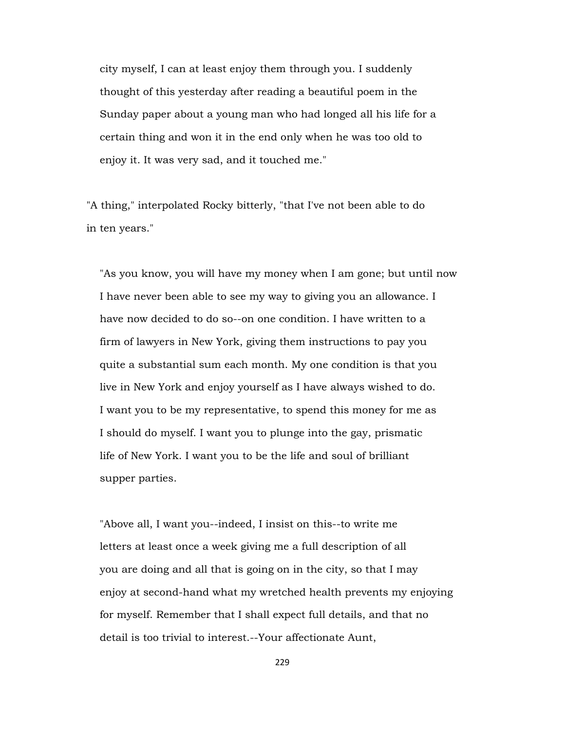city myself, I can at least enjoy them through you. I suddenly thought of this yesterday after reading a beautiful poem in the Sunday paper about a young man who had longed all his life for a certain thing and won it in the end only when he was too old to enjoy it. It was very sad, and it touched me."

"A thing," interpolated Rocky bitterly, "that I've not been able to do in ten years."

 "As you know, you will have my money when I am gone; but until now I have never been able to see my way to giving you an allowance. I have now decided to do so--on one condition. I have written to a firm of lawyers in New York, giving them instructions to pay you quite a substantial sum each month. My one condition is that you live in New York and enjoy yourself as I have always wished to do. I want you to be my representative, to spend this money for me as I should do myself. I want you to plunge into the gay, prismatic life of New York. I want you to be the life and soul of brilliant supper parties.

 "Above all, I want you--indeed, I insist on this--to write me letters at least once a week giving me a full description of all you are doing and all that is going on in the city, so that I may enjoy at second-hand what my wretched health prevents my enjoying for myself. Remember that I shall expect full details, and that no detail is too trivial to interest.--Your affectionate Aunt,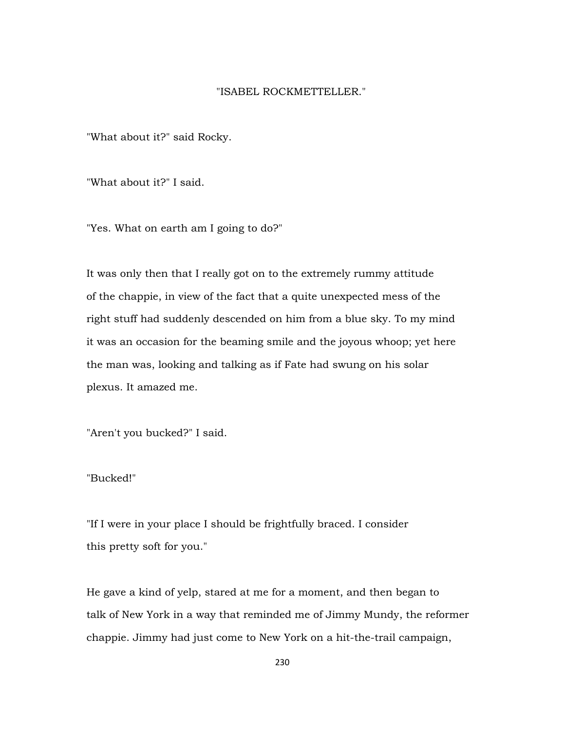## "ISABEL ROCKMETTELLER."

"What about it?" said Rocky.

"What about it?" I said.

"Yes. What on earth am I going to do?"

It was only then that I really got on to the extremely rummy attitude of the chappie, in view of the fact that a quite unexpected mess of the right stuff had suddenly descended on him from a blue sky. To my mind it was an occasion for the beaming smile and the joyous whoop; yet here the man was, looking and talking as if Fate had swung on his solar plexus. It amazed me.

"Aren't you bucked?" I said.

"Bucked!"

"If I were in your place I should be frightfully braced. I consider this pretty soft for you."

He gave a kind of yelp, stared at me for a moment, and then began to talk of New York in a way that reminded me of Jimmy Mundy, the reformer chappie. Jimmy had just come to New York on a hit-the-trail campaign,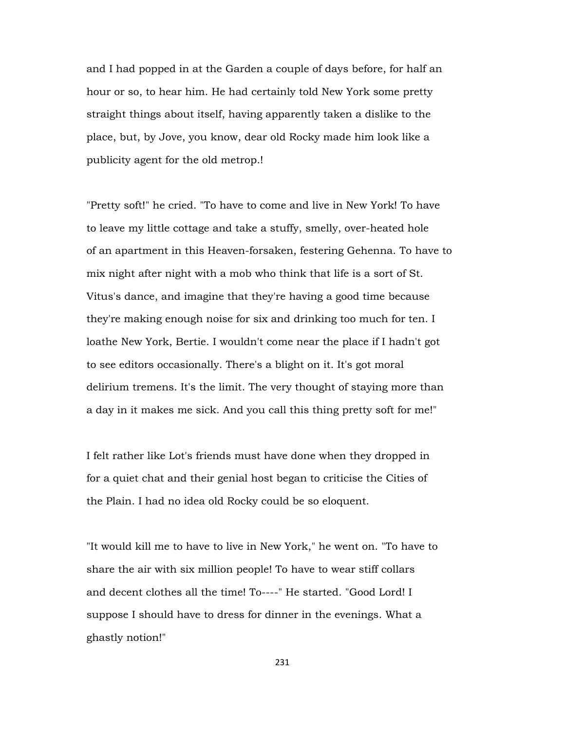and I had popped in at the Garden a couple of days before, for half an hour or so, to hear him. He had certainly told New York some pretty straight things about itself, having apparently taken a dislike to the place, but, by Jove, you know, dear old Rocky made him look like a publicity agent for the old metrop.!

"Pretty soft!" he cried. "To have to come and live in New York! To have to leave my little cottage and take a stuffy, smelly, over-heated hole of an apartment in this Heaven-forsaken, festering Gehenna. To have to mix night after night with a mob who think that life is a sort of St. Vitus's dance, and imagine that they're having a good time because they're making enough noise for six and drinking too much for ten. I loathe New York, Bertie. I wouldn't come near the place if I hadn't got to see editors occasionally. There's a blight on it. It's got moral delirium tremens. It's the limit. The very thought of staying more than a day in it makes me sick. And you call this thing pretty soft for me!"

I felt rather like Lot's friends must have done when they dropped in for a quiet chat and their genial host began to criticise the Cities of the Plain. I had no idea old Rocky could be so eloquent.

"It would kill me to have to live in New York," he went on. "To have to share the air with six million people! To have to wear stiff collars and decent clothes all the time! To----" He started. "Good Lord! I suppose I should have to dress for dinner in the evenings. What a ghastly notion!"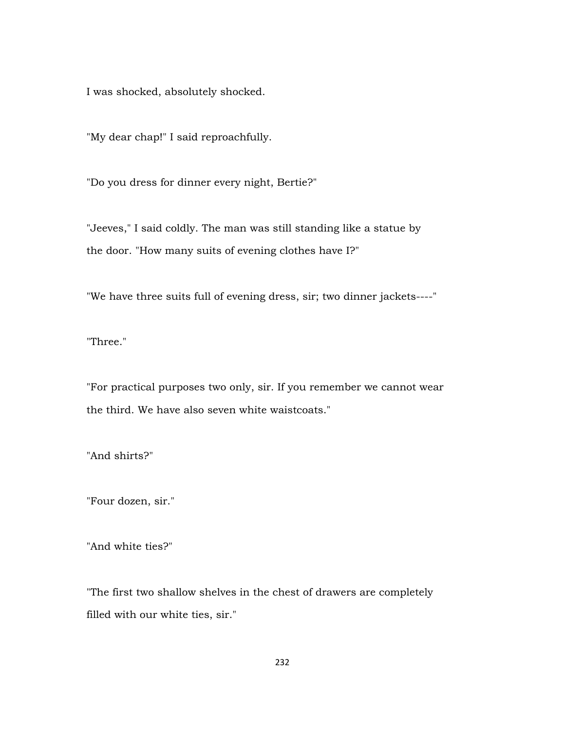I was shocked, absolutely shocked.

"My dear chap!" I said reproachfully.

"Do you dress for dinner every night, Bertie?"

"Jeeves," I said coldly. The man was still standing like a statue by the door. "How many suits of evening clothes have I?"

"We have three suits full of evening dress, sir; two dinner jackets----"

"Three."

"For practical purposes two only, sir. If you remember we cannot wear the third. We have also seven white waistcoats."

"And shirts?"

"Four dozen, sir."

"And white ties?"

"The first two shallow shelves in the chest of drawers are completely filled with our white ties, sir."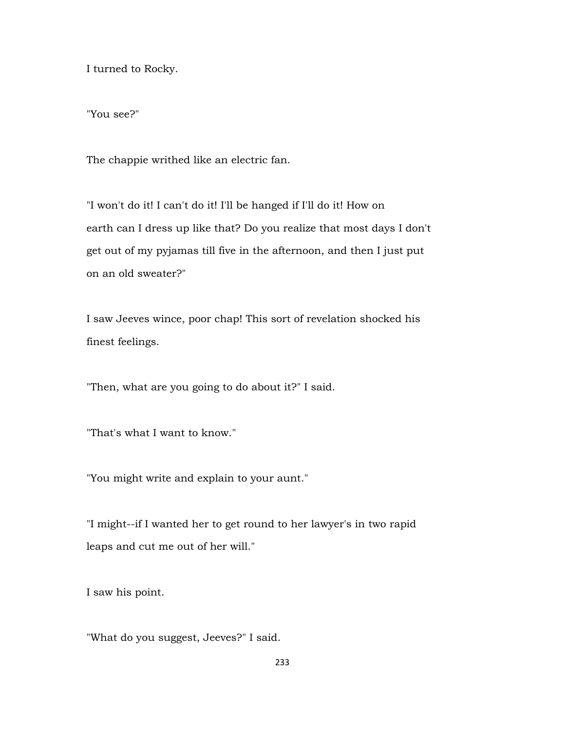I turned to Rocky.

"You see?"

The chappie writhed like an electric fan.

"I won't do it! I can't do it! I'll be hanged if I'll do it! How on earth can I dress up like that? Do you realize that most days I don't get out of my pyjamas till five in the afternoon, and then I just put on an old sweater?"

I saw Jeeves wince, poor chap! This sort of revelation shocked his finest feelings.

"Then, what are you going to do about it?" I said.

"That's what I want to know."

"You might write and explain to your aunt."

"I might--if I wanted her to get round to her lawyer's in two rapid leaps and cut me out of her will."

I saw his point.

"What do you suggest, Jeeves?" I said.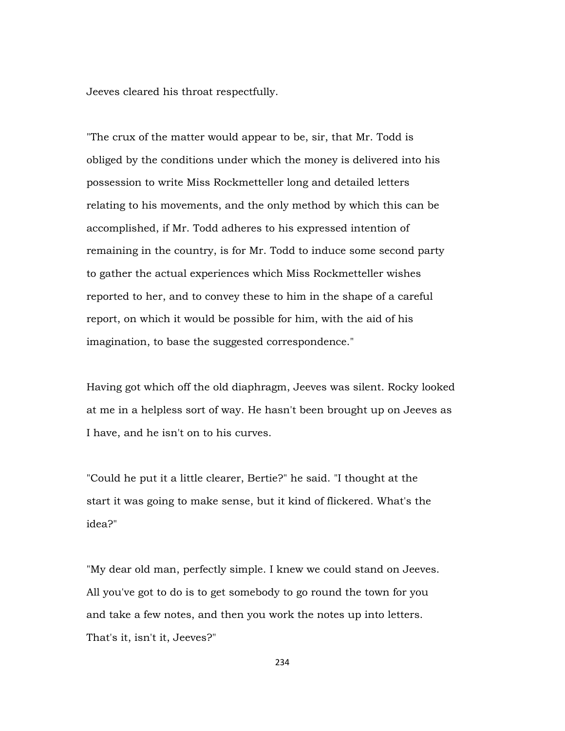Jeeves cleared his throat respectfully.

"The crux of the matter would appear to be, sir, that Mr. Todd is obliged by the conditions under which the money is delivered into his possession to write Miss Rockmetteller long and detailed letters relating to his movements, and the only method by which this can be accomplished, if Mr. Todd adheres to his expressed intention of remaining in the country, is for Mr. Todd to induce some second party to gather the actual experiences which Miss Rockmetteller wishes reported to her, and to convey these to him in the shape of a careful report, on which it would be possible for him, with the aid of his imagination, to base the suggested correspondence."

Having got which off the old diaphragm, Jeeves was silent. Rocky looked at me in a helpless sort of way. He hasn't been brought up on Jeeves as I have, and he isn't on to his curves.

"Could he put it a little clearer, Bertie?" he said. "I thought at the start it was going to make sense, but it kind of flickered. What's the idea?"

"My dear old man, perfectly simple. I knew we could stand on Jeeves. All you've got to do is to get somebody to go round the town for you and take a few notes, and then you work the notes up into letters. That's it, isn't it, Jeeves?"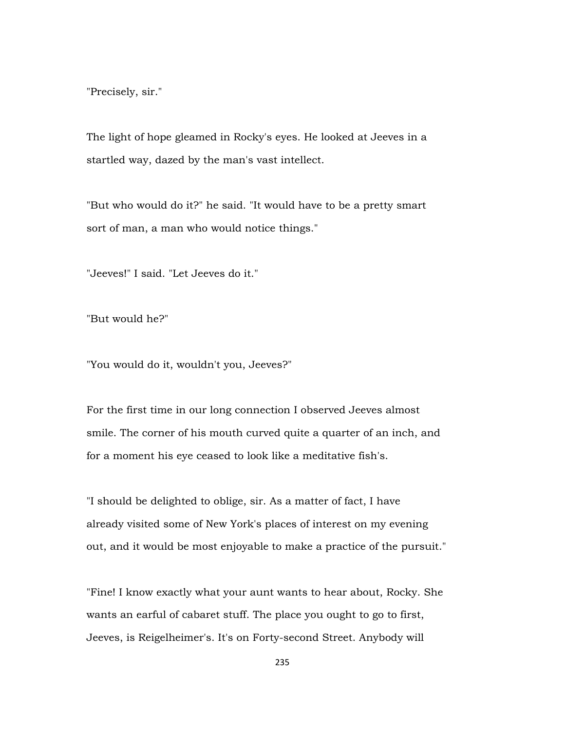"Precisely, sir."

The light of hope gleamed in Rocky's eyes. He looked at Jeeves in a startled way, dazed by the man's vast intellect.

"But who would do it?" he said. "It would have to be a pretty smart sort of man, a man who would notice things."

"Jeeves!" I said. "Let Jeeves do it."

"But would he?"

"You would do it, wouldn't you, Jeeves?"

For the first time in our long connection I observed Jeeves almost smile. The corner of his mouth curved quite a quarter of an inch, and for a moment his eye ceased to look like a meditative fish's.

"I should be delighted to oblige, sir. As a matter of fact, I have already visited some of New York's places of interest on my evening out, and it would be most enjoyable to make a practice of the pursuit."

"Fine! I know exactly what your aunt wants to hear about, Rocky. She wants an earful of cabaret stuff. The place you ought to go to first, Jeeves, is Reigelheimer's. It's on Forty-second Street. Anybody will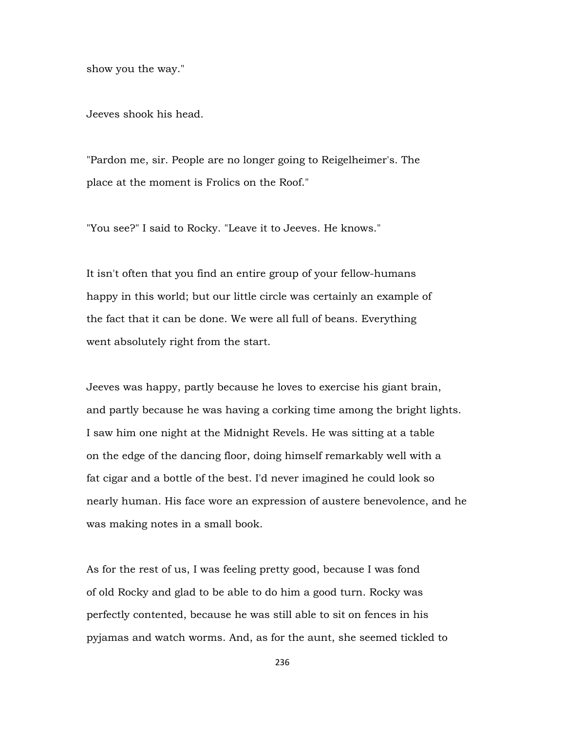show you the way."

Jeeves shook his head.

"Pardon me, sir. People are no longer going to Reigelheimer's. The place at the moment is Frolics on the Roof."

"You see?" I said to Rocky. "Leave it to Jeeves. He knows."

It isn't often that you find an entire group of your fellow-humans happy in this world; but our little circle was certainly an example of the fact that it can be done. We were all full of beans. Everything went absolutely right from the start.

Jeeves was happy, partly because he loves to exercise his giant brain, and partly because he was having a corking time among the bright lights. I saw him one night at the Midnight Revels. He was sitting at a table on the edge of the dancing floor, doing himself remarkably well with a fat cigar and a bottle of the best. I'd never imagined he could look so nearly human. His face wore an expression of austere benevolence, and he was making notes in a small book.

As for the rest of us, I was feeling pretty good, because I was fond of old Rocky and glad to be able to do him a good turn. Rocky was perfectly contented, because he was still able to sit on fences in his pyjamas and watch worms. And, as for the aunt, she seemed tickled to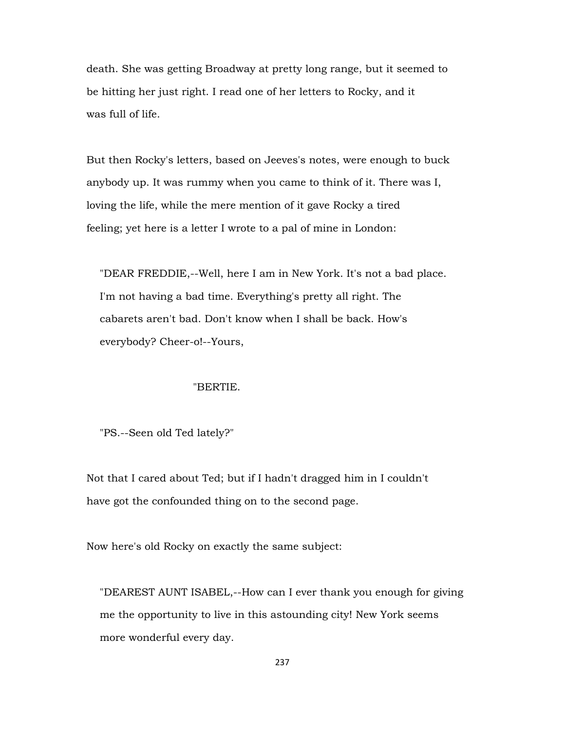death. She was getting Broadway at pretty long range, but it seemed to be hitting her just right. I read one of her letters to Rocky, and it was full of life.

But then Rocky's letters, based on Jeeves's notes, were enough to buck anybody up. It was rummy when you came to think of it. There was I, loving the life, while the mere mention of it gave Rocky a tired feeling; yet here is a letter I wrote to a pal of mine in London:

 "DEAR FREDDIE,--Well, here I am in New York. It's not a bad place. I'm not having a bad time. Everything's pretty all right. The cabarets aren't bad. Don't know when I shall be back. How's everybody? Cheer-o!--Yours,

## "BERTIE.

"PS.--Seen old Ted lately?"

Not that I cared about Ted; but if I hadn't dragged him in I couldn't have got the confounded thing on to the second page.

Now here's old Rocky on exactly the same subject:

 "DEAREST AUNT ISABEL,--How can I ever thank you enough for giving me the opportunity to live in this astounding city! New York seems more wonderful every day.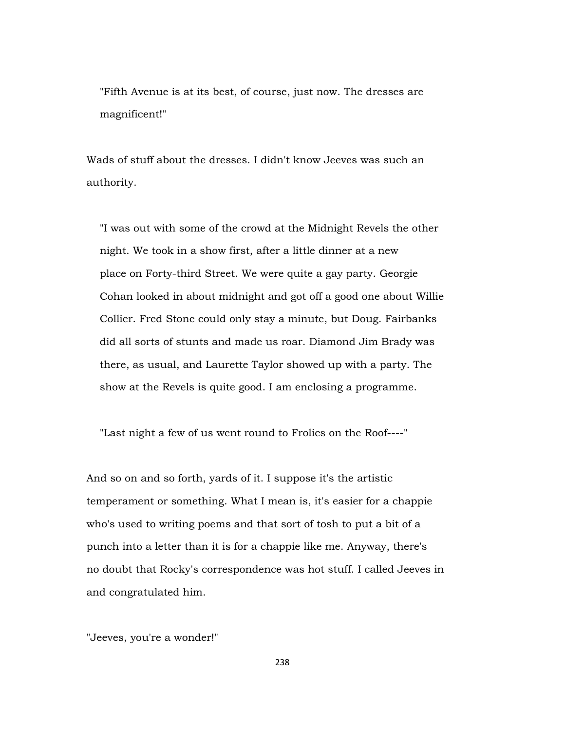"Fifth Avenue is at its best, of course, just now. The dresses are magnificent!"

Wads of stuff about the dresses. I didn't know Jeeves was such an authority.

 "I was out with some of the crowd at the Midnight Revels the other night. We took in a show first, after a little dinner at a new place on Forty-third Street. We were quite a gay party. Georgie Cohan looked in about midnight and got off a good one about Willie Collier. Fred Stone could only stay a minute, but Doug. Fairbanks did all sorts of stunts and made us roar. Diamond Jim Brady was there, as usual, and Laurette Taylor showed up with a party. The show at the Revels is quite good. I am enclosing a programme.

"Last night a few of us went round to Frolics on the Roof----"

And so on and so forth, yards of it. I suppose it's the artistic temperament or something. What I mean is, it's easier for a chappie who's used to writing poems and that sort of tosh to put a bit of a punch into a letter than it is for a chappie like me. Anyway, there's no doubt that Rocky's correspondence was hot stuff. I called Jeeves in and congratulated him.

"Jeeves, you're a wonder!"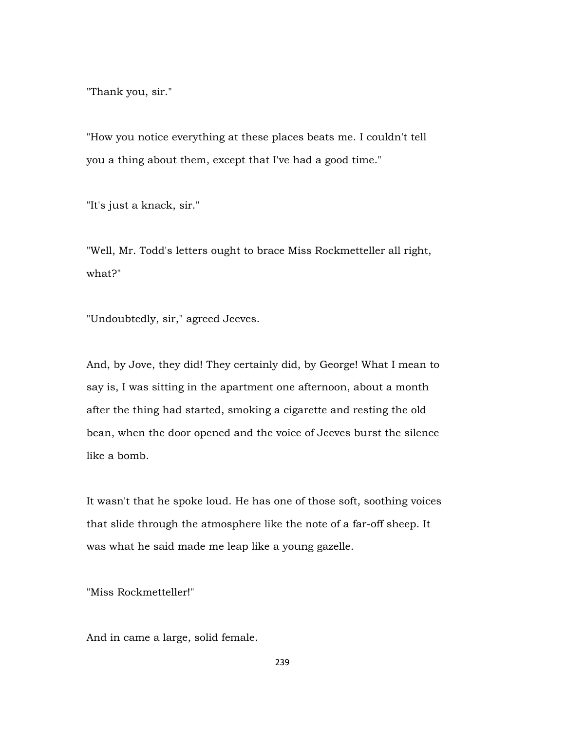"Thank you, sir."

"How you notice everything at these places beats me. I couldn't tell you a thing about them, except that I've had a good time."

"It's just a knack, sir."

"Well, Mr. Todd's letters ought to brace Miss Rockmetteller all right, what?"

"Undoubtedly, sir," agreed Jeeves.

And, by Jove, they did! They certainly did, by George! What I mean to say is, I was sitting in the apartment one afternoon, about a month after the thing had started, smoking a cigarette and resting the old bean, when the door opened and the voice of Jeeves burst the silence like a bomb.

It wasn't that he spoke loud. He has one of those soft, soothing voices that slide through the atmosphere like the note of a far-off sheep. It was what he said made me leap like a young gazelle.

"Miss Rockmetteller!"

And in came a large, solid female.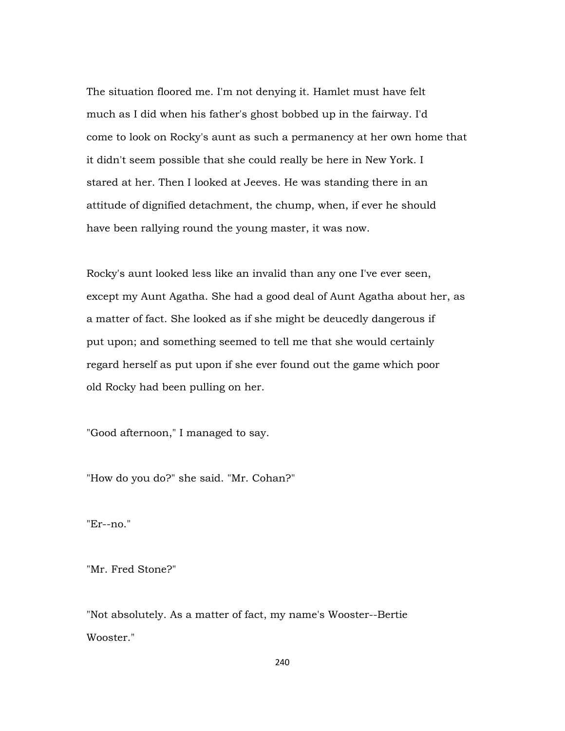The situation floored me. I'm not denying it. Hamlet must have felt much as I did when his father's ghost bobbed up in the fairway. I'd come to look on Rocky's aunt as such a permanency at her own home that it didn't seem possible that she could really be here in New York. I stared at her. Then I looked at Jeeves. He was standing there in an attitude of dignified detachment, the chump, when, if ever he should have been rallying round the young master, it was now.

Rocky's aunt looked less like an invalid than any one I've ever seen, except my Aunt Agatha. She had a good deal of Aunt Agatha about her, as a matter of fact. She looked as if she might be deucedly dangerous if put upon; and something seemed to tell me that she would certainly regard herself as put upon if she ever found out the game which poor old Rocky had been pulling on her.

"Good afternoon," I managed to say.

"How do you do?" she said. "Mr. Cohan?"

"Er--no."

"Mr. Fred Stone?"

"Not absolutely. As a matter of fact, my name's Wooster--Bertie Wooster."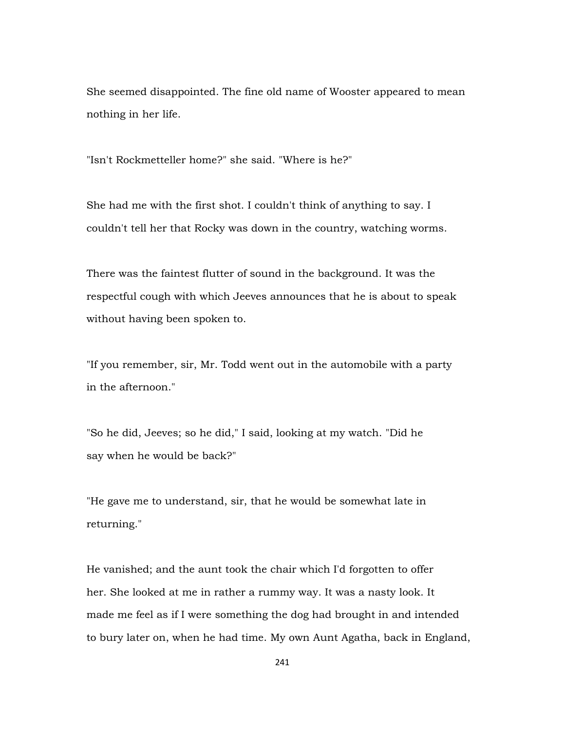She seemed disappointed. The fine old name of Wooster appeared to mean nothing in her life.

"Isn't Rockmetteller home?" she said. "Where is he?"

She had me with the first shot. I couldn't think of anything to say. I couldn't tell her that Rocky was down in the country, watching worms.

There was the faintest flutter of sound in the background. It was the respectful cough with which Jeeves announces that he is about to speak without having been spoken to.

"If you remember, sir, Mr. Todd went out in the automobile with a party in the afternoon."

"So he did, Jeeves; so he did," I said, looking at my watch. "Did he say when he would be back?"

"He gave me to understand, sir, that he would be somewhat late in returning."

He vanished; and the aunt took the chair which I'd forgotten to offer her. She looked at me in rather a rummy way. It was a nasty look. It made me feel as if I were something the dog had brought in and intended to bury later on, when he had time. My own Aunt Agatha, back in England,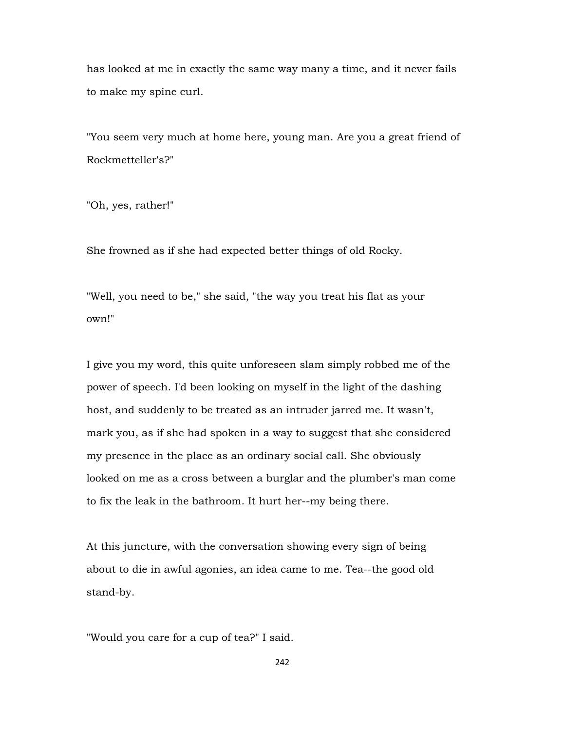has looked at me in exactly the same way many a time, and it never fails to make my spine curl.

"You seem very much at home here, young man. Are you a great friend of Rockmetteller's?"

"Oh, yes, rather!"

She frowned as if she had expected better things of old Rocky.

"Well, you need to be," she said, "the way you treat his flat as your own!"

I give you my word, this quite unforeseen slam simply robbed me of the power of speech. I'd been looking on myself in the light of the dashing host, and suddenly to be treated as an intruder jarred me. It wasn't, mark you, as if she had spoken in a way to suggest that she considered my presence in the place as an ordinary social call. She obviously looked on me as a cross between a burglar and the plumber's man come to fix the leak in the bathroom. It hurt her--my being there.

At this juncture, with the conversation showing every sign of being about to die in awful agonies, an idea came to me. Tea--the good old stand-by.

"Would you care for a cup of tea?" I said.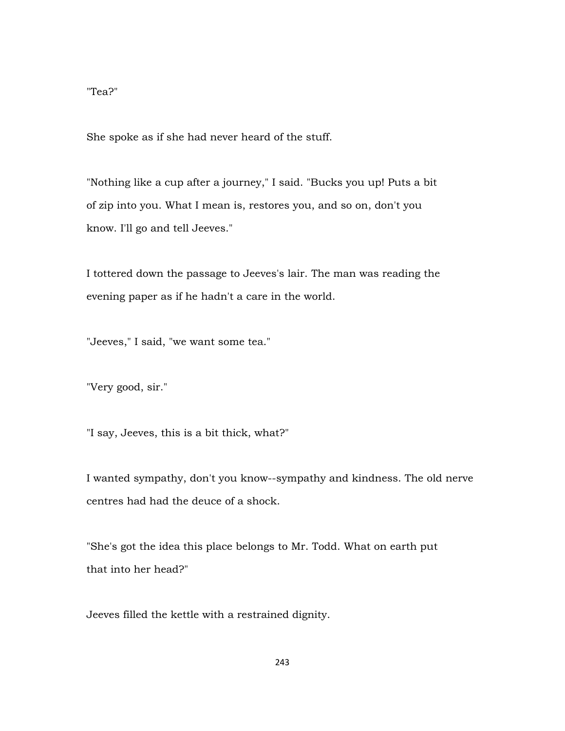## "Tea?"

She spoke as if she had never heard of the stuff.

"Nothing like a cup after a journey," I said. "Bucks you up! Puts a bit of zip into you. What I mean is, restores you, and so on, don't you know. I'll go and tell Jeeves."

I tottered down the passage to Jeeves's lair. The man was reading the evening paper as if he hadn't a care in the world.

"Jeeves," I said, "we want some tea."

"Very good, sir."

"I say, Jeeves, this is a bit thick, what?"

I wanted sympathy, don't you know--sympathy and kindness. The old nerve centres had had the deuce of a shock.

"She's got the idea this place belongs to Mr. Todd. What on earth put that into her head?"

Jeeves filled the kettle with a restrained dignity.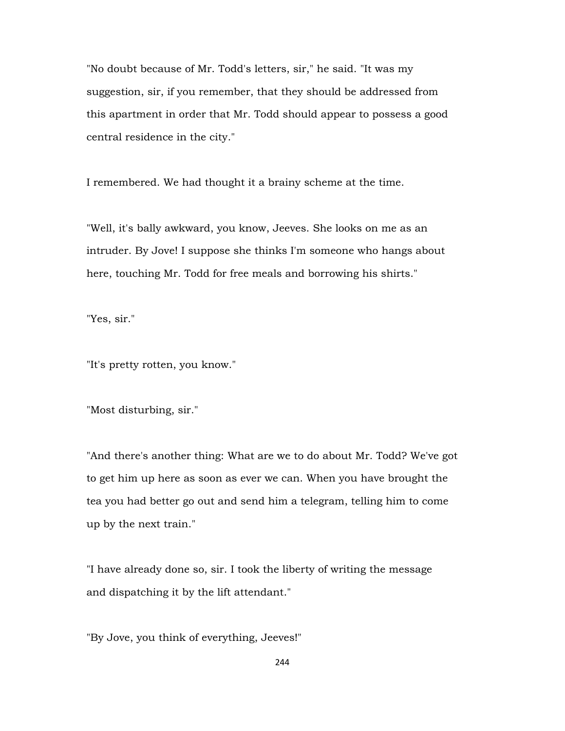"No doubt because of Mr. Todd's letters, sir," he said. "It was my suggestion, sir, if you remember, that they should be addressed from this apartment in order that Mr. Todd should appear to possess a good central residence in the city."

I remembered. We had thought it a brainy scheme at the time.

"Well, it's bally awkward, you know, Jeeves. She looks on me as an intruder. By Jove! I suppose she thinks I'm someone who hangs about here, touching Mr. Todd for free meals and borrowing his shirts."

"Yes, sir."

"It's pretty rotten, you know."

"Most disturbing, sir."

"And there's another thing: What are we to do about Mr. Todd? We've got to get him up here as soon as ever we can. When you have brought the tea you had better go out and send him a telegram, telling him to come up by the next train."

"I have already done so, sir. I took the liberty of writing the message and dispatching it by the lift attendant."

"By Jove, you think of everything, Jeeves!"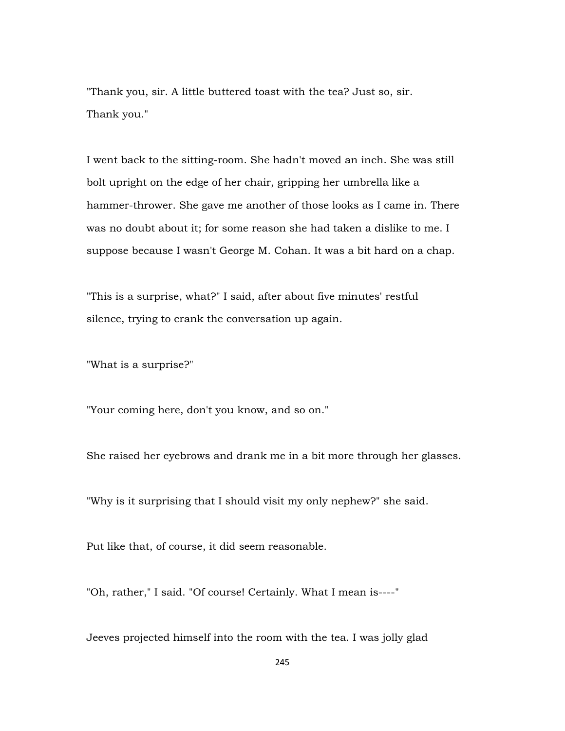"Thank you, sir. A little buttered toast with the tea? Just so, sir. Thank you."

I went back to the sitting-room. She hadn't moved an inch. She was still bolt upright on the edge of her chair, gripping her umbrella like a hammer-thrower. She gave me another of those looks as I came in. There was no doubt about it; for some reason she had taken a dislike to me. I suppose because I wasn't George M. Cohan. It was a bit hard on a chap.

"This is a surprise, what?" I said, after about five minutes' restful silence, trying to crank the conversation up again.

"What is a surprise?"

"Your coming here, don't you know, and so on."

She raised her eyebrows and drank me in a bit more through her glasses.

"Why is it surprising that I should visit my only nephew?" she said.

Put like that, of course, it did seem reasonable.

"Oh, rather," I said. "Of course! Certainly. What I mean is----"

Jeeves projected himself into the room with the tea. I was jolly glad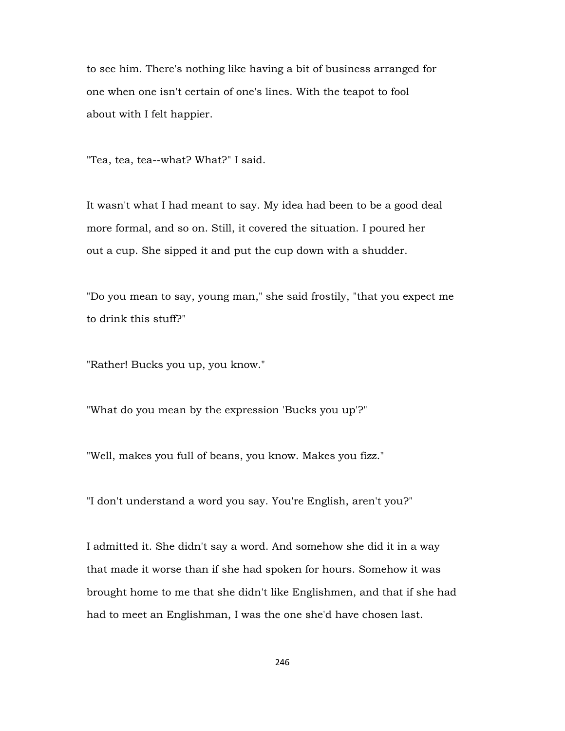to see him. There's nothing like having a bit of business arranged for one when one isn't certain of one's lines. With the teapot to fool about with I felt happier.

"Tea, tea, tea--what? What?" I said.

It wasn't what I had meant to say. My idea had been to be a good deal more formal, and so on. Still, it covered the situation. I poured her out a cup. She sipped it and put the cup down with a shudder.

"Do you mean to say, young man," she said frostily, "that you expect me to drink this stuff?"

"Rather! Bucks you up, you know."

"What do you mean by the expression 'Bucks you up'?"

"Well, makes you full of beans, you know. Makes you fizz."

"I don't understand a word you say. You're English, aren't you?"

I admitted it. She didn't say a word. And somehow she did it in a way that made it worse than if she had spoken for hours. Somehow it was brought home to me that she didn't like Englishmen, and that if she had had to meet an Englishman, I was the one she'd have chosen last.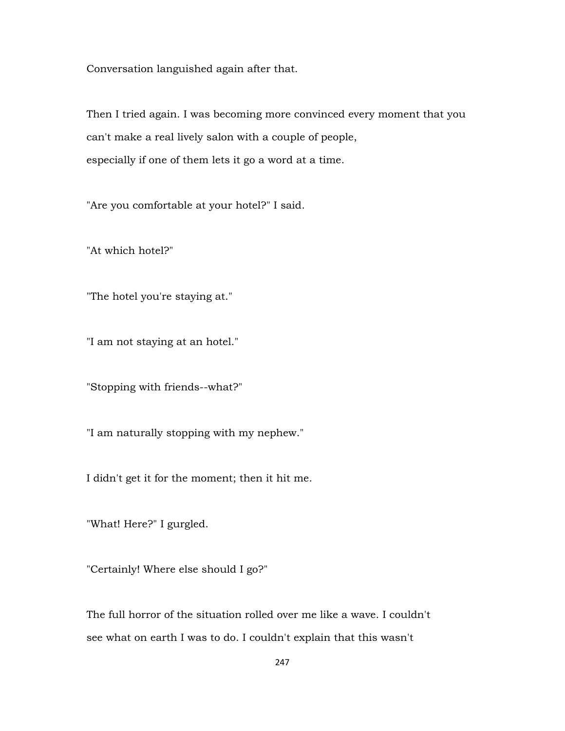Conversation languished again after that.

Then I tried again. I was becoming more convinced every moment that you can't make a real lively salon with a couple of people, especially if one of them lets it go a word at a time.

"Are you comfortable at your hotel?" I said.

"At which hotel?"

"The hotel you're staying at."

"I am not staying at an hotel."

"Stopping with friends--what?"

"I am naturally stopping with my nephew."

I didn't get it for the moment; then it hit me.

"What! Here?" I gurgled.

"Certainly! Where else should I go?"

The full horror of the situation rolled over me like a wave. I couldn't see what on earth I was to do. I couldn't explain that this wasn't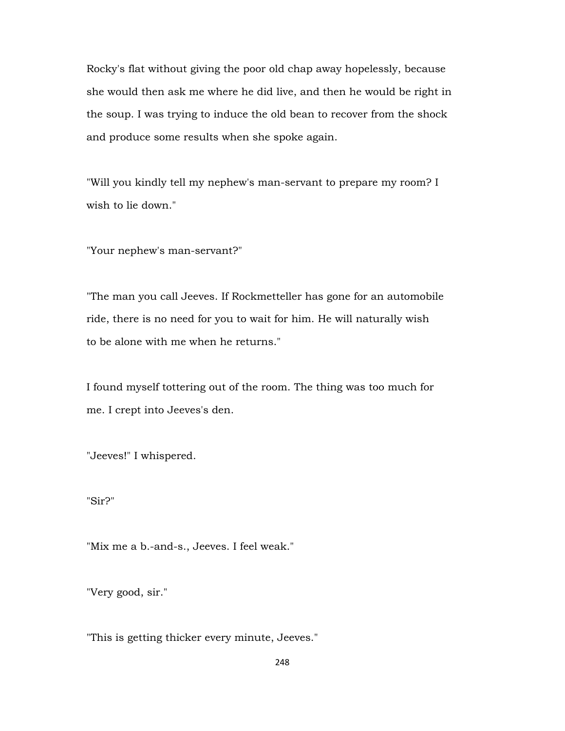Rocky's flat without giving the poor old chap away hopelessly, because she would then ask me where he did live, and then he would be right in the soup. I was trying to induce the old bean to recover from the shock and produce some results when she spoke again.

"Will you kindly tell my nephew's man-servant to prepare my room? I wish to lie down."

"Your nephew's man-servant?"

"The man you call Jeeves. If Rockmetteller has gone for an automobile ride, there is no need for you to wait for him. He will naturally wish to be alone with me when he returns."

I found myself tottering out of the room. The thing was too much for me. I crept into Jeeves's den.

"Jeeves!" I whispered.

"Sir?"

"Mix me a b.-and-s., Jeeves. I feel weak."

"Very good, sir."

"This is getting thicker every minute, Jeeves."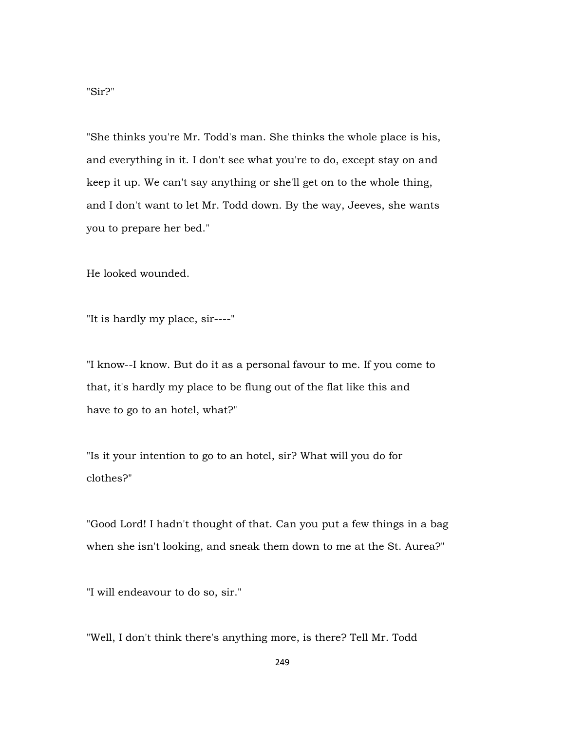"She thinks you're Mr. Todd's man. She thinks the whole place is his, and everything in it. I don't see what you're to do, except stay on and keep it up. We can't say anything or she'll get on to the whole thing, and I don't want to let Mr. Todd down. By the way, Jeeves, she wants you to prepare her bed."

He looked wounded.

"It is hardly my place, sir----"

"I know--I know. But do it as a personal favour to me. If you come to that, it's hardly my place to be flung out of the flat like this and have to go to an hotel, what?"

"Is it your intention to go to an hotel, sir? What will you do for clothes?"

"Good Lord! I hadn't thought of that. Can you put a few things in a bag when she isn't looking, and sneak them down to me at the St. Aurea?"

"I will endeavour to do so, sir."

"Well, I don't think there's anything more, is there? Tell Mr. Todd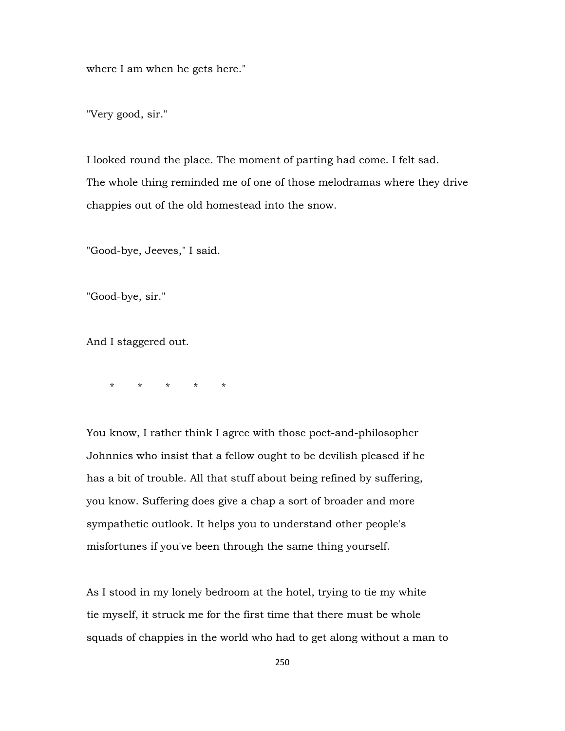where I am when he gets here."

"Very good, sir."

I looked round the place. The moment of parting had come. I felt sad. The whole thing reminded me of one of those melodramas where they drive chappies out of the old homestead into the snow.

"Good-bye, Jeeves," I said.

"Good-bye, sir."

And I staggered out.

\* \* \* \* \*

You know, I rather think I agree with those poet-and-philosopher Johnnies who insist that a fellow ought to be devilish pleased if he has a bit of trouble. All that stuff about being refined by suffering, you know. Suffering does give a chap a sort of broader and more sympathetic outlook. It helps you to understand other people's misfortunes if you've been through the same thing yourself.

As I stood in my lonely bedroom at the hotel, trying to tie my white tie myself, it struck me for the first time that there must be whole squads of chappies in the world who had to get along without a man to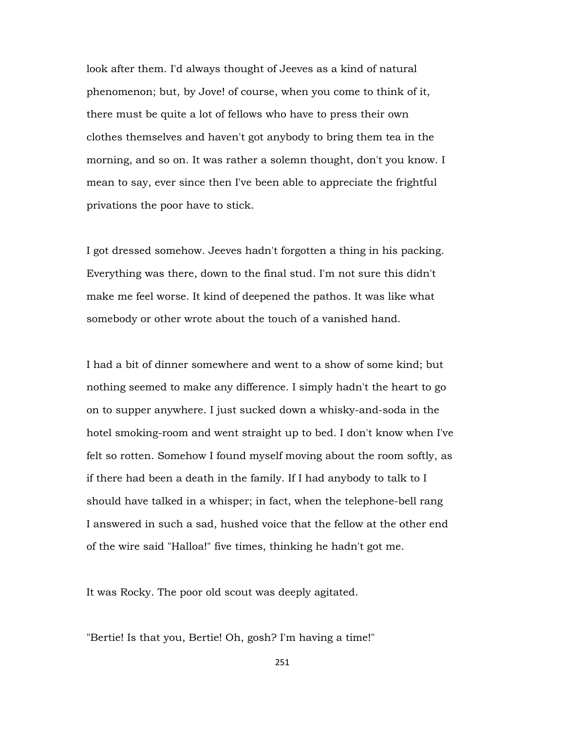look after them. I'd always thought of Jeeves as a kind of natural phenomenon; but, by Jove! of course, when you come to think of it, there must be quite a lot of fellows who have to press their own clothes themselves and haven't got anybody to bring them tea in the morning, and so on. It was rather a solemn thought, don't you know. I mean to say, ever since then I've been able to appreciate the frightful privations the poor have to stick.

I got dressed somehow. Jeeves hadn't forgotten a thing in his packing. Everything was there, down to the final stud. I'm not sure this didn't make me feel worse. It kind of deepened the pathos. It was like what somebody or other wrote about the touch of a vanished hand.

I had a bit of dinner somewhere and went to a show of some kind; but nothing seemed to make any difference. I simply hadn't the heart to go on to supper anywhere. I just sucked down a whisky-and-soda in the hotel smoking-room and went straight up to bed. I don't know when I've felt so rotten. Somehow I found myself moving about the room softly, as if there had been a death in the family. If I had anybody to talk to I should have talked in a whisper; in fact, when the telephone-bell rang I answered in such a sad, hushed voice that the fellow at the other end of the wire said "Halloa!" five times, thinking he hadn't got me.

It was Rocky. The poor old scout was deeply agitated.

"Bertie! Is that you, Bertie! Oh, gosh? I'm having a time!"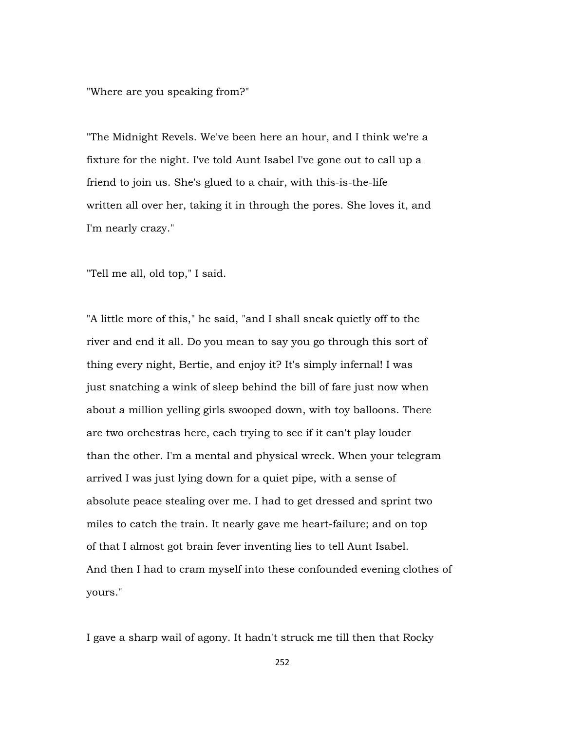"Where are you speaking from?"

"The Midnight Revels. We've been here an hour, and I think we're a fixture for the night. I've told Aunt Isabel I've gone out to call up a friend to join us. She's glued to a chair, with this-is-the-life written all over her, taking it in through the pores. She loves it, and I'm nearly crazy."

"Tell me all, old top," I said.

"A little more of this," he said, "and I shall sneak quietly off to the river and end it all. Do you mean to say you go through this sort of thing every night, Bertie, and enjoy it? It's simply infernal! I was just snatching a wink of sleep behind the bill of fare just now when about a million yelling girls swooped down, with toy balloons. There are two orchestras here, each trying to see if it can't play louder than the other. I'm a mental and physical wreck. When your telegram arrived I was just lying down for a quiet pipe, with a sense of absolute peace stealing over me. I had to get dressed and sprint two miles to catch the train. It nearly gave me heart-failure; and on top of that I almost got brain fever inventing lies to tell Aunt Isabel. And then I had to cram myself into these confounded evening clothes of yours."

I gave a sharp wail of agony. It hadn't struck me till then that Rocky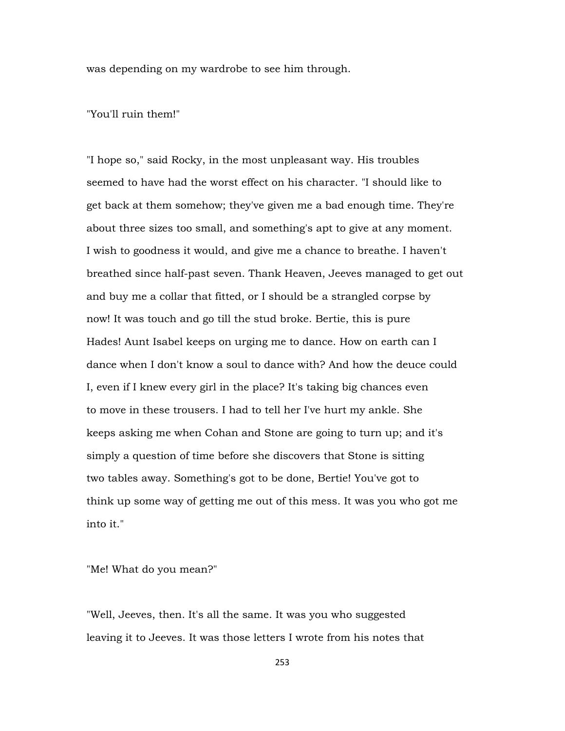was depending on my wardrobe to see him through.

## "You'll ruin them!"

"I hope so," said Rocky, in the most unpleasant way. His troubles seemed to have had the worst effect on his character. "I should like to get back at them somehow; they've given me a bad enough time. They're about three sizes too small, and something's apt to give at any moment. I wish to goodness it would, and give me a chance to breathe. I haven't breathed since half-past seven. Thank Heaven, Jeeves managed to get out and buy me a collar that fitted, or I should be a strangled corpse by now! It was touch and go till the stud broke. Bertie, this is pure Hades! Aunt Isabel keeps on urging me to dance. How on earth can I dance when I don't know a soul to dance with? And how the deuce could I, even if I knew every girl in the place? It's taking big chances even to move in these trousers. I had to tell her I've hurt my ankle. She keeps asking me when Cohan and Stone are going to turn up; and it's simply a question of time before she discovers that Stone is sitting two tables away. Something's got to be done, Bertie! You've got to think up some way of getting me out of this mess. It was you who got me into it."

"Me! What do you mean?"

"Well, Jeeves, then. It's all the same. It was you who suggested leaving it to Jeeves. It was those letters I wrote from his notes that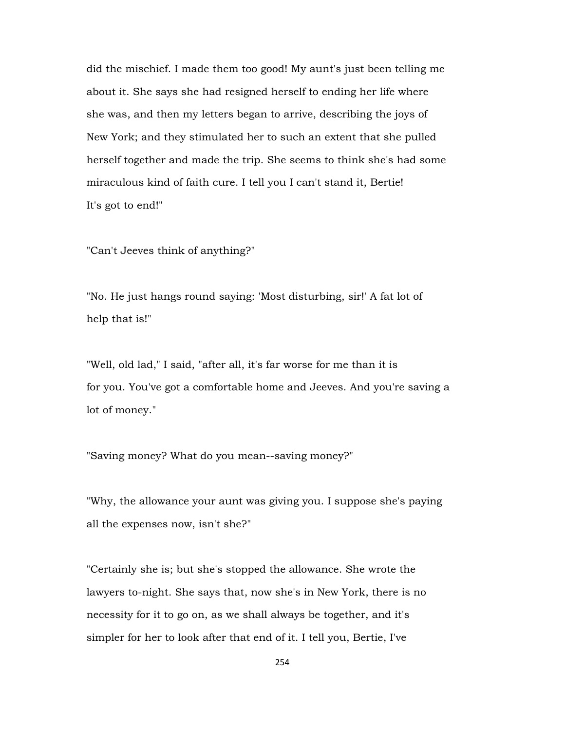did the mischief. I made them too good! My aunt's just been telling me about it. She says she had resigned herself to ending her life where she was, and then my letters began to arrive, describing the joys of New York; and they stimulated her to such an extent that she pulled herself together and made the trip. She seems to think she's had some miraculous kind of faith cure. I tell you I can't stand it, Bertie! It's got to end!"

"Can't Jeeves think of anything?"

"No. He just hangs round saying: 'Most disturbing, sir!' A fat lot of help that is!"

"Well, old lad," I said, "after all, it's far worse for me than it is for you. You've got a comfortable home and Jeeves. And you're saving a lot of money."

"Saving money? What do you mean--saving money?"

"Why, the allowance your aunt was giving you. I suppose she's paying all the expenses now, isn't she?"

"Certainly she is; but she's stopped the allowance. She wrote the lawyers to-night. She says that, now she's in New York, there is no necessity for it to go on, as we shall always be together, and it's simpler for her to look after that end of it. I tell you, Bertie, I've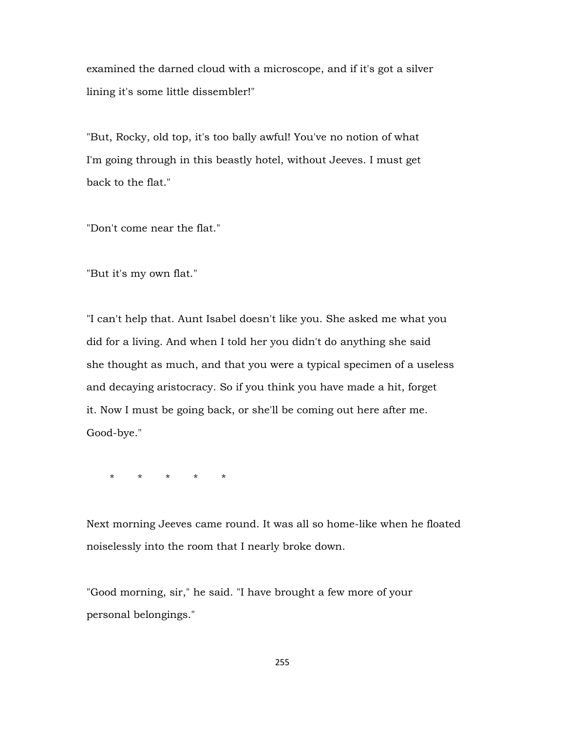examined the darned cloud with a microscope, and if it's got a silver lining it's some little dissembler!"

"But, Rocky, old top, it's too bally awful! You've no notion of what I'm going through in this beastly hotel, without Jeeves. I must get back to the flat."

"Don't come near the flat."

"But it's my own flat."

"I can't help that. Aunt Isabel doesn't like you. She asked me what you did for a living. And when I told her you didn't do anything she said she thought as much, and that you were a typical specimen of a useless and decaying aristocracy. So if you think you have made a hit, forget it. Now I must be going back, or she'll be coming out here after me. Good-bye."

\* \* \* \* \*

Next morning Jeeves came round. It was all so home-like when he floated noiselessly into the room that I nearly broke down.

"Good morning, sir," he said. "I have brought a few more of your personal belongings."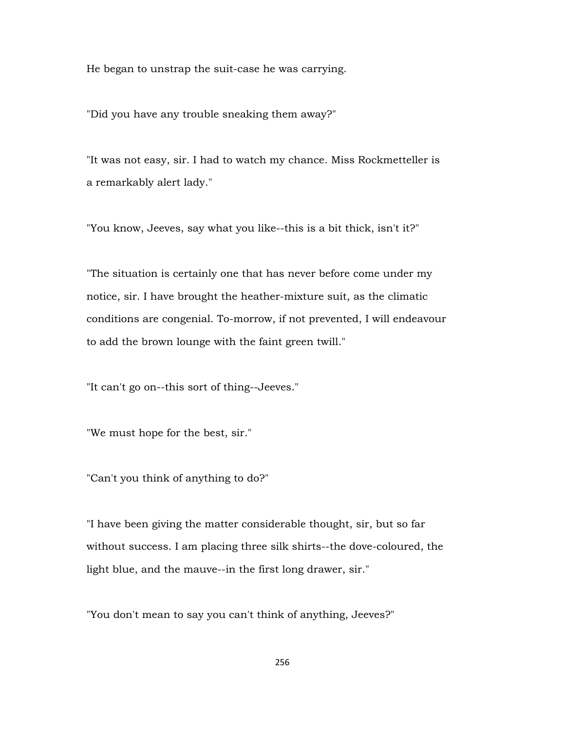He began to unstrap the suit-case he was carrying.

"Did you have any trouble sneaking them away?"

"It was not easy, sir. I had to watch my chance. Miss Rockmetteller is a remarkably alert lady."

"You know, Jeeves, say what you like--this is a bit thick, isn't it?"

"The situation is certainly one that has never before come under my notice, sir. I have brought the heather-mixture suit, as the climatic conditions are congenial. To-morrow, if not prevented, I will endeavour to add the brown lounge with the faint green twill."

"It can't go on--this sort of thing--Jeeves."

"We must hope for the best, sir."

"Can't you think of anything to do?"

"I have been giving the matter considerable thought, sir, but so far without success. I am placing three silk shirts--the dove-coloured, the light blue, and the mauve--in the first long drawer, sir."

"You don't mean to say you can't think of anything, Jeeves?"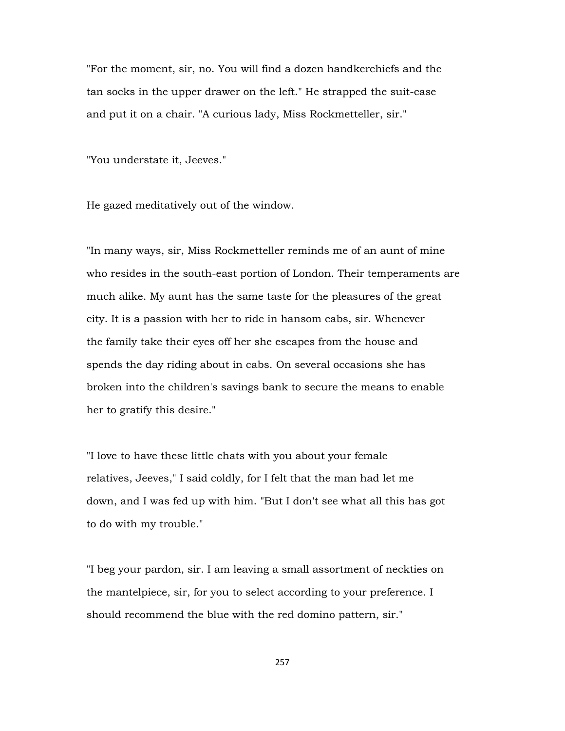"For the moment, sir, no. You will find a dozen handkerchiefs and the tan socks in the upper drawer on the left." He strapped the suit-case and put it on a chair. "A curious lady, Miss Rockmetteller, sir."

"You understate it, Jeeves."

He gazed meditatively out of the window.

"In many ways, sir, Miss Rockmetteller reminds me of an aunt of mine who resides in the south-east portion of London. Their temperaments are much alike. My aunt has the same taste for the pleasures of the great city. It is a passion with her to ride in hansom cabs, sir. Whenever the family take their eyes off her she escapes from the house and spends the day riding about in cabs. On several occasions she has broken into the children's savings bank to secure the means to enable her to gratify this desire."

"I love to have these little chats with you about your female relatives, Jeeves," I said coldly, for I felt that the man had let me down, and I was fed up with him. "But I don't see what all this has got to do with my trouble."

"I beg your pardon, sir. I am leaving a small assortment of neckties on the mantelpiece, sir, for you to select according to your preference. I should recommend the blue with the red domino pattern, sir."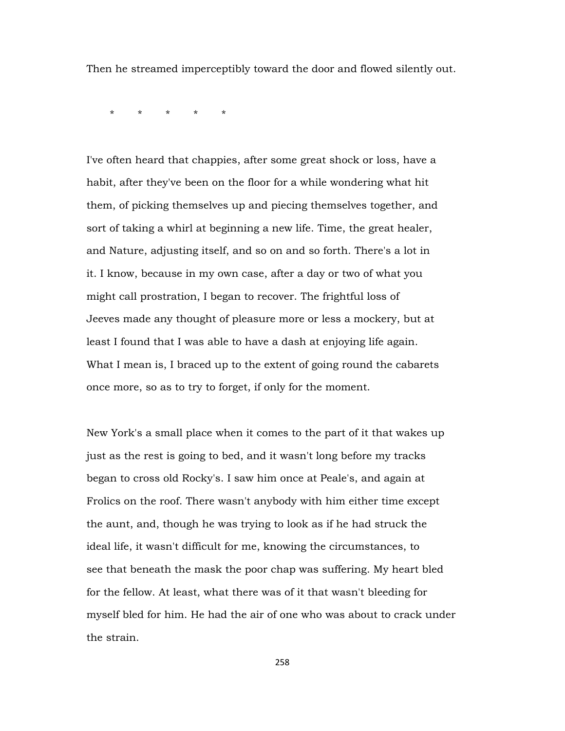Then he streamed imperceptibly toward the door and flowed silently out.

\* \* \* \* \*

I've often heard that chappies, after some great shock or loss, have a habit, after they've been on the floor for a while wondering what hit them, of picking themselves up and piecing themselves together, and sort of taking a whirl at beginning a new life. Time, the great healer, and Nature, adjusting itself, and so on and so forth. There's a lot in it. I know, because in my own case, after a day or two of what you might call prostration, I began to recover. The frightful loss of Jeeves made any thought of pleasure more or less a mockery, but at least I found that I was able to have a dash at enjoying life again. What I mean is, I braced up to the extent of going round the cabarets once more, so as to try to forget, if only for the moment.

New York's a small place when it comes to the part of it that wakes up just as the rest is going to bed, and it wasn't long before my tracks began to cross old Rocky's. I saw him once at Peale's, and again at Frolics on the roof. There wasn't anybody with him either time except the aunt, and, though he was trying to look as if he had struck the ideal life, it wasn't difficult for me, knowing the circumstances, to see that beneath the mask the poor chap was suffering. My heart bled for the fellow. At least, what there was of it that wasn't bleeding for myself bled for him. He had the air of one who was about to crack under the strain.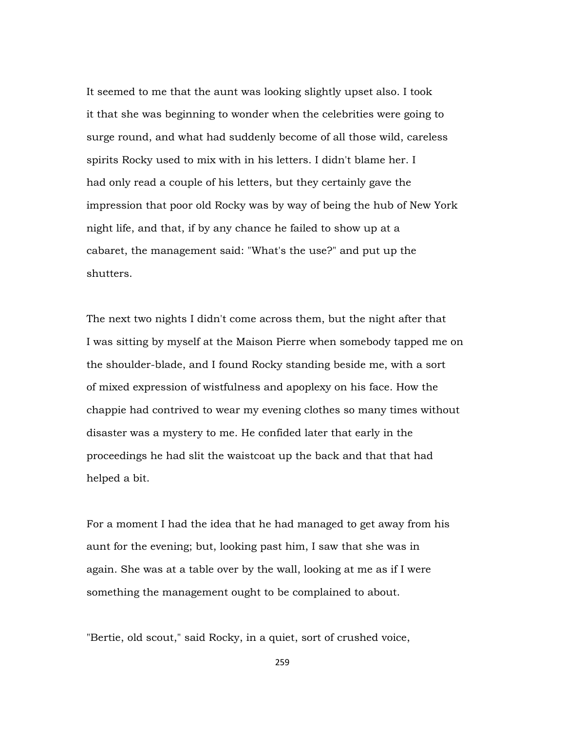It seemed to me that the aunt was looking slightly upset also. I took it that she was beginning to wonder when the celebrities were going to surge round, and what had suddenly become of all those wild, careless spirits Rocky used to mix with in his letters. I didn't blame her. I had only read a couple of his letters, but they certainly gave the impression that poor old Rocky was by way of being the hub of New York night life, and that, if by any chance he failed to show up at a cabaret, the management said: "What's the use?" and put up the shutters.

The next two nights I didn't come across them, but the night after that I was sitting by myself at the Maison Pierre when somebody tapped me on the shoulder-blade, and I found Rocky standing beside me, with a sort of mixed expression of wistfulness and apoplexy on his face. How the chappie had contrived to wear my evening clothes so many times without disaster was a mystery to me. He confided later that early in the proceedings he had slit the waistcoat up the back and that that had helped a bit.

For a moment I had the idea that he had managed to get away from his aunt for the evening; but, looking past him, I saw that she was in again. She was at a table over by the wall, looking at me as if I were something the management ought to be complained to about.

"Bertie, old scout," said Rocky, in a quiet, sort of crushed voice,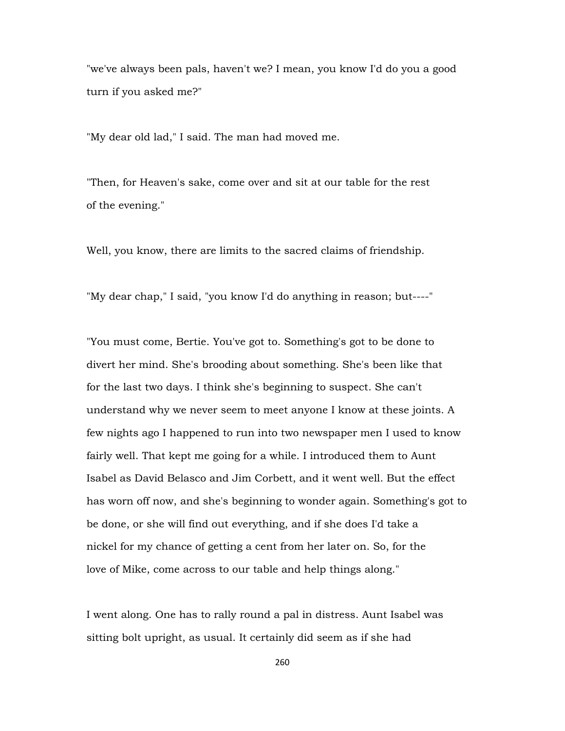"we've always been pals, haven't we? I mean, you know I'd do you a good turn if you asked me?"

"My dear old lad," I said. The man had moved me.

"Then, for Heaven's sake, come over and sit at our table for the rest of the evening."

Well, you know, there are limits to the sacred claims of friendship.

"My dear chap," I said, "you know I'd do anything in reason; but----"

"You must come, Bertie. You've got to. Something's got to be done to divert her mind. She's brooding about something. She's been like that for the last two days. I think she's beginning to suspect. She can't understand why we never seem to meet anyone I know at these joints. A few nights ago I happened to run into two newspaper men I used to know fairly well. That kept me going for a while. I introduced them to Aunt Isabel as David Belasco and Jim Corbett, and it went well. But the effect has worn off now, and she's beginning to wonder again. Something's got to be done, or she will find out everything, and if she does I'd take a nickel for my chance of getting a cent from her later on. So, for the love of Mike, come across to our table and help things along."

I went along. One has to rally round a pal in distress. Aunt Isabel was sitting bolt upright, as usual. It certainly did seem as if she had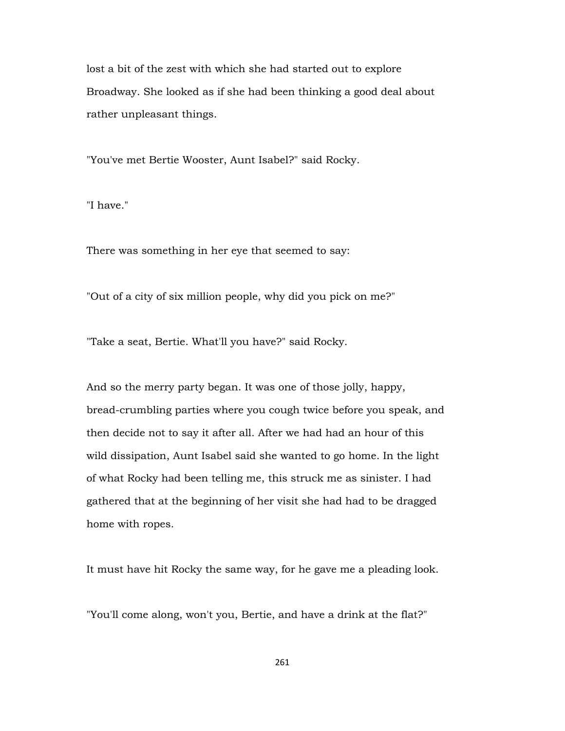lost a bit of the zest with which she had started out to explore Broadway. She looked as if she had been thinking a good deal about rather unpleasant things.

"You've met Bertie Wooster, Aunt Isabel?" said Rocky.

"I have."

There was something in her eye that seemed to say:

"Out of a city of six million people, why did you pick on me?"

"Take a seat, Bertie. What'll you have?" said Rocky.

And so the merry party began. It was one of those jolly, happy, bread-crumbling parties where you cough twice before you speak, and then decide not to say it after all. After we had had an hour of this wild dissipation, Aunt Isabel said she wanted to go home. In the light of what Rocky had been telling me, this struck me as sinister. I had gathered that at the beginning of her visit she had had to be dragged home with ropes.

It must have hit Rocky the same way, for he gave me a pleading look.

"You'll come along, won't you, Bertie, and have a drink at the flat?"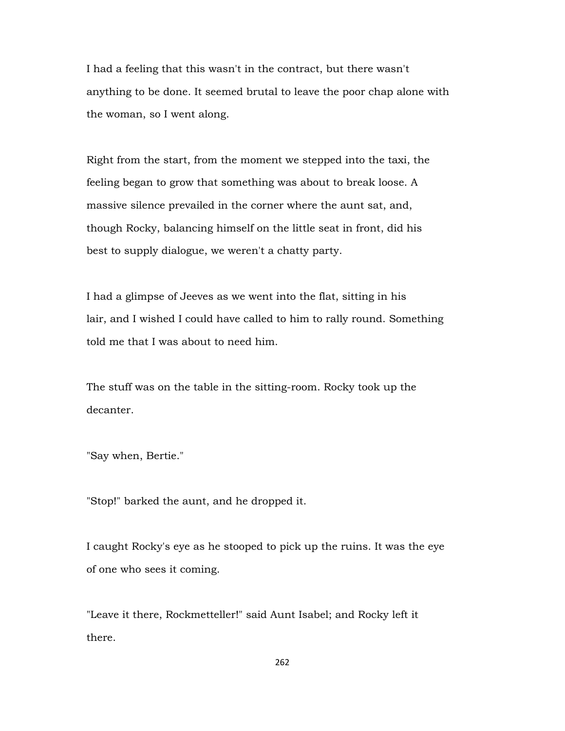I had a feeling that this wasn't in the contract, but there wasn't anything to be done. It seemed brutal to leave the poor chap alone with the woman, so I went along.

Right from the start, from the moment we stepped into the taxi, the feeling began to grow that something was about to break loose. A massive silence prevailed in the corner where the aunt sat, and, though Rocky, balancing himself on the little seat in front, did his best to supply dialogue, we weren't a chatty party.

I had a glimpse of Jeeves as we went into the flat, sitting in his lair, and I wished I could have called to him to rally round. Something told me that I was about to need him.

The stuff was on the table in the sitting-room. Rocky took up the decanter.

"Say when, Bertie."

"Stop!" barked the aunt, and he dropped it.

I caught Rocky's eye as he stooped to pick up the ruins. It was the eye of one who sees it coming.

"Leave it there, Rockmetteller!" said Aunt Isabel; and Rocky left it there.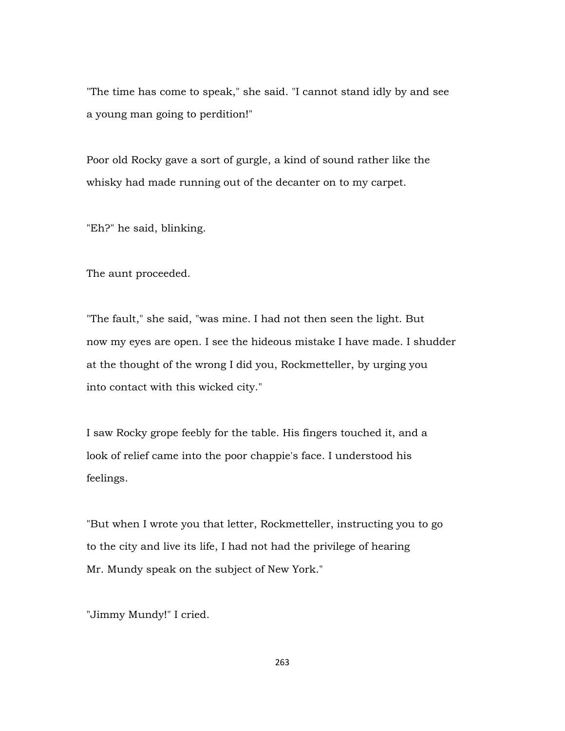"The time has come to speak," she said. "I cannot stand idly by and see a young man going to perdition!"

Poor old Rocky gave a sort of gurgle, a kind of sound rather like the whisky had made running out of the decanter on to my carpet.

"Eh?" he said, blinking.

The aunt proceeded.

"The fault," she said, "was mine. I had not then seen the light. But now my eyes are open. I see the hideous mistake I have made. I shudder at the thought of the wrong I did you, Rockmetteller, by urging you into contact with this wicked city."

I saw Rocky grope feebly for the table. His fingers touched it, and a look of relief came into the poor chappie's face. I understood his feelings.

"But when I wrote you that letter, Rockmetteller, instructing you to go to the city and live its life, I had not had the privilege of hearing Mr. Mundy speak on the subject of New York."

"Jimmy Mundy!" I cried.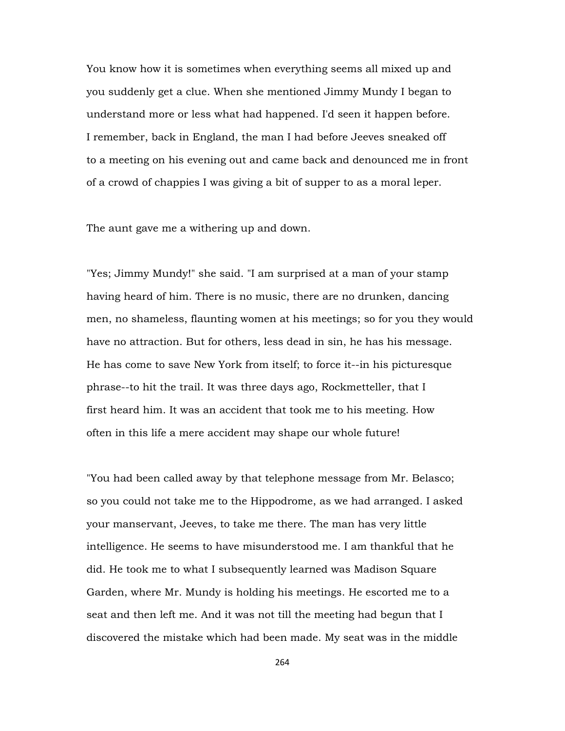You know how it is sometimes when everything seems all mixed up and you suddenly get a clue. When she mentioned Jimmy Mundy I began to understand more or less what had happened. I'd seen it happen before. I remember, back in England, the man I had before Jeeves sneaked off to a meeting on his evening out and came back and denounced me in front of a crowd of chappies I was giving a bit of supper to as a moral leper.

The aunt gave me a withering up and down.

"Yes; Jimmy Mundy!" she said. "I am surprised at a man of your stamp having heard of him. There is no music, there are no drunken, dancing men, no shameless, flaunting women at his meetings; so for you they would have no attraction. But for others, less dead in sin, he has his message. He has come to save New York from itself; to force it--in his picturesque phrase--to hit the trail. It was three days ago, Rockmetteller, that I first heard him. It was an accident that took me to his meeting. How often in this life a mere accident may shape our whole future!

"You had been called away by that telephone message from Mr. Belasco; so you could not take me to the Hippodrome, as we had arranged. I asked your manservant, Jeeves, to take me there. The man has very little intelligence. He seems to have misunderstood me. I am thankful that he did. He took me to what I subsequently learned was Madison Square Garden, where Mr. Mundy is holding his meetings. He escorted me to a seat and then left me. And it was not till the meeting had begun that I discovered the mistake which had been made. My seat was in the middle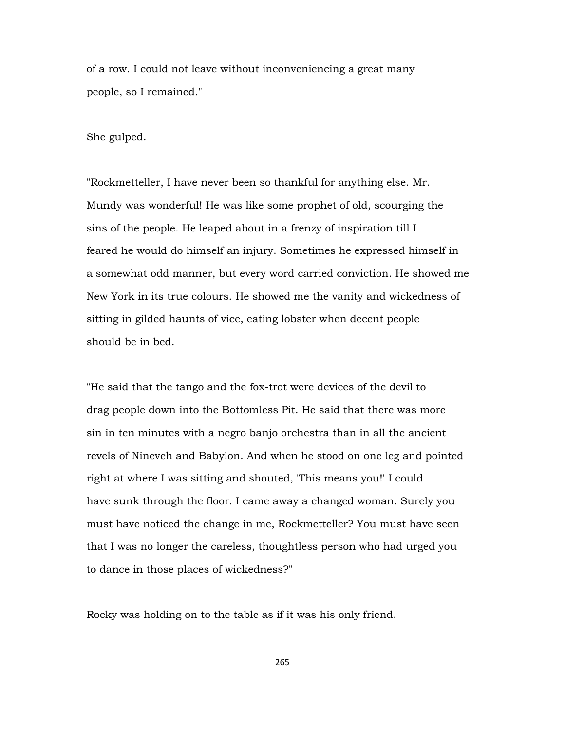of a row. I could not leave without inconveniencing a great many people, so I remained."

She gulped.

"Rockmetteller, I have never been so thankful for anything else. Mr. Mundy was wonderful! He was like some prophet of old, scourging the sins of the people. He leaped about in a frenzy of inspiration till I feared he would do himself an injury. Sometimes he expressed himself in a somewhat odd manner, but every word carried conviction. He showed me New York in its true colours. He showed me the vanity and wickedness of sitting in gilded haunts of vice, eating lobster when decent people should be in bed.

"He said that the tango and the fox-trot were devices of the devil to drag people down into the Bottomless Pit. He said that there was more sin in ten minutes with a negro banjo orchestra than in all the ancient revels of Nineveh and Babylon. And when he stood on one leg and pointed right at where I was sitting and shouted, 'This means you!' I could have sunk through the floor. I came away a changed woman. Surely you must have noticed the change in me, Rockmetteller? You must have seen that I was no longer the careless, thoughtless person who had urged you to dance in those places of wickedness?"

Rocky was holding on to the table as if it was his only friend.

265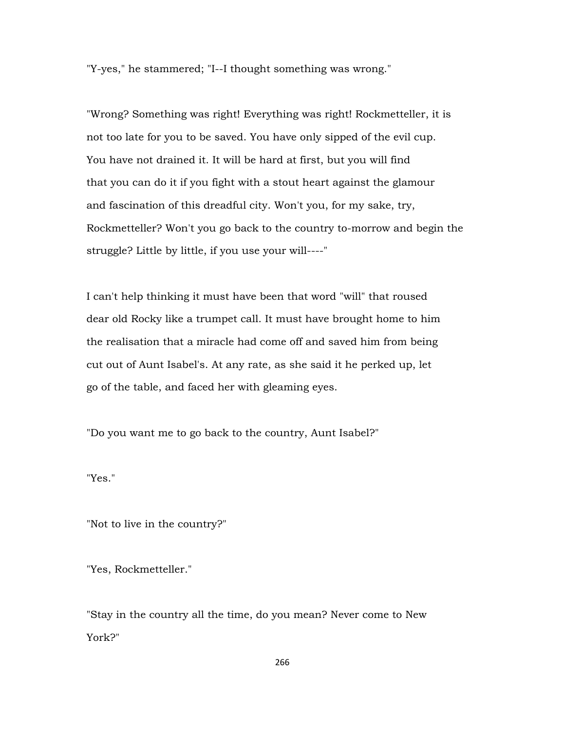"Y-yes," he stammered; "I--I thought something was wrong."

"Wrong? Something was right! Everything was right! Rockmetteller, it is not too late for you to be saved. You have only sipped of the evil cup. You have not drained it. It will be hard at first, but you will find that you can do it if you fight with a stout heart against the glamour and fascination of this dreadful city. Won't you, for my sake, try, Rockmetteller? Won't you go back to the country to-morrow and begin the struggle? Little by little, if you use your will----"

I can't help thinking it must have been that word "will" that roused dear old Rocky like a trumpet call. It must have brought home to him the realisation that a miracle had come off and saved him from being cut out of Aunt Isabel's. At any rate, as she said it he perked up, let go of the table, and faced her with gleaming eyes.

"Do you want me to go back to the country, Aunt Isabel?"

"Yes."

"Not to live in the country?"

"Yes, Rockmetteller."

"Stay in the country all the time, do you mean? Never come to New York?"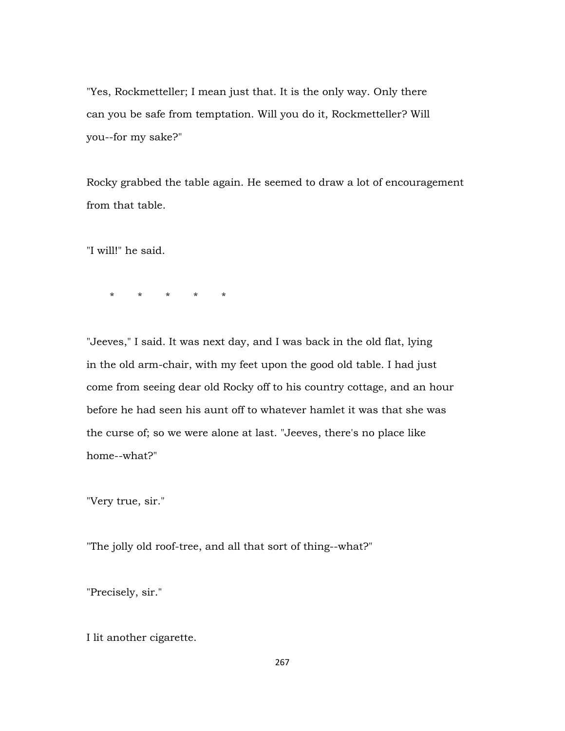"Yes, Rockmetteller; I mean just that. It is the only way. Only there can you be safe from temptation. Will you do it, Rockmetteller? Will you--for my sake?"

Rocky grabbed the table again. He seemed to draw a lot of encouragement from that table.

"I will!" he said.

\* \* \* \* \*

"Jeeves," I said. It was next day, and I was back in the old flat, lying in the old arm-chair, with my feet upon the good old table. I had just come from seeing dear old Rocky off to his country cottage, and an hour before he had seen his aunt off to whatever hamlet it was that she was the curse of; so we were alone at last. "Jeeves, there's no place like home--what?"

"Very true, sir."

"The jolly old roof-tree, and all that sort of thing--what?"

"Precisely, sir."

I lit another cigarette.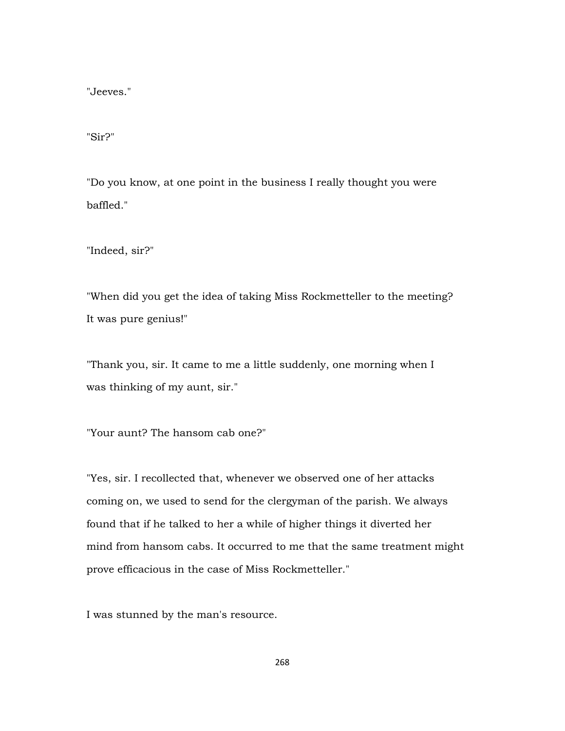"Jeeves."

"Sir?"

"Do you know, at one point in the business I really thought you were baffled."

"Indeed, sir?"

"When did you get the idea of taking Miss Rockmetteller to the meeting? It was pure genius!"

"Thank you, sir. It came to me a little suddenly, one morning when I was thinking of my aunt, sir."

"Your aunt? The hansom cab one?"

"Yes, sir. I recollected that, whenever we observed one of her attacks coming on, we used to send for the clergyman of the parish. We always found that if he talked to her a while of higher things it diverted her mind from hansom cabs. It occurred to me that the same treatment might prove efficacious in the case of Miss Rockmetteller."

I was stunned by the man's resource.